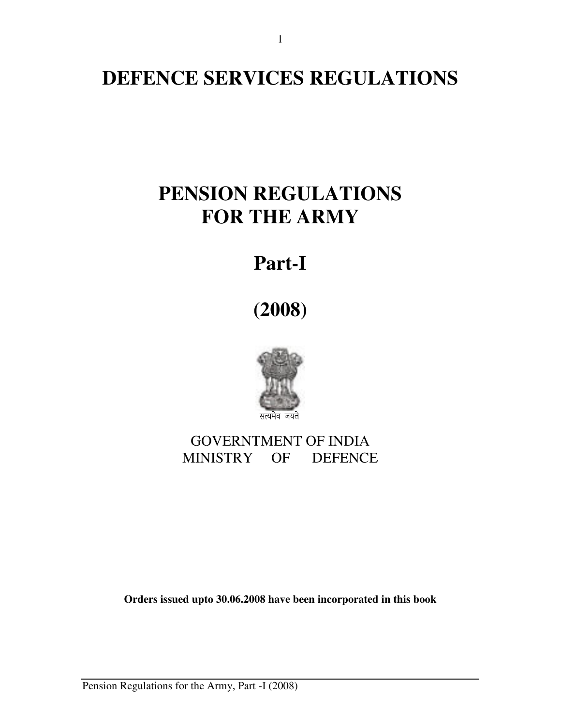# **DEFENCE SERVICES REGULATIONS**

# **PENSION REGULATIONS FOR THE ARMY**

# **Part-I**

**(2008)** 



# GOVERNTMENT OF INDIA MINISTRY OF DEFENCE

**Orders issued upto 30.06.2008 have been incorporated in this book** 

Pension Regulations for the Army, Part -I (2008)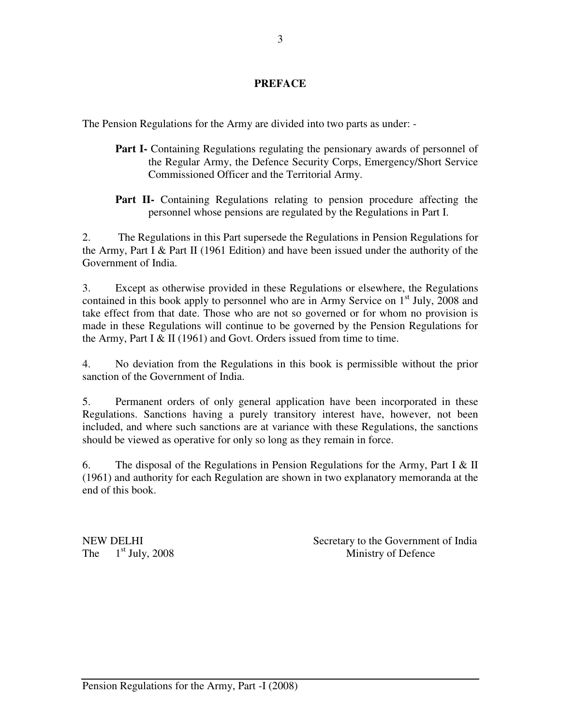# **PREFACE**

The Pension Regulations for the Army are divided into two parts as under: -

- **Part I-** Containing Regulations regulating the pensionary awards of personnel of the Regular Army, the Defence Security Corps, Emergency/Short Service Commissioned Officer and the Territorial Army.
- **Part II-** Containing Regulations relating to pension procedure affecting the personnel whose pensions are regulated by the Regulations in Part I.

2. The Regulations in this Part supersede the Regulations in Pension Regulations for the Army, Part I & Part II (1961 Edition) and have been issued under the authority of the Government of India.

3. Except as otherwise provided in these Regulations or elsewhere, the Regulations contained in this book apply to personnel who are in Army Service on  $1<sup>st</sup>$  July, 2008 and take effect from that date. Those who are not so governed or for whom no provision is made in these Regulations will continue to be governed by the Pension Regulations for the Army, Part I & II (1961) and Govt. Orders issued from time to time.

4. No deviation from the Regulations in this book is permissible without the prior sanction of the Government of India.

5. Permanent orders of only general application have been incorporated in these Regulations. Sanctions having a purely transitory interest have, however, not been included, and where such sanctions are at variance with these Regulations, the sanctions should be viewed as operative for only so long as they remain in force.

6. The disposal of the Regulations in Pension Regulations for the Army, Part I & II (1961) and authority for each Regulation are shown in two explanatory memoranda at the end of this book.

NEW DELHI Secretary to the Government of India The 1<sup>st</sup> July, 2008 Ministry of Defence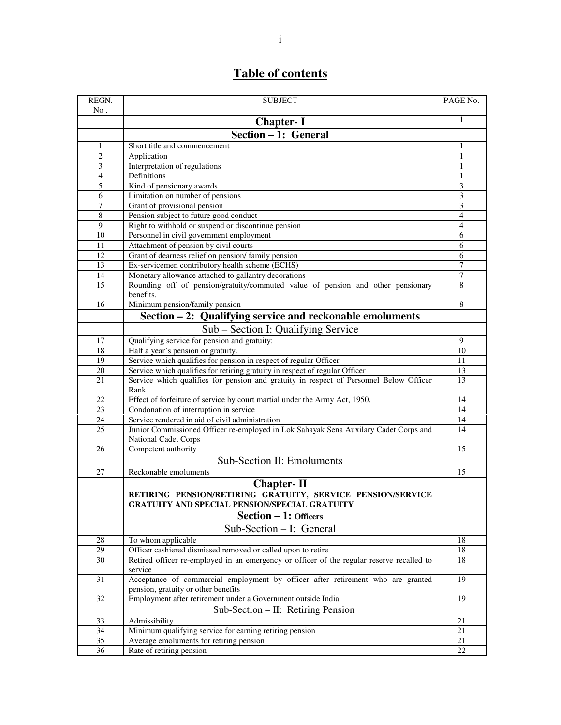# **Table of contents**

| REGN.  | <b>SUBJECT</b>                                                                                                                           | PAGE No.         |  |  |
|--------|------------------------------------------------------------------------------------------------------------------------------------------|------------------|--|--|
| No.    | <b>Chapter-I</b>                                                                                                                         | 1                |  |  |
|        | Section - 1: General                                                                                                                     |                  |  |  |
| 1      | Short title and commencement                                                                                                             | 1                |  |  |
| 2      | Application                                                                                                                              | $\mathbf{1}$     |  |  |
| 3      | Interpretation of regulations                                                                                                            |                  |  |  |
| 4      | Definitions                                                                                                                              |                  |  |  |
| 5      | Kind of pensionary awards                                                                                                                | 1<br>3           |  |  |
| 6      | Limitation on number of pensions                                                                                                         | 3                |  |  |
| 7      | Grant of provisional pension                                                                                                             | 3                |  |  |
| 8      | Pension subject to future good conduct                                                                                                   | 4                |  |  |
| 9      | Right to withhold or suspend or discontinue pension                                                                                      | $\overline{4}$   |  |  |
| 10     | Personnel in civil government employment                                                                                                 | $\overline{6}$   |  |  |
| 11     | Attachment of pension by civil courts                                                                                                    | 6                |  |  |
| 12     | Grant of dearness relief on pension/family pension                                                                                       | 6                |  |  |
| 13     | Ex-servicemen contributory health scheme (ECHS)                                                                                          | $\boldsymbol{7}$ |  |  |
| 14     | Monetary allowance attached to gallantry decorations                                                                                     | $\overline{7}$   |  |  |
| 15     | Rounding off of pension/gratuity/commuted value of pension and other pensionary<br>benefits.                                             | 8                |  |  |
| 16     | Minimum pension/family pension                                                                                                           | 8                |  |  |
|        | Section - 2: Qualifying service and reckonable emoluments                                                                                |                  |  |  |
|        | Sub – Section I: Qualifying Service                                                                                                      |                  |  |  |
| 17     | Qualifying service for pension and gratuity:                                                                                             | 9                |  |  |
| 18     | Half a year's pension or gratuity.                                                                                                       | 10               |  |  |
| 19     | Service which qualifies for pension in respect of regular Officer                                                                        | 11               |  |  |
| 20     | Service which qualifies for retiring gratuity in respect of regular Officer                                                              | 13               |  |  |
| 21     | Service which qualifies for pension and gratuity in respect of Personnel Below Officer<br>Rank                                           | 13               |  |  |
| 22     | Effect of forfeiture of service by court martial under the Army Act, 1950.                                                               | 14               |  |  |
| 23     | Condonation of interruption in service                                                                                                   | 14               |  |  |
| 24     | Service rendered in aid of civil administration                                                                                          | 14               |  |  |
| 25     | Junior Commissioned Officer re-employed in Lok Sahayak Sena Auxilary Cadet Corps and<br>National Cadet Corps                             | 14               |  |  |
| 26     | Competent authority                                                                                                                      | 15               |  |  |
|        | Sub-Section II: Emoluments                                                                                                               |                  |  |  |
| 27     | Reckonable emoluments                                                                                                                    | 15               |  |  |
|        | <b>Chapter-II</b><br>RETIRING PENSION/RETIRING GRATUITY, SERVICE PENSION/SERVICE<br><b>GRATUITY AND SPECIAL PENSION/SPECIAL GRATUITY</b> |                  |  |  |
|        | <b>Section – 1: Officers</b>                                                                                                             |                  |  |  |
|        | Sub-Section - I: General                                                                                                                 |                  |  |  |
| 28     | To whom applicable                                                                                                                       | 18               |  |  |
| $29\,$ | Officer cashiered dismissed removed or called upon to retire                                                                             | 18               |  |  |
| 30     | Retired officer re-employed in an emergency or officer of the regular reserve recalled to<br>service                                     | 18               |  |  |
| 31     | Acceptance of commercial employment by officer after retirement who are granted<br>pension, gratuity or other benefits                   | $\overline{19}$  |  |  |
| 32     | Employment after retirement under a Government outside India                                                                             | 19               |  |  |
|        | Sub-Section – II: Retiring Pension                                                                                                       |                  |  |  |
| 33     | Admissibility                                                                                                                            | 21               |  |  |
| 34     | Minimum qualifying service for earning retiring pension                                                                                  | 21               |  |  |
| 35     | Average emoluments for retiring pension                                                                                                  | 21               |  |  |
| 36     | Rate of retiring pension                                                                                                                 | 22               |  |  |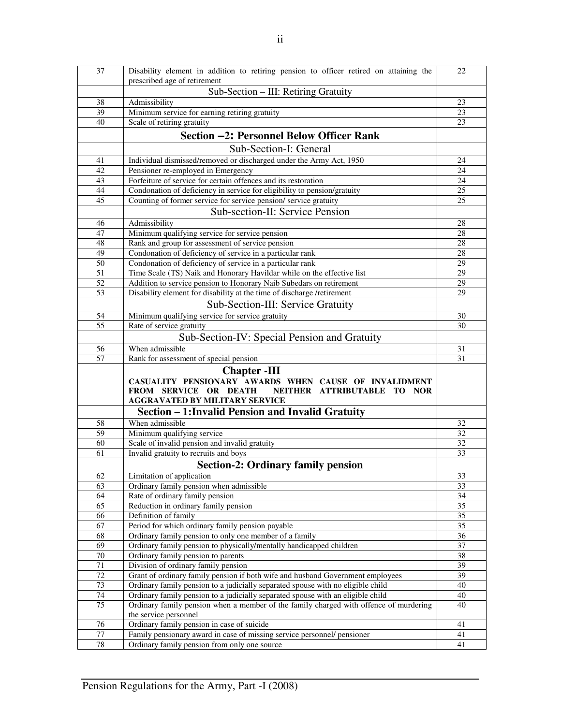| 37              | Disability element in addition to retiring pension to officer retired on attaining the |    |
|-----------------|----------------------------------------------------------------------------------------|----|
|                 | prescribed age of retirement                                                           |    |
|                 | Sub-Section - III: Retiring Gratuity                                                   |    |
| 38              | Admissibility                                                                          | 23 |
| 39              | Minimum service for earning retiring gratuity                                          | 23 |
| 40              | Scale of retiring gratuity                                                             | 23 |
|                 | Section -2: Personnel Below Officer Rank                                               |    |
|                 | Sub-Section-I: General                                                                 |    |
| 41              | Individual dismissed/removed or discharged under the Army Act, 1950                    | 24 |
| 42              | Pensioner re-employed in Emergency                                                     | 24 |
| 43              | Forfeiture of service for certain offences and its restoration                         | 24 |
| 44              | Condonation of deficiency in service for eligibility to pension/gratuity               | 25 |
| 45              | Counting of former service for service pension/service gratuity                        | 25 |
|                 | Sub-section-II: Service Pension                                                        |    |
| 46              | Admissibility                                                                          | 28 |
| 47              | Minimum qualifying service for service pension                                         | 28 |
| 48              | Rank and group for assessment of service pension                                       | 28 |
| 49              | Condonation of deficiency of service in a particular rank                              | 28 |
| $\overline{50}$ | Condonation of deficiency of service in a particular rank                              | 29 |
| 51              | Time Scale (TS) Naik and Honorary Havildar while on the effective list                 | 29 |
| $\overline{52}$ | Addition to service pension to Honorary Naib Subedars on retirement                    | 29 |
| 53              | Disability element for disability at the time of discharge /retirement                 | 29 |
|                 |                                                                                        |    |
|                 | Sub-Section-III: Service Gratuity                                                      |    |
| 54              | Minimum qualifying service for service gratuity                                        | 30 |
| 55              | Rate of service gratuity                                                               | 30 |
|                 | Sub-Section-IV: Special Pension and Gratuity                                           |    |
| 56              | When admissible                                                                        | 31 |
| 57              | Rank for assessment of special pension                                                 | 31 |
|                 | <b>Chapter</b> -III                                                                    |    |
|                 | CASUALITY PENSIONARY AWARDS WHEN CAUSE OF INVALIDMENT                                  |    |
|                 | FROM SERVICE OR DEATH<br>NEITHER ATTRIBUTABLE TO NOR                                   |    |
|                 | <b>AGGRAVATED BY MILITARY SERVICE</b>                                                  |    |
|                 | Section - 1: Invalid Pension and Invalid Gratuity                                      |    |
| 58              | When admissible                                                                        | 32 |
| 59              | Minimum qualifying service                                                             | 32 |
| 60              | Scale of invalid pension and invalid gratuity                                          | 32 |
| 61              | Invalid gratuity to recruits and boys                                                  | 33 |
|                 | <b>Section-2: Ordinary family pension</b>                                              |    |
| 62              | Limitation of application                                                              | 33 |
| 63              | Ordinary family pension when admissible                                                | 33 |
| 64              | Rate of ordinary family pension                                                        | 34 |
| 65              | Reduction in ordinary family pension                                                   | 35 |
| 66              | Definition of family                                                                   | 35 |
| 67              | Period for which ordinary family pension payable                                       | 35 |
| 68              | Ordinary family pension to only one member of a family                                 | 36 |
| 69              | Ordinary family pension to physically/mentally handicapped children                    | 37 |
| 70              | Ordinary family pension to parents                                                     | 38 |
| 71              | Division of ordinary family pension                                                    | 39 |
| 72              | Grant of ordinary family pension if both wife and husband Government employees         | 39 |
| 73              | Ordinary family pension to a judicially separated spouse with no eligible child        | 40 |
| 74              | Ordinary family pension to a judicially separated spouse with an eligible child        | 40 |
| 75              | Ordinary family pension when a member of the family charged with offence of murdering  | 40 |
|                 | the service personnel                                                                  |    |
| 76              | Ordinary family pension in case of suicide                                             | 41 |
| 77              | Family pensionary award in case of missing service personnel/ pensioner                | 41 |
| $78\,$          | Ordinary family pension from only one source                                           | 41 |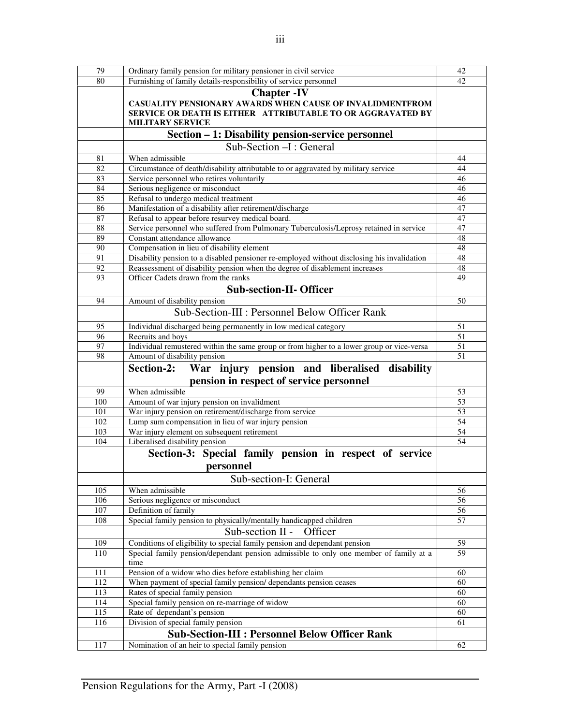| 79  | Ordinary family pension for military pensioner in civil service                                                                                                           | 42 |
|-----|---------------------------------------------------------------------------------------------------------------------------------------------------------------------------|----|
| 80  | Furnishing of family details-responsibility of service personnel                                                                                                          | 42 |
|     | <b>Chapter -IV</b><br>CASUALITY PENSIONARY AWARDS WHEN CAUSE OF INVALIDMENTFROM<br>SERVICE OR DEATH IS EITHER ATTRIBUTABLE TO OR AGGRAVATED BY<br><b>MILITARY SERVICE</b> |    |
|     | Section - 1: Disability pension-service personnel                                                                                                                         |    |
|     | Sub-Section -I : General                                                                                                                                                  |    |
| 81  | When admissible                                                                                                                                                           | 44 |
| 82  | Circumstance of death/disability attributable to or aggravated by military service                                                                                        | 44 |
| 83  | Service personnel who retires voluntarily                                                                                                                                 | 46 |
| 84  | Serious negligence or misconduct                                                                                                                                          | 46 |
| 85  | Refusal to undergo medical treatment                                                                                                                                      | 46 |
| 86  | Manifestation of a disability after retirement/discharge                                                                                                                  | 47 |
| 87  | Refusal to appear before resurvey medical board                                                                                                                           | 47 |
| 88  | Service personnel who suffered from Pulmonary Tuberculosis/Leprosy retained in service                                                                                    | 47 |
| 89  | Constant attendance allowance                                                                                                                                             | 48 |
| 90  | Compensation in lieu of disability element                                                                                                                                | 48 |
| 91  | Disability pension to a disabled pensioner re-employed without disclosing his invalidation                                                                                | 48 |
| 92  | Reassessment of disability pension when the degree of disablement increases                                                                                               | 48 |
| 93  | Officer Cadets drawn from the ranks                                                                                                                                       | 49 |
|     | <b>Sub-section-II- Officer</b>                                                                                                                                            |    |
| 94  | Amount of disability pension                                                                                                                                              | 50 |
|     | Sub-Section-III : Personnel Below Officer Rank                                                                                                                            |    |
|     |                                                                                                                                                                           |    |
| 95  | Individual discharged being permanently in low medical category                                                                                                           | 51 |
| 96  | Recruits and boys                                                                                                                                                         | 51 |
| 97  | Individual remustered within the same group or from higher to a lower group or vice-versa                                                                                 | 51 |
| 98  | Amount of disability pension                                                                                                                                              | 51 |
|     |                                                                                                                                                                           |    |
|     | War injury pension and liberalised<br>disability<br>Section-2:                                                                                                            |    |
|     | pension in respect of service personnel                                                                                                                                   |    |
| 99  | When admissible                                                                                                                                                           | 53 |
| 100 |                                                                                                                                                                           | 53 |
| 101 | Amount of war injury pension on invalidment<br>War injury pension on retirement/discharge from service                                                                    | 53 |
| 102 | Lump sum compensation in lieu of war injury pension                                                                                                                       | 54 |
| 103 | War injury element on subsequent retirement                                                                                                                               | 54 |
| 104 | Liberalised disability pension                                                                                                                                            | 54 |
|     |                                                                                                                                                                           |    |
|     | Section-3: Special family pension in respect of service                                                                                                                   |    |
|     | personnel                                                                                                                                                                 |    |
|     | Sub-section-I: General                                                                                                                                                    |    |
| 105 | When admissible                                                                                                                                                           | 56 |
| 106 | Serious negligence or misconduct                                                                                                                                          | 56 |
| 107 | Definition of family                                                                                                                                                      | 56 |
| 108 | Special family pension to physically/mentally handicapped children                                                                                                        | 57 |
|     | Sub-section II -<br>Officer                                                                                                                                               |    |
| 109 | Conditions of eligibility to special family pension and dependant pension                                                                                                 | 59 |
| 110 | Special family pension/dependant pension admissible to only one member of family at a<br>time                                                                             | 59 |
| 111 | Pension of a widow who dies before establishing her claim                                                                                                                 | 60 |
| 112 | When payment of special family pension/ dependants pension ceases                                                                                                         | 60 |
| 113 | Rates of special family pension                                                                                                                                           | 60 |
| 114 | Special family pension on re-marriage of widow                                                                                                                            | 60 |
| 115 | Rate of dependant's pension                                                                                                                                               | 60 |
| 116 | Division of special family pension                                                                                                                                        | 61 |
|     | <b>Sub-Section-III : Personnel Below Officer Rank</b>                                                                                                                     |    |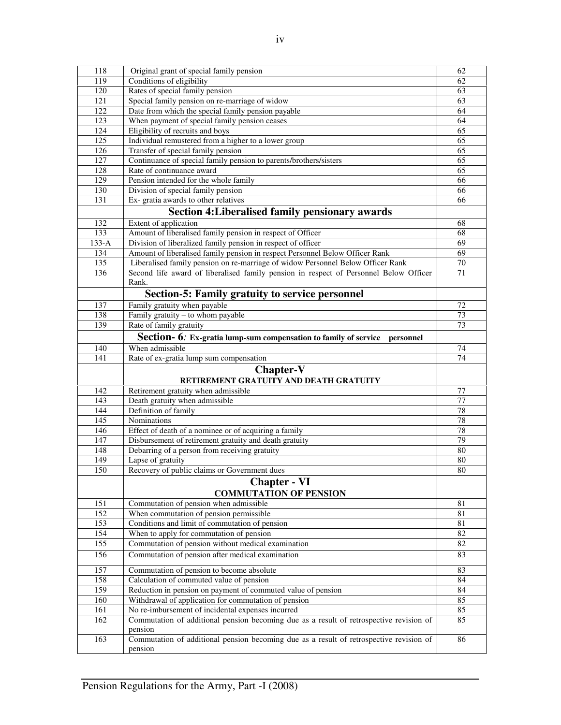| 118     | Original grant of special family pension                                                           |                 |  |
|---------|----------------------------------------------------------------------------------------------------|-----------------|--|
| 119     | Conditions of eligibility                                                                          | 62              |  |
| 120     | Rates of special family pension                                                                    | 63              |  |
| 121     | Special family pension on re-marriage of widow                                                     | 63              |  |
| 122     | Date from which the special family pension payable                                                 | 64              |  |
| 123     | When payment of special family pension ceases                                                      | 64              |  |
| 124     | Eligibility of recruits and boys                                                                   | 65              |  |
| 125     | Individual remustered from a higher to a lower group                                               | 65              |  |
| 126     | Transfer of special family pension                                                                 | 65              |  |
| 127     | Continuance of special family pension to parents/brothers/sisters                                  | 65              |  |
| 128     | Rate of continuance award                                                                          | 65              |  |
| 129     | Pension intended for the whole family                                                              | 66              |  |
| 130     | Division of special family pension                                                                 | 66              |  |
| 131     | Ex- gratia awards to other relatives                                                               | 66              |  |
|         | Section 4: Liberalised family pensionary awards                                                    |                 |  |
| 132     | Extent of application                                                                              | 68              |  |
| 133     | Amount of liberalised family pension in respect of Officer                                         | 68              |  |
| $133-A$ | Division of liberalized family pension in respect of officer                                       | 69              |  |
| 134     | Amount of liberalised family pension in respect Personnel Below Officer Rank                       | 69              |  |
| 135     | Liberalised family pension on re-marriage of widow Personnel Below Officer Rank                    | $\overline{70}$ |  |
| 136     | Second life award of liberalised family pension in respect of Personnel Below Officer              | 71              |  |
|         | Rank.                                                                                              |                 |  |
|         | Section-5: Family gratuity to service personnel                                                    |                 |  |
| 137     | Family gratuity when payable                                                                       | 72              |  |
| 138     | Family gratuity - to whom payable                                                                  | 73              |  |
| 139     | Rate of family gratuity                                                                            | 73              |  |
|         |                                                                                                    |                 |  |
|         | Section- 6: Ex-gratia lump-sum compensation to family of service personnel                         |                 |  |
| 140     | When admissible                                                                                    | 74              |  |
| 141     | Rate of ex-gratia lump sum compensation                                                            | 74              |  |
|         | <b>Chapter-V</b>                                                                                   |                 |  |
|         | RETIREMENT GRATUITY AND DEATH GRATUITY                                                             |                 |  |
| 142     | Retirement gratuity when admissible                                                                | 77              |  |
| 143     | Death gratuity when admissible                                                                     | 77              |  |
| 144     | Definition of family                                                                               | 78              |  |
| 145     | Nominations                                                                                        |                 |  |
| 146     |                                                                                                    | 78              |  |
|         | Effect of death of a nominee or of acquiring a family                                              | 78              |  |
| 147     | Disbursement of retirement gratuity and death gratuity                                             | 79              |  |
| 148     | Debarring of a person from receiving gratuity                                                      | 80              |  |
| 149     | Lapse of gratuity                                                                                  | 80              |  |
| 150     | Recovery of public claims or Government dues                                                       | 80              |  |
|         | <b>Chapter - VI</b>                                                                                |                 |  |
|         | <b>COMMUTATION OF PENSION</b>                                                                      |                 |  |
| 151     | Commutation of pension when admissible                                                             | 81              |  |
| 152     | When commutation of pension permissible                                                            | 81              |  |
| 153     | Conditions and limit of commutation of pension                                                     | 81              |  |
| 154     | When to apply for commutation of pension                                                           | 82              |  |
| 155     | Commutation of pension without medical examination                                                 | 82              |  |
| 156     | Commutation of pension after medical examination                                                   | 83              |  |
| 157     | Commutation of pension to become absolute                                                          | 83              |  |
| 158     | Calculation of commuted value of pension                                                           | 84              |  |
| 159     | Reduction in pension on payment of commuted value of pension                                       | 84              |  |
| 160     | Withdrawal of application for commutation of pension                                               | 85              |  |
| 161     | No re-imbursement of incidental expenses incurred                                                  | 85              |  |
| 162     | Commutation of additional pension becoming due as a result of retrospective revision of            | 85              |  |
|         | pension                                                                                            |                 |  |
| 163     | Commutation of additional pension becoming due as a result of retrospective revision of<br>pension | 86              |  |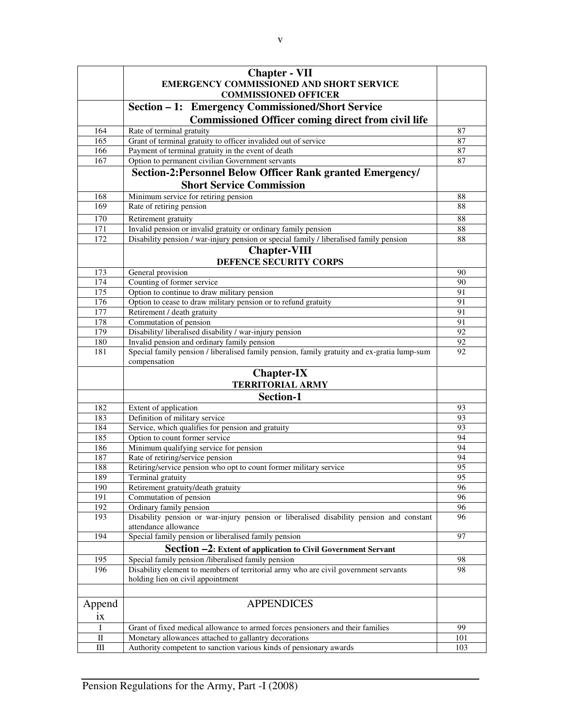|                  | <b>Chapter - VII</b>                                                                        |     |
|------------------|---------------------------------------------------------------------------------------------|-----|
|                  | <b>EMERGENCY COMMISSIONED AND SHORT SERVICE</b>                                             |     |
|                  | <b>COMMISSIONED OFFICER</b>                                                                 |     |
|                  | Section – 1: Emergency Commissioned/Short Service                                           |     |
|                  |                                                                                             |     |
|                  | <b>Commissioned Officer coming direct from civil life</b>                                   |     |
| 164              | Rate of terminal gratuity                                                                   | 87  |
| 165              | Grant of terminal gratuity to officer invalided out of service                              | 87  |
| 166              | Payment of terminal gratuity in the event of death                                          | 87  |
| 167              | Option to permanent civilian Government servants                                            | 87  |
|                  | Section-2: Personnel Below Officer Rank granted Emergency/                                  |     |
|                  | <b>Short Service Commission</b>                                                             |     |
|                  |                                                                                             |     |
| 168              | Minimum service for retiring pension                                                        | 88  |
| 169              | Rate of retiring pension                                                                    | 88  |
| 170              | Retirement gratuity                                                                         | 88  |
| 171              | Invalid pension or invalid gratuity or ordinary family pension                              | 88  |
| 172              | Disability pension / war-injury pension or special family / liberalised family pension      | 88  |
|                  | <b>Chapter-VIII</b>                                                                         |     |
|                  | DEFENCE SECURITY CORPS                                                                      |     |
|                  |                                                                                             |     |
| 173              | General provision                                                                           | 90  |
| 174              | Counting of former service                                                                  | 90  |
| 175              | Option to continue to draw military pension                                                 | 91  |
| 176              | Option to cease to draw military pension or to refund gratuity                              | 91  |
| $\overline{177}$ | Retirement / death gratuity                                                                 | 91  |
| 178              | Commutation of pension                                                                      | 91  |
| 179              | Disability/ liberalised disability / war-injury pension                                     | 92  |
| 180              | Invalid pension and ordinary family pension                                                 | 92  |
| 181              | Special family pension / liberalised family pension, family gratuity and ex-gratia lump-sum | 92  |
|                  | compensation                                                                                |     |
|                  | <b>Chapter-IX</b>                                                                           |     |
|                  | <b>TERRITORIAL ARMY</b>                                                                     |     |
|                  | Section-1                                                                                   |     |
|                  |                                                                                             |     |
| 182              | Extent of application                                                                       | 93  |
| 183              | Definition of military service                                                              | 93  |
| 184              | Service, which qualifies for pension and gratuity                                           | 93  |
| 185              | Option to count former service                                                              | 94  |
| 186              | Minimum qualifying service for pension                                                      | 94  |
| 187              | Rate of retiring/service pension                                                            | 94  |
| 188              | Retiring/service pension who opt to count former military service                           | 95  |
| 189              | Terminal gratuity                                                                           | 95  |
| 190              | Retirement gratuity/death gratuity                                                          | 96  |
| 191              | Commutation of pension                                                                      | 96  |
| 192              | Ordinary family pension                                                                     | 96  |
| 193              | Disability pension or war-injury pension or liberalised disability pension and constant     | 96  |
|                  | attendance allowance                                                                        |     |
| 194              | Special family pension or liberalised family pension                                        | 97  |
|                  | Section -2: Extent of application to Civil Government Servant                               |     |
| 195              | Special family pension /liberalised family pension                                          | 98  |
| 196              | Disability element to members of territorial army who are civil government servants         | 98  |
|                  | holding lien on civil appointment                                                           |     |
|                  |                                                                                             |     |
|                  |                                                                                             |     |
| Append           | <b>APPENDICES</b>                                                                           |     |
| ix               |                                                                                             |     |
|                  |                                                                                             |     |
| $\mathbf I$      | Grant of fixed medical allowance to armed forces pensioners and their families              | 99  |
| $\rm II$         | Monetary allowances attached to gallantry decorations                                       | 101 |
| $\rm III$        | Authority competent to sanction various kinds of pensionary awards                          | 103 |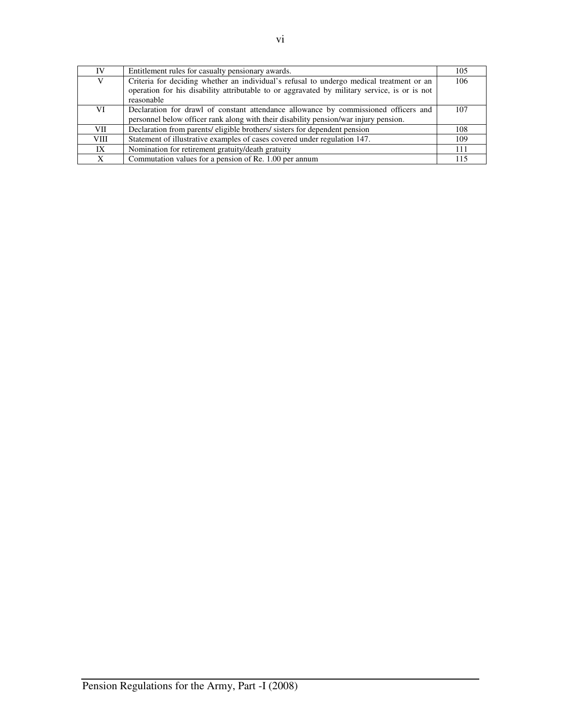| IV          | Entitlement rules for casualty pensionary awards.                                            | 105 |
|-------------|----------------------------------------------------------------------------------------------|-----|
| V           | Criteria for deciding whether an individual's refusal to undergo medical treatment or an     | 106 |
|             | operation for his disability attributable to or aggravated by military service, is or is not |     |
|             | reasonable                                                                                   |     |
| VI          | Declaration for drawl of constant attendance allowance by commissioned officers and          | 107 |
|             | personnel below officer rank along with their disability pension/war injury pension.         |     |
| VII.        | Declaration from parents/ eligible brothers/ sisters for dependent pension                   | 108 |
| <b>VIII</b> | Statement of illustrative examples of cases covered under regulation 147.                    | 109 |
| IX          | Nomination for retirement gratuity/death gratuity                                            | 111 |
| X           | Commutation values for a pension of Re. 1.00 per annum                                       | 115 |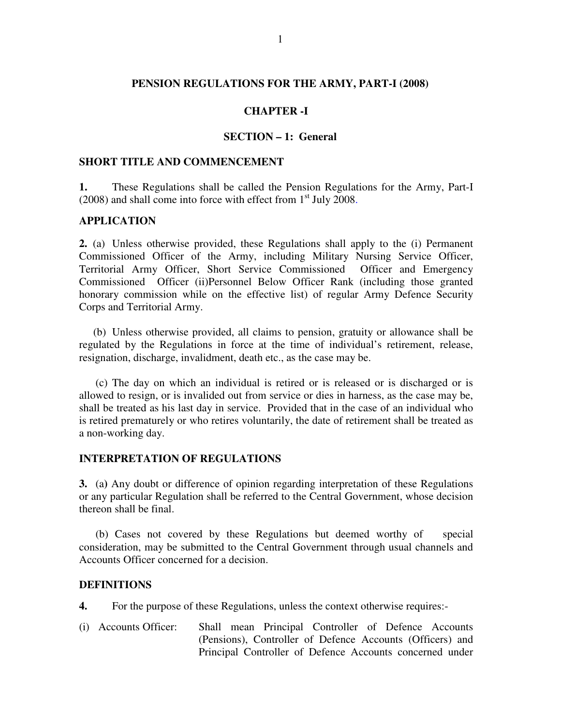#### **PENSION REGULATIONS FOR THE ARMY, PART-I (2008)**

#### **CHAPTER -I**

#### **SECTION – 1: General**

#### **SHORT TITLE AND COMMENCEMENT**

**1.** These Regulations shall be called the Pension Regulations for the Army, Part-I  $(2008)$  and shall come into force with effect from  $1<sup>st</sup>$  July 2008.

#### **APPLICATION**

**2.** (a) Unless otherwise provided, these Regulations shall apply to the (i) Permanent Commissioned Officer of the Army, including Military Nursing Service Officer, Territorial Army Officer, Short Service Commissioned Officer and Emergency Commissioned Officer (ii)Personnel Below Officer Rank (including those granted honorary commission while on the effective list) of regular Army Defence Security Corps and Territorial Army.

 (b) Unless otherwise provided, all claims to pension, gratuity or allowance shall be regulated by the Regulations in force at the time of individual's retirement, release, resignation, discharge, invalidment, death etc., as the case may be.

(c) The day on which an individual is retired or is released or is discharged or is allowed to resign, or is invalided out from service or dies in harness, as the case may be, shall be treated as his last day in service. Provided that in the case of an individual who is retired prematurely or who retires voluntarily, the date of retirement shall be treated as a non-working day.

#### **INTERPRETATION OF REGULATIONS**

**3.** (a**)** Any doubt or difference of opinion regarding interpretation of these Regulations or any particular Regulation shall be referred to the Central Government, whose decision thereon shall be final.

(b) Cases not covered by these Regulations but deemed worthy of special consideration, may be submitted to the Central Government through usual channels and Accounts Officer concerned for a decision.

#### **DEFINITIONS**

**4.** For the purpose of these Regulations, unless the context otherwise requires:-

(i) Accounts Officer: Shall mean Principal Controller of Defence Accounts (Pensions), Controller of Defence Accounts (Officers) and Principal Controller of Defence Accounts concerned under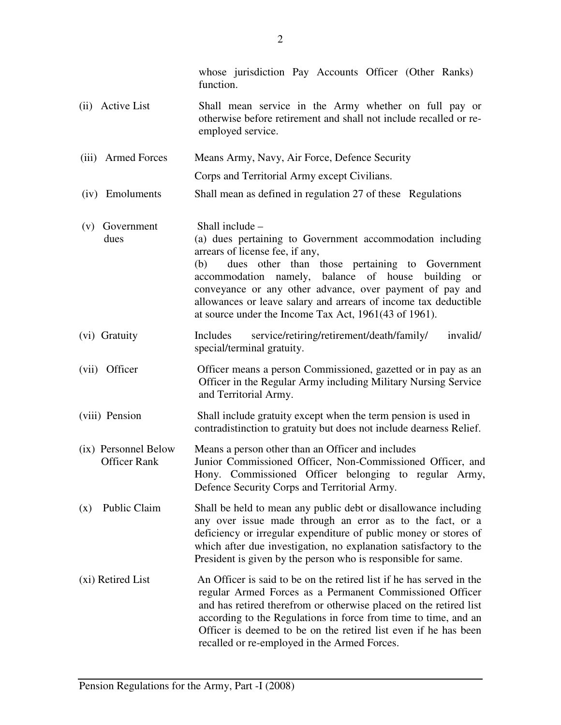|                                             | whose jurisdiction Pay Accounts Officer (Other Ranks)<br>function.                                                                                                                                                                                                                                                                                                                                                        |
|---------------------------------------------|---------------------------------------------------------------------------------------------------------------------------------------------------------------------------------------------------------------------------------------------------------------------------------------------------------------------------------------------------------------------------------------------------------------------------|
| (ii) Active List                            | Shall mean service in the Army whether on full pay or<br>otherwise before retirement and shall not include recalled or re-<br>employed service.                                                                                                                                                                                                                                                                           |
| (iii) Armed Forces                          | Means Army, Navy, Air Force, Defence Security                                                                                                                                                                                                                                                                                                                                                                             |
|                                             | Corps and Territorial Army except Civilians.                                                                                                                                                                                                                                                                                                                                                                              |
| (iv) Emoluments                             | Shall mean as defined in regulation 27 of these Regulations                                                                                                                                                                                                                                                                                                                                                               |
| (v) Government<br>dues                      | Shall include -<br>(a) dues pertaining to Government accommodation including<br>arrears of license fee, if any,<br>dues other than those pertaining to Government<br>(b)<br>accommodation namely, balance of house<br>building or<br>conveyance or any other advance, over payment of pay and<br>allowances or leave salary and arrears of income tax deductible<br>at source under the Income Tax Act, 1961(43 of 1961). |
| (vi) Gratuity                               | service/retiring/retirement/death/family/<br>invalid/<br>Includes<br>special/terminal gratuity.                                                                                                                                                                                                                                                                                                                           |
| (vii) Officer                               | Officer means a person Commissioned, gazetted or in pay as an<br>Officer in the Regular Army including Military Nursing Service<br>and Territorial Army.                                                                                                                                                                                                                                                                  |
| (viii) Pension                              | Shall include gratuity except when the term pension is used in<br>contradistinction to gratuity but does not include dearness Relief.                                                                                                                                                                                                                                                                                     |
| (ix) Personnel Below<br><b>Officer Rank</b> | Means a person other than an Officer and includes<br>Junior Commissioned Officer, Non-Commissioned Officer, and<br>Hony. Commissioned Officer belonging to regular Army,<br>Defence Security Corps and Territorial Army.                                                                                                                                                                                                  |
| Public Claim<br>(x)                         | Shall be held to mean any public debt or disallowance including<br>any over issue made through an error as to the fact, or a<br>deficiency or irregular expenditure of public money or stores of<br>which after due investigation, no explanation satisfactory to the<br>President is given by the person who is responsible for same.                                                                                    |
| (xi) Retired List                           | An Officer is said to be on the retired list if he has served in the<br>regular Armed Forces as a Permanent Commissioned Officer<br>and has retired therefrom or otherwise placed on the retired list<br>according to the Regulations in force from time to time, and an<br>Officer is deemed to be on the retired list even if he has been<br>recalled or re-employed in the Armed Forces.                               |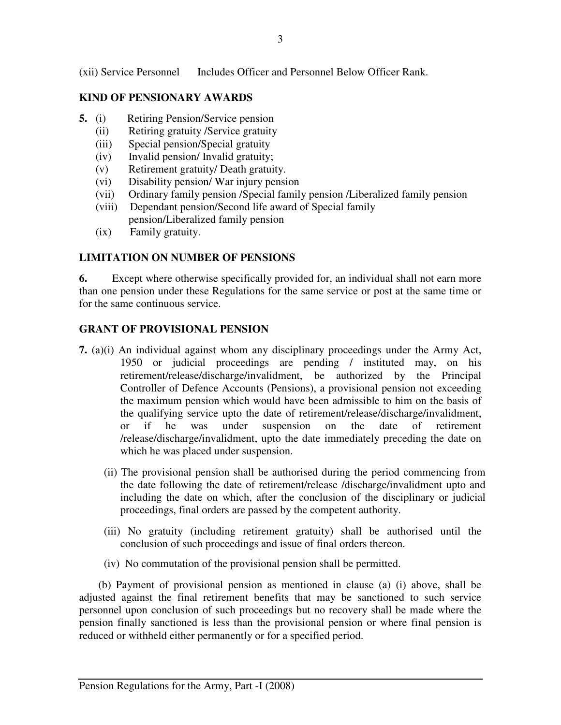(xii) Service Personnel Includes Officer and Personnel Below Officer Rank.

# **KIND OF PENSIONARY AWARDS**

- **5.** (i) Retiring Pension/Service pension
	- (ii) Retiring gratuity /Service gratuity
	- (iii) Special pension/Special gratuity
	- (iv) Invalid pension/ Invalid gratuity;
	- (v) Retirement gratuity/ Death gratuity.
	- (vi) Disability pension/ War injury pension
	- (vii) Ordinary family pension /Special family pension /Liberalized family pension
	- (viii) Dependant pension/Second life award of Special family pension/Liberalized family pension
	- (ix) Family gratuity.

# **LIMITATION ON NUMBER OF PENSIONS**

**6.** Except where otherwise specifically provided for, an individual shall not earn more than one pension under these Regulations for the same service or post at the same time or for the same continuous service.

#### **GRANT OF PROVISIONAL PENSION**

- **7.** (a)(i) An individual against whom any disciplinary proceedings under the Army Act, 1950 or judicial proceedings are pending / instituted may, on his retirement/release/discharge/invalidment, be authorized by the Principal Controller of Defence Accounts (Pensions), a provisional pension not exceeding the maximum pension which would have been admissible to him on the basis of the qualifying service upto the date of retirement/release/discharge/invalidment, or if he was under suspension on the date of retirement /release/discharge/invalidment, upto the date immediately preceding the date on which he was placed under suspension.
	- (ii) The provisional pension shall be authorised during the period commencing from the date following the date of retirement/release /discharge/invalidment upto and including the date on which, after the conclusion of the disciplinary or judicial proceedings, final orders are passed by the competent authority.
	- (iii) No gratuity (including retirement gratuity) shall be authorised until the conclusion of such proceedings and issue of final orders thereon.
	- (iv) No commutation of the provisional pension shall be permitted.

 (b) Payment of provisional pension as mentioned in clause (a) (i) above, shall be adjusted against the final retirement benefits that may be sanctioned to such service personnel upon conclusion of such proceedings but no recovery shall be made where the pension finally sanctioned is less than the provisional pension or where final pension is reduced or withheld either permanently or for a specified period.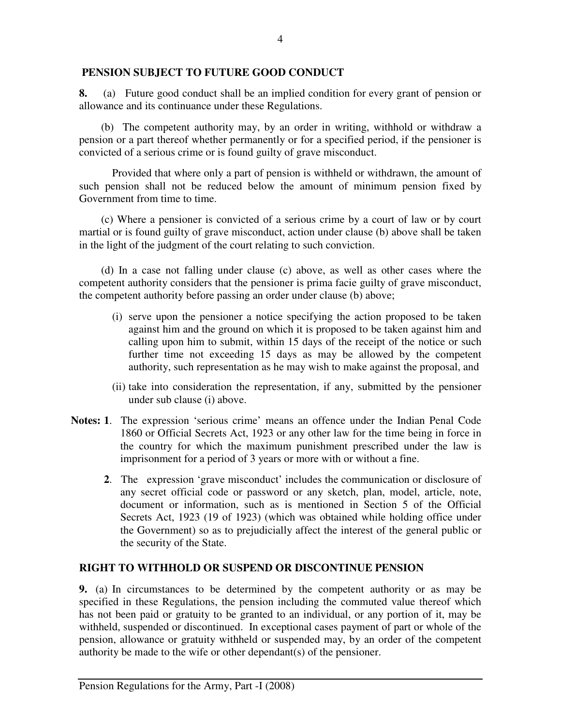#### **PENSION SUBJECT TO FUTURE GOOD CONDUCT**

**8.** (a) Future good conduct shall be an implied condition for every grant of pension or allowance and its continuance under these Regulations.

 (b) The competent authority may, by an order in writing, withhold or withdraw a pension or a part thereof whether permanently or for a specified period, if the pensioner is convicted of a serious crime or is found guilty of grave misconduct.

Provided that where only a part of pension is withheld or withdrawn, the amount of such pension shall not be reduced below the amount of minimum pension fixed by Government from time to time.

 (c) Where a pensioner is convicted of a serious crime by a court of law or by court martial or is found guilty of grave misconduct, action under clause (b) above shall be taken in the light of the judgment of the court relating to such conviction.

 (d) In a case not falling under clause (c) above, as well as other cases where the competent authority considers that the pensioner is prima facie guilty of grave misconduct, the competent authority before passing an order under clause (b) above;

- (i) serve upon the pensioner a notice specifying the action proposed to be taken against him and the ground on which it is proposed to be taken against him and calling upon him to submit, within 15 days of the receipt of the notice or such further time not exceeding 15 days as may be allowed by the competent authority, such representation as he may wish to make against the proposal, and
- (ii) take into consideration the representation, if any, submitted by the pensioner under sub clause (i) above.
- **Notes: 1**. The expression 'serious crime' means an offence under the Indian Penal Code 1860 or Official Secrets Act, 1923 or any other law for the time being in force in the country for which the maximum punishment prescribed under the law is imprisonment for a period of 3 years or more with or without a fine.
	- **2**. The expression 'grave misconduct' includes the communication or disclosure of any secret official code or password or any sketch, plan, model, article, note, document or information, such as is mentioned in Section 5 of the Official Secrets Act, 1923 (19 of 1923) (which was obtained while holding office under the Government) so as to prejudicially affect the interest of the general public or the security of the State.

# **RIGHT TO WITHHOLD OR SUSPEND OR DISCONTINUE PENSION**

**9.** (a) In circumstances to be determined by the competent authority or as may be specified in these Regulations, the pension including the commuted value thereof which has not been paid or gratuity to be granted to an individual, or any portion of it, may be withheld, suspended or discontinued. In exceptional cases payment of part or whole of the pension, allowance or gratuity withheld or suspended may, by an order of the competent authority be made to the wife or other dependant(s) of the pensioner.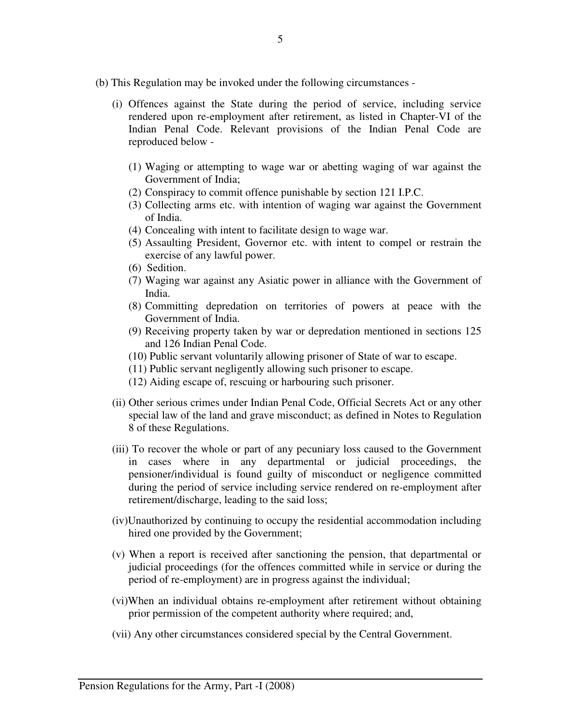- (b) This Regulation may be invoked under the following circumstances
	- (i) Offences against the State during the period of service, including service rendered upon re-employment after retirement, as listed in Chapter-VI of the Indian Penal Code. Relevant provisions of the Indian Penal Code are reproduced below -
		- (1) Waging or attempting to wage war or abetting waging of war against the Government of India;
		- (2) Conspiracy to commit offence punishable by section 121 I.P.C.
		- (3) Collecting arms etc. with intention of waging war against the Government of India.
		- (4) Concealing with intent to facilitate design to wage war.
		- (5) Assaulting President, Governor etc. with intent to compel or restrain the exercise of any lawful power.
		- (6) Sedition.
		- (7) Waging war against any Asiatic power in alliance with the Government of India.
		- (8) Committing depredation on territories of powers at peace with the Government of India.
		- (9) Receiving property taken by war or depredation mentioned in sections 125 and 126 Indian Penal Code.
		- (10) Public servant voluntarily allowing prisoner of State of war to escape.
		- (11) Public servant negligently allowing such prisoner to escape.
		- (12) Aiding escape of, rescuing or harbouring such prisoner.
	- (ii) Other serious crimes under Indian Penal Code, Official Secrets Act or any other special law of the land and grave misconduct; as defined in Notes to Regulation 8 of these Regulations.
	- (iii) To recover the whole or part of any pecuniary loss caused to the Government in cases where in any departmental or judicial proceedings, the pensioner/individual is found guilty of misconduct or negligence committed during the period of service including service rendered on re-employment after retirement/discharge, leading to the said loss;
	- (iv)Unauthorized by continuing to occupy the residential accommodation including hired one provided by the Government;
	- (v) When a report is received after sanctioning the pension, that departmental or judicial proceedings (for the offences committed while in service or during the period of re-employment) are in progress against the individual;
	- (vi)When an individual obtains re-employment after retirement without obtaining prior permission of the competent authority where required; and,
	- (vii) Any other circumstances considered special by the Central Government.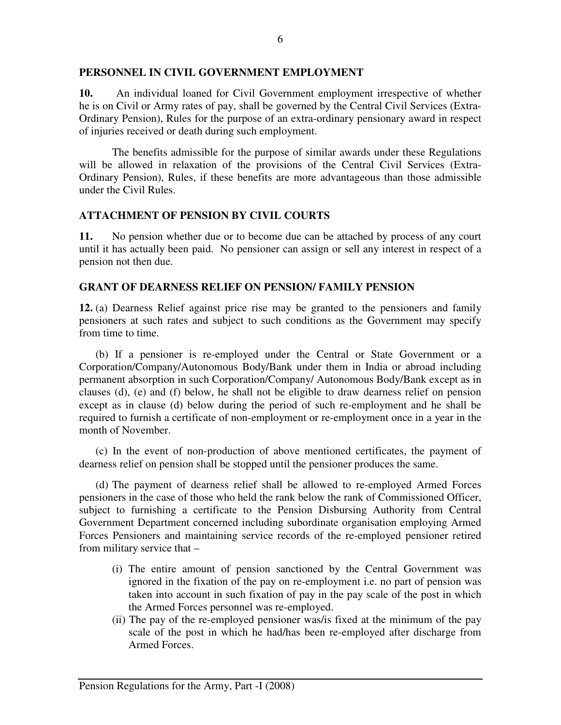#### **PERSONNEL IN CIVIL GOVERNMENT EMPLOYMENT**

**10.** An individual loaned for Civil Government employment irrespective of whether he is on Civil or Army rates of pay, shall be governed by the Central Civil Services (Extra-Ordinary Pension), Rules for the purpose of an extra-ordinary pensionary award in respect of injuries received or death during such employment.

 The benefits admissible for the purpose of similar awards under these Regulations will be allowed in relaxation of the provisions of the Central Civil Services (Extra-Ordinary Pension), Rules, if these benefits are more advantageous than those admissible under the Civil Rules.

#### **ATTACHMENT OF PENSION BY CIVIL COURTS**

**11.** No pension whether due or to become due can be attached by process of any court until it has actually been paid. No pensioner can assign or sell any interest in respect of a pension not then due.

#### **GRANT OF DEARNESS RELIEF ON PENSION/ FAMILY PENSION**

**12.** (a) Dearness Relief against price rise may be granted to the pensioners and family pensioners at such rates and subject to such conditions as the Government may specify from time to time.

 (b) If a pensioner is re-employed under the Central or State Government or a Corporation/Company/Autonomous Body/Bank under them in India or abroad including permanent absorption in such Corporation/Company/ Autonomous Body/Bank except as in clauses (d), (e) and (f) below, he shall not be eligible to draw dearness relief on pension except as in clause (d) below during the period of such re-employment and he shall be required to furnish a certificate of non-employment or re-employment once in a year in the month of November.

(c) In the event of non-production of above mentioned certificates, the payment of dearness relief on pension shall be stopped until the pensioner produces the same.

(d) The payment of dearness relief shall be allowed to re-employed Armed Forces pensioners in the case of those who held the rank below the rank of Commissioned Officer, subject to furnishing a certificate to the Pension Disbursing Authority from Central Government Department concerned including subordinate organisation employing Armed Forces Pensioners and maintaining service records of the re-employed pensioner retired from military service that –

- (i) The entire amount of pension sanctioned by the Central Government was ignored in the fixation of the pay on re-employment i.e. no part of pension was taken into account in such fixation of pay in the pay scale of the post in which the Armed Forces personnel was re-employed.
- (ii) The pay of the re-employed pensioner was/is fixed at the minimum of the pay scale of the post in which he had/has been re-employed after discharge from Armed Forces.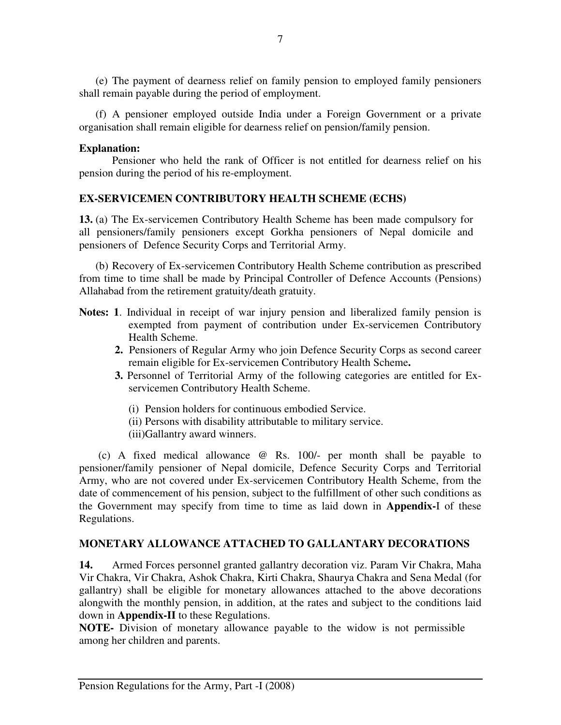(e) The payment of dearness relief on family pension to employed family pensioners shall remain payable during the period of employment.

(f) A pensioner employed outside India under a Foreign Government or a private organisation shall remain eligible for dearness relief on pension/family pension.

#### **Explanation:**

Pensioner who held the rank of Officer is not entitled for dearness relief on his pension during the period of his re-employment.

# **EX-SERVICEMEN CONTRIBUTORY HEALTH SCHEME (ECHS)**

**13.** (a) The Ex-servicemen Contributory Health Scheme has been made compulsory for all pensioners/family pensioners except Gorkha pensioners of Nepal domicile and pensioners of Defence Security Corps and Territorial Army.

(b) Recovery of Ex-servicemen Contributory Health Scheme contribution as prescribed from time to time shall be made by Principal Controller of Defence Accounts (Pensions) Allahabad from the retirement gratuity/death gratuity.

- **Notes: 1**. Individual in receipt of war injury pension and liberalized family pension is exempted from payment of contribution under Ex-servicemen Contributory Health Scheme.
	- **2.** Pensioners of Regular Army who join Defence Security Corps as second career remain eligible for Ex-servicemen Contributory Health Scheme**.**
	- **3.** Personnel of Territorial Army of the following categories are entitled for Exservicemen Contributory Health Scheme.
		- (i) Pension holders for continuous embodied Service.
		- (ii) Persons with disability attributable to military service.
		- (iii)Gallantry award winners.

(c) A fixed medical allowance @ Rs. 100/- per month shall be payable to pensioner/family pensioner of Nepal domicile, Defence Security Corps and Territorial Army, who are not covered under Ex-servicemen Contributory Health Scheme, from the date of commencement of his pension, subject to the fulfillment of other such conditions as the Government may specify from time to time as laid down in **Appendix-**I of these Regulations.

# **MONETARY ALLOWANCE ATTACHED TO GALLANTARY DECORATIONS**

**14.** Armed Forces personnel granted gallantry decoration viz. Param Vir Chakra, Maha Vir Chakra, Vir Chakra, Ashok Chakra, Kirti Chakra, Shaurya Chakra and Sena Medal (for gallantry) shall be eligible for monetary allowances attached to the above decorations alongwith the monthly pension, in addition, at the rates and subject to the conditions laid down in **Appendix-II** to these Regulations.

**NOTE-** Division of monetary allowance payable to the widow is not permissible among her children and parents.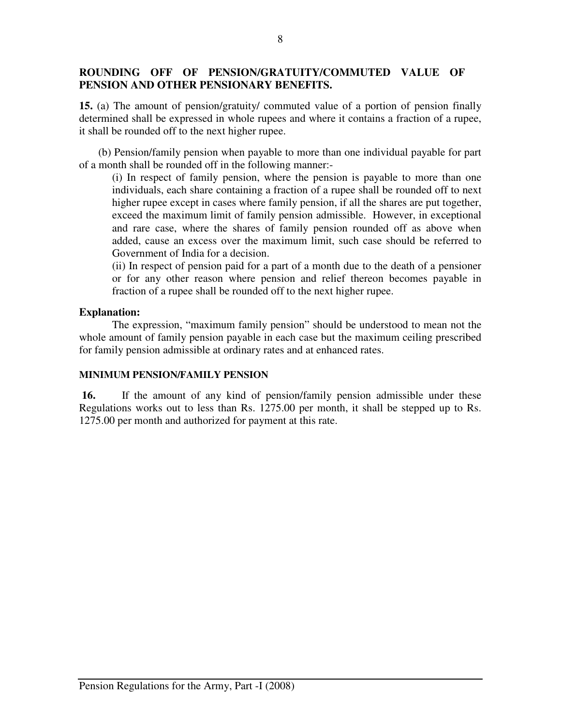# **ROUNDING OFF OF PENSION/GRATUITY/COMMUTED VALUE OF PENSION AND OTHER PENSIONARY BENEFITS.**

**15.** (a) The amount of pension/gratuity/ commuted value of a portion of pension finally determined shall be expressed in whole rupees and where it contains a fraction of a rupee, it shall be rounded off to the next higher rupee.

 (b) Pension/family pension when payable to more than one individual payable for part of a month shall be rounded off in the following manner:-

(i) In respect of family pension, where the pension is payable to more than one individuals, each share containing a fraction of a rupee shall be rounded off to next higher rupee except in cases where family pension, if all the shares are put together, exceed the maximum limit of family pension admissible. However, in exceptional and rare case, where the shares of family pension rounded off as above when added, cause an excess over the maximum limit, such case should be referred to Government of India for a decision.

(ii) In respect of pension paid for a part of a month due to the death of a pensioner or for any other reason where pension and relief thereon becomes payable in fraction of a rupee shall be rounded off to the next higher rupee.

#### **Explanation:**

The expression, "maximum family pension" should be understood to mean not the whole amount of family pension payable in each case but the maximum ceiling prescribed for family pension admissible at ordinary rates and at enhanced rates.

#### **MINIMUM PENSION/FAMILY PENSION**

**16.** If the amount of any kind of pension/family pension admissible under these Regulations works out to less than Rs. 1275.00 per month, it shall be stepped up to Rs. 1275.00 per month and authorized for payment at this rate.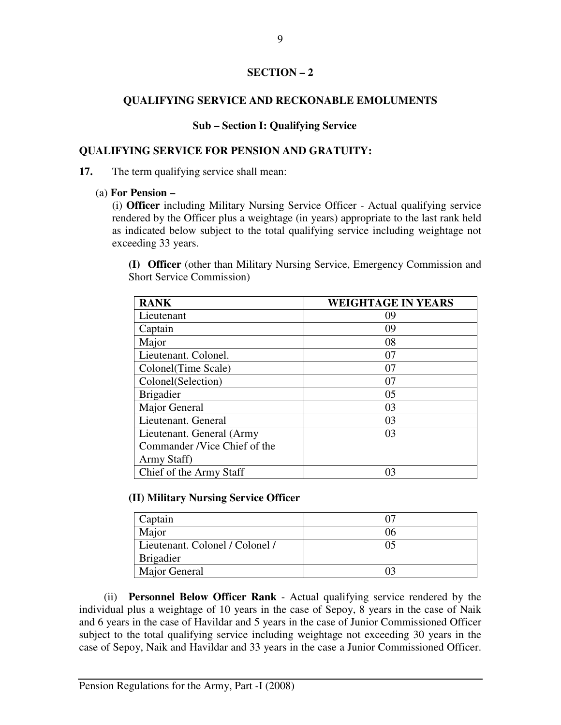#### **SECTION – 2**

# **QUALIFYING SERVICE AND RECKONABLE EMOLUMENTS**

# **Sub – Section I: Qualifying Service**

# **QUALIFYING SERVICE FOR PENSION AND GRATUITY:**

**17.** The term qualifying service shall mean:

#### (a) **For Pension –**

(i) **Officer** including Military Nursing Service Officer - Actual qualifying service rendered by the Officer plus a weightage (in years) appropriate to the last rank held as indicated below subject to the total qualifying service including weightage not exceeding 33 years.

**(I) Officer** (other than Military Nursing Service, Emergency Commission and Short Service Commission)

| <b>RANK</b>                  | <b>WEIGHTAGE IN YEARS</b> |
|------------------------------|---------------------------|
| Lieutenant                   | 09                        |
| Captain                      | 09                        |
| Major                        | 08                        |
| Lieutenant. Colonel.         | 07                        |
| Colonel(Time Scale)          | 07                        |
| Colonel(Selection)           | 07                        |
| <b>Brigadier</b>             | 05                        |
| Major General                | 03                        |
| Lieutenant. General          | 03                        |
| Lieutenant. General (Army    | 03                        |
| Commander /Vice Chief of the |                           |
| Army Staff)                  |                           |
| Chief of the Army Staff      | 03                        |

# **(II) Military Nursing Service Officer**

| Captain                         |    |
|---------------------------------|----|
| Major                           | Jh |
| Lieutenant. Colonel / Colonel / |    |
| <b>Brigadier</b>                |    |
| Major General                   |    |

(ii) **Personnel Below Officer Rank** - Actual qualifying service rendered by the individual plus a weightage of 10 years in the case of Sepoy, 8 years in the case of Naik and 6 years in the case of Havildar and 5 years in the case of Junior Commissioned Officer subject to the total qualifying service including weightage not exceeding 30 years in the case of Sepoy, Naik and Havildar and 33 years in the case a Junior Commissioned Officer.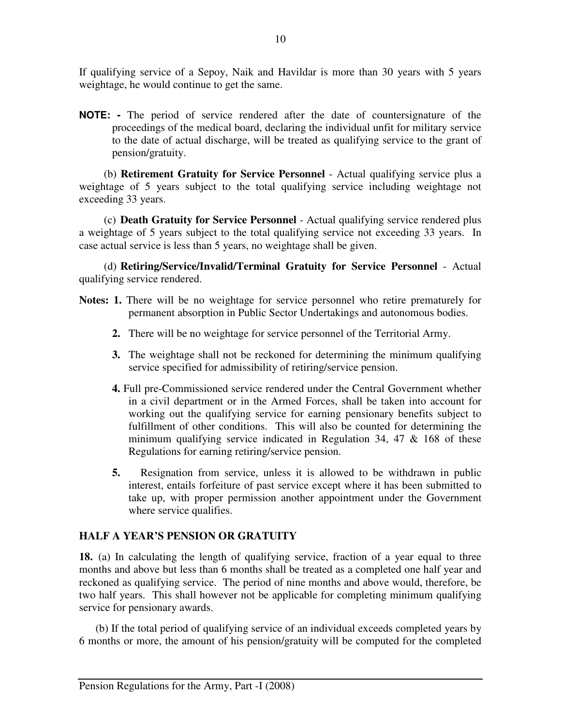If qualifying service of a Sepoy, Naik and Havildar is more than 30 years with 5 years weightage, he would continue to get the same.

**NOTE: -** The period of service rendered after the date of countersignature of the proceedings of the medical board, declaring the individual unfit for military service to the date of actual discharge, will be treated as qualifying service to the grant of pension/gratuity.

(b) **Retirement Gratuity for Service Personnel** - Actual qualifying service plus a weightage of 5 years subject to the total qualifying service including weightage not exceeding 33 years.

(c) **Death Gratuity for Service Personnel** - Actual qualifying service rendered plus a weightage of 5 years subject to the total qualifying service not exceeding 33 years. In case actual service is less than 5 years, no weightage shall be given.

(d) **Retiring/Service/Invalid/Terminal Gratuity for Service Personnel** - Actual qualifying service rendered.

- Notes: 1. There will be no weightage for service personnel who retire prematurely for permanent absorption in Public Sector Undertakings and autonomous bodies.
	- **2.** There will be no weightage for service personnel of the Territorial Army.
	- **3.** The weightage shall not be reckoned for determining the minimum qualifying service specified for admissibility of retiring/service pension.
	- **4.** Full pre-Commissioned service rendered under the Central Government whether in a civil department or in the Armed Forces, shall be taken into account for working out the qualifying service for earning pensionary benefits subject to fulfillment of other conditions. This will also be counted for determining the minimum qualifying service indicated in Regulation 34, 47 & 168 of these Regulations for earning retiring/service pension.
	- **5.** Resignation from service, unless it is allowed to be withdrawn in public interest, entails forfeiture of past service except where it has been submitted to take up, with proper permission another appointment under the Government where service qualifies.

# **HALF A YEAR'S PENSION OR GRATUITY**

**18.** (a) In calculating the length of qualifying service, fraction of a year equal to three months and above but less than 6 months shall be treated as a completed one half year and reckoned as qualifying service. The period of nine months and above would, therefore, be two half years. This shall however not be applicable for completing minimum qualifying service for pensionary awards.

 (b) If the total period of qualifying service of an individual exceeds completed years by 6 months or more, the amount of his pension/gratuity will be computed for the completed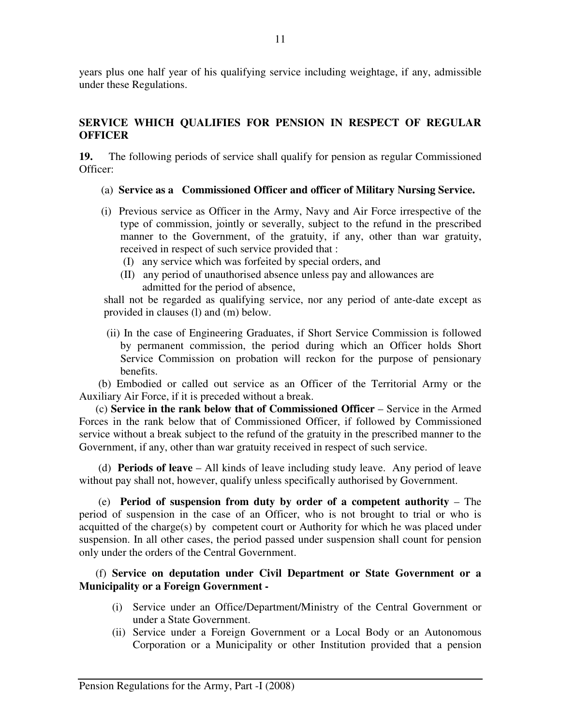years plus one half year of his qualifying service including weightage, if any, admissible under these Regulations.

# **SERVICE WHICH QUALIFIES FOR PENSION IN RESPECT OF REGULAR OFFICER**

**19.** The following periods of service shall qualify for pension as regular Commissioned Officer:

- (a) **Service as a Commissioned Officer and officer of Military Nursing Service.**
- (i) Previous service as Officer in the Army, Navy and Air Force irrespective of the type of commission, jointly or severally, subject to the refund in the prescribed manner to the Government, of the gratuity, if any, other than war gratuity, received in respect of such service provided that :
	- (I) any service which was forfeited by special orders, and
	- (II) any period of unauthorised absence unless pay and allowances are admitted for the period of absence,

shall not be regarded as qualifying service, nor any period of ante-date except as provided in clauses (l) and (m) below.

 (ii) In the case of Engineering Graduates, if Short Service Commission is followed by permanent commission, the period during which an Officer holds Short Service Commission on probation will reckon for the purpose of pensionary benefits.

 (b) Embodied or called out service as an Officer of the Territorial Army or the Auxiliary Air Force, if it is preceded without a break.

(c) **Service in the rank below that of Commissioned Officer** – Service in the Armed Forces in the rank below that of Commissioned Officer, if followed by Commissioned service without a break subject to the refund of the gratuity in the prescribed manner to the Government, if any, other than war gratuity received in respect of such service.

 (d) **Periods of leave** – All kinds of leave including study leave. Any period of leave without pay shall not, however, qualify unless specifically authorised by Government.

 (e) **Period of suspension from duty by order of a competent authority** – The period of suspension in the case of an Officer, who is not brought to trial or who is acquitted of the charge(s) by competent court or Authority for which he was placed under suspension. In all other cases, the period passed under suspension shall count for pension only under the orders of the Central Government.

(f) **Service on deputation under Civil Department or State Government or a Municipality or a Foreign Government -** 

- (i) Service under an Office/Department/Ministry of the Central Government or under a State Government.
- (ii) Service under a Foreign Government or a Local Body or an Autonomous Corporation or a Municipality or other Institution provided that a pension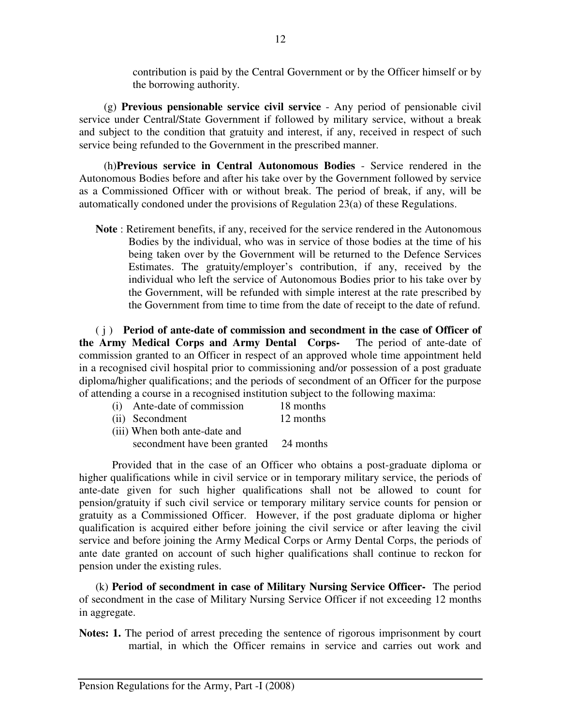contribution is paid by the Central Government or by the Officer himself or by the borrowing authority.

 (g) **Previous pensionable service civil service** - Any period of pensionable civil service under Central/State Government if followed by military service, without a break and subject to the condition that gratuity and interest, if any, received in respect of such service being refunded to the Government in the prescribed manner.

 (h)**Previous service in Central Autonomous Bodies** - Service rendered in the Autonomous Bodies before and after his take over by the Government followed by service as a Commissioned Officer with or without break. The period of break, if any, will be automatically condoned under the provisions of Regulation 23(a) of these Regulations.

**Note** : Retirement benefits, if any, received for the service rendered in the Autonomous Bodies by the individual, who was in service of those bodies at the time of his being taken over by the Government will be returned to the Defence Services Estimates. The gratuity/employer's contribution, if any, received by the individual who left the service of Autonomous Bodies prior to his take over by the Government, will be refunded with simple interest at the rate prescribed by the Government from time to time from the date of receipt to the date of refund.

 ( j ) **Period of ante-date of commission and secondment in the case of Officer of the Army Medical Corps and Army Dental Corps-** The period of ante-date of commission granted to an Officer in respect of an approved whole time appointment held in a recognised civil hospital prior to commissioning and/or possession of a post graduate diploma/higher qualifications; and the periods of secondment of an Officer for the purpose of attending a course in a recognised institution subject to the following maxima:

| (i) | Ante-date of commission | 18 months |
|-----|-------------------------|-----------|
|     |                         |           |

- (ii) Secondment 12 months
- (iii) When both ante-date and secondment have been granted 24 months

 Provided that in the case of an Officer who obtains a post-graduate diploma or higher qualifications while in civil service or in temporary military service, the periods of ante-date given for such higher qualifications shall not be allowed to count for pension/gratuity if such civil service or temporary military service counts for pension or gratuity as a Commissioned Officer. However, if the post graduate diploma or higher qualification is acquired either before joining the civil service or after leaving the civil service and before joining the Army Medical Corps or Army Dental Corps, the periods of ante date granted on account of such higher qualifications shall continue to reckon for pension under the existing rules.

(k) **Period of secondment in case of Military Nursing Service Officer-** The period of secondment in the case of Military Nursing Service Officer if not exceeding 12 months in aggregate.

**Notes: 1.** The period of arrest preceding the sentence of rigorous imprisonment by court martial, in which the Officer remains in service and carries out work and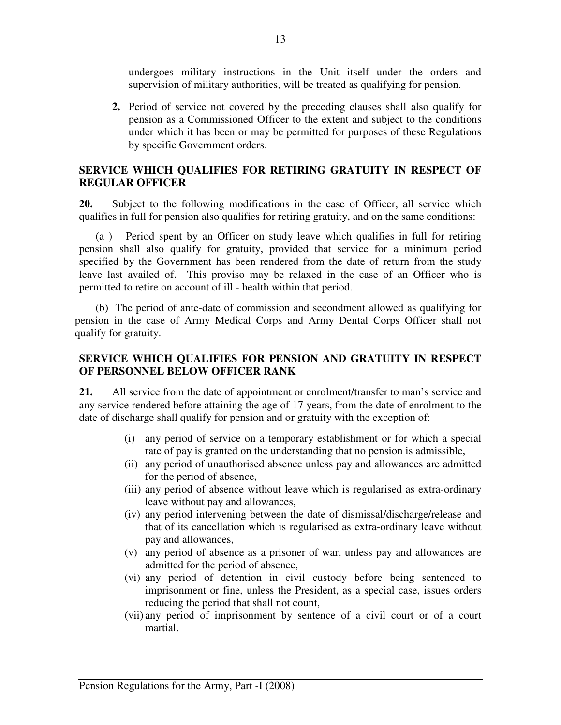undergoes military instructions in the Unit itself under the orders and supervision of military authorities, will be treated as qualifying for pension.

**2.** Period of service not covered by the preceding clauses shall also qualify for pension as a Commissioned Officer to the extent and subject to the conditions under which it has been or may be permitted for purposes of these Regulations by specific Government orders.

# **SERVICE WHICH QUALIFIES FOR RETIRING GRATUITY IN RESPECT OF REGULAR OFFICER**

**20.** Subject to the following modifications in the case of Officer, all service which qualifies in full for pension also qualifies for retiring gratuity, and on the same conditions:

 (a ) Period spent by an Officer on study leave which qualifies in full for retiring pension shall also qualify for gratuity, provided that service for a minimum period specified by the Government has been rendered from the date of return from the study leave last availed of. This proviso may be relaxed in the case of an Officer who is permitted to retire on account of ill - health within that period.

 (b) The period of ante-date of commission and secondment allowed as qualifying for pension in the case of Army Medical Corps and Army Dental Corps Officer shall not qualify for gratuity.

# **SERVICE WHICH QUALIFIES FOR PENSION AND GRATUITY IN RESPECT OF PERSONNEL BELOW OFFICER RANK**

**21.** All service from the date of appointment or enrolment/transfer to man's service and any service rendered before attaining the age of 17 years, from the date of enrolment to the date of discharge shall qualify for pension and or gratuity with the exception of:

- (i) any period of service on a temporary establishment or for which a special rate of pay is granted on the understanding that no pension is admissible,
- (ii) any period of unauthorised absence unless pay and allowances are admitted for the period of absence,
- (iii) any period of absence without leave which is regularised as extra-ordinary leave without pay and allowances,
- (iv) any period intervening between the date of dismissal/discharge/release and that of its cancellation which is regularised as extra-ordinary leave without pay and allowances,
- (v) any period of absence as a prisoner of war, unless pay and allowances are admitted for the period of absence,
- (vi) any period of detention in civil custody before being sentenced to imprisonment or fine, unless the President, as a special case, issues orders reducing the period that shall not count,
- (vii) any period of imprisonment by sentence of a civil court or of a court martial.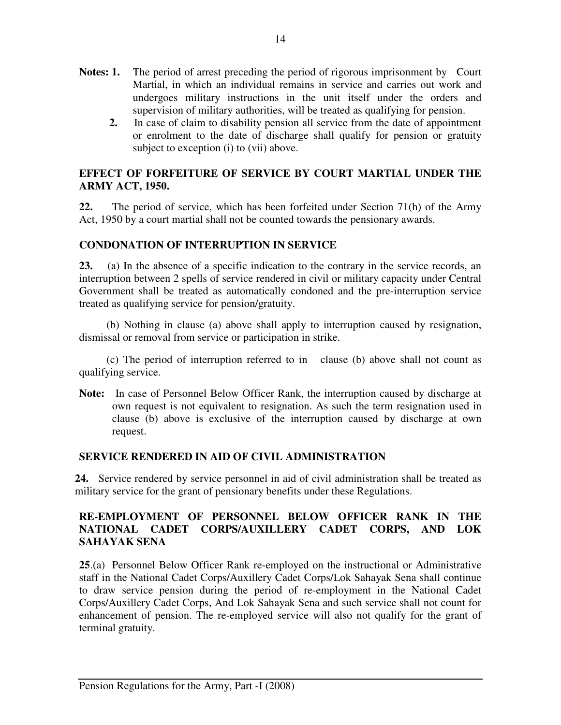- Notes: 1. The period of arrest preceding the period of rigorous imprisonment by Court Martial, in which an individual remains in service and carries out work and undergoes military instructions in the unit itself under the orders and supervision of military authorities, will be treated as qualifying for pension.
	- **2.** In case of claim to disability pension all service from the date of appointment or enrolment to the date of discharge shall qualify for pension or gratuity subject to exception (i) to (vii) above.

# **EFFECT OF FORFEITURE OF SERVICE BY COURT MARTIAL UNDER THE ARMY ACT, 1950.**

**22.** The period of service, which has been forfeited under Section 71(h) of the Army Act, 1950 by a court martial shall not be counted towards the pensionary awards.

# **CONDONATION OF INTERRUPTION IN SERVICE**

**23.** (a) In the absence of a specific indication to the contrary in the service records, an interruption between 2 spells of service rendered in civil or military capacity under Central Government shall be treated as automatically condoned and the pre-interruption service treated as qualifying service for pension/gratuity.

 (b) Nothing in clause (a) above shall apply to interruption caused by resignation, dismissal or removal from service or participation in strike.

 (c) The period of interruption referred to in clause (b) above shall not count as qualifying service.

**Note:** In case of Personnel Below Officer Rank, the interruption caused by discharge at own request is not equivalent to resignation. As such the term resignation used in clause (b) above is exclusive of the interruption caused by discharge at own request.

# **SERVICE RENDERED IN AID OF CIVIL ADMINISTRATION**

**24.** Service rendered by service personnel in aid of civil administration shall be treated as military service for the grant of pensionary benefits under these Regulations.

# **RE-EMPLOYMENT OF PERSONNEL BELOW OFFICER RANK IN THE NATIONAL CADET CORPS/AUXILLERY CADET CORPS, AND LOK SAHAYAK SENA**

**25**.(a) Personnel Below Officer Rank re-employed on the instructional or Administrative staff in the National Cadet Corps/Auxillery Cadet Corps/Lok Sahayak Sena shall continue to draw service pension during the period of re-employment in the National Cadet Corps/Auxillery Cadet Corps, And Lok Sahayak Sena and such service shall not count for enhancement of pension. The re-employed service will also not qualify for the grant of terminal gratuity.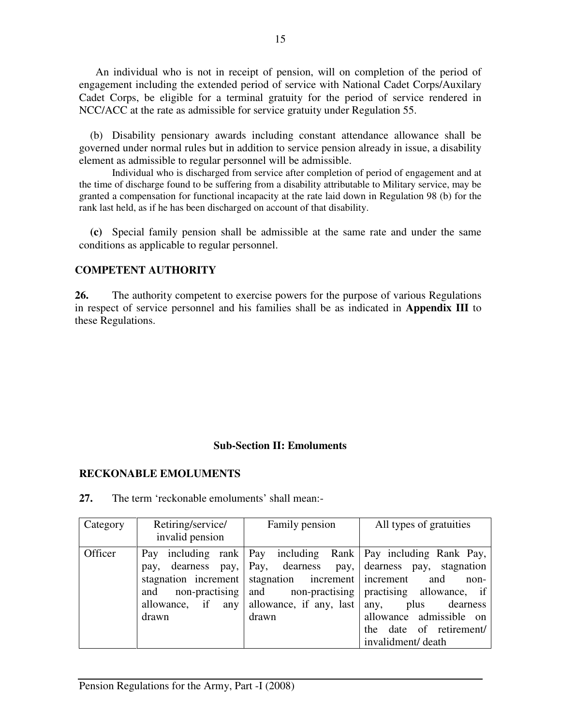An individual who is not in receipt of pension, will on completion of the period of engagement including the extended period of service with National Cadet Corps/Auxilary Cadet Corps, be eligible for a terminal gratuity for the period of service rendered in NCC/ACC at the rate as admissible for service gratuity under Regulation 55.

(b) Disability pensionary awards including constant attendance allowance shall be governed under normal rules but in addition to service pension already in issue, a disability element as admissible to regular personnel will be admissible.

Individual who is discharged from service after completion of period of engagement and at the time of discharge found to be suffering from a disability attributable to Military service, may be granted a compensation for functional incapacity at the rate laid down in Regulation 98 (b) for the rank last held, as if he has been discharged on account of that disability.

**(c)** Special family pension shall be admissible at the same rate and under the same conditions as applicable to regular personnel.

#### **COMPETENT AUTHORITY**

**26.** The authority competent to exercise powers for the purpose of various Regulations in respect of service personnel and his families shall be as indicated in **Appendix III** to these Regulations.

#### **Sub-Section II: Emoluments**

#### **RECKONABLE EMOLUMENTS**

| Category | Retiring/service/<br>invalid pension                                                       | Family pension                                                            | All types of gratuities                                                                                                                                                                                                                                                                      |
|----------|--------------------------------------------------------------------------------------------|---------------------------------------------------------------------------|----------------------------------------------------------------------------------------------------------------------------------------------------------------------------------------------------------------------------------------------------------------------------------------------|
| Officer  | Pay<br>pay,<br>stagnation increment<br>non-practising<br>and<br>allowance, if any<br>drawn | stagnation increment increment<br>and<br>allowance, if any, last<br>drawn | including rank   Pay including Rank   Pay including Rank Pay,<br>dearness pay, Pay, dearness pay, dearness pay, stagnation<br>and<br>non-<br>non-practising practising allowance, if<br>plus<br>dearness<br>any,<br>allowance admissible on<br>the date of retirement/<br>invalidment/ death |

**27.** The term 'reckonable emoluments' shall mean:-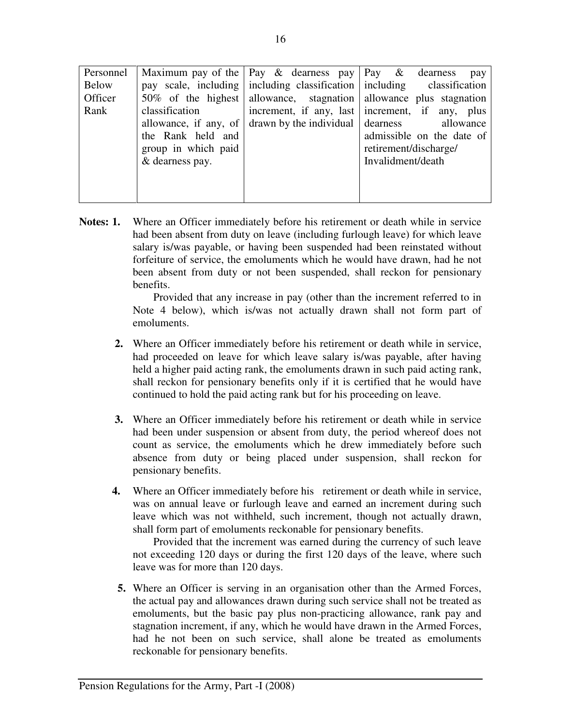| Personnel |                       | Maximum pay of the $\vert$ Pay & dearness pay $\vert$ Pay & dearness | pay                                                                        |
|-----------|-----------------------|----------------------------------------------------------------------|----------------------------------------------------------------------------|
| Below     |                       |                                                                      | pay scale, including   including classification   including classification |
| Officer   | $50\%$ of the highest |                                                                      | allowance, stagnation allowance plus stagnation                            |
| Rank      | classification        |                                                                      | increment, if any, last increment, if any, plus                            |
|           | allowance, if any, of | $d$ drawn by the individual $\vert$ dearness                         | allowance                                                                  |
|           | the Rank held and     |                                                                      | admissible on the date of                                                  |
|           | group in which paid   |                                                                      | retirement/discharge/                                                      |
|           | & dearness pay.       |                                                                      | Invalidment/death                                                          |
|           |                       |                                                                      |                                                                            |
|           |                       |                                                                      |                                                                            |
|           |                       |                                                                      |                                                                            |

**Notes: 1.** Where an Officer immediately before his retirement or death while in service had been absent from duty on leave (including furlough leave) for which leave salary is/was payable, or having been suspended had been reinstated without forfeiture of service, the emoluments which he would have drawn, had he not been absent from duty or not been suspended, shall reckon for pensionary benefits.

> Provided that any increase in pay (other than the increment referred to in Note 4 below), which is/was not actually drawn shall not form part of emoluments.

- **2.** Where an Officer immediately before his retirement or death while in service, had proceeded on leave for which leave salary is/was payable, after having held a higher paid acting rank, the emoluments drawn in such paid acting rank, shall reckon for pensionary benefits only if it is certified that he would have continued to hold the paid acting rank but for his proceeding on leave.
- **3.** Where an Officer immediately before his retirement or death while in service had been under suspension or absent from duty, the period whereof does not count as service, the emoluments which he drew immediately before such absence from duty or being placed under suspension, shall reckon for pensionary benefits.
- **4.** Where an Officer immediately before his retirement or death while in service, was on annual leave or furlough leave and earned an increment during such leave which was not withheld, such increment, though not actually drawn, shall form part of emoluments reckonable for pensionary benefits.

 Provided that the increment was earned during the currency of such leave not exceeding 120 days or during the first 120 days of the leave, where such leave was for more than 120 days.

 **5.** Where an Officer is serving in an organisation other than the Armed Forces, the actual pay and allowances drawn during such service shall not be treated as emoluments, but the basic pay plus non-practicing allowance, rank pay and stagnation increment, if any, which he would have drawn in the Armed Forces, had he not been on such service, shall alone be treated as emoluments reckonable for pensionary benefits.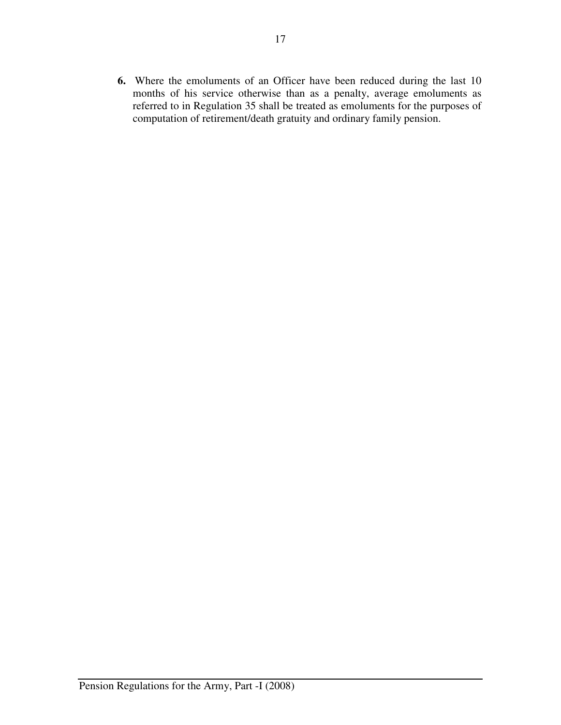**6.** Where the emoluments of an Officer have been reduced during the last 10 months of his service otherwise than as a penalty, average emoluments as referred to in Regulation 35 shall be treated as emoluments for the purposes of computation of retirement/death gratuity and ordinary family pension.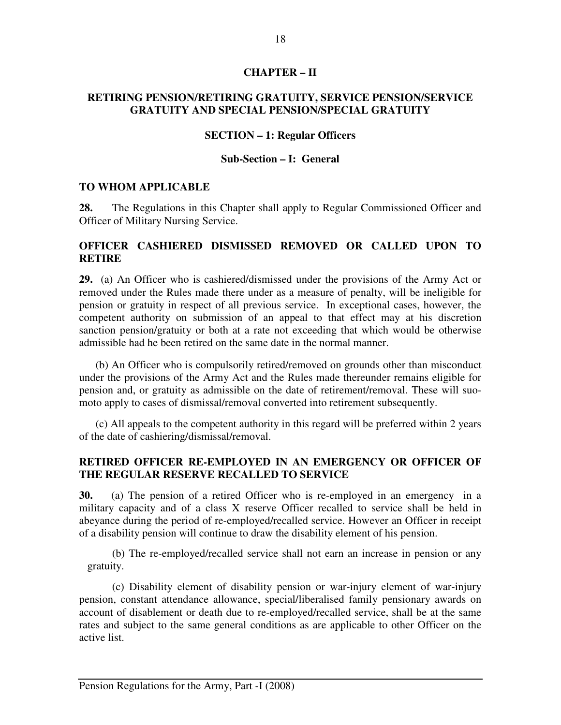#### **CHAPTER – II**

#### **RETIRING PENSION/RETIRING GRATUITY, SERVICE PENSION/SERVICE GRATUITY AND SPECIAL PENSION/SPECIAL GRATUITY**

#### **SECTION – 1: Regular Officers**

#### **Sub-Section – I: General**

#### **TO WHOM APPLICABLE**

**28.** The Regulations in this Chapter shall apply to Regular Commissioned Officer and Officer of Military Nursing Service.

#### **OFFICER CASHIERED DISMISSED REMOVED OR CALLED UPON TO RETIRE**

**29.** (a) An Officer who is cashiered/dismissed under the provisions of the Army Act or removed under the Rules made there under as a measure of penalty, will be ineligible for pension or gratuity in respect of all previous service. In exceptional cases, however, the competent authority on submission of an appeal to that effect may at his discretion sanction pension/gratuity or both at a rate not exceeding that which would be otherwise admissible had he been retired on the same date in the normal manner.

 (b) An Officer who is compulsorily retired/removed on grounds other than misconduct under the provisions of the Army Act and the Rules made thereunder remains eligible for pension and, or gratuity as admissible on the date of retirement/removal. These will suomoto apply to cases of dismissal/removal converted into retirement subsequently.

 (c) All appeals to the competent authority in this regard will be preferred within 2 years of the date of cashiering/dismissal/removal.

#### **RETIRED OFFICER RE-EMPLOYED IN AN EMERGENCY OR OFFICER OF THE REGULAR RESERVE RECALLED TO SERVICE**

**30.** (a) The pension of a retired Officer who is re-employed in an emergency in a military capacity and of a class X reserve Officer recalled to service shall be held in abeyance during the period of re-employed/recalled service. However an Officer in receipt of a disability pension will continue to draw the disability element of his pension.

(b) The re-employed/recalled service shall not earn an increase in pension or any gratuity.

(c) Disability element of disability pension or war-injury element of war-injury pension, constant attendance allowance, special/liberalised family pensionary awards on account of disablement or death due to re-employed/recalled service, shall be at the same rates and subject to the same general conditions as are applicable to other Officer on the active list.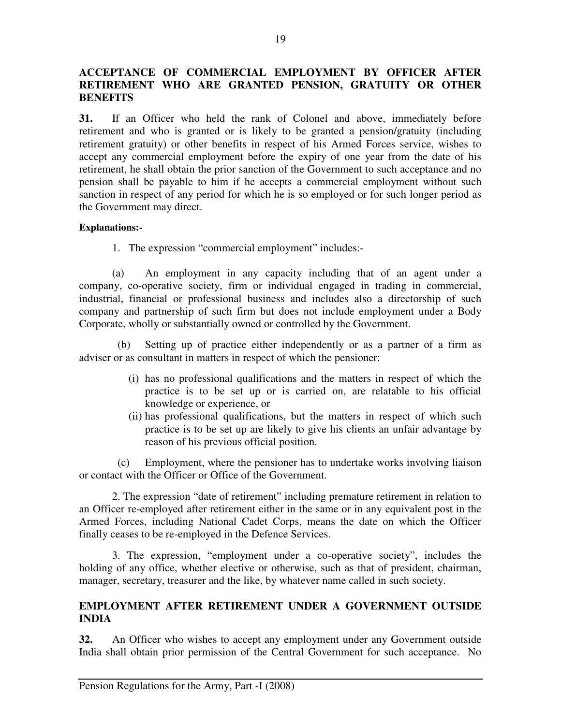# **ACCEPTANCE OF COMMERCIAL EMPLOYMENT BY OFFICER AFTER RETIREMENT WHO ARE GRANTED PENSION, GRATUITY OR OTHER BENEFITS**

**31.** If an Officer who held the rank of Colonel and above, immediately before retirement and who is granted or is likely to be granted a pension/gratuity (including retirement gratuity) or other benefits in respect of his Armed Forces service, wishes to accept any commercial employment before the expiry of one year from the date of his retirement, he shall obtain the prior sanction of the Government to such acceptance and no pension shall be payable to him if he accepts a commercial employment without such sanction in respect of any period for which he is so employed or for such longer period as the Government may direct.

#### **Explanations:-**

1. The expression "commercial employment" includes:-

 (a) An employment in any capacity including that of an agent under a company, co-operative society, firm or individual engaged in trading in commercial, industrial, financial or professional business and includes also a directorship of such company and partnership of such firm but does not include employment under a Body Corporate, wholly or substantially owned or controlled by the Government.

Setting up of practice either independently or as a partner of a firm as adviser or as consultant in matters in respect of which the pensioner:

- (i) has no professional qualifications and the matters in respect of which the practice is to be set up or is carried on, are relatable to his official knowledge or experience, or
- (ii) has professional qualifications, but the matters in respect of which such practice is to be set up are likely to give his clients an unfair advantage by reason of his previous official position.

 (c) Employment, where the pensioner has to undertake works involving liaison or contact with the Officer or Office of the Government.

 2. The expression "date of retirement" including premature retirement in relation to an Officer re-employed after retirement either in the same or in any equivalent post in the Armed Forces, including National Cadet Corps, means the date on which the Officer finally ceases to be re-employed in the Defence Services.

 3. The expression, "employment under a co-operative society", includes the holding of any office, whether elective or otherwise, such as that of president, chairman, manager, secretary, treasurer and the like, by whatever name called in such society.

# **EMPLOYMENT AFTER RETIREMENT UNDER A GOVERNMENT OUTSIDE INDIA**

**32.** An Officer who wishes to accept any employment under any Government outside India shall obtain prior permission of the Central Government for such acceptance. No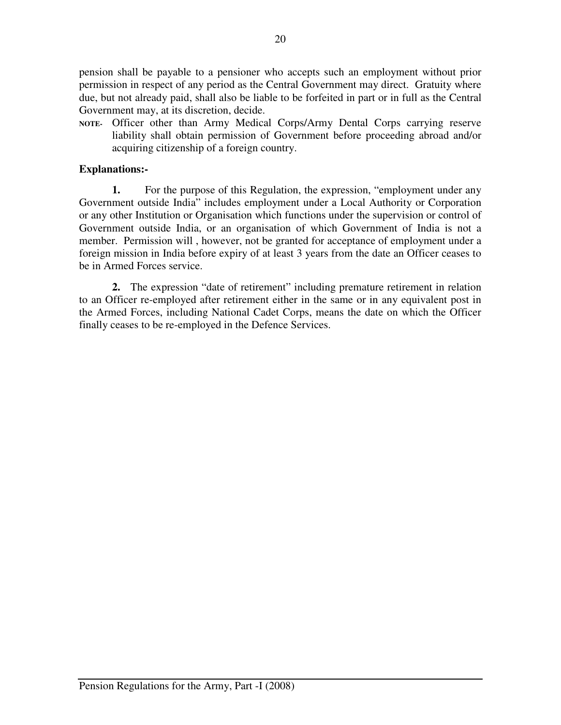pension shall be payable to a pensioner who accepts such an employment without prior permission in respect of any period as the Central Government may direct. Gratuity where due, but not already paid, shall also be liable to be forfeited in part or in full as the Central Government may, at its discretion, decide.

**NOTE-** Officer other than Army Medical Corps/Army Dental Corps carrying reserve liability shall obtain permission of Government before proceeding abroad and/or acquiring citizenship of a foreign country.

# **Explanations:-**

**1.** For the purpose of this Regulation, the expression, "employment under any Government outside India" includes employment under a Local Authority or Corporation or any other Institution or Organisation which functions under the supervision or control of Government outside India, or an organisation of which Government of India is not a member. Permission will , however, not be granted for acceptance of employment under a foreign mission in India before expiry of at least 3 years from the date an Officer ceases to be in Armed Forces service.

**2.** The expression "date of retirement" including premature retirement in relation to an Officer re-employed after retirement either in the same or in any equivalent post in the Armed Forces, including National Cadet Corps, means the date on which the Officer finally ceases to be re-employed in the Defence Services.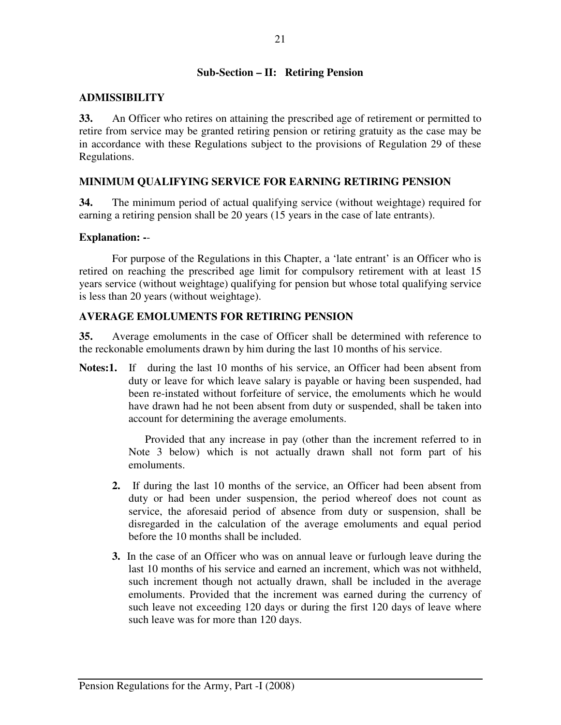#### **Sub-Section – II: Retiring Pension**

#### **ADMISSIBILITY**

**33.** An Officer who retires on attaining the prescribed age of retirement or permitted to retire from service may be granted retiring pension or retiring gratuity as the case may be in accordance with these Regulations subject to the provisions of Regulation 29 of these Regulations.

# **MINIMUM QUALIFYING SERVICE FOR EARNING RETIRING PENSION**

**34.** The minimum period of actual qualifying service (without weightage) required for earning a retiring pension shall be 20 years (15 years in the case of late entrants).

#### **Explanation: -**-

 For purpose of the Regulations in this Chapter, a 'late entrant' is an Officer who is retired on reaching the prescribed age limit for compulsory retirement with at least 15 years service (without weightage) qualifying for pension but whose total qualifying service is less than 20 years (without weightage).

#### **AVERAGE EMOLUMENTS FOR RETIRING PENSION**

**35.** Average emoluments in the case of Officer shall be determined with reference to the reckonable emoluments drawn by him during the last 10 months of his service.

**Notes:1.** If during the last 10 months of his service, an Officer had been absent from duty or leave for which leave salary is payable or having been suspended, had been re-instated without forfeiture of service, the emoluments which he would have drawn had he not been absent from duty or suspended, shall be taken into account for determining the average emoluments.

> Provided that any increase in pay (other than the increment referred to in Note 3 below) which is not actually drawn shall not form part of his emoluments.

- **2.** If during the last 10 months of the service, an Officer had been absent from duty or had been under suspension, the period whereof does not count as service, the aforesaid period of absence from duty or suspension, shall be disregarded in the calculation of the average emoluments and equal period before the 10 months shall be included.
- **3.** In the case of an Officer who was on annual leave or furlough leave during the last 10 months of his service and earned an increment, which was not withheld, such increment though not actually drawn, shall be included in the average emoluments. Provided that the increment was earned during the currency of such leave not exceeding 120 days or during the first 120 days of leave where such leave was for more than 120 days.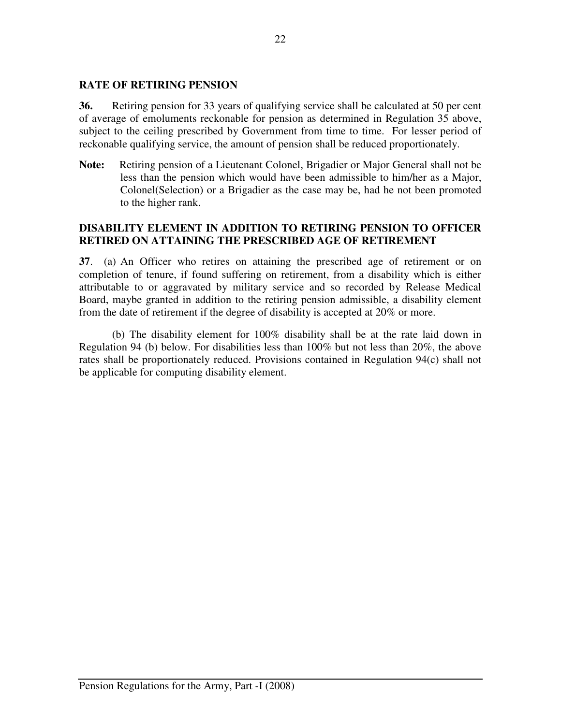#### **RATE OF RETIRING PENSION**

**36.** Retiring pension for 33 years of qualifying service shall be calculated at 50 per cent of average of emoluments reckonable for pension as determined in Regulation 35 above, subject to the ceiling prescribed by Government from time to time. For lesser period of reckonable qualifying service, the amount of pension shall be reduced proportionately.

**Note:** Retiring pension of a Lieutenant Colonel, Brigadier or Major General shall not be less than the pension which would have been admissible to him/her as a Major, Colonel(Selection) or a Brigadier as the case may be, had he not been promoted to the higher rank.

#### **DISABILITY ELEMENT IN ADDITION TO RETIRING PENSION TO OFFICER RETIRED ON ATTAINING THE PRESCRIBED AGE OF RETIREMENT**

**37**. (a) An Officer who retires on attaining the prescribed age of retirement or on completion of tenure, if found suffering on retirement, from a disability which is either attributable to or aggravated by military service and so recorded by Release Medical Board, maybe granted in addition to the retiring pension admissible, a disability element from the date of retirement if the degree of disability is accepted at 20% or more.

 (b) The disability element for 100% disability shall be at the rate laid down in Regulation 94 (b) below. For disabilities less than 100% but not less than 20%, the above rates shall be proportionately reduced. Provisions contained in Regulation 94(c) shall not be applicable for computing disability element.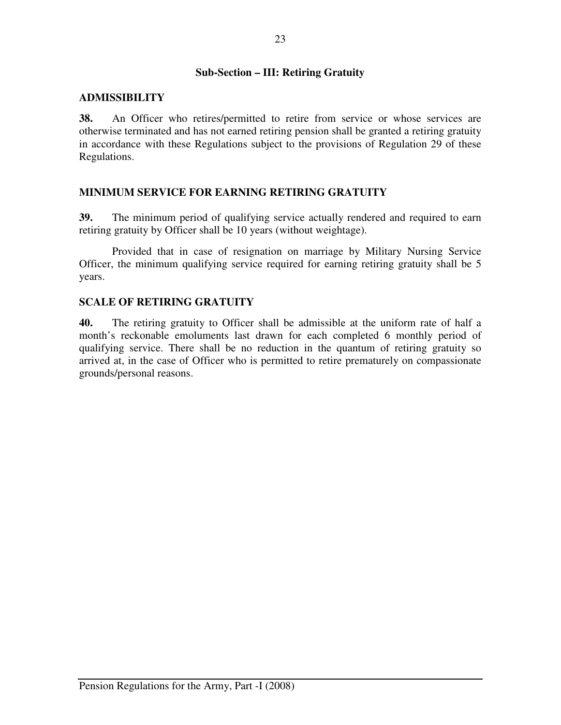# **Sub-Section – III: Retiring Gratuity**

# **ADMISSIBILITY**

**38.** An Officer who retires/permitted to retire from service or whose services are otherwise terminated and has not earned retiring pension shall be granted a retiring gratuity in accordance with these Regulations subject to the provisions of Regulation 29 of these Regulations.

# **MINIMUM SERVICE FOR EARNING RETIRING GRATUITY**

**39.** The minimum period of qualifying service actually rendered and required to earn retiring gratuity by Officer shall be 10 years (without weightage).

 Provided that in case of resignation on marriage by Military Nursing Service Officer, the minimum qualifying service required for earning retiring gratuity shall be 5 years.

# **SCALE OF RETIRING GRATUITY**

**40.** The retiring gratuity to Officer shall be admissible at the uniform rate of half a month's reckonable emoluments last drawn for each completed 6 monthly period of qualifying service. There shall be no reduction in the quantum of retiring gratuity so arrived at, in the case of Officer who is permitted to retire prematurely on compassionate grounds/personal reasons.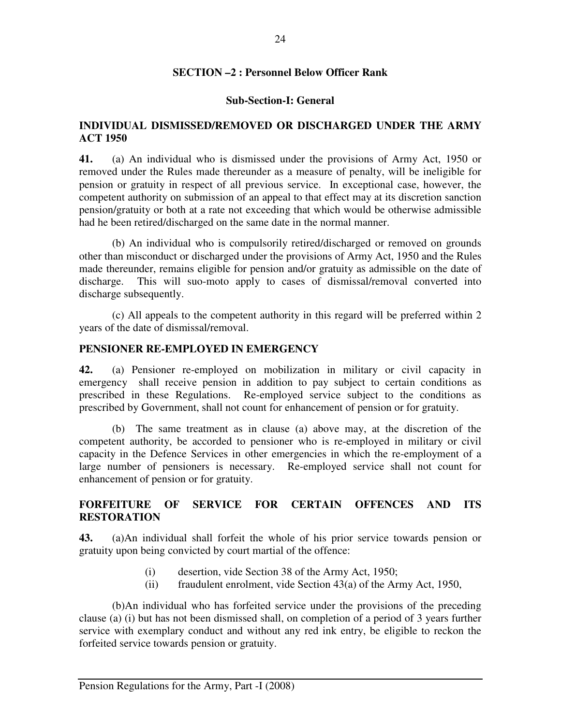#### **SECTION –2 : Personnel Below Officer Rank**

#### **Sub-Section-I: General**

#### **INDIVIDUAL DISMISSED/REMOVED OR DISCHARGED UNDER THE ARMY ACT 1950**

**41.** (a) An individual who is dismissed under the provisions of Army Act, 1950 or removed under the Rules made thereunder as a measure of penalty, will be ineligible for pension or gratuity in respect of all previous service. In exceptional case, however, the competent authority on submission of an appeal to that effect may at its discretion sanction pension/gratuity or both at a rate not exceeding that which would be otherwise admissible had he been retired/discharged on the same date in the normal manner.

(b) An individual who is compulsorily retired/discharged or removed on grounds other than misconduct or discharged under the provisions of Army Act, 1950 and the Rules made thereunder, remains eligible for pension and/or gratuity as admissible on the date of discharge. This will suo-moto apply to cases of dismissal/removal converted into discharge subsequently.

(c) All appeals to the competent authority in this regard will be preferred within 2 years of the date of dismissal/removal.

#### **PENSIONER RE-EMPLOYED IN EMERGENCY**

**42.** (a) Pensioner re-employed on mobilization in military or civil capacity in emergency shall receive pension in addition to pay subject to certain conditions as prescribed in these Regulations. Re-employed service subject to the conditions as prescribed by Government, shall not count for enhancement of pension or for gratuity.

 (b) The same treatment as in clause (a) above may, at the discretion of the competent authority, be accorded to pensioner who is re-employed in military or civil capacity in the Defence Services in other emergencies in which the re-employment of a large number of pensioners is necessary. Re-employed service shall not count for enhancement of pension or for gratuity.

# **FORFEITURE OF SERVICE FOR CERTAIN OFFENCES AND ITS RESTORATION**

**43.** (a)An individual shall forfeit the whole of his prior service towards pension or gratuity upon being convicted by court martial of the offence:

- (i) desertion, vide Section 38 of the Army Act, 1950;
- (ii) fraudulent enrolment, vide Section 43(a) of the Army Act, 1950,

 (b)An individual who has forfeited service under the provisions of the preceding clause (a) (i) but has not been dismissed shall, on completion of a period of 3 years further service with exemplary conduct and without any red ink entry, be eligible to reckon the forfeited service towards pension or gratuity.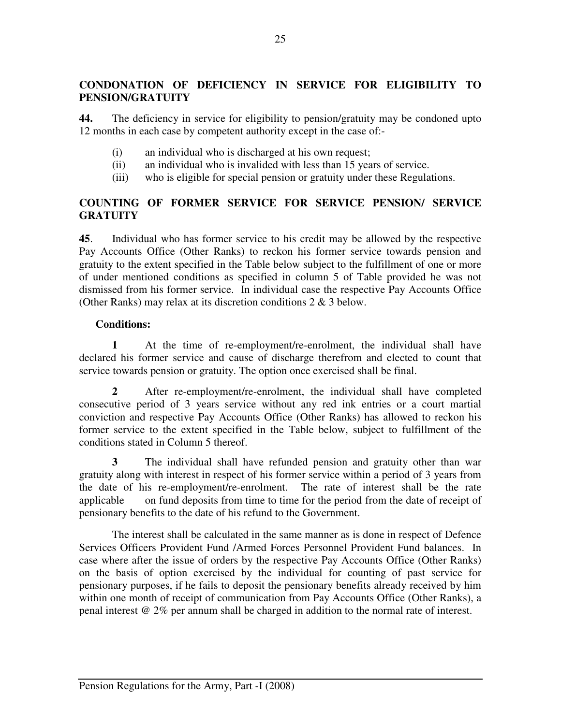# **CONDONATION OF DEFICIENCY IN SERVICE FOR ELIGIBILITY TO PENSION/GRATUITY**

**44.** The deficiency in service for eligibility to pension/gratuity may be condoned upto 12 months in each case by competent authority except in the case of:-

- (i) an individual who is discharged at his own request;
- (ii) an individual who is invalided with less than 15 years of service.
- (iii) who is eligible for special pension or gratuity under these Regulations.

# **COUNTING OF FORMER SERVICE FOR SERVICE PENSION/ SERVICE GRATUITY**

**45**. Individual who has former service to his credit may be allowed by the respective Pay Accounts Office (Other Ranks) to reckon his former service towards pension and gratuity to the extent specified in the Table below subject to the fulfillment of one or more of under mentioned conditions as specified in column 5 of Table provided he was not dismissed from his former service. In individual case the respective Pay Accounts Office (Other Ranks) may relax at its discretion conditions 2 & 3 below.

#### **Conditions:**

**1** At the time of re-employment/re-enrolment, the individual shall have declared his former service and cause of discharge therefrom and elected to count that service towards pension or gratuity. The option once exercised shall be final.

 **2** After re-employment/re-enrolment, the individual shall have completed consecutive period of 3 years service without any red ink entries or a court martial conviction and respective Pay Accounts Office (Other Ranks) has allowed to reckon his former service to the extent specified in the Table below, subject to fulfillment of the conditions stated in Column 5 thereof.

**3** The individual shall have refunded pension and gratuity other than war gratuity along with interest in respect of his former service within a period of 3 years from the date of his re-employment/re-enrolment. The rate of interest shall be the rate applicable on fund deposits from time to time for the period from the date of receipt of pensionary benefits to the date of his refund to the Government.

The interest shall be calculated in the same manner as is done in respect of Defence Services Officers Provident Fund /Armed Forces Personnel Provident Fund balances. In case where after the issue of orders by the respective Pay Accounts Office (Other Ranks) on the basis of option exercised by the individual for counting of past service for pensionary purposes, if he fails to deposit the pensionary benefits already received by him within one month of receipt of communication from Pay Accounts Office (Other Ranks), a penal interest @ 2% per annum shall be charged in addition to the normal rate of interest.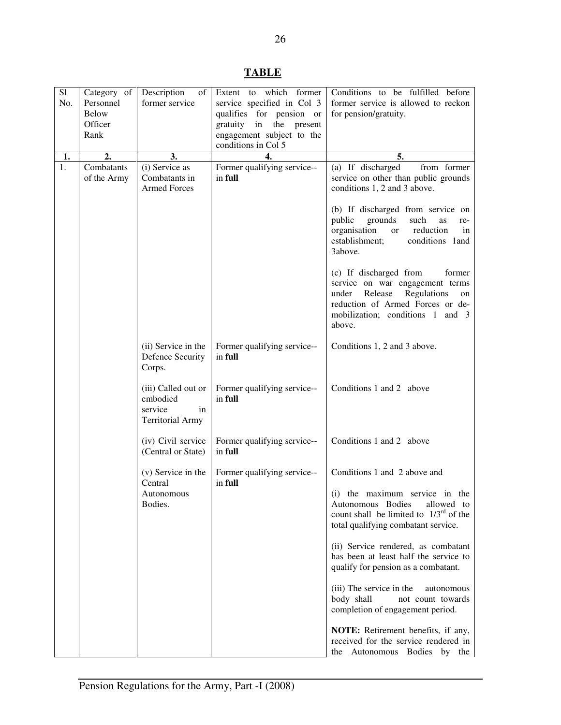| L<br>۱D۱<br>. . |  |
|-----------------|--|
|                 |  |

| S1<br>No. | Category of<br>Personnel<br><b>Below</b> | Description<br>of<br>former service                                         | which former<br>Extent to<br>service specified in Col 3<br>qualifies for pension or | Conditions to be fulfilled before<br>former service is allowed to reckon<br>for pension/gratuity.                                                                                              |
|-----------|------------------------------------------|-----------------------------------------------------------------------------|-------------------------------------------------------------------------------------|------------------------------------------------------------------------------------------------------------------------------------------------------------------------------------------------|
|           | Officer<br>Rank                          |                                                                             | gratuity in the<br>present<br>engagement subject to the                             |                                                                                                                                                                                                |
|           |                                          |                                                                             | conditions in Col 5                                                                 |                                                                                                                                                                                                |
| 1.        | 2.                                       | 3.                                                                          | 4.                                                                                  | 5.                                                                                                                                                                                             |
| 1.        | Combatants<br>of the Army                | (i) Service as<br>Combatants in<br><b>Armed Forces</b>                      | Former qualifying service--<br>in full                                              | (a) If discharged<br>from former<br>service on other than public grounds<br>conditions 1, 2 and 3 above.                                                                                       |
|           |                                          |                                                                             |                                                                                     | (b) If discharged from service on<br>public<br>grounds<br>such<br>as<br>re-<br>organisation<br>reduction<br>in<br><b>or</b><br>establishment;<br>conditions 1 and<br>3above.                   |
|           |                                          |                                                                             |                                                                                     | (c) If discharged from<br>former<br>service on war engagement terms<br>Release<br>Regulations<br>under<br>on<br>reduction of Armed Forces or de-<br>mobilization; conditions 1 and 3<br>above. |
|           |                                          | (ii) Service in the<br>Defence Security<br>Corps.                           | Former qualifying service--<br>in full                                              | Conditions 1, 2 and 3 above.                                                                                                                                                                   |
|           |                                          | (iii) Called out or<br>embodied<br>service<br>in<br><b>Territorial Army</b> | Former qualifying service--<br>in full                                              | Conditions 1 and 2 above                                                                                                                                                                       |
|           |                                          | (iv) Civil service<br>(Central or State)                                    | Former qualifying service--<br>in full                                              | Conditions 1 and 2 above                                                                                                                                                                       |
|           |                                          | (v) Service in the<br>Central                                               | Former qualifying service--<br>in full                                              | Conditions 1 and 2 above and                                                                                                                                                                   |
|           |                                          | Autonomous<br>Bodies.                                                       |                                                                                     | (i) the maximum service in the<br>Autonomous Bodies<br>allowed to<br>count shall be limited to $1/3^{rd}$ of the<br>total qualifying combatant service.                                        |
|           |                                          |                                                                             |                                                                                     | (ii) Service rendered, as combatant<br>has been at least half the service to<br>qualify for pension as a combatant.                                                                            |
|           |                                          |                                                                             |                                                                                     | (iii) The service in the<br>autonomous<br>body shall<br>not count towards<br>completion of engagement period.                                                                                  |
|           |                                          |                                                                             |                                                                                     | NOTE: Retirement benefits, if any,<br>received for the service rendered in<br>the Autonomous Bodies by the                                                                                     |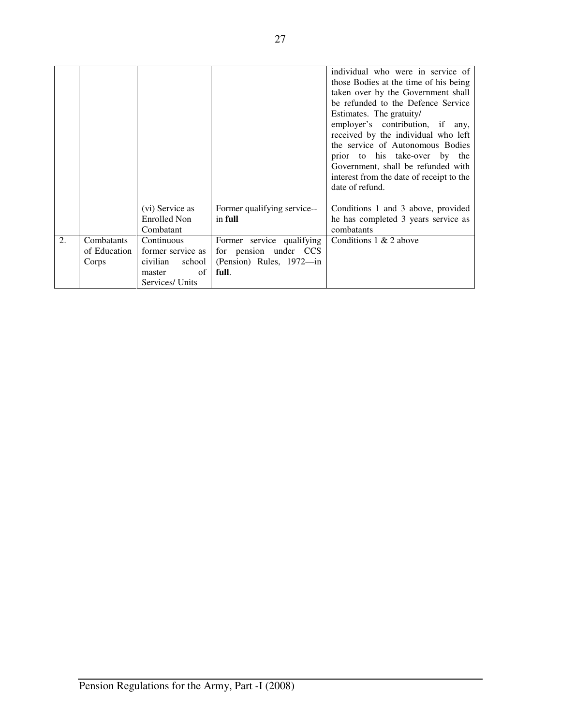|    |                                     |                                                                                          |                                                                                         | individual who were in service of<br>those Bodies at the time of his being<br>taken over by the Government shall<br>be refunded to the Defence Service<br>Estimates. The gratuity/<br>employer's contribution, if any,<br>received by the individual who left<br>the service of Autonomous Bodies<br>prior to his take-over by the<br>Government, shall be refunded with<br>interest from the date of receipt to the<br>date of refund. |
|----|-------------------------------------|------------------------------------------------------------------------------------------|-----------------------------------------------------------------------------------------|-----------------------------------------------------------------------------------------------------------------------------------------------------------------------------------------------------------------------------------------------------------------------------------------------------------------------------------------------------------------------------------------------------------------------------------------|
|    |                                     | (vi) Service as<br><b>Enrolled Non</b><br>Combatant                                      | Former qualifying service--<br>in full                                                  | Conditions 1 and 3 above, provided<br>he has completed 3 years service as<br>combatants                                                                                                                                                                                                                                                                                                                                                 |
| 2. | Combatants<br>of Education<br>Corps | Continuous<br>former service as<br>school<br>civilian<br>of<br>master<br>Services/ Units | Former service qualifying<br>for pension under CCS<br>(Pension) Rules, 1972—in<br>full. | Conditions 1 & 2 above                                                                                                                                                                                                                                                                                                                                                                                                                  |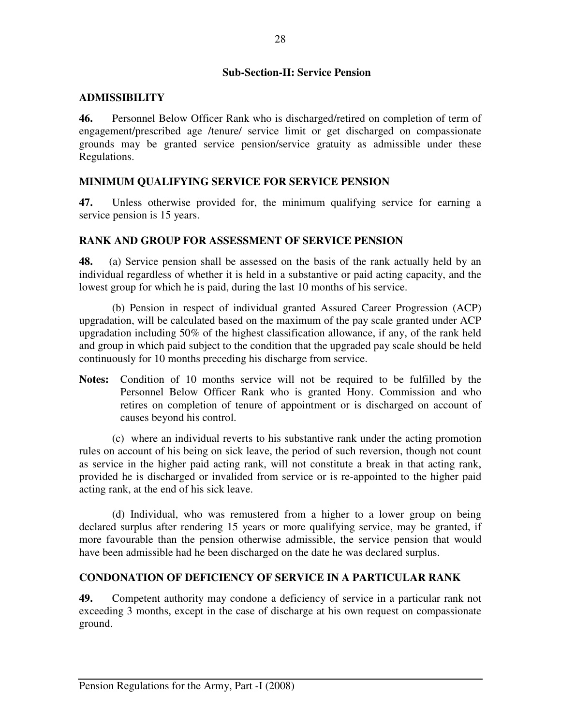## **Sub-Section-II: Service Pension**

## **ADMISSIBILITY**

**46.** Personnel Below Officer Rank who is discharged/retired on completion of term of engagement/prescribed age /tenure/ service limit or get discharged on compassionate grounds may be granted service pension/service gratuity as admissible under these Regulations.

## **MINIMUM QUALIFYING SERVICE FOR SERVICE PENSION**

**47.** Unless otherwise provided for, the minimum qualifying service for earning a service pension is 15 years.

## **RANK AND GROUP FOR ASSESSMENT OF SERVICE PENSION**

**48.** (a) Service pension shall be assessed on the basis of the rank actually held by an individual regardless of whether it is held in a substantive or paid acting capacity, and the lowest group for which he is paid, during the last 10 months of his service.

(b) Pension in respect of individual granted Assured Career Progression (ACP) upgradation, will be calculated based on the maximum of the pay scale granted under ACP upgradation including 50% of the highest classification allowance, if any, of the rank held and group in which paid subject to the condition that the upgraded pay scale should be held continuously for 10 months preceding his discharge from service.

**Notes:** Condition of 10 months service will not be required to be fulfilled by the Personnel Below Officer Rank who is granted Hony. Commission and who retires on completion of tenure of appointment or is discharged on account of causes beyond his control.

(c)where an individual reverts to his substantive rank under the acting promotion rules on account of his being on sick leave, the period of such reversion, though not count as service in the higher paid acting rank, will not constitute a break in that acting rank, provided he is discharged or invalided from service or is re-appointed to the higher paid acting rank, at the end of his sick leave.

(d) Individual, who was remustered from a higher to a lower group on being declared surplus after rendering 15 years or more qualifying service, may be granted, if more favourable than the pension otherwise admissible, the service pension that would have been admissible had he been discharged on the date he was declared surplus.

### **CONDONATION OF DEFICIENCY OF SERVICE IN A PARTICULAR RANK**

**49.** Competent authority may condone a deficiency of service in a particular rank not exceeding 3 months, except in the case of discharge at his own request on compassionate ground.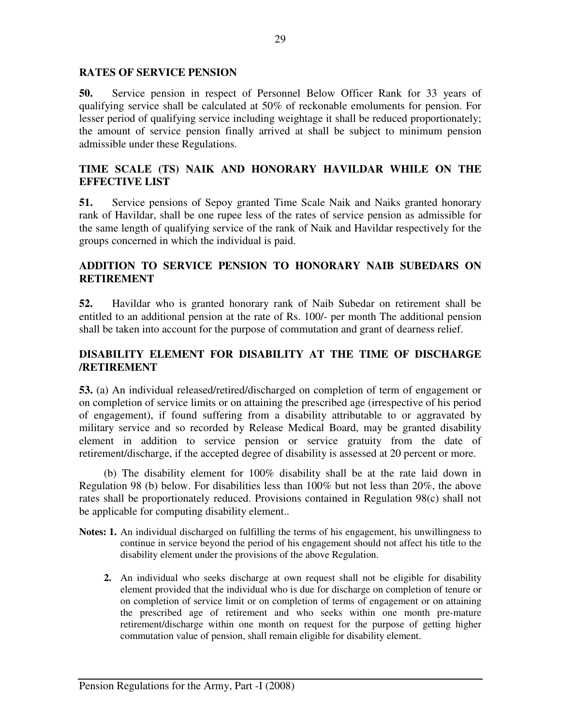### **RATES OF SERVICE PENSION**

**50.** Service pension in respect of Personnel Below Officer Rank for 33 years of qualifying service shall be calculated at 50% of reckonable emoluments for pension. For lesser period of qualifying service including weightage it shall be reduced proportionately; the amount of service pension finally arrived at shall be subject to minimum pension admissible under these Regulations.

## **TIME SCALE (TS) NAIK AND HONORARY HAVILDAR WHILE ON THE EFFECTIVE LIST**

**51.** Service pensions of Sepoy granted Time Scale Naik and Naiks granted honorary rank of Havildar, shall be one rupee less of the rates of service pension as admissible for the same length of qualifying service of the rank of Naik and Havildar respectively for the groups concerned in which the individual is paid.

## **ADDITION TO SERVICE PENSION TO HONORARY NAIB SUBEDARS ON RETIREMENT**

**52.** Havildar who is granted honorary rank of Naib Subedar on retirement shall be entitled to an additional pension at the rate of Rs. 100/- per month The additional pension shall be taken into account for the purpose of commutation and grant of dearness relief.

## **DISABILITY ELEMENT FOR DISABILITY AT THE TIME OF DISCHARGE /RETIREMENT**

**53.** (a) An individual released/retired/discharged on completion of term of engagement or on completion of service limits or on attaining the prescribed age (irrespective of his period of engagement), if found suffering from a disability attributable to or aggravated by military service and so recorded by Release Medical Board, may be granted disability element in addition to service pension or service gratuity from the date of retirement/discharge, if the accepted degree of disability is assessed at 20 percent or more.

 (b) The disability element for 100% disability shall be at the rate laid down in Regulation 98 (b) below. For disabilities less than 100% but not less than 20%, the above rates shall be proportionately reduced. Provisions contained in Regulation 98(c) shall not be applicable for computing disability element..

- **Notes: 1.** An individual discharged on fulfilling the terms of his engagement, his unwillingness to continue in service beyond the period of his engagement should not affect his title to the disability element under the provisions of the above Regulation.
	- **2.** An individual who seeks discharge at own request shall not be eligible for disability element provided that the individual who is due for discharge on completion of tenure or on completion of service limit or on completion of terms of engagement or on attaining the prescribed age of retirement and who seeks within one month pre-mature retirement/discharge within one month on request for the purpose of getting higher commutation value of pension, shall remain eligible for disability element.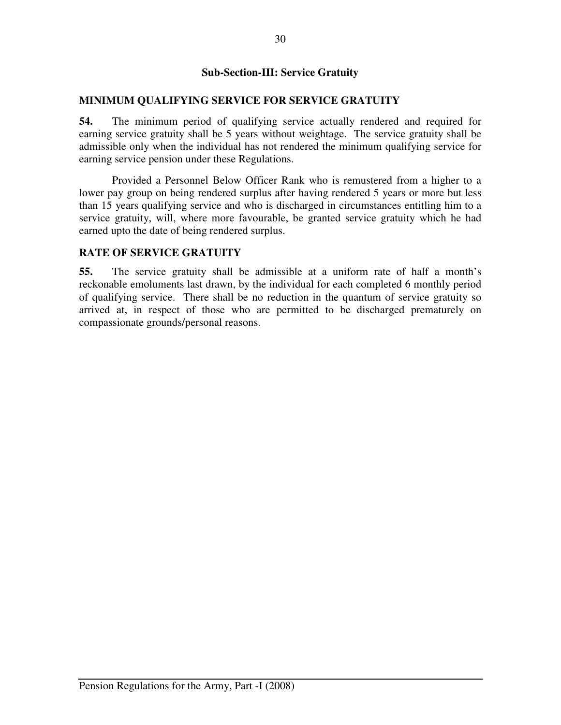## **Sub-Section-III: Service Gratuity**

### **MINIMUM QUALIFYING SERVICE FOR SERVICE GRATUITY**

**54.** The minimum period of qualifying service actually rendered and required for earning service gratuity shall be 5 years without weightage. The service gratuity shall be admissible only when the individual has not rendered the minimum qualifying service for earning service pension under these Regulations.

Provided a Personnel Below Officer Rank who is remustered from a higher to a lower pay group on being rendered surplus after having rendered 5 years or more but less than 15 years qualifying service and who is discharged in circumstances entitling him to a service gratuity, will, where more favourable, be granted service gratuity which he had earned upto the date of being rendered surplus.

### **RATE OF SERVICE GRATUITY**

**55.** The service gratuity shall be admissible at a uniform rate of half a month's reckonable emoluments last drawn, by the individual for each completed 6 monthly period of qualifying service. There shall be no reduction in the quantum of service gratuity so arrived at, in respect of those who are permitted to be discharged prematurely on compassionate grounds/personal reasons.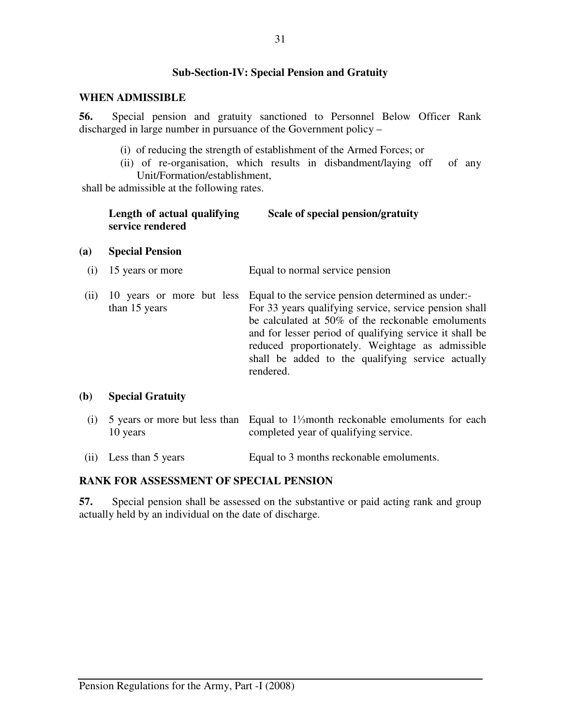## **Sub-Section-IV: Special Pension and Gratuity**

### **WHEN ADMISSIBLE**

**56.** Special pension and gratuity sanctioned to Personnel Below Officer Rank discharged in large number in pursuance of the Government policy –

- (i) of reducing the strength of establishment of the Armed Forces; or
- (ii) of re-organisation, which results in disbandment/laying off of any Unit/Formation/establishment,

shall be admissible at the following rates.

| Length of actual qualifying | Scale of special pension/gratuity |
|-----------------------------|-----------------------------------|
| service rendered            |                                   |

### **(a) Special Pension**

- (i) 15 years or more Equal to normal service pension
- (ii) 10 years or more but less Equal to the service pension determined as under: than 15 years For 33 years qualifying service, service pension shall be calculated at 50% of the reckonable emoluments and for lesser period of qualifying service it shall be reduced proportionately. Weightage as admissible shall be added to the qualifying service actually rendered.

### **(b) Special Gratuity**

- (i) 5 years or more but less than Equal to 1⅓month reckonable emoluments for each 10 years completed year of qualifying service.
- (ii) Less than 5 years Equal to 3 months reckonable emoluments.

## **RANK FOR ASSESSMENT OF SPECIAL PENSION**

**57.** Special pension shall be assessed on the substantive or paid acting rank and group actually held by an individual on the date of discharge.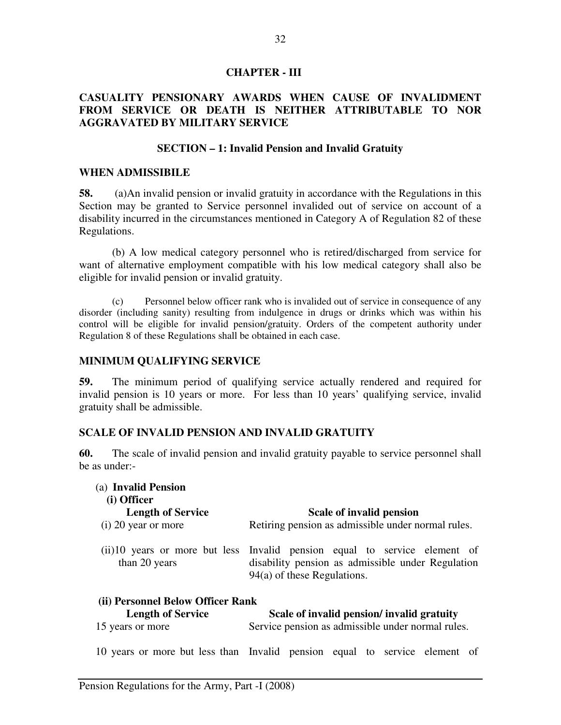### **CHAPTER - III**

## **CASUALITY PENSIONARY AWARDS WHEN CAUSE OF INVALIDMENT FROM SERVICE OR DEATH IS NEITHER ATTRIBUTABLE TO NOR AGGRAVATED BY MILITARY SERVICE**

### **SECTION – 1: Invalid Pension and Invalid Gratuity**

### **WHEN ADMISSIBILE**

**58.** (a)An invalid pension or invalid gratuity in accordance with the Regulations in this Section may be granted to Service personnel invalided out of service on account of a disability incurred in the circumstances mentioned in Category A of Regulation 82 of these Regulations.

(b) A low medical category personnel who is retired/discharged from service for want of alternative employment compatible with his low medical category shall also be eligible for invalid pension or invalid gratuity.

(c) Personnel below officer rank who is invalided out of service in consequence of any disorder (including sanity) resulting from indulgence in drugs or drinks which was within his control will be eligible for invalid pension/gratuity. Orders of the competent authority under Regulation 8 of these Regulations shall be obtained in each case.

### **MINIMUM QUALIFYING SERVICE**

**59.** The minimum period of qualifying service actually rendered and required for invalid pension is 10 years or more. For less than 10 years' qualifying service, invalid gratuity shall be admissible.

### **SCALE OF INVALID PENSION AND INVALID GRATUITY**

**60.** The scale of invalid pension and invalid gratuity payable to service personnel shall be as under:-

| (a) Invalid Pension<br>(i) Officer |                                                                                                                                                                  |
|------------------------------------|------------------------------------------------------------------------------------------------------------------------------------------------------------------|
| <b>Length of Service</b>           | Scale of invalid pension                                                                                                                                         |
| $(i)$ 20 year or more              | Retiring pension as admissible under normal rules.                                                                                                               |
| than 20 years                      | (ii) 10 years or more but less Invalid pension equal to service element of<br>disability pension as admissible under Regulation<br>$94(a)$ of these Regulations. |
| (ii) Personnel Below Officer Rank  |                                                                                                                                                                  |
| <b>Length of Service</b>           | Scale of invalid pension/ invalid gratuity                                                                                                                       |
| 15 years or more                   | Service pension as admissible under normal rules.                                                                                                                |

10 years or more but less than Invalid pension equal to service element of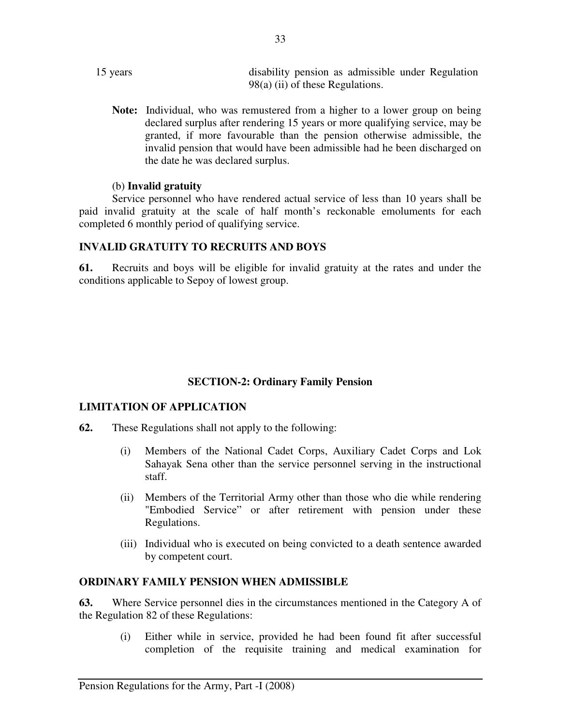- 15 years disability pension as admissible under Regulation 98(a) (ii) of these Regulations.
	- **Note:** Individual, who was remustered from a higher to a lower group on being declared surplus after rendering 15 years or more qualifying service, may be granted, if more favourable than the pension otherwise admissible, the invalid pension that would have been admissible had he been discharged on the date he was declared surplus.

### (b) **Invalid gratuity**

Service personnel who have rendered actual service of less than 10 years shall be paid invalid gratuity at the scale of half month's reckonable emoluments for each completed 6 monthly period of qualifying service.

## **INVALID GRATUITY TO RECRUITS AND BOYS**

**61.** Recruits and boys will be eligible for invalid gratuity at the rates and under the conditions applicable to Sepoy of lowest group.

# **SECTION-2: Ordinary Family Pension**

## **LIMITATION OF APPLICATION**

- **62.** These Regulations shall not apply to the following:
	- (i) Members of the National Cadet Corps, Auxiliary Cadet Corps and Lok Sahayak Sena other than the service personnel serving in the instructional staff.
	- (ii) Members of the Territorial Army other than those who die while rendering "Embodied Service" or after retirement with pension under these Regulations.
	- (iii) Individual who is executed on being convicted to a death sentence awarded by competent court.

## **ORDINARY FAMILY PENSION WHEN ADMISSIBLE**

**63.** Where Service personnel dies in the circumstances mentioned in the Category A of the Regulation 82 of these Regulations:

> (i) Either while in service, provided he had been found fit after successful completion of the requisite training and medical examination for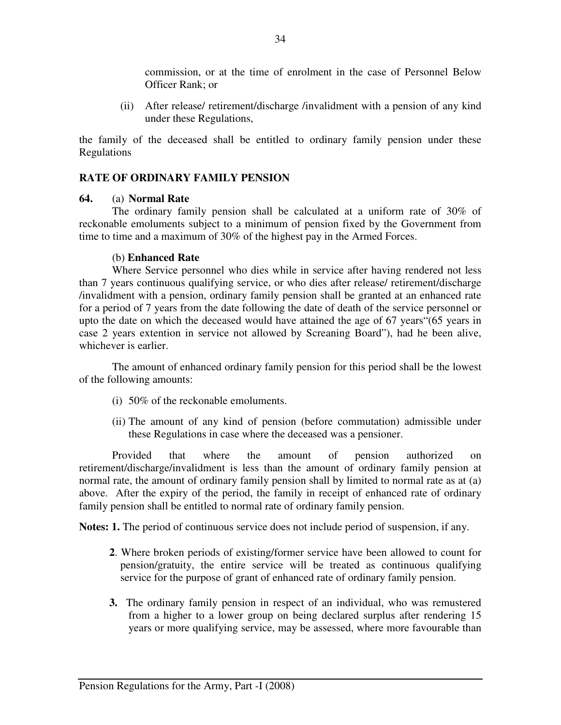commission, or at the time of enrolment in the case of Personnel Below Officer Rank; or

(ii) After release/ retirement/discharge /invalidment with a pension of any kind under these Regulations,

the family of the deceased shall be entitled to ordinary family pension under these Regulations

## **RATE OF ORDINARY FAMILY PENSION**

### **64.** (a) **Normal Rate**

 The ordinary family pension shall be calculated at a uniform rate of 30% of reckonable emoluments subject to a minimum of pension fixed by the Government from time to time and a maximum of 30% of the highest pay in the Armed Forces.

### (b) **Enhanced Rate**

 Where Service personnel who dies while in service after having rendered not less than 7 years continuous qualifying service, or who dies after release/ retirement/discharge /invalidment with a pension, ordinary family pension shall be granted at an enhanced rate for a period of 7 years from the date following the date of death of the service personnel or upto the date on which the deceased would have attained the age of 67 years"(65 years in case 2 years extention in service not allowed by Screaning Board"), had he been alive, whichever is earlier.

 The amount of enhanced ordinary family pension for this period shall be the lowest of the following amounts:

- (i) 50% of the reckonable emoluments.
- (ii) The amount of any kind of pension (before commutation) admissible under these Regulations in case where the deceased was a pensioner.

Provided that where the amount of pension authorized on retirement/discharge/invalidment is less than the amount of ordinary family pension at normal rate, the amount of ordinary family pension shall by limited to normal rate as at (a) above. After the expiry of the period, the family in receipt of enhanced rate of ordinary family pension shall be entitled to normal rate of ordinary family pension.

**Notes: 1.** The period of continuous service does not include period of suspension, if any.

- **2**. Where broken periods of existing/former service have been allowed to count for pension/gratuity, the entire service will be treated as continuous qualifying service for the purpose of grant of enhanced rate of ordinary family pension.
- **3.** The ordinary family pension in respect of an individual, who was remustered from a higher to a lower group on being declared surplus after rendering 15 years or more qualifying service, may be assessed, where more favourable than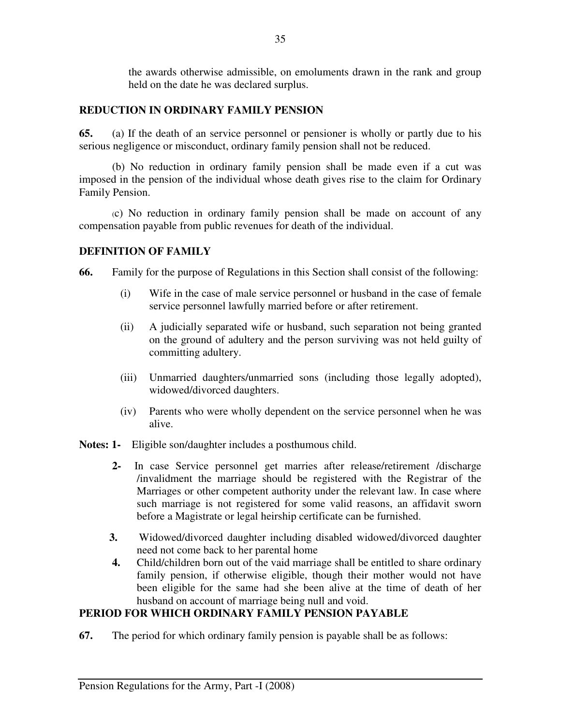the awards otherwise admissible, on emoluments drawn in the rank and group held on the date he was declared surplus.

# **REDUCTION IN ORDINARY FAMILY PENSION**

**65.** (a) If the death of an service personnel or pensioner is wholly or partly due to his serious negligence or misconduct, ordinary family pension shall not be reduced.

(b) No reduction in ordinary family pension shall be made even if a cut was imposed in the pension of the individual whose death gives rise to the claim for Ordinary Family Pension.

(c) No reduction in ordinary family pension shall be made on account of any compensation payable from public revenues for death of the individual.

## **DEFINITION OF FAMILY**

**66.** Family for the purpose of Regulations in this Section shall consist of the following:

- (i) Wife in the case of male service personnel or husband in the case of female service personnel lawfully married before or after retirement.
- (ii) A judicially separated wife or husband, such separation not being granted on the ground of adultery and the person surviving was not held guilty of committing adultery.
- (iii) Unmarried daughters/unmarried sons (including those legally adopted), widowed/divorced daughters.
- (iv) Parents who were wholly dependent on the service personnel when he was alive.
- **Notes: 1-** Eligible son/daughter includes a posthumous child.
	- **2-** In case Service personnel get marries after release/retirement /discharge /invalidment the marriage should be registered with the Registrar of the Marriages or other competent authority under the relevant law. In case where such marriage is not registered for some valid reasons, an affidavit sworn before a Magistrate or legal heirship certificate can be furnished.
	- **3.** Widowed/divorced daughter including disabled widowed/divorced daughter need not come back to her parental home
	- **4.** Child/children born out of the vaid marriage shall be entitled to share ordinary family pension, if otherwise eligible, though their mother would not have been eligible for the same had she been alive at the time of death of her husband on account of marriage being null and void.

# **PERIOD FOR WHICH ORDINARY FAMILY PENSION PAYABLE**

**67.** The period for which ordinary family pension is payable shall be as follows: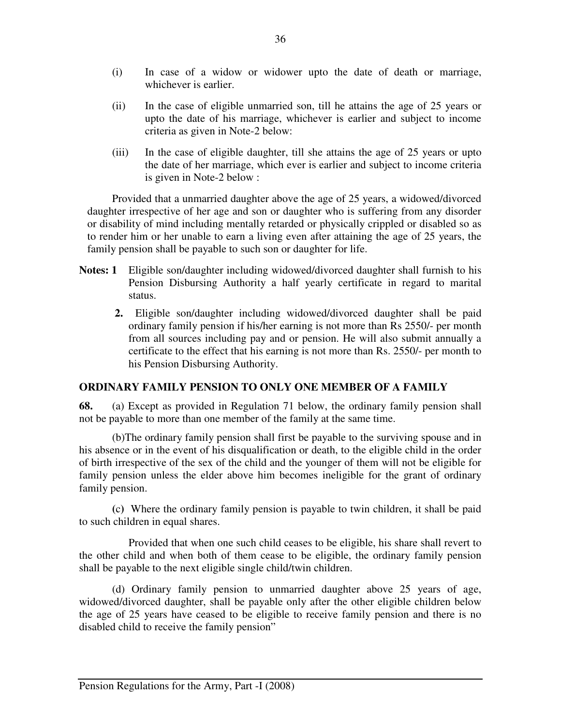- (i) In case of a widow or widower upto the date of death or marriage, whichever is earlier.
- (ii) In the case of eligible unmarried son, till he attains the age of 25 years or upto the date of his marriage, whichever is earlier and subject to income criteria as given in Note-2 below:
- (iii) In the case of eligible daughter, till she attains the age of 25 years or upto the date of her marriage, which ever is earlier and subject to income criteria is given in Note-2 below :

 Provided that a unmarried daughter above the age of 25 years, a widowed/divorced daughter irrespective of her age and son or daughter who is suffering from any disorder or disability of mind including mentally retarded or physically crippled or disabled so as to render him or her unable to earn a living even after attaining the age of 25 years, the family pension shall be payable to such son or daughter for life.

- **Notes: 1** Eligible son/daughter including widowed/divorced daughter shall furnish to his Pension Disbursing Authority a half yearly certificate in regard to marital status.
	- **2.** Eligible son/daughter including widowed/divorced daughter shall be paid ordinary family pension if his/her earning is not more than Rs 2550/- per month from all sources including pay and or pension. He will also submit annually a certificate to the effect that his earning is not more than Rs. 2550/- per month to his Pension Disbursing Authority.

## **ORDINARY FAMILY PENSION TO ONLY ONE MEMBER OF A FAMILY**

**68.** (a) Except as provided in Regulation 71 below, the ordinary family pension shall not be payable to more than one member of the family at the same time.

 (b)The ordinary family pension shall first be payable to the surviving spouse and in his absence or in the event of his disqualification or death, to the eligible child in the order of birth irrespective of the sex of the child and the younger of them will not be eligible for family pension unless the elder above him becomes ineligible for the grant of ordinary family pension.

 **(**c**)** Where the ordinary family pension is payable to twin children, it shall be paid to such children in equal shares.

 Provided that when one such child ceases to be eligible, his share shall revert to the other child and when both of them cease to be eligible, the ordinary family pension shall be payable to the next eligible single child/twin children.

(d) Ordinary family pension to unmarried daughter above 25 years of age, widowed/divorced daughter, shall be payable only after the other eligible children below the age of 25 years have ceased to be eligible to receive family pension and there is no disabled child to receive the family pension"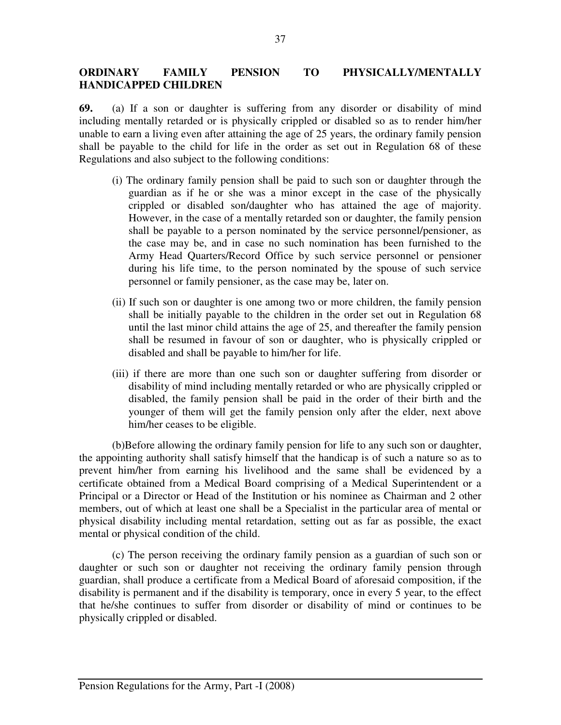## **ORDINARY FAMILY PENSION TO PHYSICALLY/MENTALLY HANDICAPPED CHILDREN**

**69.** (a) If a son or daughter is suffering from any disorder or disability of mind including mentally retarded or is physically crippled or disabled so as to render him/her unable to earn a living even after attaining the age of 25 years, the ordinary family pension shall be payable to the child for life in the order as set out in Regulation 68 of these Regulations and also subject to the following conditions:

- (i) The ordinary family pension shall be paid to such son or daughter through the guardian as if he or she was a minor except in the case of the physically crippled or disabled son/daughter who has attained the age of majority. However, in the case of a mentally retarded son or daughter, the family pension shall be payable to a person nominated by the service personnel/pensioner, as the case may be, and in case no such nomination has been furnished to the Army Head Quarters/Record Office by such service personnel or pensioner during his life time, to the person nominated by the spouse of such service personnel or family pensioner, as the case may be, later on.
- (ii) If such son or daughter is one among two or more children, the family pension shall be initially payable to the children in the order set out in Regulation 68 until the last minor child attains the age of 25, and thereafter the family pension shall be resumed in favour of son or daughter, who is physically crippled or disabled and shall be payable to him/her for life.
- (iii) if there are more than one such son or daughter suffering from disorder or disability of mind including mentally retarded or who are physically crippled or disabled, the family pension shall be paid in the order of their birth and the younger of them will get the family pension only after the elder, next above him/her ceases to be eligible.

 (b)Before allowing the ordinary family pension for life to any such son or daughter, the appointing authority shall satisfy himself that the handicap is of such a nature so as to prevent him/her from earning his livelihood and the same shall be evidenced by a certificate obtained from a Medical Board comprising of a Medical Superintendent or a Principal or a Director or Head of the Institution or his nominee as Chairman and 2 other members, out of which at least one shall be a Specialist in the particular area of mental or physical disability including mental retardation, setting out as far as possible, the exact mental or physical condition of the child.

 (c) The person receiving the ordinary family pension as a guardian of such son or daughter or such son or daughter not receiving the ordinary family pension through guardian, shall produce a certificate from a Medical Board of aforesaid composition, if the disability is permanent and if the disability is temporary, once in every 5 year, to the effect that he/she continues to suffer from disorder or disability of mind or continues to be physically crippled or disabled.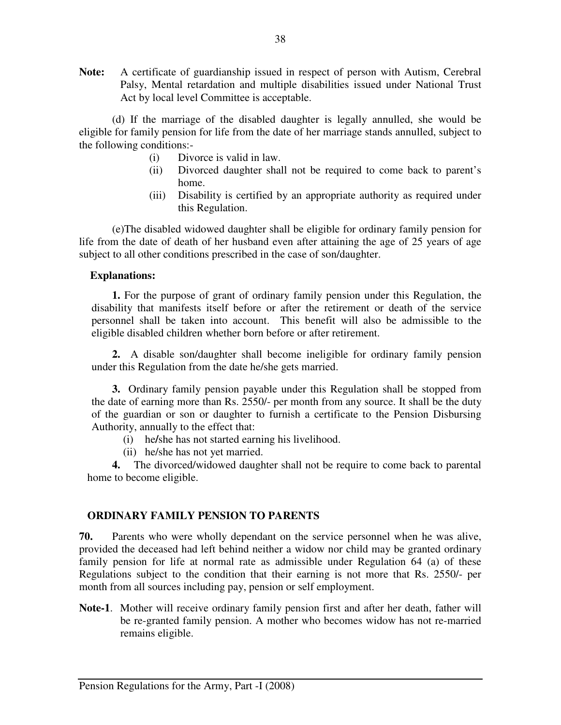**Note:** A certificate of guardianship issued in respect of person with Autism, Cerebral Palsy, Mental retardation and multiple disabilities issued under National Trust Act by local level Committee is acceptable.

 (d) If the marriage of the disabled daughter is legally annulled, she would be eligible for family pension for life from the date of her marriage stands annulled, subject to the following conditions:-

- (i) Divorce is valid in law.
- (ii) Divorced daughter shall not be required to come back to parent's home.
- (iii) Disability is certified by an appropriate authority as required under this Regulation.

 (e)The disabled widowed daughter shall be eligible for ordinary family pension for life from the date of death of her husband even after attaining the age of 25 years of age subject to all other conditions prescribed in the case of son/daughter.

### **Explanations:**

 **1.** For the purpose of grant of ordinary family pension under this Regulation, the disability that manifests itself before or after the retirement or death of the service personnel shall be taken into account. This benefit will also be admissible to the eligible disabled children whether born before or after retirement.

**2.** A disable son/daughter shall become ineligible for ordinary family pension under this Regulation from the date he/she gets married.

 **3.** Ordinary family pension payable under this Regulation shall be stopped from the date of earning more than Rs. 2550/- per month from any source. It shall be the duty of the guardian or son or daughter to furnish a certificate to the Pension Disbursing Authority, annually to the effect that:

- (i) he**/**she has not started earning his livelihood.
- (ii) he/she has not yet married.

 **4.** The divorced/widowed daughter shall not be require to come back to parental home to become eligible.

## **ORDINARY FAMILY PENSION TO PARENTS**

**70.** Parents who were wholly dependant on the service personnel when he was alive, provided the deceased had left behind neither a widow nor child may be granted ordinary family pension for life at normal rate as admissible under Regulation 64 (a) of these Regulations subject to the condition that their earning is not more that Rs. 2550/- per month from all sources including pay, pension or self employment.

**Note-1**. Mother will receive ordinary family pension first and after her death, father will be re-granted family pension. A mother who becomes widow has not re-married remains eligible.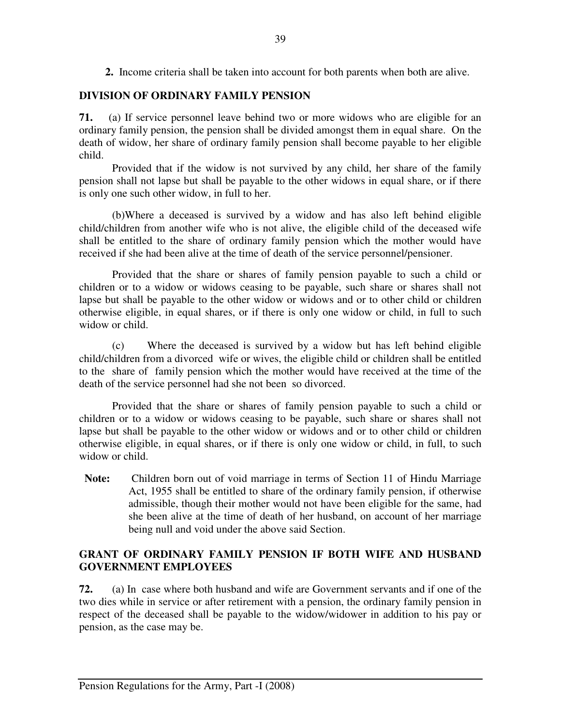**2.** Income criteria shall be taken into account for both parents when both are alive.

# **DIVISION OF ORDINARY FAMILY PENSION**

**71.** (a) If service personnel leave behind two or more widows who are eligible for an ordinary family pension, the pension shall be divided amongst them in equal share. On the death of widow, her share of ordinary family pension shall become payable to her eligible child.

 Provided that if the widow is not survived by any child, her share of the family pension shall not lapse but shall be payable to the other widows in equal share, or if there is only one such other widow, in full to her.

 (b)Where a deceased is survived by a widow and has also left behind eligible child/children from another wife who is not alive, the eligible child of the deceased wife shall be entitled to the share of ordinary family pension which the mother would have received if she had been alive at the time of death of the service personnel/pensioner.

 Provided that the share or shares of family pension payable to such a child or children or to a widow or widows ceasing to be payable, such share or shares shall not lapse but shall be payable to the other widow or widows and or to other child or children otherwise eligible, in equal shares, or if there is only one widow or child, in full to such widow or child.

 (c) Where the deceased is survived by a widow but has left behind eligible child/children from a divorced wife or wives, the eligible child or children shall be entitled to the share of family pension which the mother would have received at the time of the death of the service personnel had she not been so divorced.

 Provided that the share or shares of family pension payable to such a child or children or to a widow or widows ceasing to be payable, such share or shares shall not lapse but shall be payable to the other widow or widows and or to other child or children otherwise eligible, in equal shares, or if there is only one widow or child, in full, to such widow or child.

 **Note:** Children born out of void marriage in terms of Section 11 of Hindu Marriage Act, 1955 shall be entitled to share of the ordinary family pension, if otherwise admissible, though their mother would not have been eligible for the same, had she been alive at the time of death of her husband, on account of her marriage being null and void under the above said Section.

## **GRANT OF ORDINARY FAMILY PENSION IF BOTH WIFE AND HUSBAND GOVERNMENT EMPLOYEES**

**72.** (a) In case where both husband and wife are Government servants and if one of the two dies while in service or after retirement with a pension, the ordinary family pension in respect of the deceased shall be payable to the widow/widower in addition to his pay or pension, as the case may be.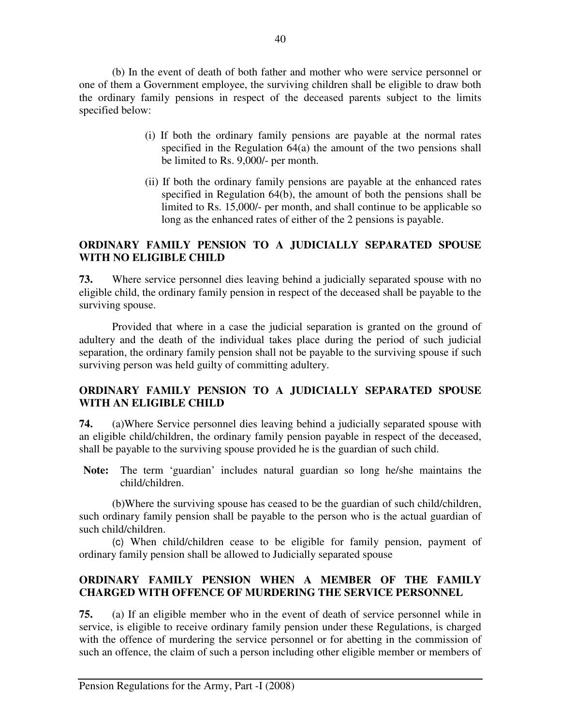(b) In the event of death of both father and mother who were service personnel or one of them a Government employee, the surviving children shall be eligible to draw both the ordinary family pensions in respect of the deceased parents subject to the limits specified below:

- (i) If both the ordinary family pensions are payable at the normal rates specified in the Regulation 64(a) the amount of the two pensions shall be limited to Rs. 9,000/- per month.
- (ii) If both the ordinary family pensions are payable at the enhanced rates specified in Regulation 64(b), the amount of both the pensions shall be limited to Rs. 15,000/- per month, and shall continue to be applicable so long as the enhanced rates of either of the 2 pensions is payable.

## **ORDINARY FAMILY PENSION TO A JUDICIALLY SEPARATED SPOUSE WITH NO ELIGIBLE CHILD**

**73.** Where service personnel dies leaving behind a judicially separated spouse with no eligible child, the ordinary family pension in respect of the deceased shall be payable to the surviving spouse.

 Provided that where in a case the judicial separation is granted on the ground of adultery and the death of the individual takes place during the period of such judicial separation, the ordinary family pension shall not be payable to the surviving spouse if such surviving person was held guilty of committing adultery.

## **ORDINARY FAMILY PENSION TO A JUDICIALLY SEPARATED SPOUSE WITH AN ELIGIBLE CHILD**

**74.** (a)Where Service personnel dies leaving behind a judicially separated spouse with an eligible child/children, the ordinary family pension payable in respect of the deceased, shall be payable to the surviving spouse provided he is the guardian of such child.

**Note:** The term 'guardian' includes natural guardian so long he/she maintains the child/children.

 (b)Where the surviving spouse has ceased to be the guardian of such child/children, such ordinary family pension shall be payable to the person who is the actual guardian of such child/children.

 (c) When child/children cease to be eligible for family pension, payment of ordinary family pension shall be allowed to Judicially separated spouse

## **ORDINARY FAMILY PENSION WHEN A MEMBER OF THE FAMILY CHARGED WITH OFFENCE OF MURDERING THE SERVICE PERSONNEL**

**75.** (a) If an eligible member who in the event of death of service personnel while in service, is eligible to receive ordinary family pension under these Regulations, is charged with the offence of murdering the service personnel or for abetting in the commission of such an offence, the claim of such a person including other eligible member or members of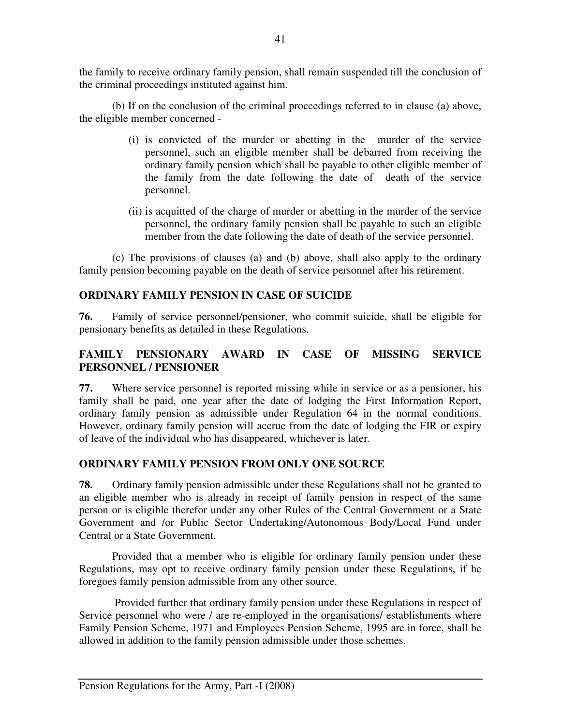the family to receive ordinary family pension, shall remain suspended till the conclusion of the criminal proceedings instituted against him.

 (b) If on the conclusion of the criminal proceedings referred to in clause (a) above, the eligible member concerned -

- (i) is convicted of the murder or abetting in the murder of the service personnel, such an eligible member shall be debarred from receiving the ordinary family pension which shall be payable to other eligible member of the family from the date following the date of death of the service personnel.
- (ii) is acquitted of the charge of murder or abetting in the murder of the service personnel, the ordinary family pension shall be payable to such an eligible member from the date following the date of death of the service personnel.

(c) The provisions of clauses (a) and (b) above, shall also apply to the ordinary family pension becoming payable on the death of service personnel after his retirement.

## **ORDINARY FAMILY PENSION IN CASE OF SUICIDE**

**76.** Family of service personnel/pensioner, who commit suicide, shall be eligible for pensionary benefits as detailed in these Regulations.

## **FAMILY PENSIONARY AWARD IN CASE OF MISSING SERVICE PERSONNEL / PENSIONER**

**77.** Where service personnel is reported missing while in service or as a pensioner, his family shall be paid, one year after the date of lodging the First Information Report, ordinary family pension as admissible under Regulation 64 in the normal conditions. However, ordinary family pension will accrue from the date of lodging the FIR or expiry of leave of the individual who has disappeared, whichever is later.

## **ORDINARY FAMILY PENSION FROM ONLY ONE SOURCE**

**78.** Ordinary family pension admissible under these Regulations shall not be granted to an eligible member who is already in receipt of family pension in respect of the same person or is eligible therefor under any other Rules of the Central Government or a State Government and /or Public Sector Undertaking/Autonomous Body/Local Fund under Central or a State Government.

 Provided that a member who is eligible for ordinary family pension under these Regulations, may opt to receive ordinary family pension under these Regulations, if he foregoes family pension admissible from any other source.

 Provided further that ordinary family pension under these Regulations in respect of Service personnel who were / are re-employed in the organisations/ establishments where Family Pension Scheme, 1971 and Employees Pension Scheme, 1995 are in force, shall be allowed in addition to the family pension admissible under those schemes.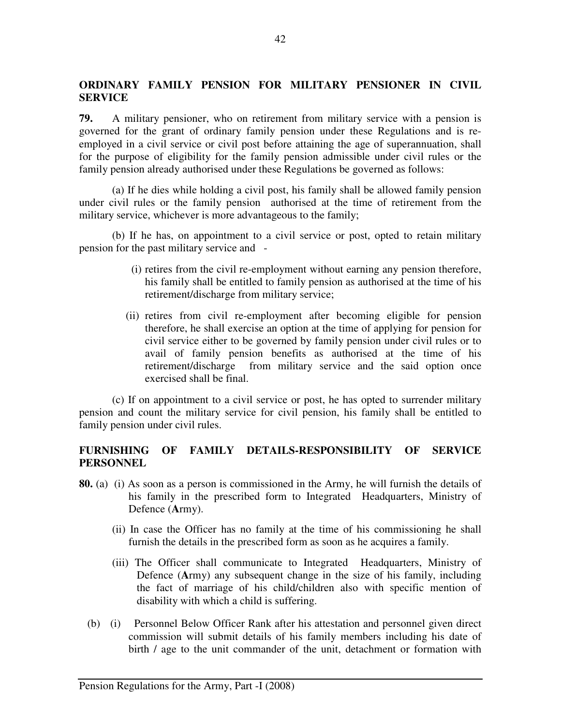## **ORDINARY FAMILY PENSION FOR MILITARY PENSIONER IN CIVIL SERVICE**

**79.** A military pensioner, who on retirement from military service with a pension is governed for the grant of ordinary family pension under these Regulations and is reemployed in a civil service or civil post before attaining the age of superannuation, shall for the purpose of eligibility for the family pension admissible under civil rules or the family pension already authorised under these Regulations be governed as follows:

(a) If he dies while holding a civil post, his family shall be allowed family pension under civil rules or the family pension authorised at the time of retirement from the military service, whichever is more advantageous to the family;

(b) If he has, on appointment to a civil service or post, opted to retain military pension for the past military service and -

- (i) retires from the civil re-employment without earning any pension therefore, his family shall be entitled to family pension as authorised at the time of his retirement/discharge from military service;
- (ii) retires from civil re-employment after becoming eligible for pension therefore, he shall exercise an option at the time of applying for pension for civil service either to be governed by family pension under civil rules or to avail of family pension benefits as authorised at the time of his retirement/discharge from military service and the said option once exercised shall be final.

(c) If on appointment to a civil service or post, he has opted to surrender military pension and count the military service for civil pension, his family shall be entitled to family pension under civil rules.

## **FURNISHING OF FAMILY DETAILS-RESPONSIBILITY OF SERVICE PERSONNEL**

- **80.** (a) (i) As soon as a person is commissioned in the Army, he will furnish the details of his family in the prescribed form to Integrated Headquarters, Ministry of Defence (**A**rmy).
	- (ii) In case the Officer has no family at the time of his commissioning he shall furnish the details in the prescribed form as soon as he acquires a family.
	- (iii) The Officer shall communicate to Integrated Headquarters, Ministry of Defence (**A**rmy) any subsequent change in the size of his family, including the fact of marriage of his child/children also with specific mention of disability with which a child is suffering.
	- (b) (i) Personnel Below Officer Rank after his attestation and personnel given direct commission will submit details of his family members including his date of birth / age to the unit commander of the unit, detachment or formation with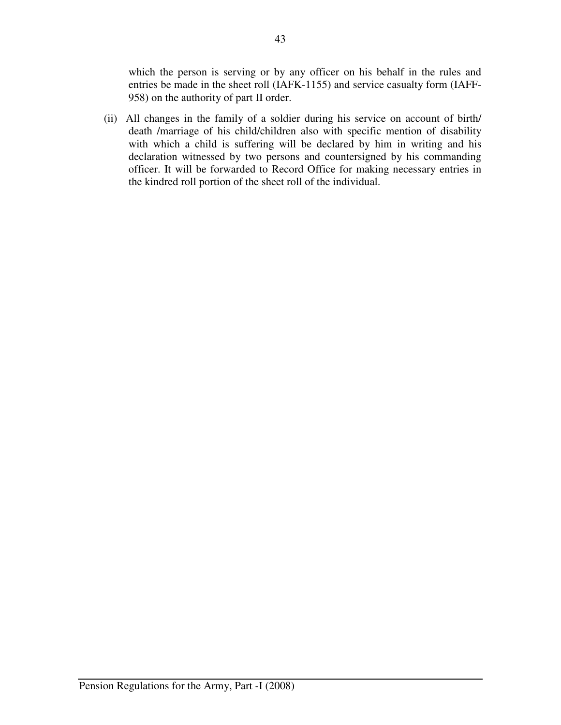which the person is serving or by any officer on his behalf in the rules and entries be made in the sheet roll (IAFK-1155) and service casualty form (IAFF-958) on the authority of part II order.

(ii) All changes in the family of a soldier during his service on account of birth/ death /marriage of his child/children also with specific mention of disability with which a child is suffering will be declared by him in writing and his declaration witnessed by two persons and countersigned by his commanding officer. It will be forwarded to Record Office for making necessary entries in the kindred roll portion of the sheet roll of the individual.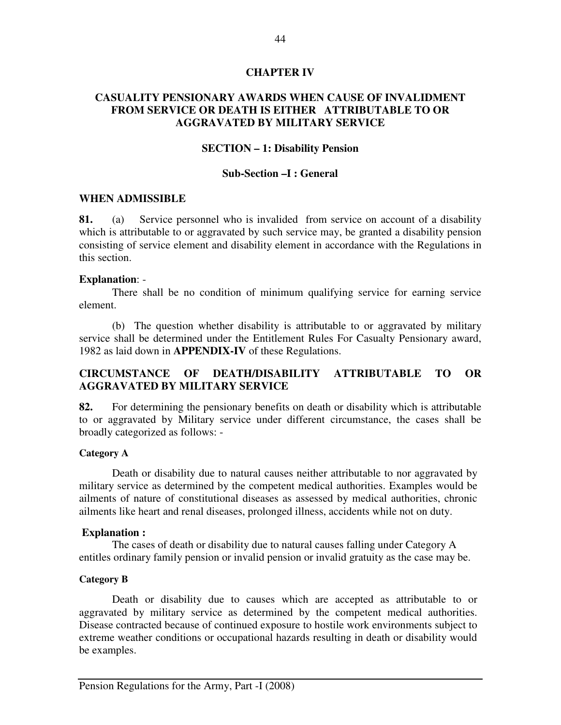#### **CHAPTER IV**

### **CASUALITY PENSIONARY AWARDS WHEN CAUSE OF INVALIDMENT FROM SERVICE OR DEATH IS EITHER ATTRIBUTABLE TO OR AGGRAVATED BY MILITARY SERVICE**

#### **SECTION – 1: Disability Pension**

#### **Sub-Section –I : General**

#### **WHEN ADMISSIBLE**

**81.** (a) Service personnel who is invalided from service on account of a disability which is attributable to or aggravated by such service may, be granted a disability pension consisting of service element and disability element in accordance with the Regulations in this section.

#### **Explanation**: -

 There shall be no condition of minimum qualifying service for earning service element.

 (b) The question whether disability is attributable to or aggravated by military service shall be determined under the Entitlement Rules For Casualty Pensionary award, 1982 as laid down in **APPENDIX-IV** of these Regulations.

## **CIRCUMSTANCE OF DEATH/DISABILITY ATTRIBUTABLE TO OR AGGRAVATED BY MILITARY SERVICE**

**82.** For determining the pensionary benefits on death or disability which is attributable to or aggravated by Military service under different circumstance, the cases shall be broadly categorized as follows: -

#### **Category A**

 Death or disability due to natural causes neither attributable to nor aggravated by military service as determined by the competent medical authorities. Examples would be ailments of nature of constitutional diseases as assessed by medical authorities, chronic ailments like heart and renal diseases, prolonged illness, accidents while not on duty.

#### **Explanation :**

The cases of death or disability due to natural causes falling under Category A entitles ordinary family pension or invalid pension or invalid gratuity as the case may be.

#### **Category B**

 Death or disability due to causes which are accepted as attributable to or aggravated by military service as determined by the competent medical authorities. Disease contracted because of continued exposure to hostile work environments subject to extreme weather conditions or occupational hazards resulting in death or disability would be examples.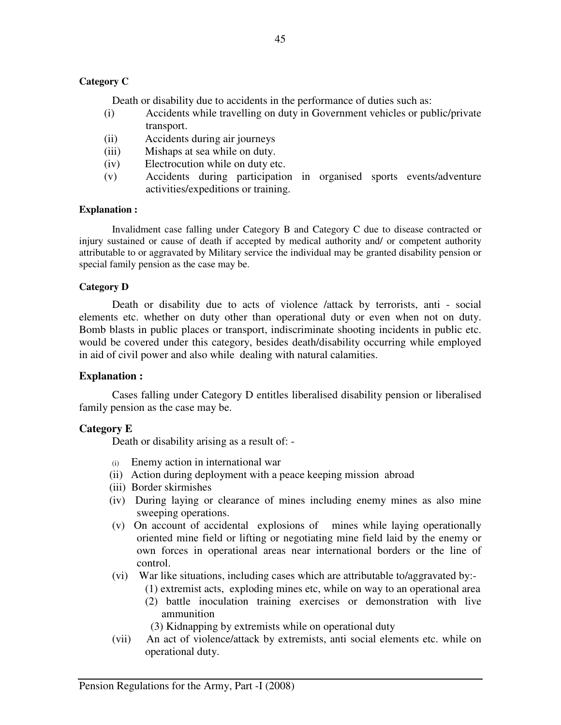### **Category C**

Death or disability due to accidents in the performance of duties such as:

- (i) Accidents while travelling on duty in Government vehicles or public/private transport.
- (ii) Accidents during air journeys
- (iii) Mishaps at sea while on duty.
- (iv) Electrocution while on duty etc.
- (v) Accidents during participation in organised sports events/adventure activities/expeditions or training.

#### **Explanation :**

Invalidment case falling under Category B and Category C due to disease contracted or injury sustained or cause of death if accepted by medical authority and/ or competent authority attributable to or aggravated by Military service the individual may be granted disability pension or special family pension as the case may be.

#### **Category D**

 Death or disability due to acts of violence /attack by terrorists, anti - social elements etc. whether on duty other than operational duty or even when not on duty. Bomb blasts in public places or transport, indiscriminate shooting incidents in public etc. would be covered under this category, besides death/disability occurring while employed in aid of civil power and also while dealing with natural calamities.

#### **Explanation :**

Cases falling under Category D entitles liberalised disability pension or liberalised family pension as the case may be.

#### **Category E**

Death or disability arising as a result of: -

- (i) Enemy action in international war
- (ii) Action during deployment with a peace keeping mission abroad
- (iii) Border skirmishes
- (iv) During laying or clearance of mines including enemy mines as also mine sweeping operations.
- (v) On account of accidental explosions of mines while laying operationally oriented mine field or lifting or negotiating mine field laid by the enemy or own forces in operational areas near international borders or the line of control.
- (vi) War like situations, including cases which are attributable to/aggravated by:-
	- (1) extremist acts, exploding mines etc, while on way to an operational area
	- (2) battle inoculation training exercises or demonstration with live ammunition
	- (3) Kidnapping by extremists while on operational duty
- (vii) An act of violence/attack by extremists, anti social elements etc. while on operational duty.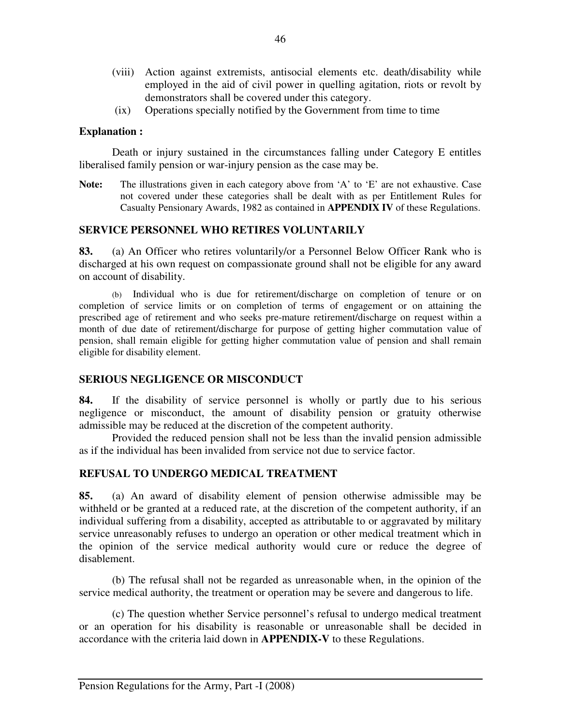- (viii) Action against extremists, antisocial elements etc. death/disability while employed in the aid of civil power in quelling agitation, riots or revolt by demonstrators shall be covered under this category.
- (ix) Operations specially notified by the Government from time to time

### **Explanation :**

Death or injury sustained in the circumstances falling under Category E entitles liberalised family pension or war-injury pension as the case may be.

**Note:** The illustrations given in each category above from 'A' to 'E' are not exhaustive. Case not covered under these categories shall be dealt with as per Entitlement Rules for Casualty Pensionary Awards, 1982 as contained in **APPENDIX IV** of these Regulations.

### **SERVICE PERSONNEL WHO RETIRES VOLUNTARILY**

**83.** (a) An Officer who retires voluntarily/or a Personnel Below Officer Rank who is discharged at his own request on compassionate ground shall not be eligible for any award on account of disability.

 (b) Individual who is due for retirement/discharge on completion of tenure or on completion of service limits or on completion of terms of engagement or on attaining the prescribed age of retirement and who seeks pre-mature retirement/discharge on request within a month of due date of retirement/discharge for purpose of getting higher commutation value of pension, shall remain eligible for getting higher commutation value of pension and shall remain eligible for disability element.

### **SERIOUS NEGLIGENCE OR MISCONDUCT**

**84.** If the disability of service personnel is wholly or partly due to his serious negligence or misconduct, the amount of disability pension or gratuity otherwise admissible may be reduced at the discretion of the competent authority.

 Provided the reduced pension shall not be less than the invalid pension admissible as if the individual has been invalided from service not due to service factor.

### **REFUSAL TO UNDERGO MEDICAL TREATMENT**

**85.** (a) An award of disability element of pension otherwise admissible may be withheld or be granted at a reduced rate, at the discretion of the competent authority, if an individual suffering from a disability, accepted as attributable to or aggravated by military service unreasonably refuses to undergo an operation or other medical treatment which in the opinion of the service medical authority would cure or reduce the degree of disablement.

 (b) The refusal shall not be regarded as unreasonable when, in the opinion of the service medical authority, the treatment or operation may be severe and dangerous to life.

(c) The question whether Service personnel's refusal to undergo medical treatment or an operation for his disability is reasonable or unreasonable shall be decided in accordance with the criteria laid down in **APPENDIX-V** to these Regulations.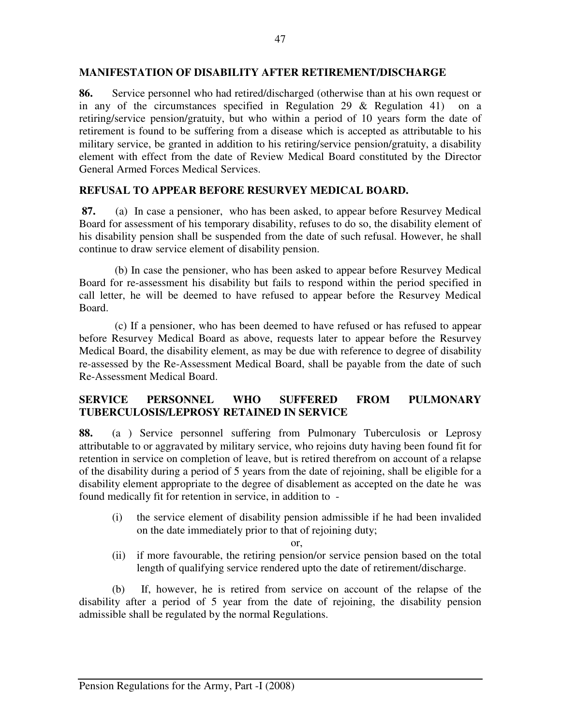### **MANIFESTATION OF DISABILITY AFTER RETIREMENT/DISCHARGE**

**86.** Service personnel who had retired/discharged (otherwise than at his own request or in any of the circumstances specified in Regulation 29 & Regulation 41) on a retiring/service pension/gratuity, but who within a period of 10 years form the date of retirement is found to be suffering from a disease which is accepted as attributable to his military service, be granted in addition to his retiring/service pension/gratuity, a disability element with effect from the date of Review Medical Board constituted by the Director General Armed Forces Medical Services.

## **REFUSAL TO APPEAR BEFORE RESURVEY MEDICAL BOARD.**

**87.** (a)In case a pensioner, who has been asked, to appear before Resurvey Medical Board for assessment of his temporary disability, refuses to do so, the disability element of his disability pension shall be suspended from the date of such refusal. However, he shall continue to draw service element of disability pension.

(b) In case the pensioner, who has been asked to appear before Resurvey Medical Board for re-assessment his disability but fails to respond within the period specified in call letter, he will be deemed to have refused to appear before the Resurvey Medical Board.

 (c) If a pensioner, who has been deemed to have refused or has refused to appear before Resurvey Medical Board as above, requests later to appear before the Resurvey Medical Board, the disability element, as may be due with reference to degree of disability re-assessed by the Re-Assessment Medical Board, shall be payable from the date of such Re-Assessment Medical Board.

## **SERVICE PERSONNEL WHO SUFFERED FROM PULMONARY TUBERCULOSIS/LEPROSY RETAINED IN SERVICE**

**88.** (a ) Service personnel suffering from Pulmonary Tuberculosis or Leprosy attributable to or aggravated by military service, who rejoins duty having been found fit for retention in service on completion of leave, but is retired therefrom on account of a relapse of the disability during a period of 5 years from the date of rejoining, shall be eligible for a disability element appropriate to the degree of disablement as accepted on the date he was found medically fit for retention in service, in addition to -

(i) the service element of disability pension admissible if he had been invalided on the date immediately prior to that of rejoining duty;

or,

(ii) if more favourable, the retiring pension/or service pension based on the total length of qualifying service rendered upto the date of retirement/discharge.

 (b) If, however, he is retired from service on account of the relapse of the disability after a period of 5 year from the date of rejoining, the disability pension admissible shall be regulated by the normal Regulations.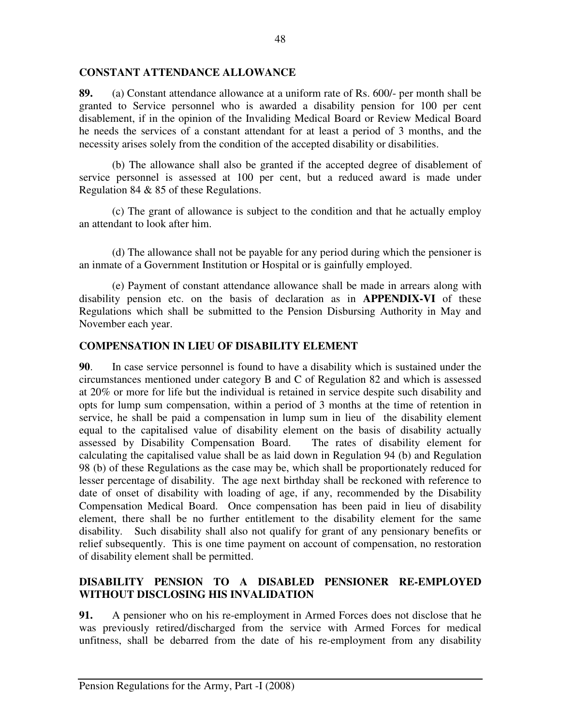### **CONSTANT ATTENDANCE ALLOWANCE**

**89.** (a) Constant attendance allowance at a uniform rate of Rs. 600/- per month shall be granted to Service personnel who is awarded a disability pension for 100 per cent disablement, if in the opinion of the Invaliding Medical Board or Review Medical Board he needs the services of a constant attendant for at least a period of 3 months, and the necessity arises solely from the condition of the accepted disability or disabilities.

 (b) The allowance shall also be granted if the accepted degree of disablement of service personnel is assessed at 100 per cent, but a reduced award is made under Regulation 84 & 85 of these Regulations.

 (c) The grant of allowance is subject to the condition and that he actually employ an attendant to look after him.

(d) The allowance shall not be payable for any period during which the pensioner is an inmate of a Government Institution or Hospital or is gainfully employed.

 (e) Payment of constant attendance allowance shall be made in arrears along with disability pension etc. on the basis of declaration as in **APPENDIX-VI** of these Regulations which shall be submitted to the Pension Disbursing Authority in May and November each year.

## **COMPENSATION IN LIEU OF DISABILITY ELEMENT**

**90**. In case service personnel is found to have a disability which is sustained under the circumstances mentioned under category B and C of Regulation 82 and which is assessed at 20% or more for life but the individual is retained in service despite such disability and opts for lump sum compensation, within a period of 3 months at the time of retention in service, he shall be paid a compensation in lump sum in lieu of the disability element equal to the capitalised value of disability element on the basis of disability actually assessed by Disability Compensation Board. The rates of disability element for calculating the capitalised value shall be as laid down in Regulation 94 (b) and Regulation 98 (b) of these Regulations as the case may be, which shall be proportionately reduced for lesser percentage of disability. The age next birthday shall be reckoned with reference to date of onset of disability with loading of age, if any, recommended by the Disability Compensation Medical Board. Once compensation has been paid in lieu of disability element, there shall be no further entitlement to the disability element for the same disability. Such disability shall also not qualify for grant of any pensionary benefits or relief subsequently. This is one time payment on account of compensation, no restoration of disability element shall be permitted.

## **DISABILITY PENSION TO A DISABLED PENSIONER RE-EMPLOYED WITHOUT DISCLOSING HIS INVALIDATION**

**91.** A pensioner who on his re-employment in Armed Forces does not disclose that he was previously retired/discharged from the service with Armed Forces for medical unfitness, shall be debarred from the date of his re-employment from any disability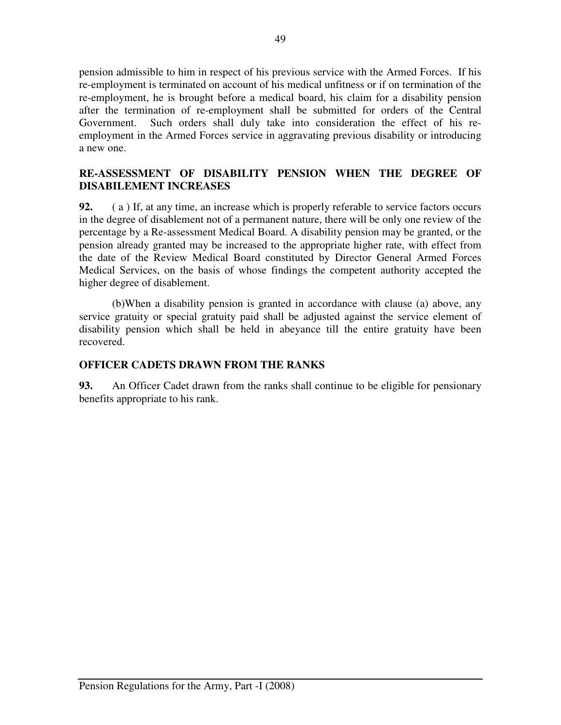pension admissible to him in respect of his previous service with the Armed Forces. If his re-employment is terminated on account of his medical unfitness or if on termination of the re-employment, he is brought before a medical board, his claim for a disability pension after the termination of re-employment shall be submitted for orders of the Central Government. Such orders shall duly take into consideration the effect of his reemployment in the Armed Forces service in aggravating previous disability or introducing a new one.

## **RE-ASSESSMENT OF DISABILITY PENSION WHEN THE DEGREE OF DISABILEMENT INCREASES**

**92.** ( a ) If, at any time, an increase which is properly referable to service factors occurs in the degree of disablement not of a permanent nature, there will be only one review of the percentage by a Re-assessment Medical Board. A disability pension may be granted, or the pension already granted may be increased to the appropriate higher rate, with effect from the date of the Review Medical Board constituted by Director General Armed Forces Medical Services, on the basis of whose findings the competent authority accepted the higher degree of disablement.

 (b)When a disability pension is granted in accordance with clause (a) above, any service gratuity or special gratuity paid shall be adjusted against the service element of disability pension which shall be held in abeyance till the entire gratuity have been recovered.

## **OFFICER CADETS DRAWN FROM THE RANKS**

**93.** An Officer Cadet drawn from the ranks shall continue to be eligible for pensionary benefits appropriate to his rank.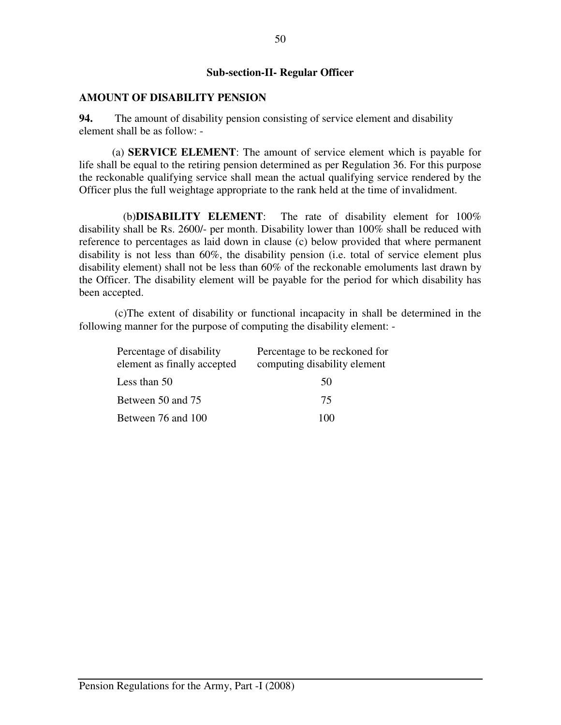### **Sub-section-II- Regular Officer**

#### **AMOUNT OF DISABILITY PENSION**

**94.** The amount of disability pension consisting of service element and disability element shall be as follow: -

(a) **SERVICE ELEMENT**: The amount of service element which is payable for life shall be equal to the retiring pension determined as per Regulation 36. For this purpose the reckonable qualifying service shall mean the actual qualifying service rendered by the Officer plus the full weightage appropriate to the rank held at the time of invalidment.

(b)**DISABILITY ELEMENT**: The rate of disability element for 100% disability shall be Rs. 2600/- per month. Disability lower than 100% shall be reduced with reference to percentages as laid down in clause (c) below provided that where permanent disability is not less than 60%, the disability pension (i.e. total of service element plus disability element) shall not be less than 60% of the reckonable emoluments last drawn by the Officer. The disability element will be payable for the period for which disability has been accepted.

 (c)The extent of disability or functional incapacity in shall be determined in the following manner for the purpose of computing the disability element: -

| Percentage of disability<br>element as finally accepted | Percentage to be reckoned for<br>computing disability element |
|---------------------------------------------------------|---------------------------------------------------------------|
| Less than 50                                            | 50                                                            |
| Between 50 and 75                                       | 75                                                            |
| Between 76 and 100                                      | 100                                                           |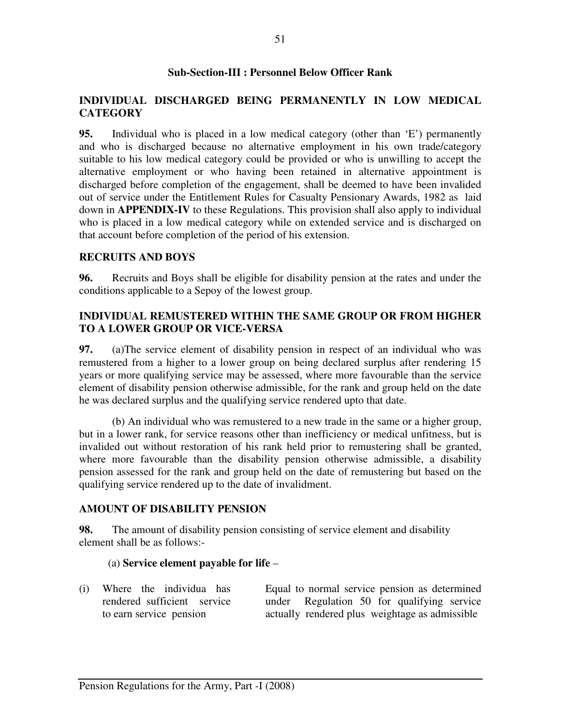### **Sub-Section-III : Personnel Below Officer Rank**

## **INDIVIDUAL DISCHARGED BEING PERMANENTLY IN LOW MEDICAL CATEGORY**

**95.** Individual who is placed in a low medical category (other than 'E') permanently and who is discharged because no alternative employment in his own trade/category suitable to his low medical category could be provided or who is unwilling to accept the alternative employment or who having been retained in alternative appointment is discharged before completion of the engagement, shall be deemed to have been invalided out of service under the Entitlement Rules for Casualty Pensionary Awards, 1982 as laid down in **APPENDIX-IV** to these Regulations. This provision shall also apply to individual who is placed in a low medical category while on extended service and is discharged on that account before completion of the period of his extension.

### **RECRUITS AND BOYS**

**96.** Recruits and Boys shall be eligible for disability pension at the rates and under the conditions applicable to a Sepoy of the lowest group.

### **INDIVIDUAL REMUSTERED WITHIN THE SAME GROUP OR FROM HIGHER TO A LOWER GROUP OR VICE-VERSA**

**97.** (a)The service element of disability pension in respect of an individual who was remustered from a higher to a lower group on being declared surplus after rendering 15 years or more qualifying service may be assessed, where more favourable than the service element of disability pension otherwise admissible, for the rank and group held on the date he was declared surplus and the qualifying service rendered upto that date.

(b) An individual who was remustered to a new trade in the same or a higher group, but in a lower rank, for service reasons other than inefficiency or medical unfitness, but is invalided out without restoration of his rank held prior to remustering shall be granted, where more favourable than the disability pension otherwise admissible, a disability pension assessed for the rank and group held on the date of remustering but based on the qualifying service rendered up to the date of invalidment.

### **AMOUNT OF DISABILITY PENSION**

**98.** The amount of disability pension consisting of service element and disability element shall be as follows:-

### (a) **Service element payable for life** –

(i) Where the individua has rendered sufficient service to earn service pension

 Equal to normal service pension as determined under Regulation 50 for qualifying service actually rendered plus weightage as admissible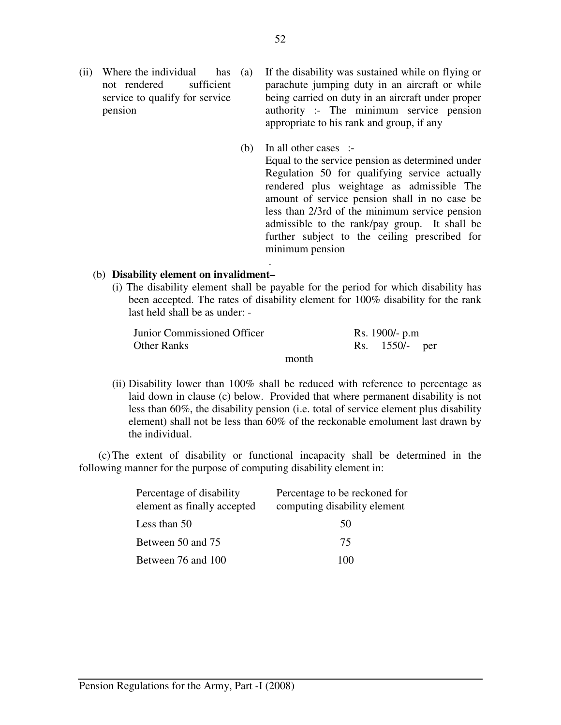(ii) Where the individual has (a) not rendered sufficient service to qualify for service pension

If the disability was sustained while on flying or parachute jumping duty in an aircraft or while being carried on duty in an aircraft under proper authority :- The minimum service pension appropriate to his rank and group, if any

 (b) In all other cases :- Equal to the service pension as determined under Regulation 50 for qualifying service actually rendered plus weightage as admissible The amount of service pension shall in no case be less than 2/3rd of the minimum service pension admissible to the rank/pay group. It shall be further subject to the ceiling prescribed for minimum pension

### (b) **Disability element on invalidment–**

**.** The contract of the contract of the contract of the contract of the contract of the contract of the contract of

(i) The disability element shall be payable for the period for which disability has been accepted. The rates of disability element for 100% disability for the rank last held shall be as under: -

Junior Commissioned Officer Rs. 1900/- p.m Other Ranks Rs. 1550/- per

month

(ii) Disability lower than 100% shall be reduced with reference to percentage as laid down in clause (c) below. Provided that where permanent disability is not less than 60%, the disability pension (i.e. total of service element plus disability element) shall not be less than 60% of the reckonable emolument last drawn by the individual.

 (c) The extent of disability or functional incapacity shall be determined in the following manner for the purpose of computing disability element in:

| Percentage of disability    | Percentage to be reckoned for |  |
|-----------------------------|-------------------------------|--|
| element as finally accepted | computing disability element  |  |
| Less than 50                | 50                            |  |
| Between 50 and 75           | 75.                           |  |
| Between 76 and 100          | 100                           |  |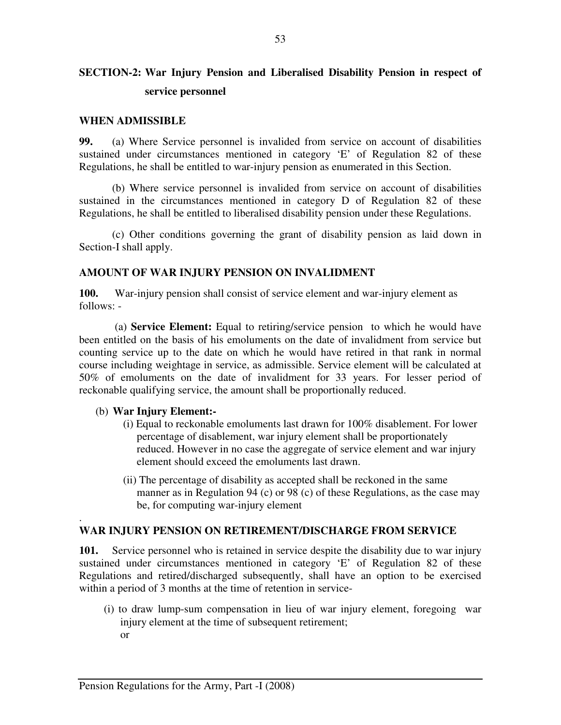# **SECTION-2: War Injury Pension and Liberalised Disability Pension in respect of service personnel**

### **WHEN ADMISSIBLE**

**99.** (a) Where Service personnel is invalided from service on account of disabilities sustained under circumstances mentioned in category 'E' of Regulation 82 of these Regulations, he shall be entitled to war-injury pension as enumerated in this Section.

(b) Where service personnel is invalided from service on account of disabilities sustained in the circumstances mentioned in category D of Regulation 82 of these Regulations, he shall be entitled to liberalised disability pension under these Regulations.

 (c) Other conditions governing the grant of disability pension as laid down in Section-I shall apply.

### **AMOUNT OF WAR INJURY PENSION ON INVALIDMENT**

**100.** War-injury pension shall consist of service element and war-injury element as follows: -

 (a) **Service Element:** Equal to retiring/service pension to which he would have been entitled on the basis of his emoluments on the date of invalidment from service but counting service up to the date on which he would have retired in that rank in normal course including weightage in service, as admissible. Service element will be calculated at 50% of emoluments on the date of invalidment for 33 years. For lesser period of reckonable qualifying service, the amount shall be proportionally reduced.

### (b) **War Injury Element:-**

.

- (i) Equal to reckonable emoluments last drawn for 100% disablement. For lower percentage of disablement, war injury element shall be proportionately reduced. However in no case the aggregate of service element and war injury element should exceed the emoluments last drawn.
- (ii) The percentage of disability as accepted shall be reckoned in the same manner as in Regulation 94 (c) or 98 (c) of these Regulations, as the case may be, for computing war-injury element

### **WAR INJURY PENSION ON RETIREMENT/DISCHARGE FROM SERVICE**

**101.** Service personnel who is retained in service despite the disability due to war injury sustained under circumstances mentioned in category 'E' of Regulation 82 of these Regulations and retired/discharged subsequently, shall have an option to be exercised within a period of 3 months at the time of retention in service-

(i) to draw lump-sum compensation in lieu of war injury element, foregoing war injury element at the time of subsequent retirement; or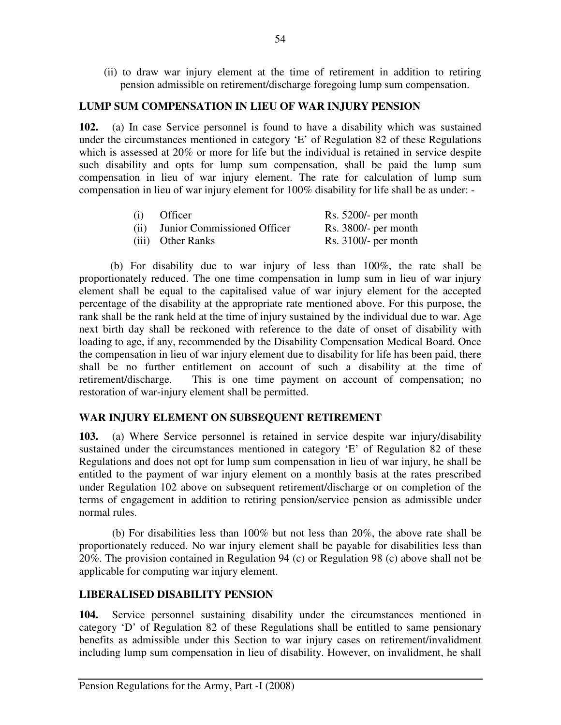(ii) to draw war injury element at the time of retirement in addition to retiring pension admissible on retirement/discharge foregoing lump sum compensation.

## **LUMP SUM COMPENSATION IN LIEU OF WAR INJURY PENSION**

**102.** (a) In case Service personnel is found to have a disability which was sustained under the circumstances mentioned in category 'E' of Regulation 82 of these Regulations which is assessed at 20% or more for life but the individual is retained in service despite such disability and opts for lump sum compensation, shall be paid the lump sum compensation in lieu of war injury element. The rate for calculation of lump sum compensation in lieu of war injury element for 100% disability for life shall be as under: -

| (i) | <b>Officer</b>                   | Rs. $5200/-$ per month |
|-----|----------------------------------|------------------------|
|     | (ii) Junior Commissioned Officer | $Rs. 3800/-$ per month |
|     | (iii) Other Ranks                | Rs. $3100/-$ per month |

 (b) For disability due to war injury of less than 100%, the rate shall be proportionately reduced. The one time compensation in lump sum in lieu of war injury element shall be equal to the capitalised value of war injury element for the accepted percentage of the disability at the appropriate rate mentioned above. For this purpose, the rank shall be the rank held at the time of injury sustained by the individual due to war. Age next birth day shall be reckoned with reference to the date of onset of disability with loading to age, if any, recommended by the Disability Compensation Medical Board. Once the compensation in lieu of war injury element due to disability for life has been paid, there shall be no further entitlement on account of such a disability at the time of retirement/discharge. This is one time payment on account of compensation; no restoration of war-injury element shall be permitted.

# **WAR INJURY ELEMENT ON SUBSEQUENT RETIREMENT**

**103.** (a) Where Service personnel is retained in service despite war injury/disability sustained under the circumstances mentioned in category 'E' of Regulation 82 of these Regulations and does not opt for lump sum compensation in lieu of war injury, he shall be entitled to the payment of war injury element on a monthly basis at the rates prescribed under Regulation 102 above on subsequent retirement/discharge or on completion of the terms of engagement in addition to retiring pension/service pension as admissible under normal rules.

(b) For disabilities less than 100% but not less than 20%, the above rate shall be proportionately reduced. No war injury element shall be payable for disabilities less than 20%. The provision contained in Regulation 94 (c) or Regulation 98 (c) above shall not be applicable for computing war injury element.

## **LIBERALISED DISABILITY PENSION**

**104.** Service personnel sustaining disability under the circumstances mentioned in category 'D' of Regulation 82 of these Regulations shall be entitled to same pensionary benefits as admissible under this Section to war injury cases on retirement/invalidment including lump sum compensation in lieu of disability. However, on invalidment, he shall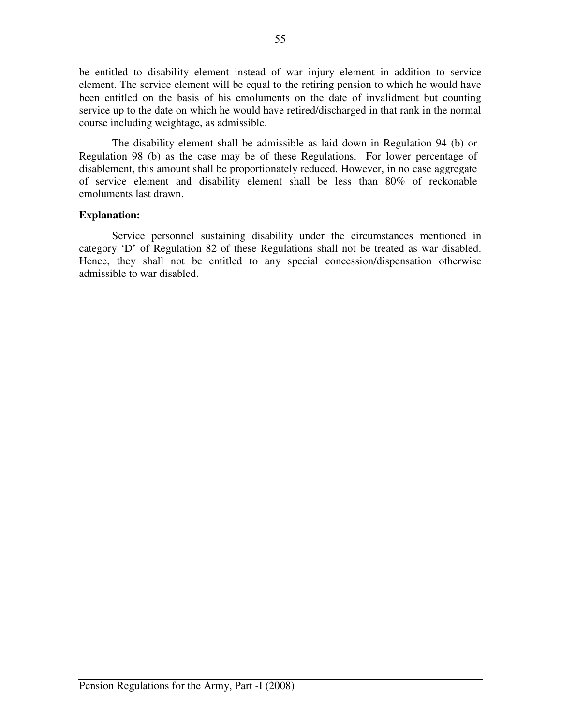be entitled to disability element instead of war injury element in addition to service element. The service element will be equal to the retiring pension to which he would have been entitled on the basis of his emoluments on the date of invalidment but counting service up to the date on which he would have retired/discharged in that rank in the normal course including weightage, as admissible.

The disability element shall be admissible as laid down in Regulation 94 (b) or Regulation 98 (b) as the case may be of these Regulations. For lower percentage of disablement, this amount shall be proportionately reduced. However, in no case aggregate of service element and disability element shall be less than 80% of reckonable emoluments last drawn.

### **Explanation:**

Service personnel sustaining disability under the circumstances mentioned in category 'D' of Regulation 82 of these Regulations shall not be treated as war disabled. Hence, they shall not be entitled to any special concession/dispensation otherwise admissible to war disabled.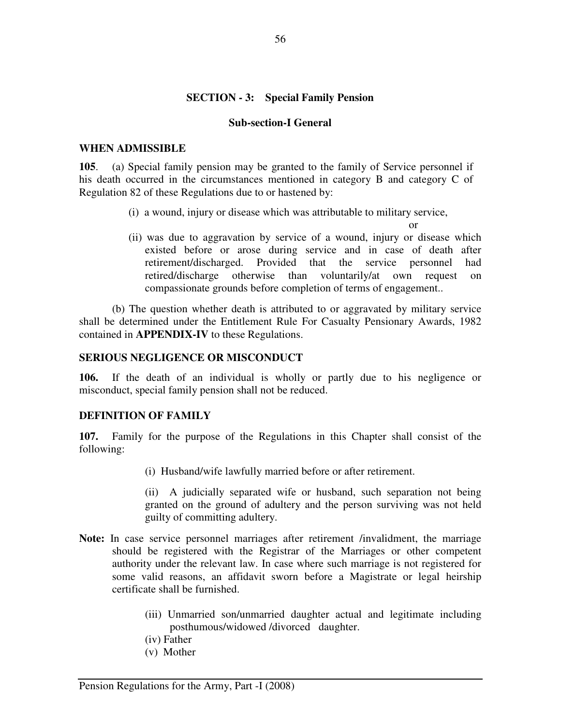## **SECTION - 3: Special Family Pension**

### **Sub-section-I General**

#### **WHEN ADMISSIBLE**

**105**. (a) Special family pension may be granted to the family of Service personnel if his death occurred in the circumstances mentioned in category B and category C of Regulation 82 of these Regulations due to or hastened by:

(i) a wound, injury or disease which was attributable to military service,

or

(ii) was due to aggravation by service of a wound, injury or disease which existed before or arose during service and in case of death after retirement/discharged. Provided that the service personnel had retired/discharge otherwise than voluntarily/at own request on compassionate grounds before completion of terms of engagement..

 (b) The question whether death is attributed to or aggravated by military service shall be determined under the Entitlement Rule For Casualty Pensionary Awards, 1982 contained in **APPENDIX-IV** to these Regulations.

### **SERIOUS NEGLIGENCE OR MISCONDUCT**

**106.** If the death of an individual is wholly or partly due to his negligence or misconduct, special family pension shall not be reduced.

### **DEFINITION OF FAMILY**

**107.** Family for the purpose of the Regulations in this Chapter shall consist of the following:

(i) Husband/wife lawfully married before or after retirement.

(ii) A judicially separated wife or husband, such separation not being granted on the ground of adultery and the person surviving was not held guilty of committing adultery.

- **Note:** In case service personnel marriages after retirement /invalidment, the marriage should be registered with the Registrar of the Marriages or other competent authority under the relevant law. In case where such marriage is not registered for some valid reasons, an affidavit sworn before a Magistrate or legal heirship certificate shall be furnished.
	- (iii) Unmarried son/unmarried daughter actual and legitimate including posthumous/widowed /divorced daughter.
	- (iv) Father
	- (v) Mother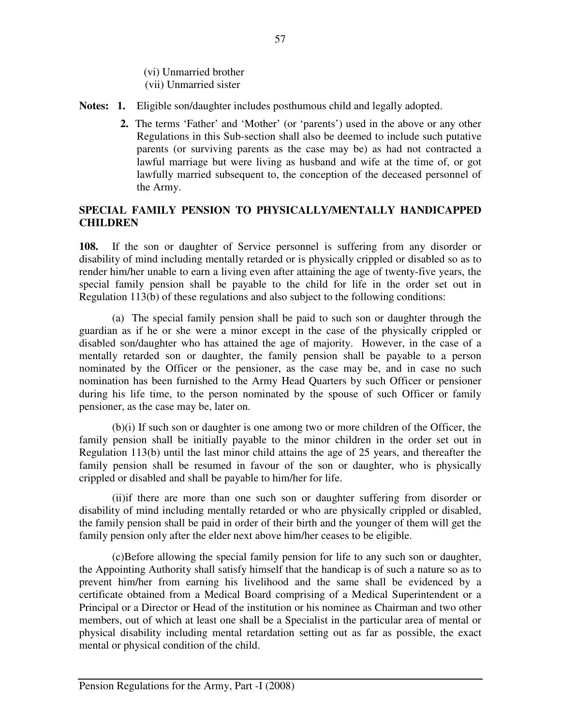(vi) Unmarried brother (vii) Unmarried sister

- **Notes: 1.** Eligible son/daughter includes posthumous child and legally adopted.
	- **2.** The terms 'Father' and 'Mother' (or 'parents') used in the above or any other Regulations in this Sub-section shall also be deemed to include such putative parents (or surviving parents as the case may be) as had not contracted a lawful marriage but were living as husband and wife at the time of, or got lawfully married subsequent to, the conception of the deceased personnel of the Army.

## **SPECIAL FAMILY PENSION TO PHYSICALLY/MENTALLY HANDICAPPED CHILDREN**

**108.** If the son or daughter of Service personnel is suffering from any disorder or disability of mind including mentally retarded or is physically crippled or disabled so as to render him/her unable to earn a living even after attaining the age of twenty-five years, the special family pension shall be payable to the child for life in the order set out in Regulation 113(b) of these regulations and also subject to the following conditions:

 (a) The special family pension shall be paid to such son or daughter through the guardian as if he or she were a minor except in the case of the physically crippled or disabled son/daughter who has attained the age of majority. However, in the case of a mentally retarded son or daughter, the family pension shall be payable to a person nominated by the Officer or the pensioner, as the case may be, and in case no such nomination has been furnished to the Army Head Quarters by such Officer or pensioner during his life time, to the person nominated by the spouse of such Officer or family pensioner, as the case may be, later on.

 (b)(i) If such son or daughter is one among two or more children of the Officer, the family pension shall be initially payable to the minor children in the order set out in Regulation 113(b) until the last minor child attains the age of 25 years, and thereafter the family pension shall be resumed in favour of the son or daughter, who is physically crippled or disabled and shall be payable to him/her for life.

 (ii)if there are more than one such son or daughter suffering from disorder or disability of mind including mentally retarded or who are physically crippled or disabled, the family pension shall be paid in order of their birth and the younger of them will get the family pension only after the elder next above him/her ceases to be eligible.

 (c)Before allowing the special family pension for life to any such son or daughter, the Appointing Authority shall satisfy himself that the handicap is of such a nature so as to prevent him/her from earning his livelihood and the same shall be evidenced by a certificate obtained from a Medical Board comprising of a Medical Superintendent or a Principal or a Director or Head of the institution or his nominee as Chairman and two other members, out of which at least one shall be a Specialist in the particular area of mental or physical disability including mental retardation setting out as far as possible, the exact mental or physical condition of the child.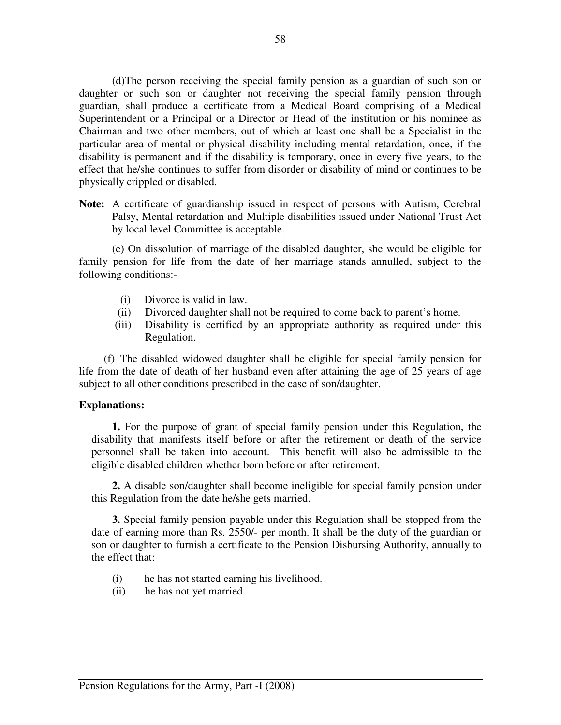(d)The person receiving the special family pension as a guardian of such son or daughter or such son or daughter not receiving the special family pension through guardian, shall produce a certificate from a Medical Board comprising of a Medical Superintendent or a Principal or a Director or Head of the institution or his nominee as Chairman and two other members, out of which at least one shall be a Specialist in the particular area of mental or physical disability including mental retardation, once, if the disability is permanent and if the disability is temporary, once in every five years, to the effect that he/she continues to suffer from disorder or disability of mind or continues to be physically crippled or disabled.

**Note:** A certificate of guardianship issued in respect of persons with Autism, Cerebral Palsy, Mental retardation and Multiple disabilities issued under National Trust Act by local level Committee is acceptable.

 (e) On dissolution of marriage of the disabled daughter, she would be eligible for family pension for life from the date of her marriage stands annulled, subject to the following conditions:-

- (i) Divorce is valid in law.
- (ii) Divorced daughter shall not be required to come back to parent's home.
- (iii) Disability is certified by an appropriate authority as required under this Regulation.

(f) The disabled widowed daughter shall be eligible for special family pension for life from the date of death of her husband even after attaining the age of 25 years of age subject to all other conditions prescribed in the case of son/daughter.

### **Explanations:**

 **1.** For the purpose of grant of special family pension under this Regulation, the disability that manifests itself before or after the retirement or death of the service personnel shall be taken into account. This benefit will also be admissible to the eligible disabled children whether born before or after retirement.

**2.** A disable son/daughter shall become ineligible for special family pension under this Regulation from the date he/she gets married.

 **3.** Special family pension payable under this Regulation shall be stopped from the date of earning more than Rs. 2550/- per month. It shall be the duty of the guardian or son or daughter to furnish a certificate to the Pension Disbursing Authority, annually to the effect that:

- (i)he has not started earning his livelihood.
- (ii) he has not yet married.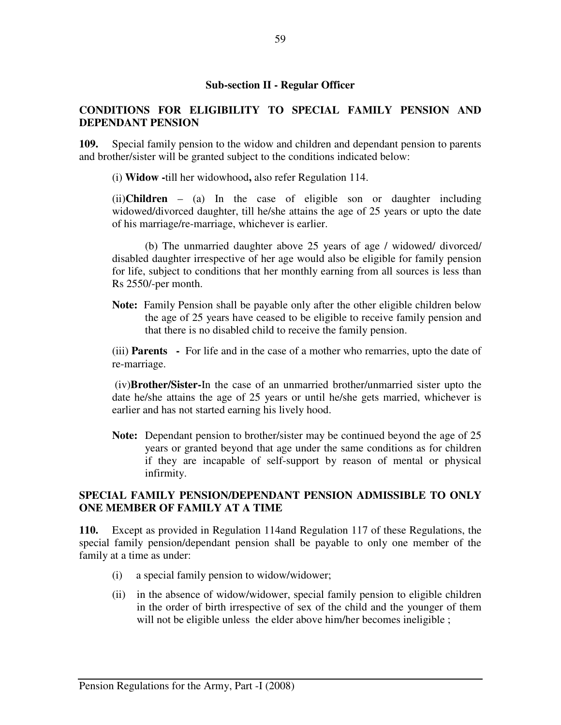## **CONDITIONS FOR ELIGIBILITY TO SPECIAL FAMILY PENSION AND DEPENDANT PENSION**

**109.** Special family pension to the widow and children and dependant pension to parents and brother/sister will be granted subject to the conditions indicated below:

(i) **Widow -**till her widowhood**,** also refer Regulation 114.

(ii)**Children** – (a) In the case of eligible son or daughter including widowed/divorced daughter, till he/she attains the age of 25 years or upto the date of his marriage/re-marriage, whichever is earlier.

(b) The unmarried daughter above 25 years of age / widowed/ divorced/ disabled daughter irrespective of her age would also be eligible for family pension for life, subject to conditions that her monthly earning from all sources is less than Rs 2550/-per month.

**Note:** Family Pension shall be payable only after the other eligible children below the age of 25 years have ceased to be eligible to receive family pension and that there is no disabled child to receive the family pension.

(iii) **Parents -** For life and in the case of a mother who remarries, upto the date of re-marriage.

 (iv)**Brother/Sister-**In the case of an unmarried brother/unmarried sister upto the date he/she attains the age of 25 years or until he/she gets married, whichever is earlier and has not started earning his lively hood.

**Note:** Dependant pension to brother/sister may be continued beyond the age of 25 years or granted beyond that age under the same conditions as for children if they are incapable of self-support by reason of mental or physical infirmity.

## **SPECIAL FAMILY PENSION/DEPENDANT PENSION ADMISSIBLE TO ONLY ONE MEMBER OF FAMILY AT A TIME**

**110.** Except as provided in Regulation 114and Regulation 117 of these Regulations, the special family pension/dependant pension shall be payable to only one member of the family at a time as under:

- (i) a special family pension to widow/widower;
- (ii) in the absence of widow/widower, special family pension to eligible children in the order of birth irrespective of sex of the child and the younger of them will not be eligible unless the elder above him/her becomes ineligible ;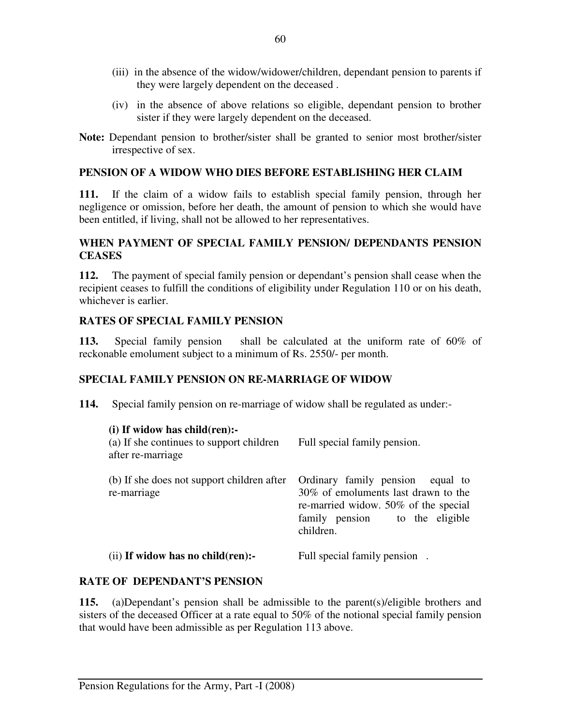- (iii) in the absence of the widow/widower/children, dependant pension to parents if they were largely dependent on the deceased .
- (iv) in the absence of above relations so eligible, dependant pension to brother sister if they were largely dependent on the deceased.
- **Note:** Dependant pension to brother/sister shall be granted to senior most brother/sister irrespective of sex.

### **PENSION OF A WIDOW WHO DIES BEFORE ESTABLISHING HER CLAIM**

**111.** If the claim of a widow fails to establish special family pension, through her negligence or omission, before her death, the amount of pension to which she would have been entitled, if living, shall not be allowed to her representatives.

### **WHEN PAYMENT OF SPECIAL FAMILY PENSION/ DEPENDANTS PENSION CEASES**

**112.** The payment of special family pension or dependant's pension shall cease when the recipient ceases to fulfill the conditions of eligibility under Regulation 110 or on his death, whichever is earlier.

### **RATES OF SPECIAL FAMILY PENSION**

**113.** Special family pension shall be calculated at the uniform rate of 60% of reckonable emolument subject to a minimum of Rs. 2550/- per month.

## **SPECIAL FAMILY PENSION ON RE-MARRIAGE OF WIDOW**

**114.** Special family pension on re-marriage of widow shall be regulated as under:-

| $(i)$ If widow has child $(ren)$ :-<br>(a) If she continues to support children<br>after re-marriage | Full special family pension.                                                                                                                                      |
|------------------------------------------------------------------------------------------------------|-------------------------------------------------------------------------------------------------------------------------------------------------------------------|
| (b) If she does not support children after<br>re-marriage                                            | Ordinary family pension<br>equal to<br>30% of emoluments last drawn to the<br>re-married widow. 50% of the special<br>family pension to the eligible<br>children. |
| (ii) If widow has no child(ren):-                                                                    | Full special family pension.                                                                                                                                      |

## **RATE OF DEPENDANT'S PENSION**

**115.** (a)Dependant's pension shall be admissible to the parent(s)/eligible brothers and sisters of the deceased Officer at a rate equal to 50% of the notional special family pension that would have been admissible as per Regulation 113 above.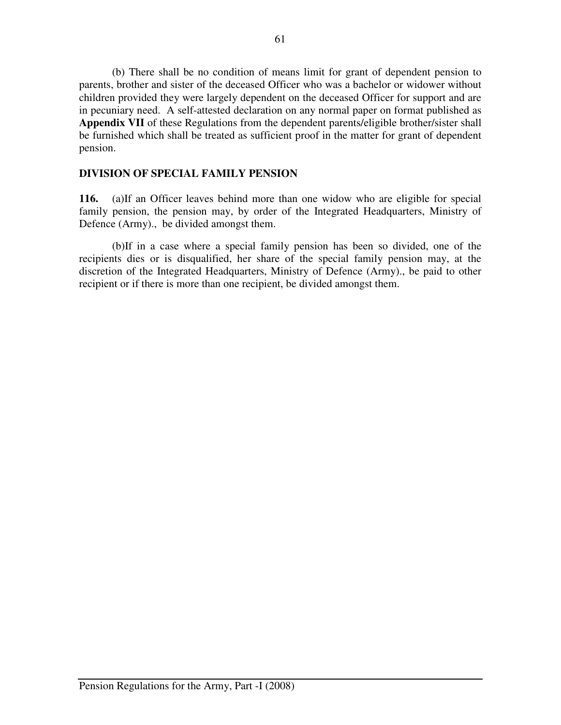(b) There shall be no condition of means limit for grant of dependent pension to parents, brother and sister of the deceased Officer who was a bachelor or widower without children provided they were largely dependent on the deceased Officer for support and are in pecuniary need. A self-attested declaration on any normal paper on format published as **Appendix VII** of these Regulations from the dependent parents/eligible brother/sister shall be furnished which shall be treated as sufficient proof in the matter for grant of dependent pension.

### **DIVISION OF SPECIAL FAMILY PENSION**

**116.** (a)If an Officer leaves behind more than one widow who are eligible for special family pension, the pension may, by order of the Integrated Headquarters, Ministry of Defence (Army)., be divided amongst them.

 (b)If in a case where a special family pension has been so divided, one of the recipients dies or is disqualified, her share of the special family pension may, at the discretion of the Integrated Headquarters, Ministry of Defence (Army)., be paid to other recipient or if there is more than one recipient, be divided amongst them.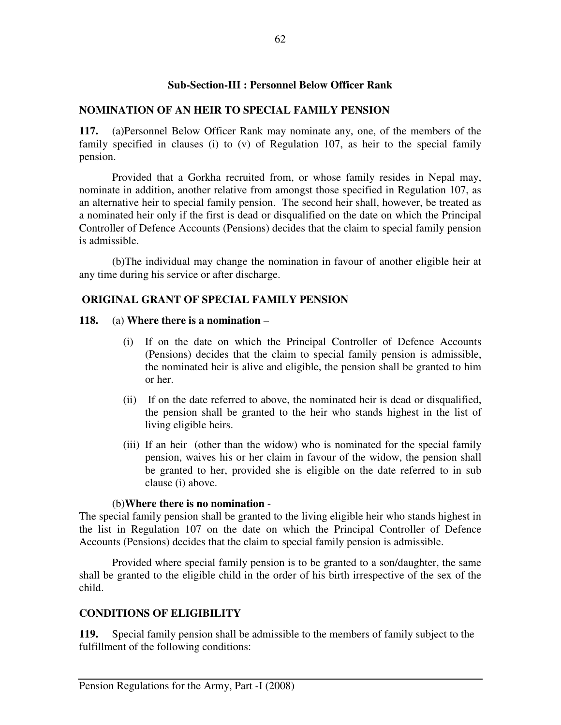### **Sub-Section-III : Personnel Below Officer Rank**

### **NOMINATION OF AN HEIR TO SPECIAL FAMILY PENSION**

**117.** (a)Personnel Below Officer Rank may nominate any, one, of the members of the family specified in clauses (i) to (v) of Regulation 107, as heir to the special family pension.

 Provided that a Gorkha recruited from, or whose family resides in Nepal may, nominate in addition, another relative from amongst those specified in Regulation 107, as an alternative heir to special family pension. The second heir shall, however, be treated as a nominated heir only if the first is dead or disqualified on the date on which the Principal Controller of Defence Accounts (Pensions) decides that the claim to special family pension is admissible.

(b)The individual may change the nomination in favour of another eligible heir at any time during his service or after discharge.

## **ORIGINAL GRANT OF SPECIAL FAMILY PENSION**

### **118.** (a) **Where there is a nomination** –

- (i) If on the date on which the Principal Controller of Defence Accounts (Pensions) decides that the claim to special family pension is admissible, the nominated heir is alive and eligible, the pension shall be granted to him or her.
- (ii) If on the date referred to above, the nominated heir is dead or disqualified, the pension shall be granted to the heir who stands highest in the list of living eligible heirs.
- (iii) If an heir (other than the widow) who is nominated for the special family pension, waives his or her claim in favour of the widow, the pension shall be granted to her, provided she is eligible on the date referred to in sub clause (i) above.

### (b)**Where there is no nomination** -

The special family pension shall be granted to the living eligible heir who stands highest in the list in Regulation 107 on the date on which the Principal Controller of Defence Accounts (Pensions) decides that the claim to special family pension is admissible.

 Provided where special family pension is to be granted to a son/daughter, the same shall be granted to the eligible child in the order of his birth irrespective of the sex of the child.

## **CONDITIONS OF ELIGIBILITY**

**119.** Special family pension shall be admissible to the members of family subject to the fulfillment of the following conditions: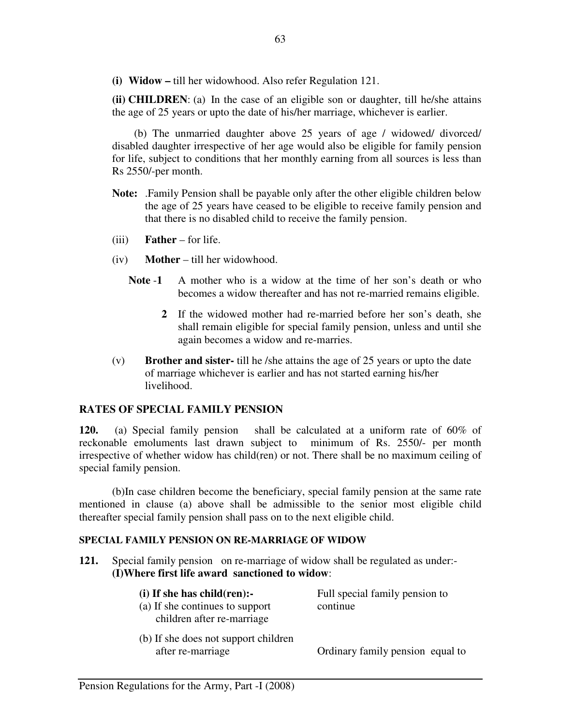**(i) Widow –** till her widowhood. Also refer Regulation 121.

**(ii) CHILDREN**: (a) In the case of an eligible son or daughter, till he/she attains the age of 25 years or upto the date of his/her marriage, whichever is earlier.

 (b) The unmarried daughter above 25 years of age / widowed/ divorced/ disabled daughter irrespective of her age would also be eligible for family pension for life, subject to conditions that her monthly earning from all sources is less than Rs 2550/-per month.

- **Note:** .Family Pension shall be payable only after the other eligible children below the age of 25 years have ceased to be eligible to receive family pension and that there is no disabled child to receive the family pension.
- (iii) **Father** for life.
- (iv) **Mother** till her widowhood.
	- **Note** -**1** A mother who is a widow at the time of her son's death or who becomes a widow thereafter and has not re-married remains eligible.
		- **2** If the widowed mother had re-married before her son's death, she shall remain eligible for special family pension, unless and until she again becomes a widow and re-marries.
- (v) **Brother and sister-** till he /she attains the age of 25 years or upto the date of marriage whichever is earlier and has not started earning his/her livelihood.

# **RATES OF SPECIAL FAMILY PENSION**

**120.** (a) Special family pension shall be calculated at a uniform rate of 60% of reckonable emoluments last drawn subject to minimum of Rs. 2550/- per month irrespective of whether widow has child(ren) or not. There shall be no maximum ceiling of special family pension.

(b)In case children become the beneficiary, special family pension at the same rate mentioned in clause (a) above shall be admissible to the senior most eligible child thereafter special family pension shall pass on to the next eligible child.

# **SPECIAL FAMILY PENSION ON RE-MARRIAGE OF WIDOW**

**121.** Special family pension on re-marriage of widow shall be regulated as under:- **(I)Where first life award sanctioned to widow**:

| $(i)$ If she has child $(ren)$ :- | Full special family pension to |
|-----------------------------------|--------------------------------|
| (a) If she continues to support   | continue                       |
| children after re-marriage        |                                |

(b) If she does not support children after re-marriage Ordinary family pension equal to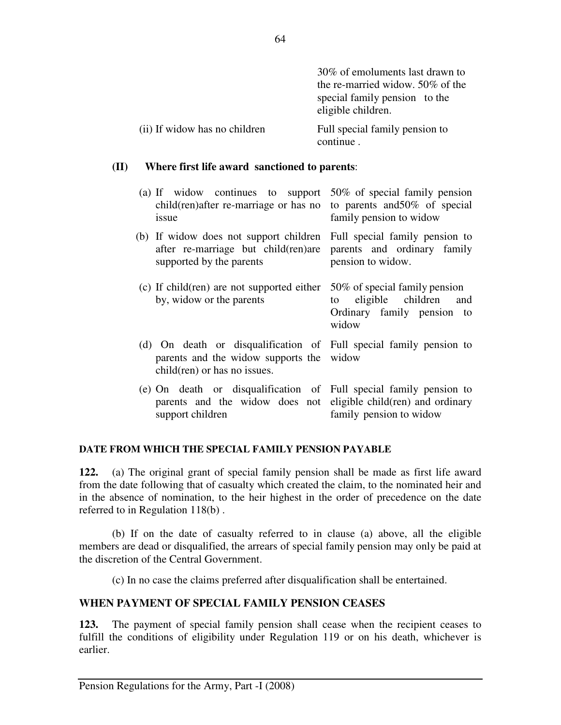|                               | 30% of emoluments last drawn to                     |
|-------------------------------|-----------------------------------------------------|
|                               | the re-married widow. $50\%$ of the                 |
|                               | special family pension to the<br>eligible children. |
| (ii) If widow has no children | Full special family pension to<br>continue.         |

#### **(II) Where first life award sanctioned to parents**:

| (a) If widow continues to support<br>child(ren)after re-marriage or has no<br>issue                                                                       | 50% of special family pension<br>to parents and 50% of special<br>family pension to widow              |
|-----------------------------------------------------------------------------------------------------------------------------------------------------------|--------------------------------------------------------------------------------------------------------|
| (b) If widow does not support children<br>after re-marriage but child(ren)are<br>supported by the parents                                                 | Full special family pension to<br>parents and ordinary family<br>pension to widow.                     |
| (c) If child(ren) are not supported either<br>by, widow or the parents                                                                                    | 50% of special family pension<br>eligible children<br>and<br>to<br>Ordinary family pension to<br>widow |
| (d) On death or disqualification of Full special family pension to<br>parents and the widow supports the widow<br>child(ren) or has no issues.            |                                                                                                        |
| (e) On death or disqualification of Full special family pension to<br>parents and the widow does not eligible child(ren) and ordinary<br>support children | family pension to widow                                                                                |

#### **DATE FROM WHICH THE SPECIAL FAMILY PENSION PAYABLE**

**122.** (a) The original grant of special family pension shall be made as first life award from the date following that of casualty which created the claim, to the nominated heir and in the absence of nomination, to the heir highest in the order of precedence on the date referred to in Regulation 118(b) .

 (b) If on the date of casualty referred to in clause (a) above, all the eligible members are dead or disqualified, the arrears of special family pension may only be paid at the discretion of the Central Government.

(c) In no case the claims preferred after disqualification shall be entertained.

#### **WHEN PAYMENT OF SPECIAL FAMILY PENSION CEASES**

**123.** The payment of special family pension shall cease when the recipient ceases to fulfill the conditions of eligibility under Regulation 119 or on his death, whichever is earlier.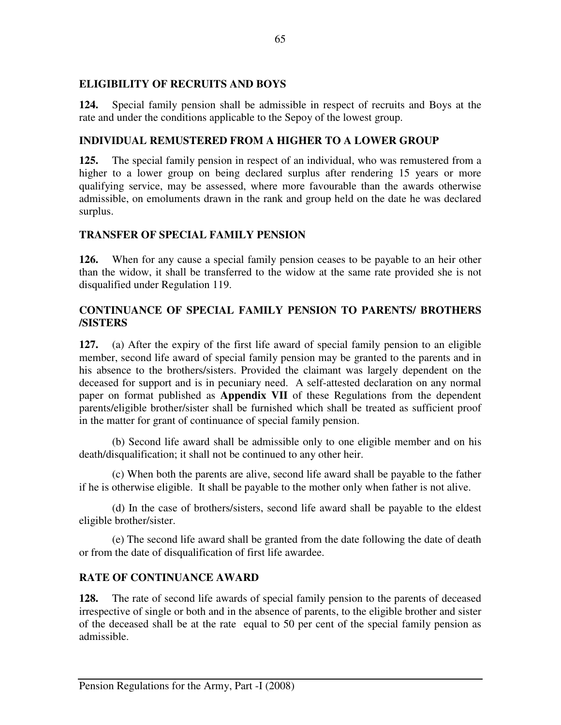## **ELIGIBILITY OF RECRUITS AND BOYS**

**124.** Special family pension shall be admissible in respect of recruits and Boys at the rate and under the conditions applicable to the Sepoy of the lowest group.

# **INDIVIDUAL REMUSTERED FROM A HIGHER TO A LOWER GROUP**

**125.** The special family pension in respect of an individual, who was remustered from a higher to a lower group on being declared surplus after rendering 15 years or more qualifying service, may be assessed, where more favourable than the awards otherwise admissible, on emoluments drawn in the rank and group held on the date he was declared surplus.

# **TRANSFER OF SPECIAL FAMILY PENSION**

**126.** When for any cause a special family pension ceases to be payable to an heir other than the widow, it shall be transferred to the widow at the same rate provided she is not disqualified under Regulation 119.

# **CONTINUANCE OF SPECIAL FAMILY PENSION TO PARENTS/ BROTHERS /SISTERS**

**127.** (a) After the expiry of the first life award of special family pension to an eligible member, second life award of special family pension may be granted to the parents and in his absence to the brothers/sisters. Provided the claimant was largely dependent on the deceased for support and is in pecuniary need. A self-attested declaration on any normal paper on format published as **Appendix VII** of these Regulations from the dependent parents/eligible brother/sister shall be furnished which shall be treated as sufficient proof in the matter for grant of continuance of special family pension.

(b) Second life award shall be admissible only to one eligible member and on his death/disqualification; it shall not be continued to any other heir.

(c) When both the parents are alive, second life award shall be payable to the father if he is otherwise eligible. It shall be payable to the mother only when father is not alive.

(d) In the case of brothers/sisters, second life award shall be payable to the eldest eligible brother/sister.

(e) The second life award shall be granted from the date following the date of death or from the date of disqualification of first life awardee.

#### **RATE OF CONTINUANCE AWARD**

**128.** The rate of second life awards of special family pension to the parents of deceased irrespective of single or both and in the absence of parents, to the eligible brother and sister of the deceased shall be at the rate equal to 50 per cent of the special family pension as admissible.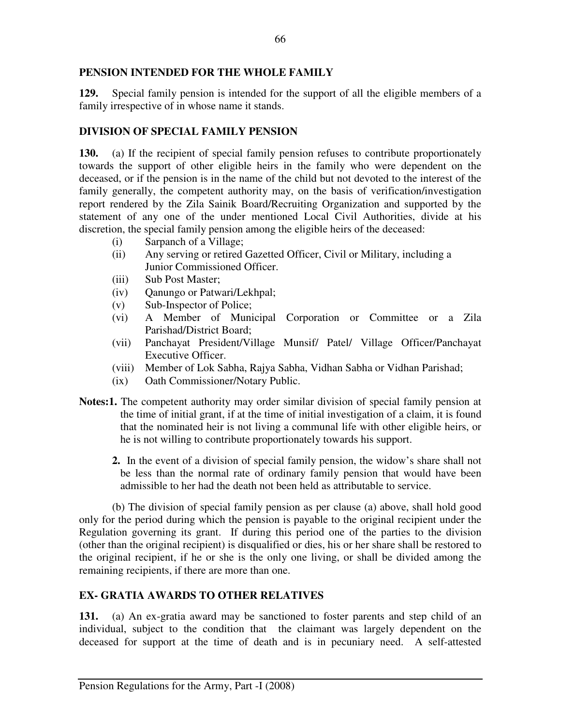# **PENSION INTENDED FOR THE WHOLE FAMILY**

**129.** Special family pension is intended for the support of all the eligible members of a family irrespective of in whose name it stands.

# **DIVISION OF SPECIAL FAMILY PENSION**

**130.** (a) If the recipient of special family pension refuses to contribute proportionately towards the support of other eligible heirs in the family who were dependent on the deceased, or if the pension is in the name of the child but not devoted to the interest of the family generally, the competent authority may, on the basis of verification/investigation report rendered by the Zila Sainik Board/Recruiting Organization and supported by the statement of any one of the under mentioned Local Civil Authorities, divide at his discretion, the special family pension among the eligible heirs of the deceased:

- (i) Sarpanch of a Village;
- (ii) Any serving or retired Gazetted Officer, Civil or Military, including a Junior Commissioned Officer.
- (iii) Sub Post Master;
- (iv) Qanungo or Patwari/Lekhpal;
- (v) Sub-Inspector of Police;
- (vi) A Member of Municipal Corporation or Committee or a Zila Parishad/District Board;
- (vii) Panchayat President/Village Munsif/ Patel/ Village Officer/Panchayat Executive Officer.
- (viii) Member of Lok Sabha, Rajya Sabha, Vidhan Sabha or Vidhan Parishad;
- (ix) Oath Commissioner/Notary Public.
- **Notes:1.** The competent authority may order similar division of special family pension at the time of initial grant, if at the time of initial investigation of a claim, it is found that the nominated heir is not living a communal life with other eligible heirs, or he is not willing to contribute proportionately towards his support.
	- **2.** In the event of a division of special family pension, the widow's share shall not be less than the normal rate of ordinary family pension that would have been admissible to her had the death not been held as attributable to service.

 (b) The division of special family pension as per clause (a) above, shall hold good only for the period during which the pension is payable to the original recipient under the Regulation governing its grant. If during this period one of the parties to the division (other than the original recipient) is disqualified or dies, his or her share shall be restored to the original recipient, if he or she is the only one living, or shall be divided among the remaining recipients, if there are more than one.

# **EX- GRATIA AWARDS TO OTHER RELATIVES**

**131.** (a) An ex-gratia award may be sanctioned to foster parents and step child of an individual, subject to the condition that the claimant was largely dependent on the deceased for support at the time of death and is in pecuniary need. A self-attested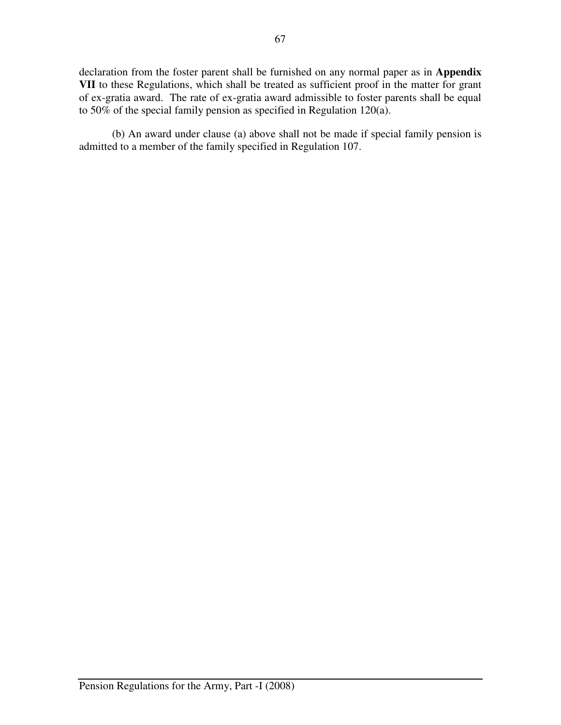declaration from the foster parent shall be furnished on any normal paper as in **Appendix VII** to these Regulations, which shall be treated as sufficient proof in the matter for grant of ex-gratia award. The rate of ex-gratia award admissible to foster parents shall be equal to 50% of the special family pension as specified in Regulation 120(a).

(b) An award under clause (a) above shall not be made if special family pension is admitted to a member of the family specified in Regulation 107.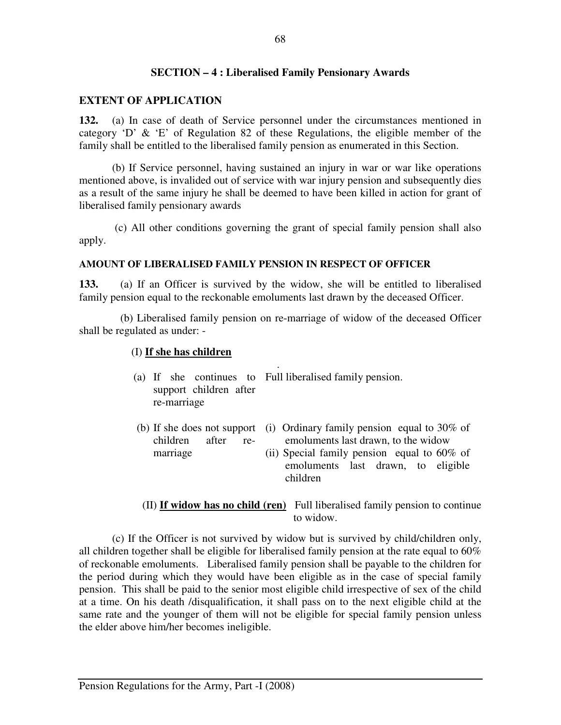#### **SECTION – 4 : Liberalised Family Pensionary Awards**

#### **EXTENT OF APPLICATION**

**132.** (a) In case of death of Service personnel under the circumstances mentioned in category 'D' & 'E' of Regulation 82 of these Regulations, the eligible member of the family shall be entitled to the liberalised family pension as enumerated in this Section.

(b) If Service personnel, having sustained an injury in war or war like operations mentioned above, is invalided out of service with war injury pension and subsequently dies as a result of the same injury he shall be deemed to have been killed in action for grant of liberalised family pensionary awards

 (c) All other conditions governing the grant of special family pension shall also apply.

#### **AMOUNT OF LIBERALISED FAMILY PENSION IN RESPECT OF OFFICER**

**133.** (a) If an Officer is survived by the widow, she will be entitled to liberalised family pension equal to the reckonable emoluments last drawn by the deceased Officer.

 (b) Liberalised family pension on re-marriage of widow of the deceased Officer shall be regulated as under: -

#### (I) **If she has children**

- . (a) If she continues to Full liberalised family pension. support children after re-marriage
- (b) If she does not support (i) Ordinary family pension equal to 30% of children after remarriage emoluments last drawn, to the widow
	- (ii) Special family pension equal to 60% of emoluments last drawn, to eligible children
- (II) **If widow has no child (ren)** Full liberalised family pension to continue to widow.

 (c) If the Officer is not survived by widow but is survived by child/children only, all children together shall be eligible for liberalised family pension at the rate equal to 60% of reckonable emoluments. Liberalised family pension shall be payable to the children for the period during which they would have been eligible as in the case of special family pension. This shall be paid to the senior most eligible child irrespective of sex of the child at a time. On his death /disqualification, it shall pass on to the next eligible child at the same rate and the younger of them will not be eligible for special family pension unless the elder above him/her becomes ineligible.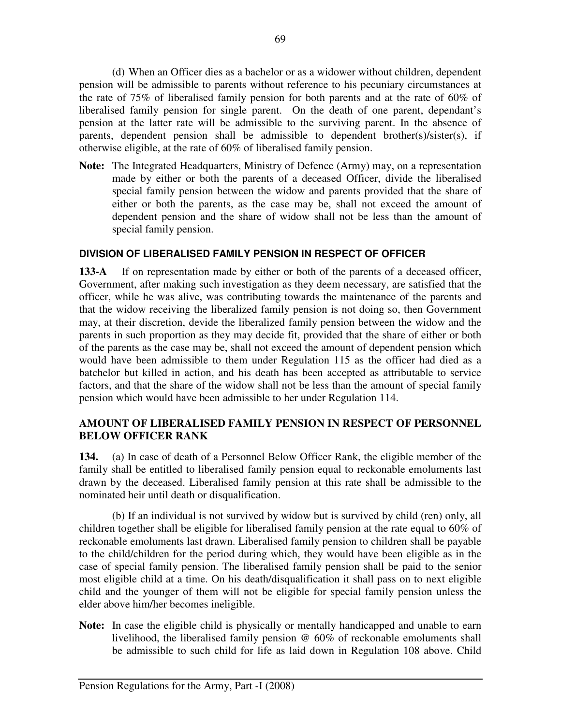(d) When an Officer dies as a bachelor or as a widower without children, dependent pension will be admissible to parents without reference to his pecuniary circumstances at the rate of 75% of liberalised family pension for both parents and at the rate of 60% of liberalised family pension for single parent. On the death of one parent, dependant's pension at the latter rate will be admissible to the surviving parent. In the absence of parents, dependent pension shall be admissible to dependent brother(s)/sister(s), if otherwise eligible, at the rate of 60% of liberalised family pension.

**Note:** The Integrated Headquarters, Ministry of Defence (Army) may, on a representation made by either or both the parents of a deceased Officer, divide the liberalised special family pension between the widow and parents provided that the share of either or both the parents, as the case may be, shall not exceed the amount of dependent pension and the share of widow shall not be less than the amount of special family pension.

# **DIVISION OF LIBERALISED FAMILY PENSION IN RESPECT OF OFFICER**

**133-A** If on representation made by either or both of the parents of a deceased officer, Government, after making such investigation as they deem necessary, are satisfied that the officer, while he was alive, was contributing towards the maintenance of the parents and that the widow receiving the liberalized family pension is not doing so, then Government may, at their discretion, devide the liberalized family pension between the widow and the parents in such proportion as they may decide fit, provided that the share of either or both of the parents as the case may be, shall not exceed the amount of dependent pension which would have been admissible to them under Regulation 115 as the officer had died as a batchelor but killed in action, and his death has been accepted as attributable to service factors, and that the share of the widow shall not be less than the amount of special family pension which would have been admissible to her under Regulation 114.

# **AMOUNT OF LIBERALISED FAMILY PENSION IN RESPECT OF PERSONNEL BELOW OFFICER RANK**

**134.** (a) In case of death of a Personnel Below Officer Rank, the eligible member of the family shall be entitled to liberalised family pension equal to reckonable emoluments last drawn by the deceased. Liberalised family pension at this rate shall be admissible to the nominated heir until death or disqualification.

(b) If an individual is not survived by widow but is survived by child (ren) only, all children together shall be eligible for liberalised family pension at the rate equal to 60% of reckonable emoluments last drawn. Liberalised family pension to children shall be payable to the child/children for the period during which, they would have been eligible as in the case of special family pension. The liberalised family pension shall be paid to the senior most eligible child at a time. On his death/disqualification it shall pass on to next eligible child and the younger of them will not be eligible for special family pension unless the elder above him/her becomes ineligible.

**Note:** In case the eligible child is physically or mentally handicapped and unable to earn livelihood, the liberalised family pension @ 60% of reckonable emoluments shall be admissible to such child for life as laid down in Regulation 108 above. Child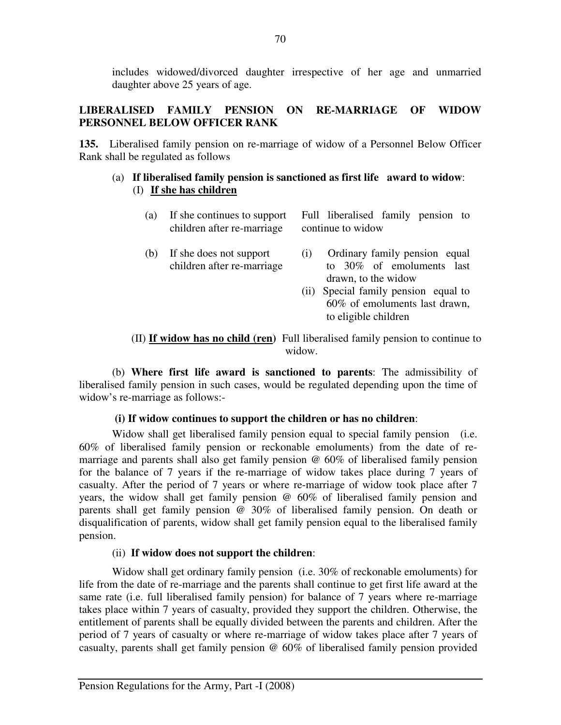includes widowed/divorced daughter irrespective of her age and unmarried daughter above 25 years of age.

# **LIBERALISED FAMILY PENSION ON RE-MARRIAGE OF WIDOW PERSONNEL BELOW OFFICER RANK**

**135.** Liberalised family pension on re-marriage of widow of a Personnel Below Officer Rank shall be regulated as follows

## (a) **If liberalised family pension is sanctioned as first life award to widow**: (I) **If she has children**

| (a) | If she continues to support<br>children after re-marriage | Full liberalised family pension to<br>continue to widow                                          |  |
|-----|-----------------------------------------------------------|--------------------------------------------------------------------------------------------------|--|
| (b) | If she does not support<br>children after re-marriage     | Ordinary family pension equal<br>(1)<br>to 30% of emoluments last<br>drawn, to the widow         |  |
|     |                                                           | Special family pension equal to<br>(11)<br>60% of emoluments last drawn,<br>to eligible children |  |

 (II) **If widow has no child (ren)** Full liberalised family pension to continue to widow.

(b) **Where first life award is sanctioned to parents**: The admissibility of liberalised family pension in such cases, would be regulated depending upon the time of widow's re-marriage as follows:-

# **(i) If widow continues to support the children or has no children**:

Widow shall get liberalised family pension equal to special family pension (i.e. 60% of liberalised family pension or reckonable emoluments) from the date of remarriage and parents shall also get family pension @ 60% of liberalised family pension for the balance of 7 years if the re-marriage of widow takes place during 7 years of casualty. After the period of 7 years or where re-marriage of widow took place after 7 years, the widow shall get family pension @ 60% of liberalised family pension and parents shall get family pension @ 30% of liberalised family pension. On death or disqualification of parents, widow shall get family pension equal to the liberalised family pension.

#### (ii) **If widow does not support the children**:

Widow shall get ordinary family pension (i.e. 30% of reckonable emoluments) for life from the date of re-marriage and the parents shall continue to get first life award at the same rate (i.e. full liberalised family pension) for balance of 7 years where re-marriage takes place within 7 years of casualty, provided they support the children. Otherwise, the entitlement of parents shall be equally divided between the parents and children. After the period of 7 years of casualty or where re-marriage of widow takes place after 7 years of casualty, parents shall get family pension @ 60% of liberalised family pension provided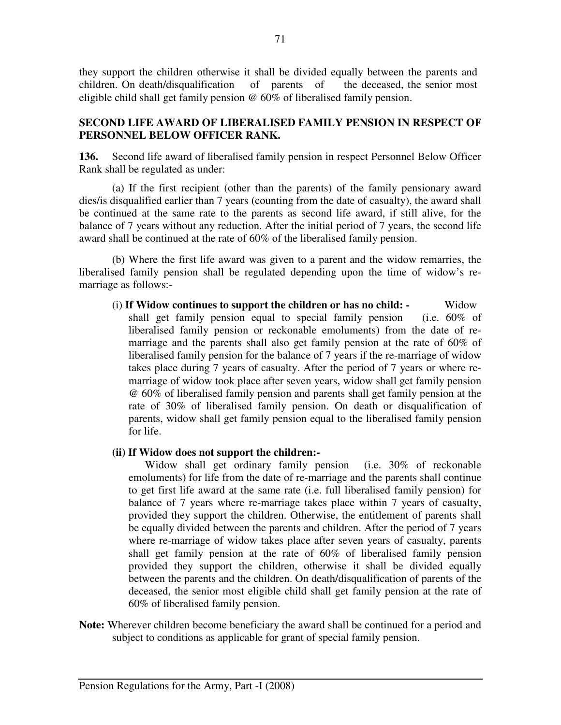they support the children otherwise it shall be divided equally between the parents and children. On death/disqualification of parents of the deceased, the senior most eligible child shall get family pension @ 60% of liberalised family pension.

# **SECOND LIFE AWARD OF LIBERALISED FAMILY PENSION IN RESPECT OF PERSONNEL BELOW OFFICER RANK.**

**136.** Second life award of liberalised family pension in respect Personnel Below Officer Rank shall be regulated as under:

 (a) If the first recipient (other than the parents) of the family pensionary award dies/is disqualified earlier than 7 years (counting from the date of casualty), the award shall be continued at the same rate to the parents as second life award, if still alive, for the balance of 7 years without any reduction. After the initial period of 7 years, the second life award shall be continued at the rate of 60% of the liberalised family pension.

 (b) Where the first life award was given to a parent and the widow remarries, the liberalised family pension shall be regulated depending upon the time of widow's remarriage as follows:-

(i) **If Widow continues to support the children or has no child: -** Widow shall get family pension equal to special family pension (i.e. 60% of liberalised family pension or reckonable emoluments) from the date of remarriage and the parents shall also get family pension at the rate of 60% of liberalised family pension for the balance of 7 years if the re-marriage of widow takes place during 7 years of casualty. After the period of 7 years or where remarriage of widow took place after seven years, widow shall get family pension @ 60% of liberalised family pension and parents shall get family pension at the rate of 30% of liberalised family pension. On death or disqualification of parents, widow shall get family pension equal to the liberalised family pension for life.

#### **(ii) If Widow does not support the children:-**

Widow shall get ordinary family pension (i.e. 30% of reckonable emoluments) for life from the date of re-marriage and the parents shall continue to get first life award at the same rate (i.e. full liberalised family pension) for balance of 7 years where re-marriage takes place within 7 years of casualty, provided they support the children. Otherwise, the entitlement of parents shall be equally divided between the parents and children. After the period of 7 years where re-marriage of widow takes place after seven years of casualty, parents shall get family pension at the rate of 60% of liberalised family pension provided they support the children, otherwise it shall be divided equally between the parents and the children. On death/disqualification of parents of the deceased, the senior most eligible child shall get family pension at the rate of 60% of liberalised family pension.

**Note:** Wherever children become beneficiary the award shall be continued for a period and subject to conditions as applicable for grant of special family pension.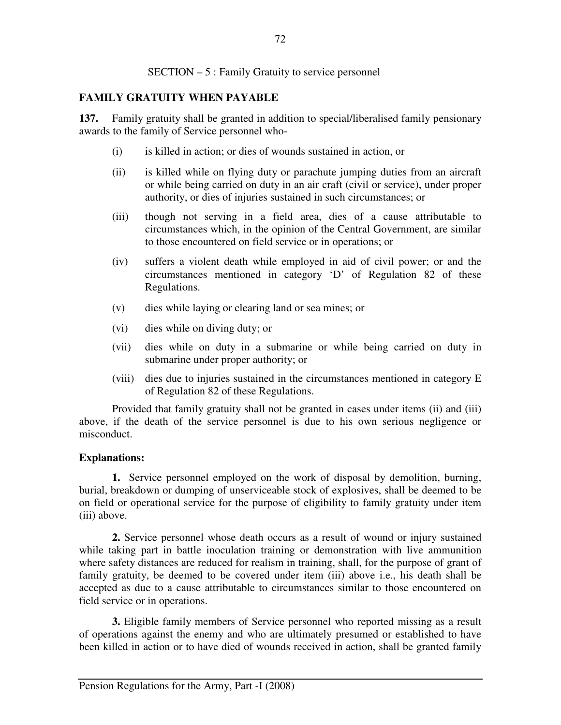## SECTION – 5 : Family Gratuity to service personnel

# **FAMILY GRATUITY WHEN PAYABLE**

**137.** Family gratuity shall be granted in addition to special/liberalised family pensionary awards to the family of Service personnel who-

- (i) is killed in action; or dies of wounds sustained in action, or
- (ii) is killed while on flying duty or parachute jumping duties from an aircraft or while being carried on duty in an air craft (civil or service), under proper authority, or dies of injuries sustained in such circumstances; or
- (iii) though not serving in a field area, dies of a cause attributable to circumstances which, in the opinion of the Central Government, are similar to those encountered on field service or in operations; or
- (iv) suffers a violent death while employed in aid of civil power; or and the circumstances mentioned in category 'D' of Regulation 82 of these Regulations.
- (v) dies while laying or clearing land or sea mines; or
- (vi) dies while on diving duty; or
- (vii) dies while on duty in a submarine or while being carried on duty in submarine under proper authority; or
- (viii) dies due to injuries sustained in the circumstances mentioned in category E of Regulation 82 of these Regulations.

 Provided that family gratuity shall not be granted in cases under items (ii) and (iii) above, if the death of the service personnel is due to his own serious negligence or misconduct.

#### **Explanations:**

**1.** Service personnel employed on the work of disposal by demolition, burning, burial, breakdown or dumping of unserviceable stock of explosives, shall be deemed to be on field or operational service for the purpose of eligibility to family gratuity under item (iii) above.

**2.** Service personnel whose death occurs as a result of wound or injury sustained while taking part in battle inoculation training or demonstration with live ammunition where safety distances are reduced for realism in training, shall, for the purpose of grant of family gratuity, be deemed to be covered under item (iii) above i.e., his death shall be accepted as due to a cause attributable to circumstances similar to those encountered on field service or in operations.

 **3.** Eligible family members of Service personnel who reported missing as a result of operations against the enemy and who are ultimately presumed or established to have been killed in action or to have died of wounds received in action, shall be granted family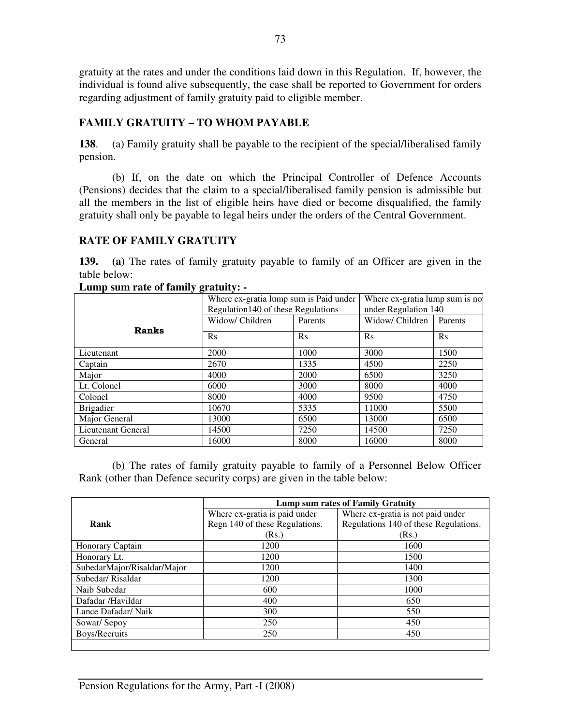gratuity at the rates and under the conditions laid down in this Regulation. If, however, the individual is found alive subsequently, the case shall be reported to Government for orders regarding adjustment of family gratuity paid to eligible member.

# **FAMILY GRATUITY – TO WHOM PAYABLE**

**138**. (a) Family gratuity shall be payable to the recipient of the special/liberalised family pension.

 (b) If, on the date on which the Principal Controller of Defence Accounts (Pensions) decides that the claim to a special/liberalised family pension is admissible but all the members in the list of eligible heirs have died or become disqualified, the family gratuity shall only be payable to legal heirs under the orders of the Central Government.

# **RATE OF FAMILY GRATUITY**

**139. (a)** The rates of family gratuity payable to family of an Officer are given in the table below:

|                    |                 | <u>, a mand</u><br>Where ex-gratia lump sum is Paid under<br>Regulation140 of these Regulations |                 | Where ex-gratia lump sum is no<br>under Regulation 140 |  |
|--------------------|-----------------|-------------------------------------------------------------------------------------------------|-----------------|--------------------------------------------------------|--|
|                    | Widow/ Children | Parents                                                                                         | Widow/ Children | Parents                                                |  |
| <b>Ranks</b>       | $\rm Rs$        | $\rm Rs$                                                                                        | $\rm Rs$        | $\mathbf{R}$ s                                         |  |
| Lieutenant         | 2000            | 1000                                                                                            | 3000            | 1500                                                   |  |
| Captain            | 2670            | 1335                                                                                            | 4500            | 2250                                                   |  |
| Major              | 4000            | 2000                                                                                            | 6500            | 3250                                                   |  |
| Lt. Colonel        | 6000            | 3000                                                                                            | 8000            | 4000                                                   |  |
| Colonel            | 8000            | 4000                                                                                            | 9500            | 4750                                                   |  |
| <b>Brigadier</b>   | 10670           | 5335                                                                                            | 11000           | 5500                                                   |  |
| Major General      | 13000           | 6500                                                                                            | 13000           | 6500                                                   |  |
| Lieutenant General | 14500           | 7250                                                                                            | 14500           | 7250                                                   |  |
| General            | 16000           | 8000                                                                                            | 16000           | 8000                                                   |  |

**Lump sum rate of family gratuity: -** 

(b) The rates of family gratuity payable to family of a Personnel Below Officer Rank (other than Defence security corps) are given in the table below:

|                             | Lump sum rates of Family Gratuity |                                       |
|-----------------------------|-----------------------------------|---------------------------------------|
|                             | Where ex-gratia is paid under     | Where ex-gratia is not paid under     |
| Rank                        | Regn 140 of these Regulations.    | Regulations 140 of these Regulations. |
|                             | (Rs.)                             | (Rs.)                                 |
| Honorary Captain            | 1200                              | 1600                                  |
| Honorary Lt.                | 1200                              | 1500                                  |
| SubedarMajor/Risaldar/Major | 1200                              | 1400                                  |
| Subedar/Risaldar            | 1200                              | 1300                                  |
| Naib Subedar                | 600                               | 1000                                  |
| Dafadar /Havildar           | 400                               | 650                                   |
| Lance Dafadar/ Naik         | 300                               | 550                                   |
| Sowar/Sepoy                 | 250                               | 450                                   |
| Boys/Recruits               | 250                               | 450                                   |
|                             |                                   |                                       |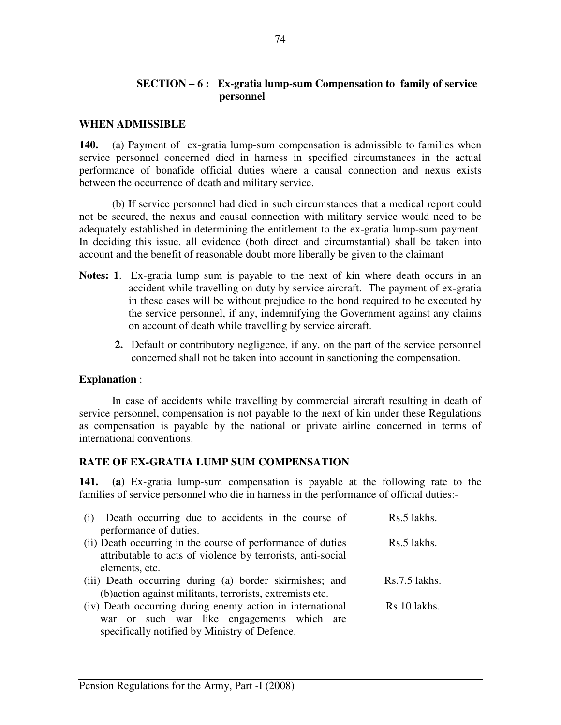## **SECTION – 6 : Ex-gratia lump-sum Compensation to family of service personnel**

#### **WHEN ADMISSIBLE**

**140.** (a) Payment of ex-gratia lump-sum compensation is admissible to families when service personnel concerned died in harness in specified circumstances in the actual performance of bonafide official duties where a causal connection and nexus exists between the occurrence of death and military service.

(b) If service personnel had died in such circumstances that a medical report could not be secured, the nexus and causal connection with military service would need to be adequately established in determining the entitlement to the ex-gratia lump-sum payment. In deciding this issue, all evidence (both direct and circumstantial) shall be taken into account and the benefit of reasonable doubt more liberally be given to the claimant

- **Notes: 1**. Ex-gratia lump sum is payable to the next of kin where death occurs in an accident while travelling on duty by service aircraft. The payment of ex-gratia in these cases will be without prejudice to the bond required to be executed by the service personnel, if any, indemnifying the Government against any claims on account of death while travelling by service aircraft.
	- **2.** Default or contributory negligence, if any, on the part of the service personnel concerned shall not be taken into account in sanctioning the compensation.

#### **Explanation** :

In case of accidents while travelling by commercial aircraft resulting in death of service personnel, compensation is not payable to the next of kin under these Regulations as compensation is payable by the national or private airline concerned in terms of international conventions.

#### **RATE OF EX-GRATIA LUMP SUM COMPENSATION**

**141. (a)** Ex-gratia lump-sum compensation is payable at the following rate to the families of service personnel who die in harness in the performance of official duties:-

| (i) Death occurring due to accidents in the course of       | Rs.5 lakhs.     |
|-------------------------------------------------------------|-----------------|
| performance of duties.                                      |                 |
| (ii) Death occurring in the course of performance of duties | Rs.5 lakhs.     |
| attributable to acts of violence by terrorists, anti-social |                 |
| elements, etc.                                              |                 |
| (iii) Death occurring during (a) border skirmishes; and     | $Rs.7.5$ lakhs. |
| (b) action against militants, terrorists, extremists etc.   |                 |
| (iv) Death occurring during enemy action in international   | Rs.10 lakhs.    |
| war or such war like engagements which are                  |                 |
| specifically notified by Ministry of Defence.               |                 |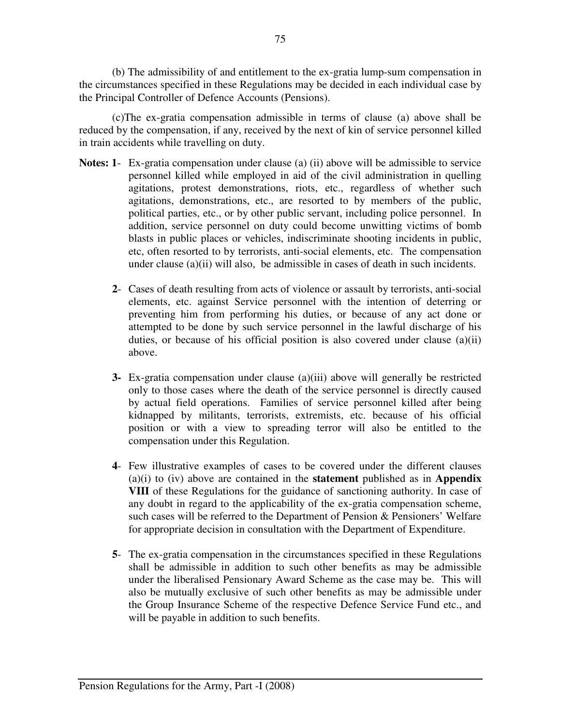(b) The admissibility of and entitlement to the ex-gratia lump-sum compensation in the circumstances specified in these Regulations may be decided in each individual case by the Principal Controller of Defence Accounts (Pensions).

(c)The ex-gratia compensation admissible in terms of clause (a) above shall be reduced by the compensation, if any, received by the next of kin of service personnel killed in train accidents while travelling on duty.

- **Notes: 1** Ex-gratia compensation under clause (a) (ii) above will be admissible to service personnel killed while employed in aid of the civil administration in quelling agitations, protest demonstrations, riots, etc., regardless of whether such agitations, demonstrations, etc., are resorted to by members of the public, political parties, etc., or by other public servant, including police personnel. In addition, service personnel on duty could become unwitting victims of bomb blasts in public places or vehicles, indiscriminate shooting incidents in public, etc, often resorted to by terrorists, anti-social elements, etc. The compensation under clause (a)(ii) will also, be admissible in cases of death in such incidents.
	- **2** Cases of death resulting from acts of violence or assault by terrorists, anti-social elements, etc. against Service personnel with the intention of deterring or preventing him from performing his duties, or because of any act done or attempted to be done by such service personnel in the lawful discharge of his duties, or because of his official position is also covered under clause (a)(ii) above.
	- **3-** Ex-gratia compensation under clause (a)(iii) above will generally be restricted only to those cases where the death of the service personnel is directly caused by actual field operations. Families of service personnel killed after being kidnapped by militants, terrorists, extremists, etc. because of his official position or with a view to spreading terror will also be entitled to the compensation under this Regulation.
	- **4** Few illustrative examples of cases to be covered under the different clauses (a)(i) to (iv) above are contained in the **statement** published as in **Appendix VIII** of these Regulations for the guidance of sanctioning authority. In case of any doubt in regard to the applicability of the ex-gratia compensation scheme, such cases will be referred to the Department of Pension & Pensioners' Welfare for appropriate decision in consultation with the Department of Expenditure.
	- **5** The ex-gratia compensation in the circumstances specified in these Regulations shall be admissible in addition to such other benefits as may be admissible under the liberalised Pensionary Award Scheme as the case may be. This will also be mutually exclusive of such other benefits as may be admissible under the Group Insurance Scheme of the respective Defence Service Fund etc., and will be payable in addition to such benefits.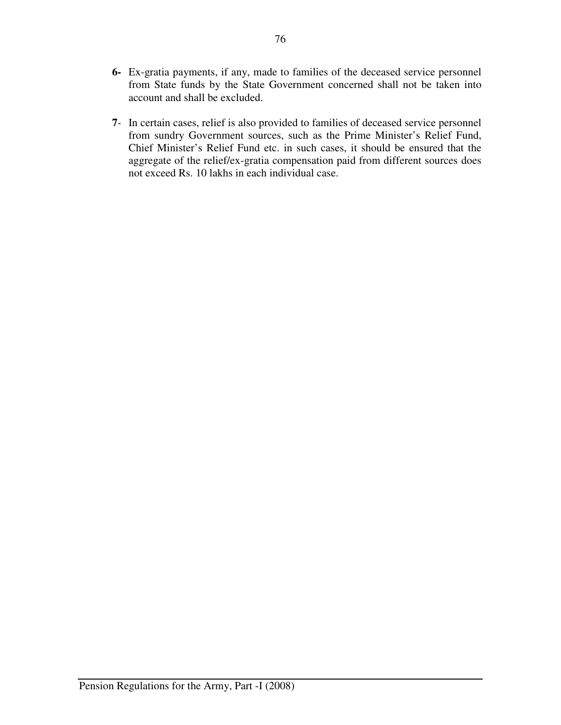- **6-** Ex-gratia payments, if any, made to families of the deceased service personnel from State funds by the State Government concerned shall not be taken into account and shall be excluded.
- **7** In certain cases, relief is also provided to families of deceased service personnel from sundry Government sources, such as the Prime Minister's Relief Fund, Chief Minister's Relief Fund etc. in such cases, it should be ensured that the aggregate of the relief/ex-gratia compensation paid from different sources does not exceed Rs. 10 lakhs in each individual case.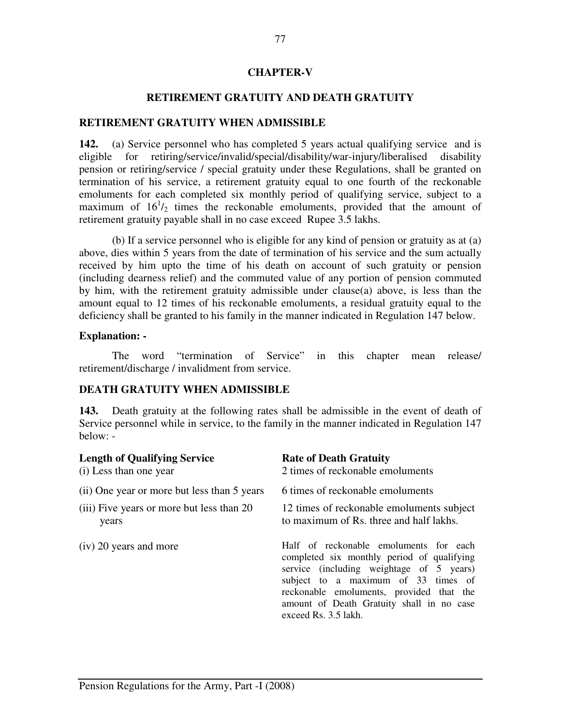#### **CHAPTER-V**

#### **RETIREMENT GRATUITY AND DEATH GRATUITY**

#### **RETIREMENT GRATUITY WHEN ADMISSIBLE**

**142.** (a) Service personnel who has completed 5 years actual qualifying service and is eligible for retiring/service/invalid/special/disability/war-injury/liberalised disability pension or retiring/service / special gratuity under these Regulations, shall be granted on termination of his service, a retirement gratuity equal to one fourth of the reckonable emoluments for each completed six monthly period of qualifying service, subject to a maximum of  $16^{1}/_{2}$  times the reckonable emoluments, provided that the amount of retirement gratuity payable shall in no case exceed Rupee 3.5 lakhs.

(b) If a service personnel who is eligible for any kind of pension or gratuity as at (a) above, dies within 5 years from the date of termination of his service and the sum actually received by him upto the time of his death on account of such gratuity or pension (including dearness relief) and the commuted value of any portion of pension commuted by him, with the retirement gratuity admissible under clause(a) above, is less than the amount equal to 12 times of his reckonable emoluments, a residual gratuity equal to the deficiency shall be granted to his family in the manner indicated in Regulation 147 below.

#### **Explanation: -**

The word "termination of Service" in this chapter mean release/ retirement/discharge / invalidment from service.

#### **DEATH GRATUITY WHEN ADMISSIBLE**

**143.** Death gratuity at the following rates shall be admissible in the event of death of Service personnel while in service, to the family in the manner indicated in Regulation 147 below: -

| <b>Length of Qualifying Service</b>         | <b>Rate of Death Gratuity</b>                                                                                                                                                                                                                                                            |  |
|---------------------------------------------|------------------------------------------------------------------------------------------------------------------------------------------------------------------------------------------------------------------------------------------------------------------------------------------|--|
| (i) Less than one year                      | 2 times of reckonable emoluments                                                                                                                                                                                                                                                         |  |
| (ii) One year or more but less than 5 years | 6 times of reckonable emoluments                                                                                                                                                                                                                                                         |  |
| (iii) Five years or more but less than 20   | 12 times of reckonable emoluments subject                                                                                                                                                                                                                                                |  |
| years                                       | to maximum of Rs. three and half lakhs.                                                                                                                                                                                                                                                  |  |
| (iv) 20 years and more                      | Half of reckonable emoluments for each<br>completed six monthly period of qualifying<br>service (including weightage of 5 years)<br>subject to a maximum of 33 times of<br>reckonable emoluments, provided that the<br>amount of Death Gratuity shall in no case<br>exceed Rs. 3.5 lakh. |  |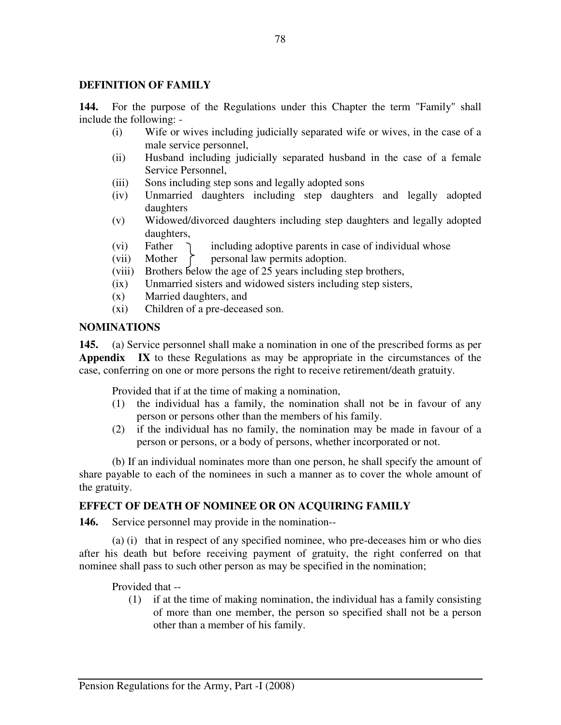### **DEFINITION OF FAMILY**

**144.** For the purpose of the Regulations under this Chapter the term "Family" shall include the following: -

- (i) Wife or wives including judicially separated wife or wives, in the case of a male service personnel,
- (ii) Husband including judicially separated husband in the case of a female Service Personnel,
- (iii) Sons including step sons and legally adopted sons
- (iv) Unmarried daughters including step daughters and legally adopted daughters
- (v) Widowed/divorced daughters including step daughters and legally adopted daughters,
- (vi) Father  $\bigcap$  including adoptive parents in case of individual whose
- (vii) Mother  $\uparrow$  personal law permits adoption.
- (viii) Brothers below the age of 25 years including step brothers,
- (ix) Unmarried sisters and widowed sisters including step sisters,
- (x) Married daughters, and
- (xi) Children of a pre-deceased son.

#### **NOMINATIONS**

**145.** (a) Service personnel shall make a nomination in one of the prescribed forms as per **Appendix IX** to these Regulations as may be appropriate in the circumstances of the case, conferring on one or more persons the right to receive retirement/death gratuity.

Provided that if at the time of making a nomination,

- (1) the individual has a family, the nomination shall not be in favour of any person or persons other than the members of his family.
- (2) if the individual has no family, the nomination may be made in favour of a person or persons, or a body of persons, whether incorporated or not.

(b) If an individual nominates more than one person, he shall specify the amount of share payable to each of the nominees in such a manner as to cover the whole amount of the gratuity.

# **EFFECT OF DEATH OF NOMINEE OR ON ACQUIRING FAMILY**

**146.** Service personnel may provide in the nomination--

(a) (i) that in respect of any specified nominee, who pre-deceases him or who dies after his death but before receiving payment of gratuity, the right conferred on that nominee shall pass to such other person as may be specified in the nomination;

Provided that --

(1) if at the time of making nomination, the individual has a family consisting of more than one member, the person so specified shall not be a person other than a member of his family.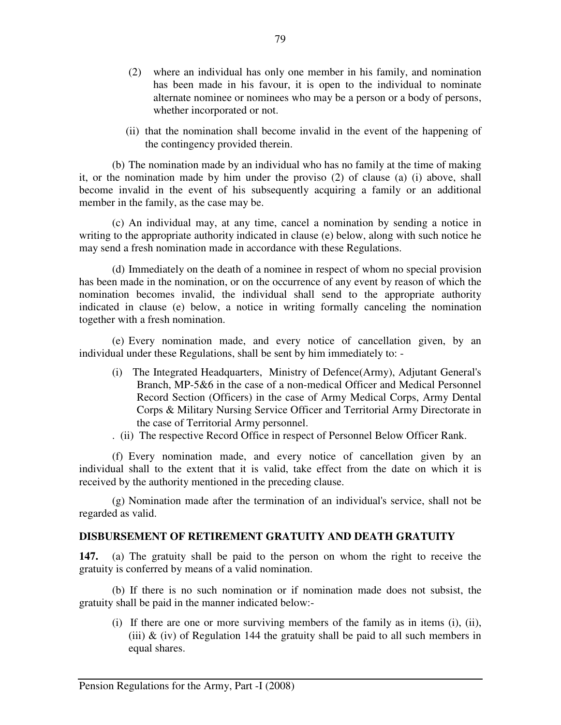- (2) where an individual has only one member in his family, and nomination has been made in his favour, it is open to the individual to nominate alternate nominee or nominees who may be a person or a body of persons, whether incorporated or not.
- (ii) that the nomination shall become invalid in the event of the happening of the contingency provided therein.

(b) The nomination made by an individual who has no family at the time of making it, or the nomination made by him under the proviso (2) of clause (a) (i) above, shall become invalid in the event of his subsequently acquiring a family or an additional member in the family, as the case may be.

(c) An individual may, at any time, cancel a nomination by sending a notice in writing to the appropriate authority indicated in clause (e) below, along with such notice he may send a fresh nomination made in accordance with these Regulations.

(d) Immediately on the death of a nominee in respect of whom no special provision has been made in the nomination, or on the occurrence of any event by reason of which the nomination becomes invalid, the individual shall send to the appropriate authority indicated in clause (e) below, a notice in writing formally canceling the nomination together with a fresh nomination.

(e) Every nomination made, and every notice of cancellation given, by an individual under these Regulations, shall be sent by him immediately to: -

- (i) The Integrated Headquarters, Ministry of Defence(Army), Adjutant General's Branch, MP-5&6 in the case of a non-medical Officer and Medical Personnel Record Section (Officers) in the case of Army Medical Corps, Army Dental Corps & Military Nursing Service Officer and Territorial Army Directorate in the case of Territorial Army personnel.
- . (ii) The respective Record Office in respect of Personnel Below Officer Rank.

(f) Every nomination made, and every notice of cancellation given by an individual shall to the extent that it is valid, take effect from the date on which it is received by the authority mentioned in the preceding clause.

(g) Nomination made after the termination of an individual's service, shall not be regarded as valid.

#### **DISBURSEMENT OF RETIREMENT GRATUITY AND DEATH GRATUITY**

**147.** (a) The gratuity shall be paid to the person on whom the right to receive the gratuity is conferred by means of a valid nomination.

 (b) If there is no such nomination or if nomination made does not subsist, the gratuity shall be paid in the manner indicated below:-

(i) If there are one or more surviving members of the family as in items (i), (ii), (iii)  $\&$  (iv) of Regulation 144 the gratuity shall be paid to all such members in equal shares.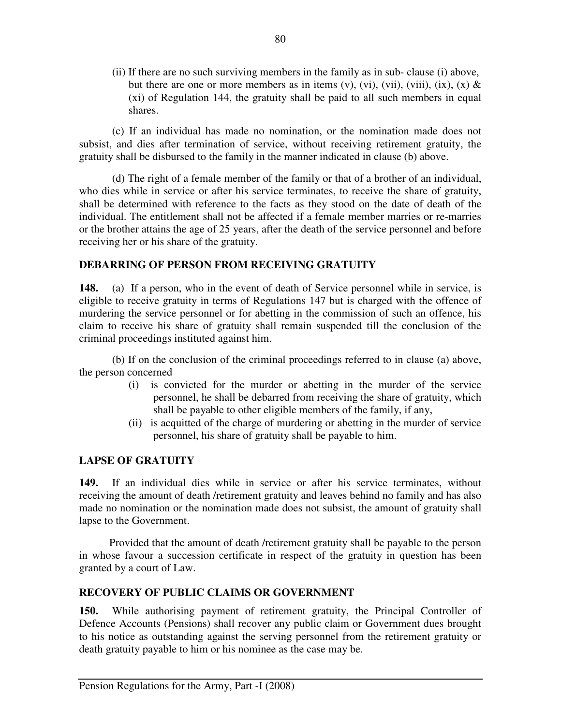(ii) If there are no such surviving members in the family as in sub- clause (i) above, but there are one or more members as in items (v), (vi), (vii), (viii), (ix), (x)  $\&$ (xi) of Regulation 144, the gratuity shall be paid to all such members in equal shares.

(c) If an individual has made no nomination, or the nomination made does not subsist, and dies after termination of service, without receiving retirement gratuity, the gratuity shall be disbursed to the family in the manner indicated in clause (b) above.

(d) The right of a female member of the family or that of a brother of an individual, who dies while in service or after his service terminates, to receive the share of gratuity, shall be determined with reference to the facts as they stood on the date of death of the individual. The entitlement shall not be affected if a female member marries or re-marries or the brother attains the age of 25 years, after the death of the service personnel and before receiving her or his share of the gratuity.

# **DEBARRING OF PERSON FROM RECEIVING GRATUITY**

**148.** (a) If a person, who in the event of death of Service personnel while in service, is eligible to receive gratuity in terms of Regulations 147 but is charged with the offence of murdering the service personnel or for abetting in the commission of such an offence, his claim to receive his share of gratuity shall remain suspended till the conclusion of the criminal proceedings instituted against him.

(b) If on the conclusion of the criminal proceedings referred to in clause (a) above, the person concerned

- (i) is convicted for the murder or abetting in the murder of the service personnel, he shall be debarred from receiving the share of gratuity, which shall be payable to other eligible members of the family, if any,
- (ii) is acquitted of the charge of murdering or abetting in the murder of service personnel, his share of gratuity shall be payable to him.

# **LAPSE OF GRATUITY**

**149.** If an individual dies while in service or after his service terminates, without receiving the amount of death /retirement gratuity and leaves behind no family and has also made no nomination or the nomination made does not subsist, the amount of gratuity shall lapse to the Government.

 Provided that the amount of death /retirement gratuity shall be payable to the person in whose favour a succession certificate in respect of the gratuity in question has been granted by a court of Law.

# **RECOVERY OF PUBLIC CLAIMS OR GOVERNMENT**

**150.** While authorising payment of retirement gratuity, the Principal Controller of Defence Accounts (Pensions) shall recover any public claim or Government dues brought to his notice as outstanding against the serving personnel from the retirement gratuity or death gratuity payable to him or his nominee as the case may be.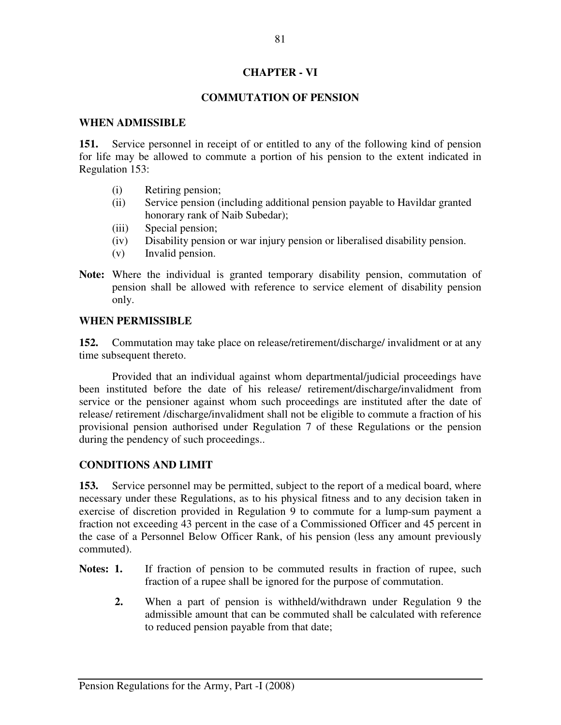### **CHAPTER - VI**

# **COMMUTATION OF PENSION**

#### **WHEN ADMISSIBLE**

**151.** Service personnel in receipt of or entitled to any of the following kind of pension for life may be allowed to commute a portion of his pension to the extent indicated in Regulation 153:

- (i) Retiring pension;
- (ii) Service pension (including additional pension payable to Havildar granted honorary rank of Naib Subedar);
- (iii) Special pension;
- (iv) Disability pension or war injury pension or liberalised disability pension.
- (v) Invalid pension.
- **Note:** Where the individual is granted temporary disability pension, commutation of pension shall be allowed with reference to service element of disability pension only.

#### **WHEN PERMISSIBLE**

**152.** Commutation may take place on release/retirement/discharge/ invalidment or at any time subsequent thereto.

 Provided that an individual against whom departmental/judicial proceedings have been instituted before the date of his release/ retirement/discharge/invalidment from service or the pensioner against whom such proceedings are instituted after the date of release/ retirement /discharge/invalidment shall not be eligible to commute a fraction of his provisional pension authorised under Regulation 7 of these Regulations or the pension during the pendency of such proceedings..

#### **CONDITIONS AND LIMIT**

**153.** Service personnel may be permitted, subject to the report of a medical board, where necessary under these Regulations, as to his physical fitness and to any decision taken in exercise of discretion provided in Regulation 9 to commute for a lump-sum payment a fraction not exceeding 43 percent in the case of a Commissioned Officer and 45 percent in the case of a Personnel Below Officer Rank, of his pension (less any amount previously commuted).

- Notes: 1. If fraction of pension to be commuted results in fraction of rupee, such fraction of a rupee shall be ignored for the purpose of commutation.
	- **2.** When a part of pension is withheld/withdrawn under Regulation 9 the admissible amount that can be commuted shall be calculated with reference to reduced pension payable from that date;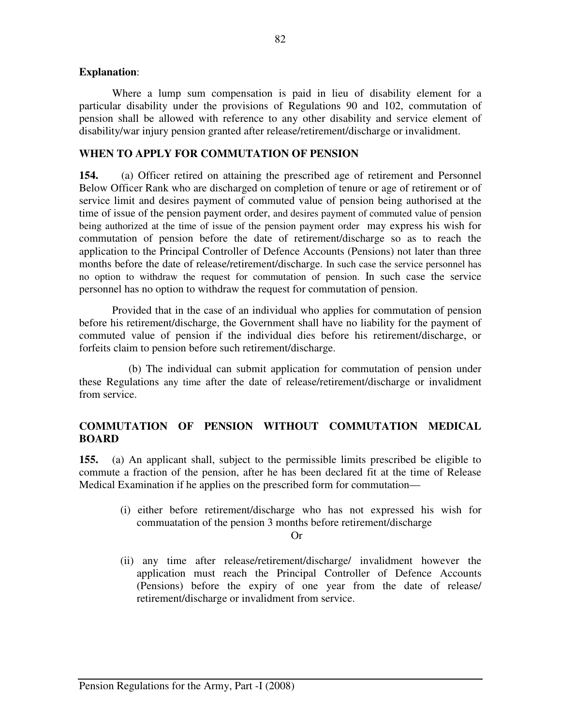#### **Explanation**:

Where a lump sum compensation is paid in lieu of disability element for a particular disability under the provisions of Regulations 90 and 102, commutation of pension shall be allowed with reference to any other disability and service element of disability/war injury pension granted after release/retirement/discharge or invalidment.

#### **WHEN TO APPLY FOR COMMUTATION OF PENSION**

**154.** (a) Officer retired on attaining the prescribed age of retirement and Personnel Below Officer Rank who are discharged on completion of tenure or age of retirement or of service limit and desires payment of commuted value of pension being authorised at the time of issue of the pension payment order, and desires payment of commuted value of pension being authorized at the time of issue of the pension payment order may express his wish for commutation of pension before the date of retirement/discharge so as to reach the application to the Principal Controller of Defence Accounts (Pensions) not later than three months before the date of release/retirement/discharge. In such case the service personnel has no option to withdraw the request for commutation of pension. In such case the service personnel has no option to withdraw the request for commutation of pension.

Provided that in the case of an individual who applies for commutation of pension before his retirement/discharge, the Government shall have no liability for the payment of commuted value of pension if the individual dies before his retirement/discharge, or forfeits claim to pension before such retirement/discharge.

(b) The individual can submit application for commutation of pension under these Regulations any time after the date of release/retirement/discharge or invalidment from service.

## **COMMUTATION OF PENSION WITHOUT COMMUTATION MEDICAL BOARD**

**155.** (a) An applicant shall, subject to the permissible limits prescribed be eligible to commute a fraction of the pension, after he has been declared fit at the time of Release Medical Examination if he applies on the prescribed form for commutation—

 (i) either before retirement/discharge who has not expressed his wish for commuatation of the pension 3 months before retirement/discharge

Or

(ii) any time after release/retirement/discharge/ invalidment however the application must reach the Principal Controller of Defence Accounts (Pensions) before the expiry of one year from the date of release/ retirement/discharge or invalidment from service.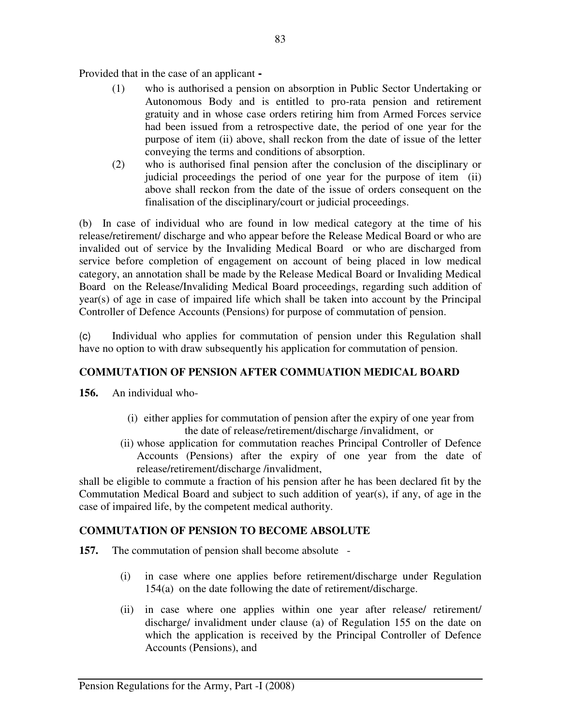Provided that in the case of an applicant **-** 

- (1) who is authorised a pension on absorption in Public Sector Undertaking or Autonomous Body and is entitled to pro-rata pension and retirement gratuity and in whose case orders retiring him from Armed Forces service had been issued from a retrospective date, the period of one year for the purpose of item (ii) above, shall reckon from the date of issue of the letter conveying the terms and conditions of absorption.
- (2) who is authorised final pension after the conclusion of the disciplinary or judicial proceedings the period of one year for the purpose of item (ii) above shall reckon from the date of the issue of orders consequent on the finalisation of the disciplinary/court or judicial proceedings.

(b) In case of individual who are found in low medical category at the time of his release/retirement/ discharge and who appear before the Release Medical Board or who are invalided out of service by the Invaliding Medical Board or who are discharged from service before completion of engagement on account of being placed in low medical category, an annotation shall be made by the Release Medical Board or Invaliding Medical Board on the Release/Invaliding Medical Board proceedings, regarding such addition of year(s) of age in case of impaired life which shall be taken into account by the Principal Controller of Defence Accounts (Pensions) for purpose of commutation of pension.

(c) Individual who applies for commutation of pension under this Regulation shall have no option to with draw subsequently his application for commutation of pension.

# **COMMUTATION OF PENSION AFTER COMMUATION MEDICAL BOARD**

- **156.** An individual who-
	- (i) either applies for commutation of pension after the expiry of one year from the date of release/retirement/discharge /invalidment, or
	- (ii) whose application for commutation reaches Principal Controller of Defence Accounts (Pensions) after the expiry of one year from the date of release/retirement/discharge /invalidment,

shall be eligible to commute a fraction of his pension after he has been declared fit by the Commutation Medical Board and subject to such addition of year(s), if any, of age in the case of impaired life, by the competent medical authority.

# **COMMUTATION OF PENSION TO BECOME ABSOLUTE**

- **157.** The commutation of pension shall become absolute
	- (i) in case where one applies before retirement/discharge under Regulation 154(a) on the date following the date of retirement/discharge.
	- (ii) in case where one applies within one year after release/ retirement/ discharge/ invalidment under clause (a) of Regulation 155 on the date on which the application is received by the Principal Controller of Defence Accounts (Pensions), and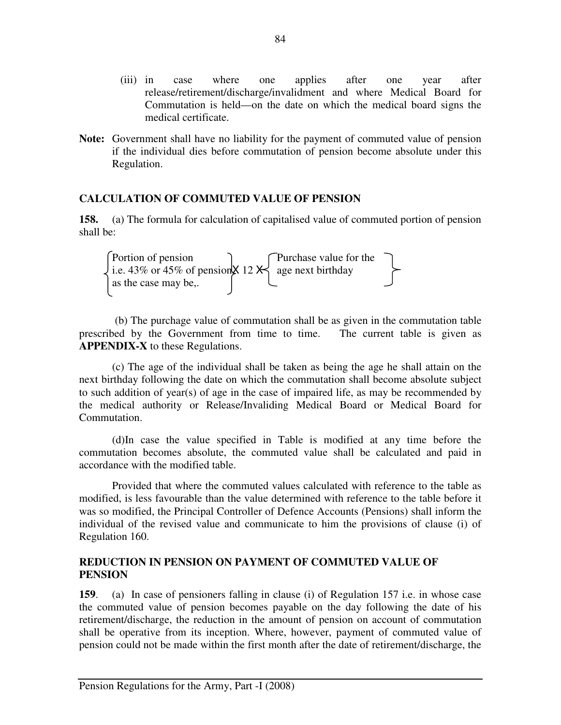- (iii) in case where one applies after one year after release/retirement/discharge/invalidment and where Medical Board for Commutation is held—on the date on which the medical board signs the medical certificate.
- **Note:** Government shall have no liability for the payment of commuted value of pension if the individual dies before commutation of pension become absolute under this Regulation.

## **CALCULATION OF COMMUTED VALUE OF PENSION**

**158.** (a) The formula for calculation of capitalised value of commuted portion of pension shall be:

Portion of pension Purchase value for the i.e. 43% or 45% of pensionX 12 X age next birthday as the case may be,.

 (b) The purchage value of commutation shall be as given in the commutation table prescribed by the Government from time to time. The current table is given as **APPENDIX-X** to these Regulations.

 (c) The age of the individual shall be taken as being the age he shall attain on the next birthday following the date on which the commutation shall become absolute subject to such addition of year(s) of age in the case of impaired life, as may be recommended by the medical authority or Release/Invaliding Medical Board or Medical Board for Commutation.

(d)In case the value specified in Table is modified at any time before the commutation becomes absolute, the commuted value shall be calculated and paid in accordance with the modified table.

 Provided that where the commuted values calculated with reference to the table as modified, is less favourable than the value determined with reference to the table before it was so modified, the Principal Controller of Defence Accounts (Pensions) shall inform the individual of the revised value and communicate to him the provisions of clause (i) of Regulation 160.

#### **REDUCTION IN PENSION ON PAYMENT OF COMMUTED VALUE OF PENSION**

**159**. (a) In case of pensioners falling in clause (i) of Regulation 157 i.e. in whose case the commuted value of pension becomes payable on the day following the date of his retirement/discharge, the reduction in the amount of pension on account of commutation shall be operative from its inception. Where, however, payment of commuted value of pension could not be made within the first month after the date of retirement/discharge, the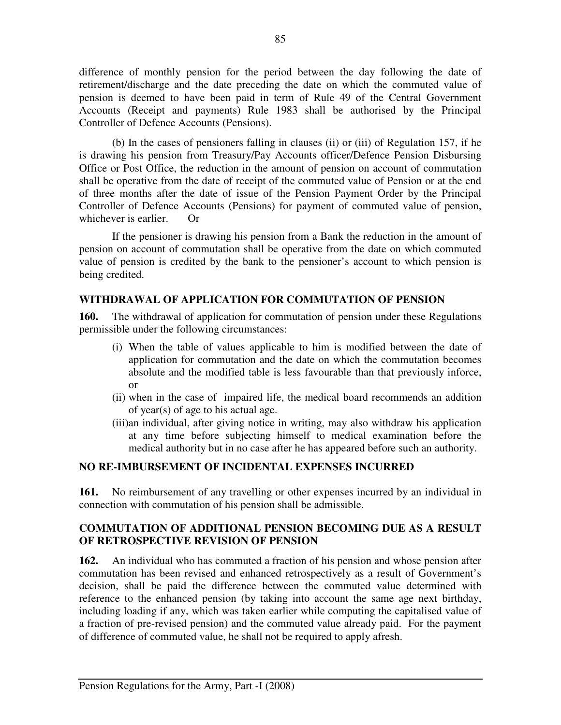difference of monthly pension for the period between the day following the date of retirement/discharge and the date preceding the date on which the commuted value of pension is deemed to have been paid in term of Rule 49 of the Central Government Accounts (Receipt and payments) Rule 1983 shall be authorised by the Principal Controller of Defence Accounts (Pensions).

 (b) In the cases of pensioners falling in clauses (ii) or (iii) of Regulation 157, if he is drawing his pension from Treasury/Pay Accounts officer/Defence Pension Disbursing Office or Post Office, the reduction in the amount of pension on account of commutation shall be operative from the date of receipt of the commuted value of Pension or at the end of three months after the date of issue of the Pension Payment Order by the Principal Controller of Defence Accounts (Pensions) for payment of commuted value of pension, whichever is earlier. Or

If the pensioner is drawing his pension from a Bank the reduction in the amount of pension on account of commutation shall be operative from the date on which commuted value of pension is credited by the bank to the pensioner's account to which pension is being credited.

# **WITHDRAWAL OF APPLICATION FOR COMMUTATION OF PENSION**

**160.** The withdrawal of application for commutation of pension under these Regulations permissible under the following circumstances:

- (i) When the table of values applicable to him is modified between the date of application for commutation and the date on which the commutation becomes absolute and the modified table is less favourable than that previously inforce, or
- (ii) when in the case of impaired life, the medical board recommends an addition of year(s) of age to his actual age.
- (iii)an individual, after giving notice in writing, may also withdraw his application at any time before subjecting himself to medical examination before the medical authority but in no case after he has appeared before such an authority.

#### **NO RE-IMBURSEMENT OF INCIDENTAL EXPENSES INCURRED**

**161.** No reimbursement of any travelling or other expenses incurred by an individual in connection with commutation of his pension shall be admissible.

## **COMMUTATION OF ADDITIONAL PENSION BECOMING DUE AS A RESULT OF RETROSPECTIVE REVISION OF PENSION**

**162.** An individual who has commuted a fraction of his pension and whose pension after commutation has been revised and enhanced retrospectively as a result of Government's decision, shall be paid the difference between the commuted value determined with reference to the enhanced pension (by taking into account the same age next birthday, including loading if any, which was taken earlier while computing the capitalised value of a fraction of pre-revised pension) and the commuted value already paid. For the payment of difference of commuted value, he shall not be required to apply afresh.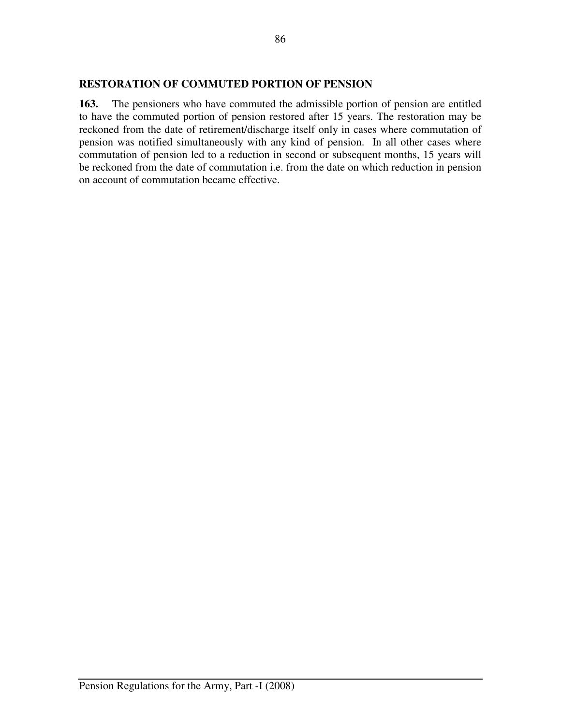#### **RESTORATION OF COMMUTED PORTION OF PENSION**

**163.** The pensioners who have commuted the admissible portion of pension are entitled to have the commuted portion of pension restored after 15 years. The restoration may be reckoned from the date of retirement/discharge itself only in cases where commutation of pension was notified simultaneously with any kind of pension. In all other cases where commutation of pension led to a reduction in second or subsequent months, 15 years will be reckoned from the date of commutation i.e. from the date on which reduction in pension on account of commutation became effective.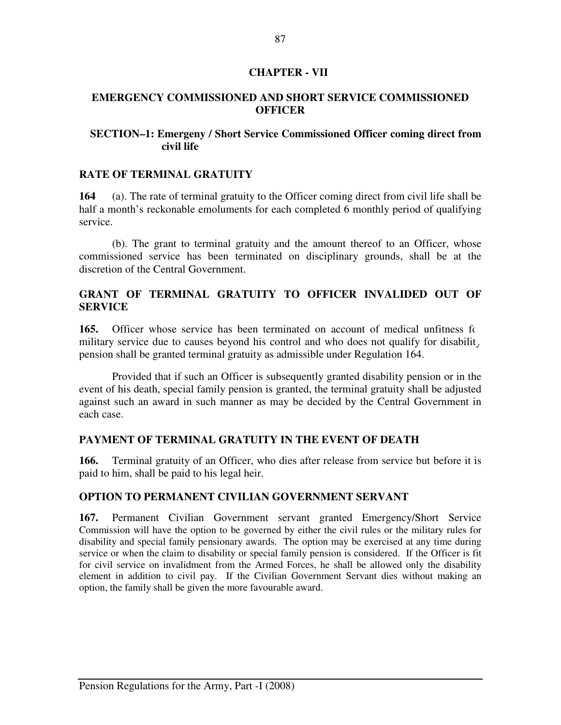## **CHAPTER - VII**

### **EMERGENCY COMMISSIONED AND SHORT SERVICE COMMISSIONED OFFICER**

## **SECTION–1: Emergeny / Short Service Commissioned Officer coming direct from civil life**

#### **RATE OF TERMINAL GRATUITY**

**164** (a). The rate of terminal gratuity to the Officer coming direct from civil life shall be half a month's reckonable emoluments for each completed 6 monthly period of qualifying service.

(b). The grant to terminal gratuity and the amount thereof to an Officer, whose commissioned service has been terminated on disciplinary grounds, shall be at the discretion of the Central Government.

# **GRANT OF TERMINAL GRATUITY TO OFFICER INVALIDED OUT OF SERVICE**

**165.** Officer whose service has been terminated on account of medical unfitness for military service due to causes beyond his control and who does not qualify for disabilit, pension shall be granted terminal gratuity as admissible under Regulation 164.

 Provided that if such an Officer is subsequently granted disability pension or in the event of his death, special family pension is granted, the terminal gratuity shall be adjusted against such an award in such manner as may be decided by the Central Government in each case.

#### **PAYMENT OF TERMINAL GRATUITY IN THE EVENT OF DEATH**

166. Terminal gratuity of an Officer, who dies after release from service but before it is paid to him, shall be paid to his legal heir.

#### **OPTION TO PERMANENT CIVILIAN GOVERNMENT SERVANT**

**167.** Permanent Civilian Government servant granted Emergency/Short Service Commission will have the option to be governed by either the civil rules or the military rules for disability and special family pensionary awards. The option may be exercised at any time during service or when the claim to disability or special family pension is considered. If the Officer is fit for civil service on invalidment from the Armed Forces, he shall be allowed only the disability element in addition to civil pay. If the Civilian Government Servant dies without making an option, the family shall be given the more favourable award.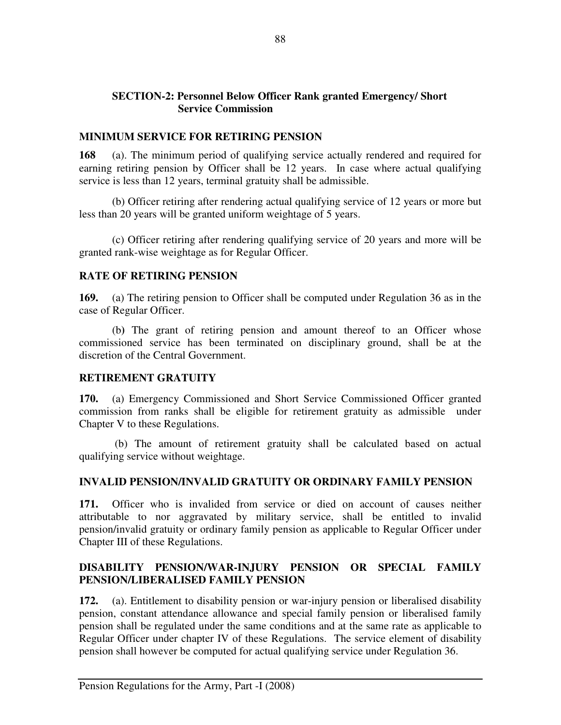# **SECTION-2: Personnel Below Officer Rank granted Emergency/ Short Service Commission**

### **MINIMUM SERVICE FOR RETIRING PENSION**

**168** (a). The minimum period of qualifying service actually rendered and required for earning retiring pension by Officer shall be 12 years. In case where actual qualifying service is less than 12 years, terminal gratuity shall be admissible.

(b) Officer retiring after rendering actual qualifying service of 12 years or more but less than 20 years will be granted uniform weightage of 5 years.

(c) Officer retiring after rendering qualifying service of 20 years and more will be granted rank-wise weightage as for Regular Officer.

#### **RATE OF RETIRING PENSION**

**169.** (a) The retiring pension to Officer shall be computed under Regulation 36 as in the case of Regular Officer.

 (b**)** The grant of retiring pension and amount thereof to an Officer whose commissioned service has been terminated on disciplinary ground, shall be at the discretion of the Central Government.

# **RETIREMENT GRATUITY**

**170.** (a) Emergency Commissioned and Short Service Commissioned Officer granted commission from ranks shall be eligible for retirement gratuity as admissible under Chapter V to these Regulations.

 (b) The amount of retirement gratuity shall be calculated based on actual qualifying service without weightage.

#### **INVALID PENSION/INVALID GRATUITY OR ORDINARY FAMILY PENSION**

**171.** Officer who is invalided from service or died on account of causes neither attributable to nor aggravated by military service, shall be entitled to invalid pension/invalid gratuity or ordinary family pension as applicable to Regular Officer under Chapter III of these Regulations.

# **DISABILITY PENSION/WAR-INJURY PENSION OR SPECIAL FAMILY PENSION/LIBERALISED FAMILY PENSION**

**172.** (a). Entitlement to disability pension or war-injury pension or liberalised disability pension, constant attendance allowance and special family pension or liberalised family pension shall be regulated under the same conditions and at the same rate as applicable to Regular Officer under chapter IV of these Regulations. The service element of disability pension shall however be computed for actual qualifying service under Regulation 36.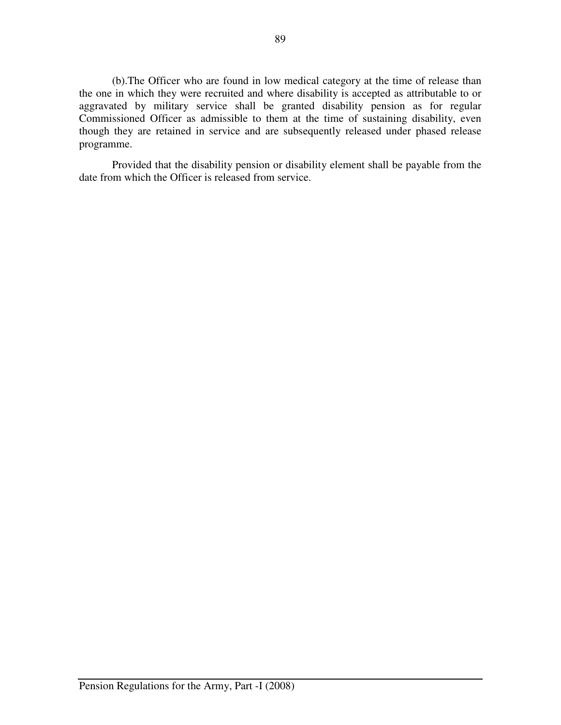(b).The Officer who are found in low medical category at the time of release than the one in which they were recruited and where disability is accepted as attributable to or aggravated by military service shall be granted disability pension as for regular Commissioned Officer as admissible to them at the time of sustaining disability, even though they are retained in service and are subsequently released under phased release programme.

 Provided that the disability pension or disability element shall be payable from the date from which the Officer is released from service.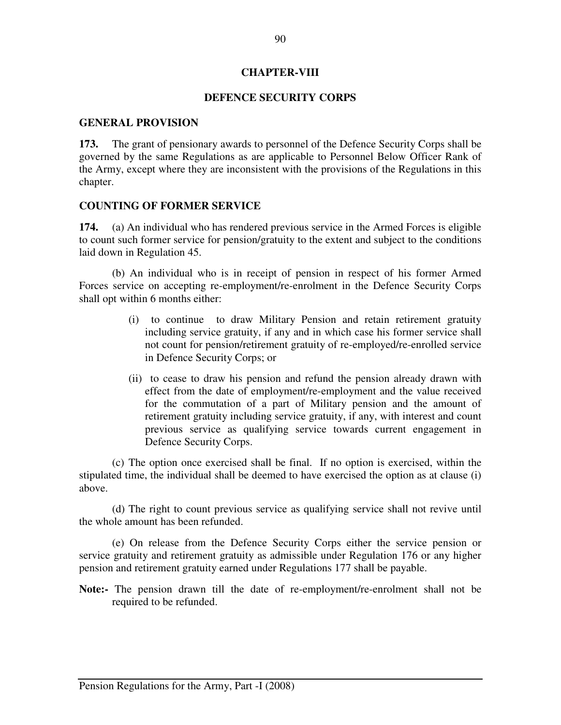#### **CHAPTER-VIII**

#### **DEFENCE SECURITY CORPS**

#### **GENERAL PROVISION**

**173.** The grant of pensionary awards to personnel of the Defence Security Corps shall be governed by the same Regulations as are applicable to Personnel Below Officer Rank of the Army, except where they are inconsistent with the provisions of the Regulations in this chapter.

#### **COUNTING OF FORMER SERVICE**

**174.** (a) An individual who has rendered previous service in the Armed Forces is eligible to count such former service for pension/gratuity to the extent and subject to the conditions laid down in Regulation 45.

 (b) An individual who is in receipt of pension in respect of his former Armed Forces service on accepting re-employment/re-enrolment in the Defence Security Corps shall opt within 6 months either:

- (i) to continue to draw Military Pension and retain retirement gratuity including service gratuity, if any and in which case his former service shall not count for pension/retirement gratuity of re-employed/re-enrolled service in Defence Security Corps; or
- (ii) to cease to draw his pension and refund the pension already drawn with effect from the date of employment/re-employment and the value received for the commutation of a part of Military pension and the amount of retirement gratuity including service gratuity, if any, with interest and count previous service as qualifying service towards current engagement in Defence Security Corps.

(c) The option once exercised shall be final. If no option is exercised, within the stipulated time, the individual shall be deemed to have exercised the option as at clause (i) above.

(d) The right to count previous service as qualifying service shall not revive until the whole amount has been refunded.

 (e) On release from the Defence Security Corps either the service pension or service gratuity and retirement gratuity as admissible under Regulation 176 or any higher pension and retirement gratuity earned under Regulations 177 shall be payable.

**Note:-** The pension drawn till the date of re-employment/re-enrolment shall not be required to be refunded.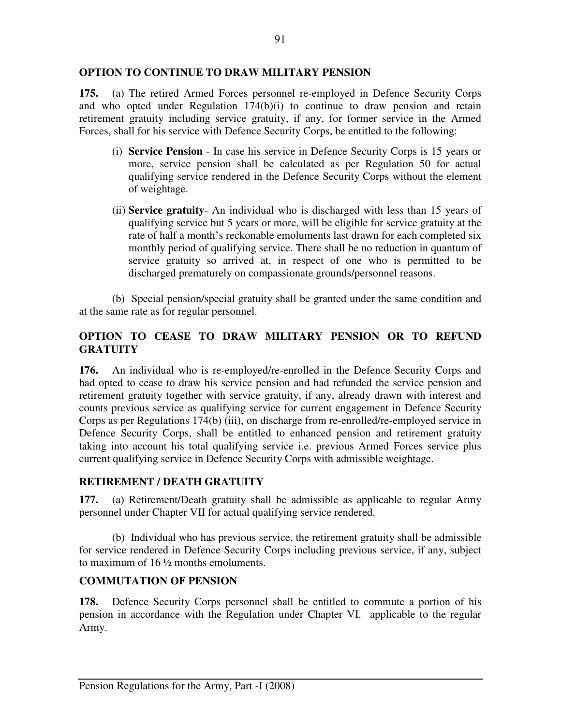# **OPTION TO CONTINUE TO DRAW MILITARY PENSION**

**175.** (a) The retired Armed Forces personnel re-employed in Defence Security Corps and who opted under Regulation 174(b)(i) to continue to draw pension and retain retirement gratuity including service gratuity, if any, for former service in the Armed Forces, shall for his service with Defence Security Corps, be entitled to the following:

- (i) **Service Pension** In case his service in Defence Security Corps is 15 years or more, service pension shall be calculated as per Regulation 50 for actual qualifying service rendered in the Defence Security Corps without the element of weightage.
- (ii) **Service gratuity** An individual who is discharged with less than 15 years of qualifying service but 5 years or more, will be eligible for service gratuity at the rate of half a month's reckonable emoluments last drawn for each completed six monthly period of qualifying service. There shall be no reduction in quantum of service gratuity so arrived at, in respect of one who is permitted to be discharged prematurely on compassionate grounds/personnel reasons.

(b) Special pension/special gratuity shall be granted under the same condition and at the same rate as for regular personnel.

# **OPTION TO CEASE TO DRAW MILITARY PENSION OR TO REFUND GRATUITY**

**176.** An individual who is re-employed/re-enrolled in the Defence Security Corps and had opted to cease to draw his service pension and had refunded the service pension and retirement gratuity together with service gratuity, if any, already drawn with interest and counts previous service as qualifying service for current engagement in Defence Security Corps as per Regulations 174(b) (iii), on discharge from re-enrolled/re-employed service in Defence Security Corps, shall be entitled to enhanced pension and retirement gratuity taking into account his total qualifying service i.e. previous Armed Forces service plus current qualifying service in Defence Security Corps with admissible weightage.

# **RETIREMENT / DEATH GRATUITY**

**177.** (a) Retirement/Death gratuity shall be admissible as applicable to regular Army personnel under Chapter VII for actual qualifying service rendered.

 (b) Individual who has previous service, the retirement gratuity shall be admissible for service rendered in Defence Security Corps including previous service, if any, subject to maximum of 16 ½ months emoluments.

# **COMMUTATION OF PENSION**

**178.** Defence Security Corps personnel shall be entitled to commute a portion of his pension in accordance with the Regulation under Chapter VI. applicable to the regular Army.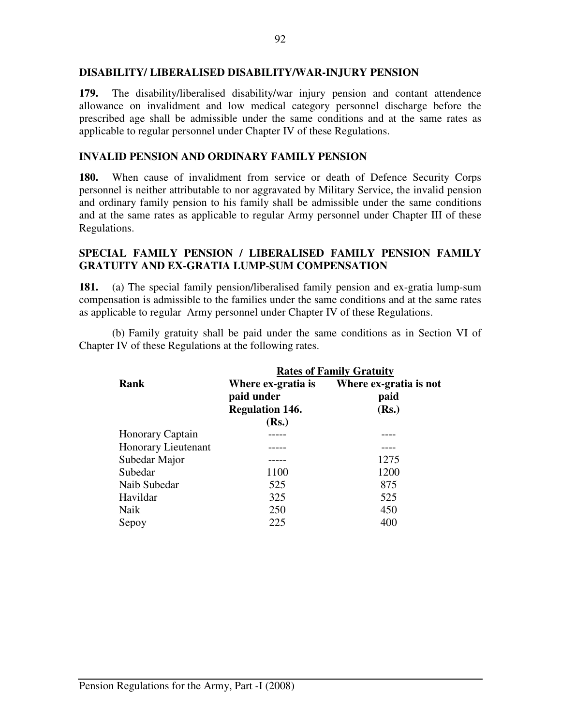#### **DISABILITY/ LIBERALISED DISABILITY/WAR-INJURY PENSION**

**179.** The disability/liberalised disability/war injury pension and contant attendence allowance on invalidment and low medical category personnel discharge before the prescribed age shall be admissible under the same conditions and at the same rates as applicable to regular personnel under Chapter IV of these Regulations.

# **INVALID PENSION AND ORDINARY FAMILY PENSION**

**180.** When cause of invalidment from service or death of Defence Security Corps personnel is neither attributable to nor aggravated by Military Service, the invalid pension and ordinary family pension to his family shall be admissible under the same conditions and at the same rates as applicable to regular Army personnel under Chapter III of these Regulations.

# **SPECIAL FAMILY PENSION / LIBERALISED FAMILY PENSION FAMILY GRATUITY AND EX-GRATIA LUMP-SUM COMPENSATION**

**181.** (a) The special family pension/liberalised family pension and ex-gratia lump-sum compensation is admissible to the families under the same conditions and at the same rates as applicable to regular Army personnel under Chapter IV of these Regulations.

(b) Family gratuity shall be paid under the same conditions as in Section VI of Chapter IV of these Regulations at the following rates.

|                     | <b>Rates of Family Gratuity</b>                                     |                                         |  |
|---------------------|---------------------------------------------------------------------|-----------------------------------------|--|
| Rank                | Where ex-gratia is<br>paid under<br><b>Regulation 146.</b><br>(Rs.) | Where ex-gratia is not<br>paid<br>(Rs.) |  |
| Honorary Captain    |                                                                     |                                         |  |
| Honorary Lieutenant |                                                                     |                                         |  |
| Subedar Major       |                                                                     | 1275                                    |  |
| Subedar             | 1100                                                                | 1200                                    |  |
| Naib Subedar        | 525                                                                 | 875                                     |  |
| Havildar            | 325                                                                 | 525                                     |  |
| Naik                | 250                                                                 | 450                                     |  |
| Sepoy               | 225                                                                 | 400                                     |  |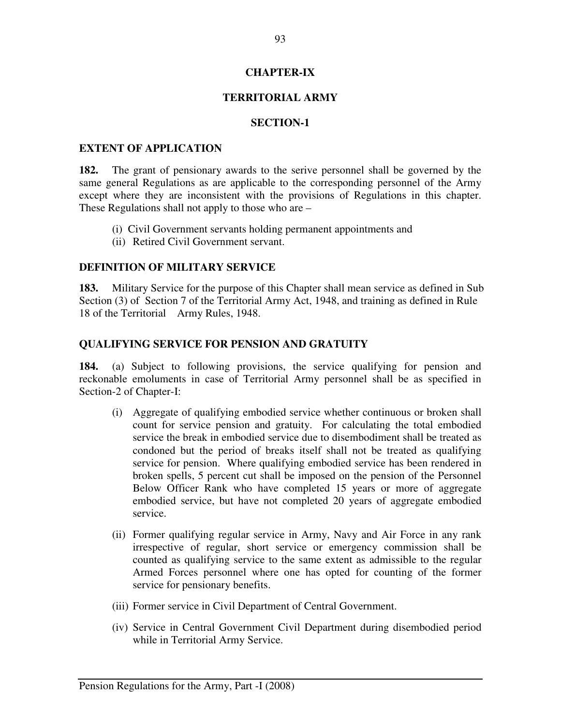### **CHAPTER-IX**

# **TERRITORIAL ARMY**

### **SECTION-1**

#### **EXTENT OF APPLICATION**

**182.** The grant of pensionary awards to the serive personnel shall be governed by the same general Regulations as are applicable to the corresponding personnel of the Army except where they are inconsistent with the provisions of Regulations in this chapter. These Regulations shall not apply to those who are –

- (i) Civil Government servants holding permanent appointments and
- (ii) Retired Civil Government servant.

#### **DEFINITION OF MILITARY SERVICE**

**183.** Military Service for the purpose of this Chapter shall mean service as defined in Sub Section (3) of Section 7 of the Territorial Army Act, 1948, and training as defined in Rule 18 of the Territorial Army Rules, 1948.

## **QUALIFYING SERVICE FOR PENSION AND GRATUITY**

**184.** (a) Subject to following provisions, the service qualifying for pension and reckonable emoluments in case of Territorial Army personnel shall be as specified in Section-2 of Chapter-I:

- (i) Aggregate of qualifying embodied service whether continuous or broken shall count for service pension and gratuity. For calculating the total embodied service the break in embodied service due to disembodiment shall be treated as condoned but the period of breaks itself shall not be treated as qualifying service for pension. Where qualifying embodied service has been rendered in broken spells, 5 percent cut shall be imposed on the pension of the Personnel Below Officer Rank who have completed 15 years or more of aggregate embodied service, but have not completed 20 years of aggregate embodied service.
- (ii) Former qualifying regular service in Army, Navy and Air Force in any rank irrespective of regular, short service or emergency commission shall be counted as qualifying service to the same extent as admissible to the regular Armed Forces personnel where one has opted for counting of the former service for pensionary benefits.
- (iii) Former service in Civil Department of Central Government.
- (iv) Service in Central Government Civil Department during disembodied period while in Territorial Army Service.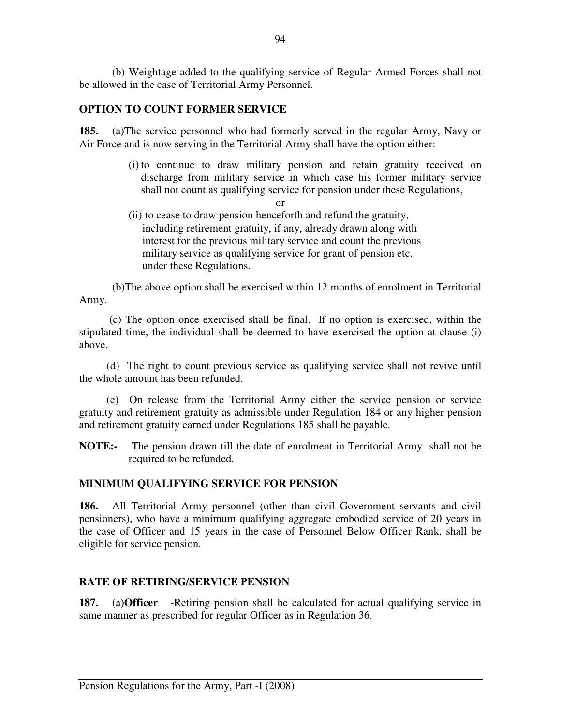(b) Weightage added to the qualifying service of Regular Armed Forces shall not be allowed in the case of Territorial Army Personnel.

# **OPTION TO COUNT FORMER SERVICE**

**185.** (a)The service personnel who had formerly served in the regular Army, Navy or Air Force and is now serving in the Territorial Army shall have the option either:

- (i) to continue to draw military pension and retain gratuity received on discharge from military service in which case his former military service shall not count as qualifying service for pension under these Regulations,
- or (ii) to cease to draw pension henceforth and refund the gratuity, including retirement gratuity, if any, already drawn along with interest for the previous military service and count the previous military service as qualifying service for grant of pension etc. under these Regulations.

 (b)The above option shall be exercised within 12 months of enrolment in Territorial Army.

 (c) The option once exercised shall be final. If no option is exercised, within the stipulated time, the individual shall be deemed to have exercised the option at clause (i) above.

 (d) The right to count previous service as qualifying service shall not revive until the whole amount has been refunded.

 (e) On release from the Territorial Army either the service pension or service gratuity and retirement gratuity as admissible under Regulation 184 or any higher pension and retirement gratuity earned under Regulations 185 shall be payable.

**NOTE:-** The pension drawn till the date of enrolment in Territorial Army shall not be required to be refunded.

# **MINIMUM QUALIFYING SERVICE FOR PENSION**

**186.** All Territorial Army personnel (other than civil Government servants and civil pensioners), who have a minimum qualifying aggregate embodied service of 20 years in the case of Officer and 15 years in the case of Personnel Below Officer Rank, shall be eligible for service pension.

# **RATE OF RETIRING/SERVICE PENSION**

**187.** (a)**Officer** -Retiring pension shall be calculated for actual qualifying service in same manner as prescribed for regular Officer as in Regulation 36.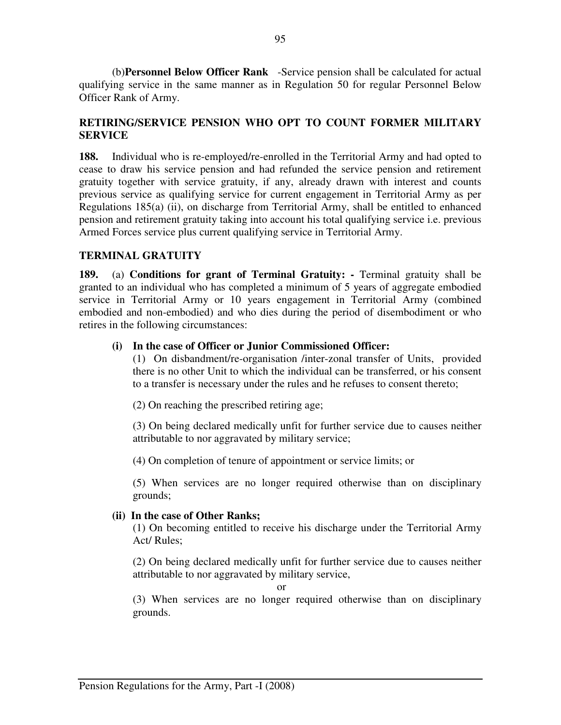(b)**Personnel Below Officer Rank** -Service pension shall be calculated for actual qualifying service in the same manner as in Regulation 50 for regular Personnel Below Officer Rank of Army.

# **RETIRING/SERVICE PENSION WHO OPT TO COUNT FORMER MILITARY SERVICE**

**188.** Individual who is re-employed/re-enrolled in the Territorial Army and had opted to cease to draw his service pension and had refunded the service pension and retirement gratuity together with service gratuity, if any, already drawn with interest and counts previous service as qualifying service for current engagement in Territorial Army as per Regulations 185(a) (ii), on discharge from Territorial Army, shall be entitled to enhanced pension and retirement gratuity taking into account his total qualifying service i.e. previous Armed Forces service plus current qualifying service in Territorial Army.

# **TERMINAL GRATUITY**

**189.** (a) **Conditions for grant of Terminal Gratuity: -** Terminal gratuity shall be granted to an individual who has completed a minimum of 5 years of aggregate embodied service in Territorial Army or 10 years engagement in Territorial Army (combined embodied and non-embodied) and who dies during the period of disembodiment or who retires in the following circumstances:

## **(i) In the case of Officer or Junior Commissioned Officer:**

 (1) On disbandment/re-organisation /inter-zonal transfer of Units, provided there is no other Unit to which the individual can be transferred, or his consent to a transfer is necessary under the rules and he refuses to consent thereto;

(2) On reaching the prescribed retiring age;

 (3) On being declared medically unfit for further service due to causes neither attributable to nor aggravated by military service;

(4) On completion of tenure of appointment or service limits; or

 (5) When services are no longer required otherwise than on disciplinary grounds;

#### **(ii) In the case of Other Ranks;**

(1) On becoming entitled to receive his discharge under the Territorial Army Act/ Rules;

(2) On being declared medically unfit for further service due to causes neither attributable to nor aggravated by military service,

or

(3) When services are no longer required otherwise than on disciplinary grounds.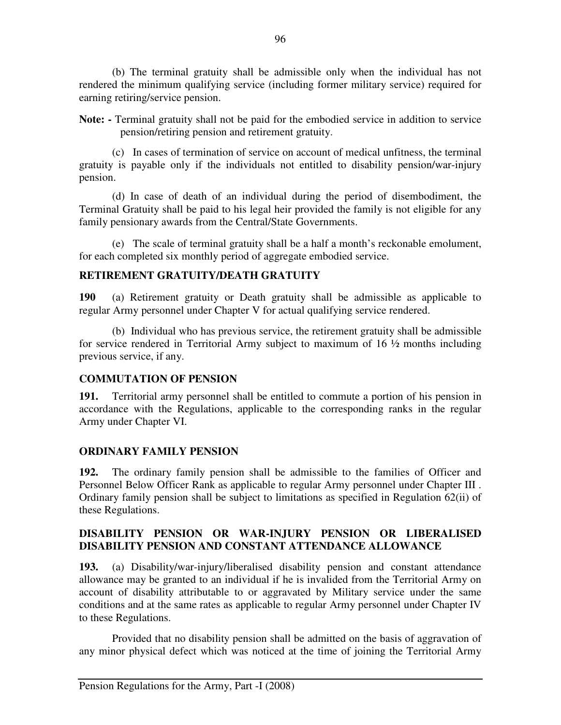(b) The terminal gratuity shall be admissible only when the individual has not rendered the minimum qualifying service (including former military service) required for earning retiring/service pension.

Note: - Terminal gratuity shall not be paid for the embodied service in addition to service pension/retiring pension and retirement gratuity.

(c)In cases of termination of service on account of medical unfitness, the terminal gratuity is payable only if the individuals not entitled to disability pension/war-injury pension.

(d) In case of death of an individual during the period of disembodiment, the Terminal Gratuity shall be paid to his legal heir provided the family is not eligible for any family pensionary awards from the Central/State Governments.

 (e) The scale of terminal gratuity shall be a half a month's reckonable emolument, for each completed six monthly period of aggregate embodied service.

## **RETIREMENT GRATUITY/DEATH GRATUITY**

**190** (a) Retirement gratuity or Death gratuity shall be admissible as applicable to regular Army personnel under Chapter V for actual qualifying service rendered.

(b) Individual who has previous service, the retirement gratuity shall be admissible for service rendered in Territorial Army subject to maximum of 16 ½ months including previous service, if any.

#### **COMMUTATION OF PENSION**

**191.** Territorial army personnel shall be entitled to commute a portion of his pension in accordance with the Regulations, applicable to the corresponding ranks in the regular Army under Chapter VI.

#### **ORDINARY FAMILY PENSION**

**192.** The ordinary family pension shall be admissible to the families of Officer and Personnel Below Officer Rank as applicable to regular Army personnel under Chapter III . Ordinary family pension shall be subject to limitations as specified in Regulation 62(ii) of these Regulations.

# **DISABILITY PENSION OR WAR-INJURY PENSION OR LIBERALISED DISABILITY PENSION AND CONSTANT ATTENDANCE ALLOWANCE**

**193.** (a) Disability/war-injury/liberalised disability pension and constant attendance allowance may be granted to an individual if he is invalided from the Territorial Army on account of disability attributable to or aggravated by Military service under the same conditions and at the same rates as applicable to regular Army personnel under Chapter IV to these Regulations.

 Provided that no disability pension shall be admitted on the basis of aggravation of any minor physical defect which was noticed at the time of joining the Territorial Army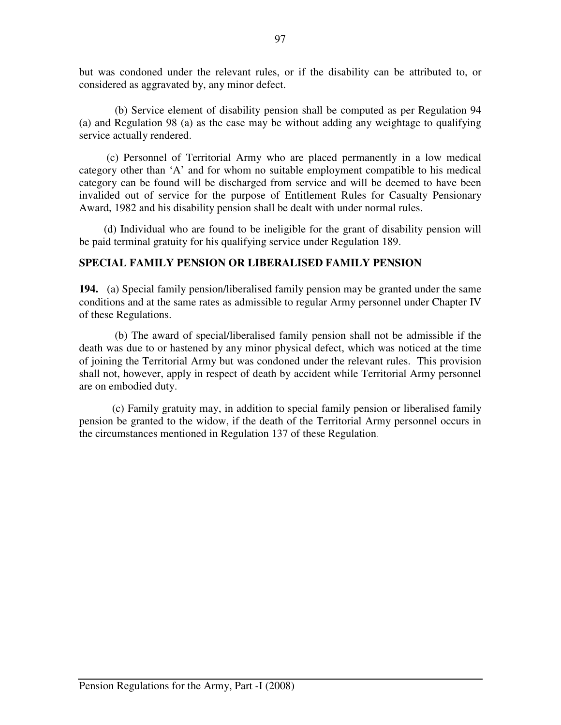but was condoned under the relevant rules, or if the disability can be attributed to, or considered as aggravated by, any minor defect.

(b) Service element of disability pension shall be computed as per Regulation 94 (a) and Regulation 98 (a) as the case may be without adding any weightage to qualifying service actually rendered.

 (c) Personnel of Territorial Army who are placed permanently in a low medical category other than 'A' and for whom no suitable employment compatible to his medical category can be found will be discharged from service and will be deemed to have been invalided out of service for the purpose of Entitlement Rules for Casualty Pensionary Award, 1982 and his disability pension shall be dealt with under normal rules.

(d) Individual who are found to be ineligible for the grant of disability pension will be paid terminal gratuity for his qualifying service under Regulation 189.

# **SPECIAL FAMILY PENSION OR LIBERALISED FAMILY PENSION**

**194.** (a) Special family pension/liberalised family pension may be granted under the same conditions and at the same rates as admissible to regular Army personnel under Chapter IV of these Regulations.

 (b) The award of special/liberalised family pension shall not be admissible if the death was due to or hastened by any minor physical defect, which was noticed at the time of joining the Territorial Army but was condoned under the relevant rules. This provision shall not, however, apply in respect of death by accident while Territorial Army personnel are on embodied duty.

(c) Family gratuity may, in addition to special family pension or liberalised family pension be granted to the widow, if the death of the Territorial Army personnel occurs in the circumstances mentioned in Regulation 137 of these Regulation.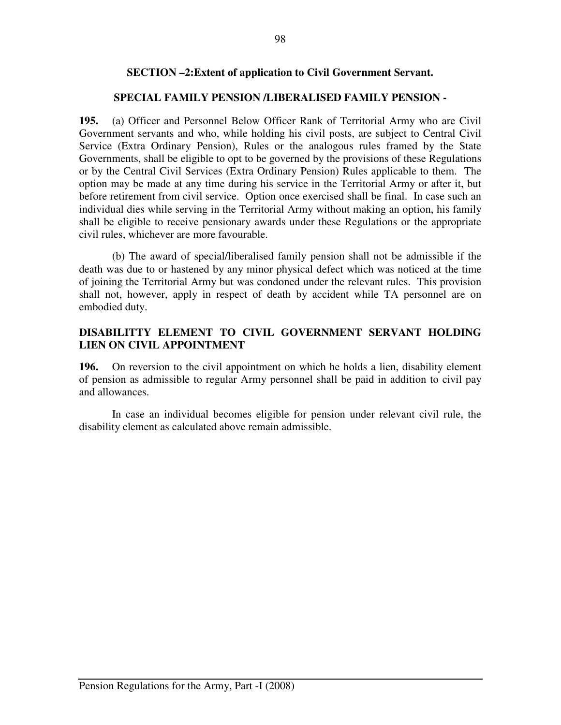# **SECTION –2:Extent of application to Civil Government Servant.**

# **SPECIAL FAMILY PENSION /LIBERALISED FAMILY PENSION -**

**195.** (a) Officer and Personnel Below Officer Rank of Territorial Army who are Civil Government servants and who, while holding his civil posts, are subject to Central Civil Service (Extra Ordinary Pension), Rules or the analogous rules framed by the State Governments, shall be eligible to opt to be governed by the provisions of these Regulations or by the Central Civil Services (Extra Ordinary Pension) Rules applicable to them. The option may be made at any time during his service in the Territorial Army or after it, but before retirement from civil service. Option once exercised shall be final. In case such an individual dies while serving in the Territorial Army without making an option, his family shall be eligible to receive pensionary awards under these Regulations or the appropriate civil rules, whichever are more favourable.

 (b) The award of special/liberalised family pension shall not be admissible if the death was due to or hastened by any minor physical defect which was noticed at the time of joining the Territorial Army but was condoned under the relevant rules. This provision shall not, however, apply in respect of death by accident while TA personnel are on embodied duty.

# **DISABILITTY ELEMENT TO CIVIL GOVERNMENT SERVANT HOLDING LIEN ON CIVIL APPOINTMENT**

**196.** On reversion to the civil appointment on which he holds a lien, disability element of pension as admissible to regular Army personnel shall be paid in addition to civil pay and allowances.

 In case an individual becomes eligible for pension under relevant civil rule, the disability element as calculated above remain admissible.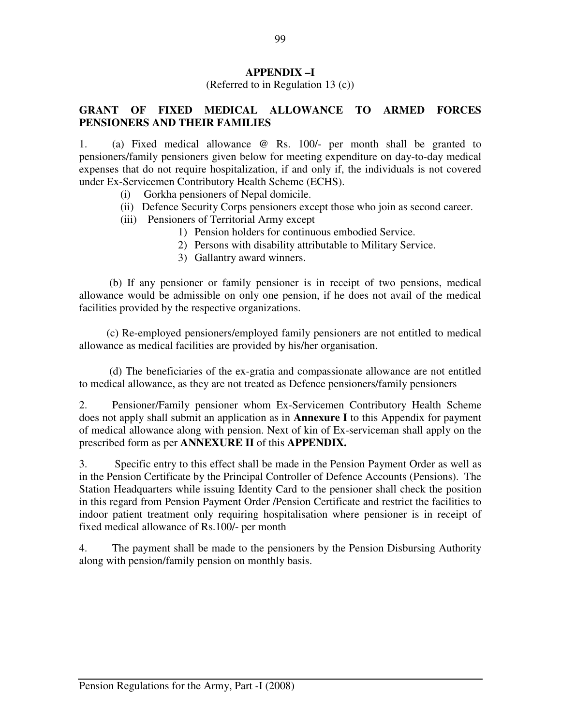# **APPENDIX –I**

(Referred to in Regulation 13 (c))

# **GRANT OF FIXED MEDICAL ALLOWANCE TO ARMED FORCES PENSIONERS AND THEIR FAMILIES**

1. (a) Fixed medical allowance @ Rs. 100/- per month shall be granted to pensioners/family pensioners given below for meeting expenditure on day-to-day medical expenses that do not require hospitalization, if and only if, the individuals is not covered under Ex-Servicemen Contributory Health Scheme (ECHS).

- (i) Gorkha pensioners of Nepal domicile.
- (ii) Defence Security Corps pensioners except those who join as second career.
- (iii) Pensioners of Territorial Army except
	- 1) Pension holders for continuous embodied Service.
	- 2) Persons with disability attributable to Military Service.
	- 3) Gallantry award winners.

 (b) If any pensioner or family pensioner is in receipt of two pensions, medical allowance would be admissible on only one pension, if he does not avail of the medical facilities provided by the respective organizations.

 (c) Re-employed pensioners/employed family pensioners are not entitled to medical allowance as medical facilities are provided by his/her organisation.

 (d) The beneficiaries of the ex-gratia and compassionate allowance are not entitled to medical allowance, as they are not treated as Defence pensioners/family pensioners

2. Pensioner/Family pensioner whom Ex-Servicemen Contributory Health Scheme does not apply shall submit an application as in **Annexure I** to this Appendix for payment of medical allowance along with pension. Next of kin of Ex-serviceman shall apply on the prescribed form as per **ANNEXURE II** of this **APPENDIX.**

3. Specific entry to this effect shall be made in the Pension Payment Order as well as in the Pension Certificate by the Principal Controller of Defence Accounts (Pensions). The Station Headquarters while issuing Identity Card to the pensioner shall check the position in this regard from Pension Payment Order /Pension Certificate and restrict the facilities to indoor patient treatment only requiring hospitalisation where pensioner is in receipt of fixed medical allowance of Rs.100/- per month

4. The payment shall be made to the pensioners by the Pension Disbursing Authority along with pension/family pension on monthly basis.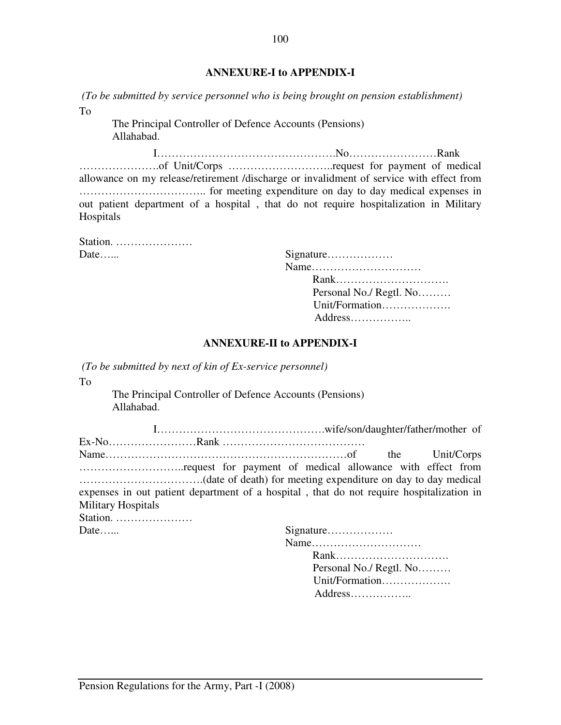### **ANNEXURE-I to APPENDIX-I**

 *(To be submitted by service personnel who is being brought on pension establishment)*  To

The Principal Controller of Defence Accounts (Pensions) Allahabad.

 I………………………………………….No……………………Rank ………………….of Unit/Corps ………………………..request for payment of medical allowance on my release/retirement /discharge or invalidment of service with effect from …………………………….. for meeting expenditure on day to day medical expenses in out patient department of a hospital , that do not require hospitalization in Military Hospitals

Station. ………………… Date……

| Date |                         |
|------|-------------------------|
|      |                         |
|      |                         |
|      | Personal No./ Regtl. No |
|      | Unit/Formation          |
|      |                         |
|      |                         |

#### **ANNEXURE-II to APPENDIX-I**

 *(To be submitted by next of kin of Ex-service personnel)* 

To

The Principal Controller of Defence Accounts (Pensions) Allahabad.

| expenses in out patient department of a hospital, that do not require hospitalization in |  |  |  |  |  |
|------------------------------------------------------------------------------------------|--|--|--|--|--|
| <b>Military Hospitals</b>                                                                |  |  |  |  |  |
| Station. $\dots \dots \dots \dots \dots$                                                 |  |  |  |  |  |
|                                                                                          |  |  |  |  |  |

| Date | Signature               |
|------|-------------------------|
|      |                         |
|      |                         |
|      | Personal No./ Regtl. No |
|      | Unit/Formation          |
|      |                         |
|      |                         |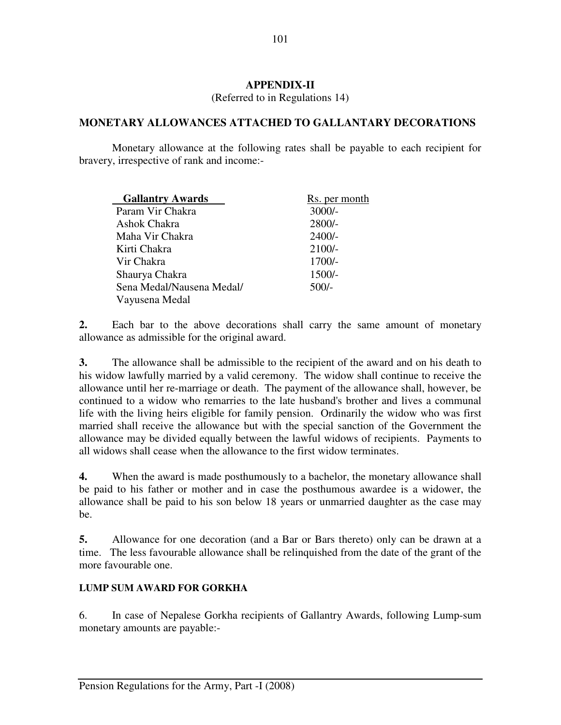## **APPENDIX-II**

(Referred to in Regulations 14)

## **MONETARY ALLOWANCES ATTACHED TO GALLANTARY DECORATIONS**

 Monetary allowance at the following rates shall be payable to each recipient for bravery, irrespective of rank and income:-

| <b>Gallantry Awards</b>   | R <sub>s.</sub> per month |
|---------------------------|---------------------------|
| Param Vir Chakra          | $3000/-$                  |
| Ashok Chakra              | $2800/-$                  |
| Maha Vir Chakra           | $2400/-$                  |
| Kirti Chakra              | $2100/-$                  |
| Vir Chakra                | $1700/-$                  |
| Shaurya Chakra            | $1500/-$                  |
| Sena Medal/Nausena Medal/ | $500/-$                   |
| Vayusena Medal            |                           |

**2.** Each bar to the above decorations shall carry the same amount of monetary allowance as admissible for the original award.

**3.** The allowance shall be admissible to the recipient of the award and on his death to his widow lawfully married by a valid ceremony. The widow shall continue to receive the allowance until her re-marriage or death. The payment of the allowance shall, however, be continued to a widow who remarries to the late husband's brother and lives a communal life with the living heirs eligible for family pension. Ordinarily the widow who was first married shall receive the allowance but with the special sanction of the Government the allowance may be divided equally between the lawful widows of recipients. Payments to all widows shall cease when the allowance to the first widow terminates.

**4.** When the award is made posthumously to a bachelor, the monetary allowance shall be paid to his father or mother and in case the posthumous awardee is a widower, the allowance shall be paid to his son below 18 years or unmarried daughter as the case may be.

**5.** Allowance for one decoration (and a Bar or Bars thereto) only can be drawn at a time. The less favourable allowance shall be relinquished from the date of the grant of the more favourable one.

# **LUMP SUM AWARD FOR GORKHA**

6. In case of Nepalese Gorkha recipients of Gallantry Awards, following Lump-sum monetary amounts are payable:-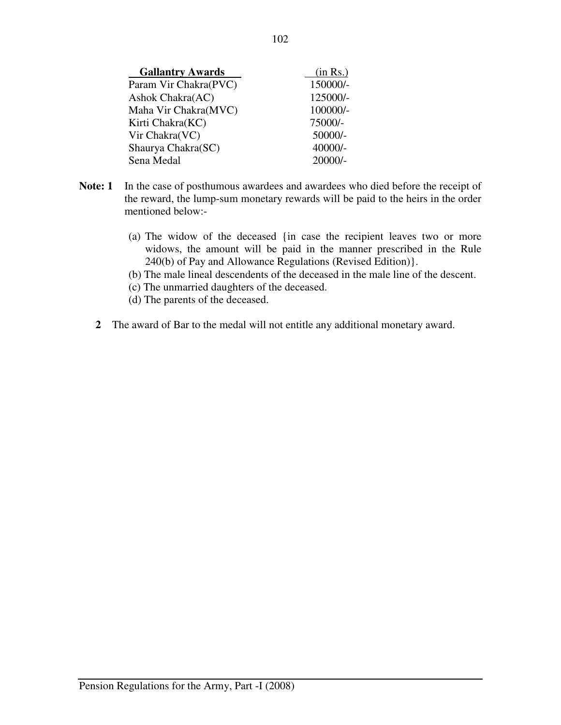| <b>Gallantry Awards</b> | (in Rs.)  |
|-------------------------|-----------|
| Param Vir Chakra(PVC)   | 150000/-  |
| Ashok Chakra(AC)        | 125000/-  |
| Maha Vir Chakra(MVC)    | 100000/-  |
| Kirti Chakra(KC)        | 75000/-   |
| Vir Chakra(VC)          | 50000/-   |
| Shaurya Chakra(SC)      | 40000/-   |
| Sena Medal              | $20000/-$ |

- **Note: 1** In the case of posthumous awardees and awardees who died before the receipt of the reward, the lump-sum monetary rewards will be paid to the heirs in the order mentioned below:-
	- (a) The widow of the deceased {in case the recipient leaves two or more widows, the amount will be paid in the manner prescribed in the Rule 240(b) of Pay and Allowance Regulations (Revised Edition)}.
	- (b) The male lineal descendents of the deceased in the male line of the descent.
	- (c) The unmarried daughters of the deceased.
	- (d) The parents of the deceased.
	- **2** The award of Bar to the medal will not entitle any additional monetary award.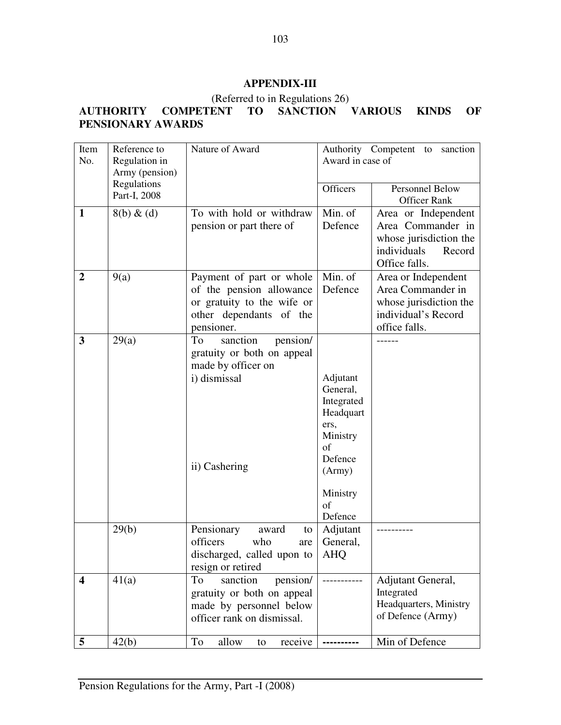# **APPENDIX-III**

## (Referred to in Regulations 26)

# **AUTHORITY COMPETENT TO SANCTION VARIOUS KINDS OF PENSIONARY AWARDS**

| Item                    | Reference to                | Nature of Award              |                        | Authority Competent to<br>sanction |
|-------------------------|-----------------------------|------------------------------|------------------------|------------------------------------|
| No.                     | Regulation in               |                              | Award in case of       |                                    |
|                         | Army (pension)              |                              |                        |                                    |
|                         | Regulations<br>Part-I, 2008 |                              | Officers               | Personnel Below                    |
|                         |                             |                              |                        | <b>Officer Rank</b>                |
| $\mathbf{1}$            | $8(b) \& (d)$               | To with hold or withdraw     | Min. of                | Area or Independent                |
|                         |                             | pension or part there of     | Defence                | Area Commander in                  |
|                         |                             |                              |                        | whose jurisdiction the             |
|                         |                             |                              |                        | individuals<br>Record              |
|                         |                             |                              |                        | Office falls.                      |
| $\overline{2}$          | 9(a)                        | Payment of part or whole     | Min. of                | Area or Independent                |
|                         |                             | of the pension allowance     | Defence                | Area Commander in                  |
|                         |                             | or gratuity to the wife or   |                        | whose jurisdiction the             |
|                         |                             | other dependants of the      |                        | individual's Record                |
|                         |                             | pensioner.                   |                        | office falls.                      |
| $\mathbf{3}$            | 29(a)                       | pension/<br>To<br>sanction   |                        |                                    |
|                         |                             | gratuity or both on appeal   |                        |                                    |
|                         |                             | made by officer on           |                        |                                    |
|                         |                             | i) dismissal                 | Adjutant               |                                    |
|                         |                             |                              | General,<br>Integrated |                                    |
|                         |                             |                              | Headquart              |                                    |
|                         |                             |                              | ers,                   |                                    |
|                         |                             |                              | Ministry               |                                    |
|                         |                             |                              | of                     |                                    |
|                         |                             |                              | Defence                |                                    |
|                         |                             | ii) Cashering                | (Army)                 |                                    |
|                         |                             |                              | Ministry               |                                    |
|                         |                             |                              | of                     |                                    |
|                         |                             |                              | Defence                |                                    |
|                         | 29(b)                       | Pensionary<br>award<br>to    | Adjutant               |                                    |
|                         |                             | officers<br>who<br>are       | General,               |                                    |
|                         |                             | discharged, called upon to   | <b>AHQ</b>             |                                    |
|                         |                             | resign or retired            |                        |                                    |
| $\overline{\mathbf{4}}$ | 41(a)                       | To<br>pension/<br>sanction   |                        | Adjutant General,                  |
|                         |                             | gratuity or both on appeal   |                        | Integrated                         |
|                         |                             | made by personnel below      |                        | Headquarters, Ministry             |
|                         |                             | officer rank on dismissal.   |                        | of Defence (Army)                  |
| $5\phantom{.0}$         | 42(b)                       | To<br>allow<br>receive<br>to |                        | Min of Defence                     |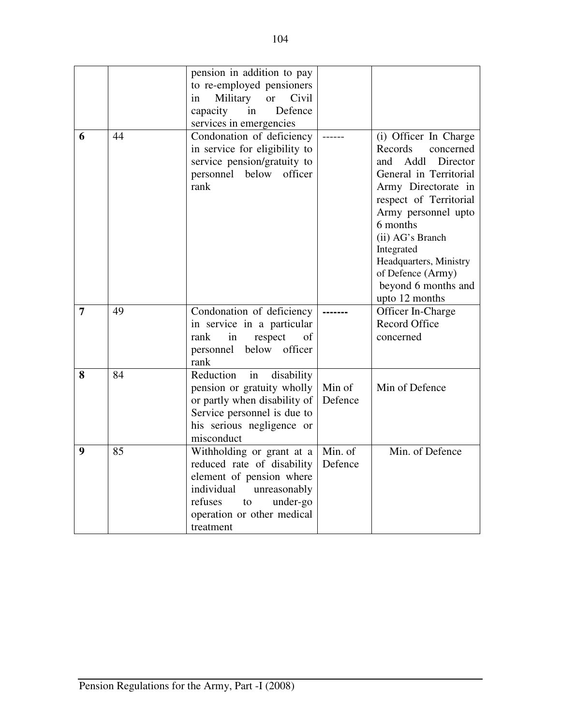|                  |    | pension in addition to pay                                                                                                         |         |                                                                                                                                                                                                                                                                                                                  |
|------------------|----|------------------------------------------------------------------------------------------------------------------------------------|---------|------------------------------------------------------------------------------------------------------------------------------------------------------------------------------------------------------------------------------------------------------------------------------------------------------------------|
|                  |    | to re-employed pensioners                                                                                                          |         |                                                                                                                                                                                                                                                                                                                  |
|                  |    | Military<br>Civil<br><b>or</b><br>in                                                                                               |         |                                                                                                                                                                                                                                                                                                                  |
|                  |    | Defence<br>capacity<br>in                                                                                                          |         |                                                                                                                                                                                                                                                                                                                  |
|                  |    | services in emergencies                                                                                                            |         |                                                                                                                                                                                                                                                                                                                  |
| 6                | 44 | Condonation of deficiency<br>in service for eligibility to<br>service pension/gratuity to<br>personnel<br>below<br>officer<br>rank |         | (i) Officer In Charge<br>Records<br>concerned<br>Addl<br>Director<br>and<br>General in Territorial<br>Army Directorate in<br>respect of Territorial<br>Army personnel upto<br>6 months<br>(ii) AG's Branch<br>Integrated<br>Headquarters, Ministry<br>of Defence (Army)<br>beyond 6 months and<br>upto 12 months |
| $\overline{7}$   | 49 | Condonation of deficiency                                                                                                          |         | Officer In-Charge                                                                                                                                                                                                                                                                                                |
|                  |    | in service in a particular                                                                                                         |         | <b>Record Office</b>                                                                                                                                                                                                                                                                                             |
|                  |    | rank<br>in<br>respect<br>of                                                                                                        |         | concerned                                                                                                                                                                                                                                                                                                        |
|                  |    | below officer<br>personnel                                                                                                         |         |                                                                                                                                                                                                                                                                                                                  |
|                  |    | rank                                                                                                                               |         |                                                                                                                                                                                                                                                                                                                  |
| 8                | 84 | Reduction<br>in<br>disability                                                                                                      |         |                                                                                                                                                                                                                                                                                                                  |
|                  |    | pension or gratuity wholly                                                                                                         | Min of  | Min of Defence                                                                                                                                                                                                                                                                                                   |
|                  |    | or partly when disability of                                                                                                       | Defence |                                                                                                                                                                                                                                                                                                                  |
|                  |    | Service personnel is due to                                                                                                        |         |                                                                                                                                                                                                                                                                                                                  |
|                  |    | his serious negligence or                                                                                                          |         |                                                                                                                                                                                                                                                                                                                  |
|                  |    | misconduct                                                                                                                         |         |                                                                                                                                                                                                                                                                                                                  |
| $\boldsymbol{9}$ | 85 | Withholding or grant at a                                                                                                          | Min. of | Min. of Defence                                                                                                                                                                                                                                                                                                  |
|                  |    | reduced rate of disability                                                                                                         | Defence |                                                                                                                                                                                                                                                                                                                  |
|                  |    | element of pension where                                                                                                           |         |                                                                                                                                                                                                                                                                                                                  |
|                  |    | individual<br>unreasonably                                                                                                         |         |                                                                                                                                                                                                                                                                                                                  |
|                  |    | refuses<br>to<br>under-go                                                                                                          |         |                                                                                                                                                                                                                                                                                                                  |
|                  |    | operation or other medical                                                                                                         |         |                                                                                                                                                                                                                                                                                                                  |
|                  |    | treatment                                                                                                                          |         |                                                                                                                                                                                                                                                                                                                  |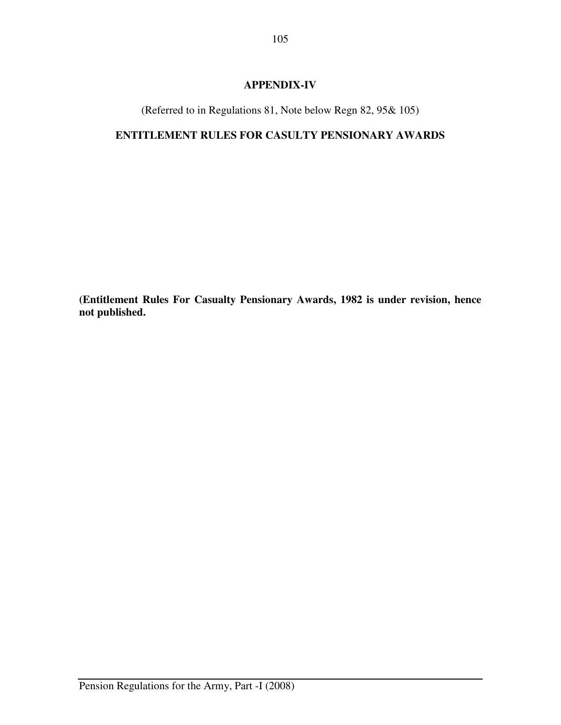# **APPENDIX-IV**

(Referred to in Regulations 81, Note below Regn 82, 95& 105)

# **ENTITLEMENT RULES FOR CASULTY PENSIONARY AWARDS**

**(Entitlement Rules For Casualty Pensionary Awards, 1982 is under revision, hence not published.**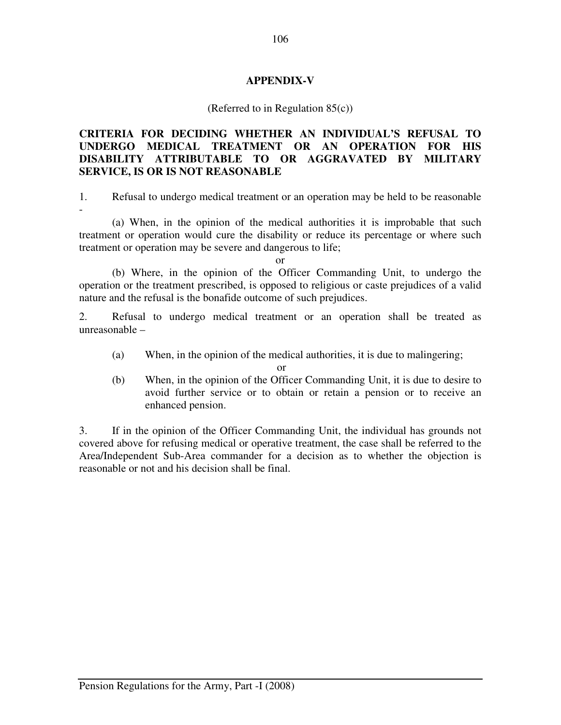## **APPENDIX-V**

### (Referred to in Regulation 85(c))

# **CRITERIA FOR DECIDING WHETHER AN INDIVIDUAL'S REFUSAL TO UNDERGO MEDICAL TREATMENT OR AN OPERATION FOR HIS DISABILITY ATTRIBUTABLE TO OR AGGRAVATED BY MILITARY SERVICE, IS OR IS NOT REASONABLE**

1. Refusal to undergo medical treatment or an operation may be held to be reasonable

 (a) When, in the opinion of the medical authorities it is improbable that such treatment or operation would cure the disability or reduce its percentage or where such treatment or operation may be severe and dangerous to life;

or

 (b) Where, in the opinion of the Officer Commanding Unit, to undergo the operation or the treatment prescribed, is opposed to religious or caste prejudices of a valid nature and the refusal is the bonafide outcome of such prejudices.

2. Refusal to undergo medical treatment or an operation shall be treated as unreasonable –

(a) When, in the opinion of the medical authorities, it is due to malingering;

or

(b) When, in the opinion of the Officer Commanding Unit, it is due to desire to avoid further service or to obtain or retain a pension or to receive an enhanced pension.

3. If in the opinion of the Officer Commanding Unit, the individual has grounds not covered above for refusing medical or operative treatment, the case shall be referred to the Area/Independent Sub-Area commander for a decision as to whether the objection is reasonable or not and his decision shall be final.

-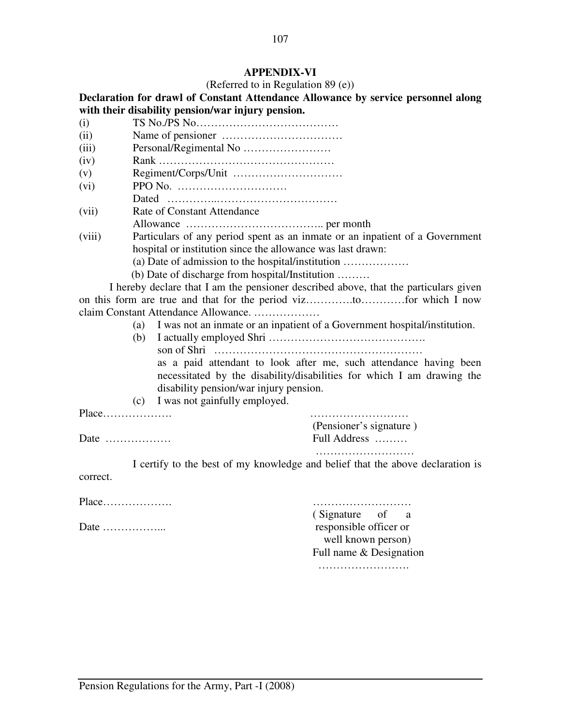# **APPENDIX-VI**

(Referred to in Regulation 89 (e))

|                                       |                                    |                                                             | Declaration for drawl of Constant Attendance Allowance by service personnel along    |  |  |  |  |
|---------------------------------------|------------------------------------|-------------------------------------------------------------|--------------------------------------------------------------------------------------|--|--|--|--|
|                                       |                                    | with their disability pension/war injury pension.           |                                                                                      |  |  |  |  |
| (i)                                   |                                    |                                                             |                                                                                      |  |  |  |  |
| (ii)                                  |                                    |                                                             |                                                                                      |  |  |  |  |
| (iii)                                 |                                    |                                                             |                                                                                      |  |  |  |  |
| (iv)                                  |                                    |                                                             |                                                                                      |  |  |  |  |
| (v)                                   |                                    |                                                             |                                                                                      |  |  |  |  |
| (vi)                                  |                                    |                                                             |                                                                                      |  |  |  |  |
|                                       |                                    |                                                             |                                                                                      |  |  |  |  |
| (vii)                                 | <b>Rate of Constant Attendance</b> |                                                             |                                                                                      |  |  |  |  |
|                                       |                                    |                                                             |                                                                                      |  |  |  |  |
| (viii)                                |                                    |                                                             | Particulars of any period spent as an inmate or an inpatient of a Government         |  |  |  |  |
|                                       |                                    | hospital or institution since the allowance was last drawn: |                                                                                      |  |  |  |  |
|                                       |                                    | (a) Date of admission to the hospital/institution           |                                                                                      |  |  |  |  |
|                                       |                                    | (b) Date of discharge from hospital/Institution             |                                                                                      |  |  |  |  |
|                                       |                                    |                                                             | I hereby declare that I am the pensioner described above, that the particulars given |  |  |  |  |
|                                       |                                    |                                                             |                                                                                      |  |  |  |  |
|                                       |                                    | claim Constant Attendance Allowance.                        |                                                                                      |  |  |  |  |
| (a)                                   |                                    |                                                             | I was not an inmate or an inpatient of a Government hospital/institution.            |  |  |  |  |
|                                       | (b)                                |                                                             |                                                                                      |  |  |  |  |
|                                       |                                    |                                                             |                                                                                      |  |  |  |  |
|                                       |                                    |                                                             | as a paid attendant to look after me, such attendance having been                    |  |  |  |  |
|                                       |                                    |                                                             | necessitated by the disability/disabilities for which I am drawing the               |  |  |  |  |
|                                       |                                    | disability pension/war injury pension.                      |                                                                                      |  |  |  |  |
|                                       |                                    | (c) I was not gainfully employed.                           |                                                                                      |  |  |  |  |
| Place                                 |                                    |                                                             |                                                                                      |  |  |  |  |
|                                       |                                    |                                                             | (Pensioner's signature)                                                              |  |  |  |  |
| Date $\dots\dots\dots\dots\dots\dots$ |                                    |                                                             | Full Address                                                                         |  |  |  |  |
|                                       |                                    |                                                             |                                                                                      |  |  |  |  |
|                                       |                                    |                                                             | I certify to the best of my knowledge and belief that the above declaration is       |  |  |  |  |
| correct.                              |                                    |                                                             |                                                                                      |  |  |  |  |
|                                       |                                    |                                                             |                                                                                      |  |  |  |  |
| Place                                 |                                    |                                                             |                                                                                      |  |  |  |  |
|                                       |                                    |                                                             | (Signature of<br>a                                                                   |  |  |  |  |
| Date $\dots\dots\dots\dots\dots$      |                                    |                                                             | responsible officer or                                                               |  |  |  |  |
|                                       |                                    |                                                             | well known person)                                                                   |  |  |  |  |
|                                       |                                    |                                                             | Full name & Designation                                                              |  |  |  |  |
|                                       |                                    |                                                             |                                                                                      |  |  |  |  |
|                                       |                                    |                                                             |                                                                                      |  |  |  |  |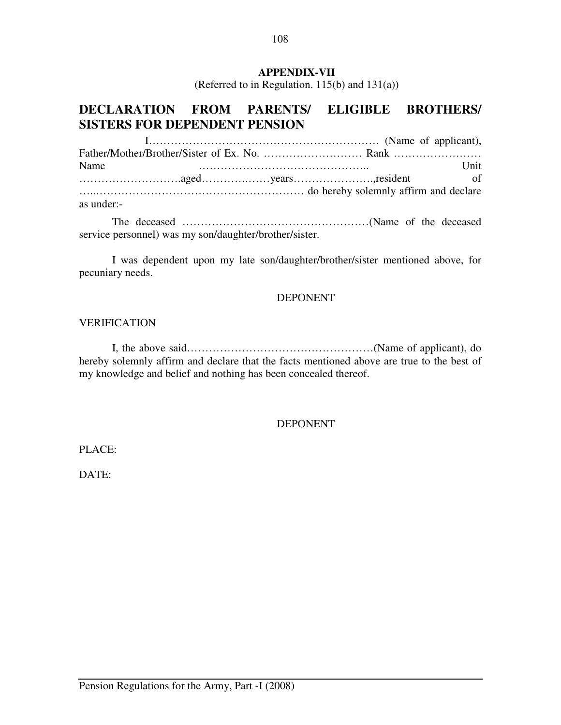## **APPENDIX-VII**

(Referred to in Regulation. 115(b) and 131(a))

# **DECLARATION FROM PARENTS/ ELIGIBLE BROTHERS/ SISTERS FOR DEPENDENT PENSION**

 I……………………………………………………… (Name of applicant), Father/Mother/Brother/Sister of Ex. No. ……………………… Rank …………………… Name Unit ……………………….aged………….……years………………….,resident of …..………………………………………………… do hereby solemnly affirm and declare as under:-

 The deceased ……………………………………………(Name of the deceased service personnel) was my son/daughter/brother/sister.

 I was dependent upon my late son/daughter/brother/sister mentioned above, for pecuniary needs.

#### DEPONENT

#### VERIFICATION

 I, the above said……………………………………………(Name of applicant), do hereby solemnly affirm and declare that the facts mentioned above are true to the best of my knowledge and belief and nothing has been concealed thereof.

### DEPONENT

PLACE:

DATE: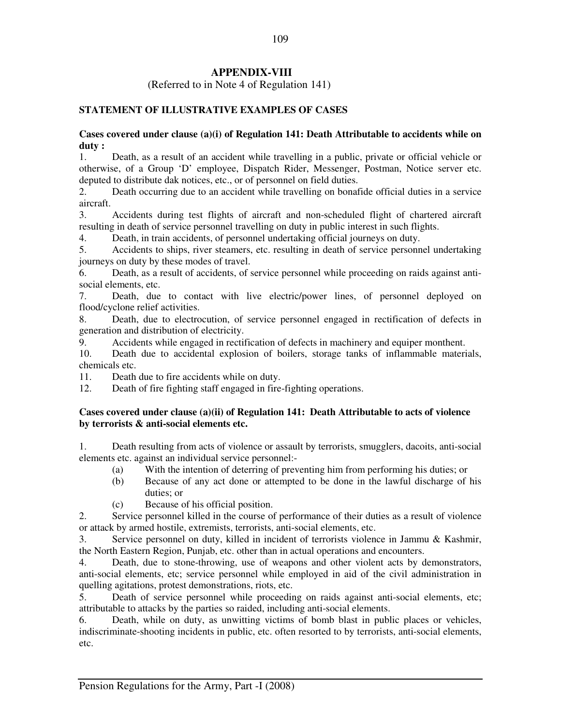# **APPENDIX-VIII**

(Referred to in Note 4 of Regulation 141)

### **STATEMENT OF ILLUSTRATIVE EXAMPLES OF CASES**

#### **Cases covered under clause (a)(i) of Regulation 141: Death Attributable to accidents while on duty :**

1. Death, as a result of an accident while travelling in a public, private or official vehicle or otherwise, of a Group 'D' employee, Dispatch Rider, Messenger, Postman, Notice server etc. deputed to distribute dak notices, etc., or of personnel on field duties.

2. Death occurring due to an accident while travelling on bonafide official duties in a service aircraft.

3. Accidents during test flights of aircraft and non-scheduled flight of chartered aircraft resulting in death of service personnel travelling on duty in public interest in such flights.

4. Death, in train accidents, of personnel undertaking official journeys on duty.

5. Accidents to ships, river steamers, etc. resulting in death of service personnel undertaking journeys on duty by these modes of travel.

6. Death, as a result of accidents, of service personnel while proceeding on raids against antisocial elements, etc.

7. Death, due to contact with live electric/power lines, of personnel deployed on flood/cyclone relief activities.

8. Death, due to electrocution, of service personnel engaged in rectification of defects in generation and distribution of electricity.

9. Accidents while engaged in rectification of defects in machinery and equiper monthent.

10. Death due to accidental explosion of boilers, storage tanks of inflammable materials, chemicals etc.

11. Death due to fire accidents while on duty.

12. Death of fire fighting staff engaged in fire-fighting operations.

#### **Cases covered under clause (a)(ii) of Regulation 141: Death Attributable to acts of violence by terrorists & anti-social elements etc.**

1. Death resulting from acts of violence or assault by terrorists, smugglers, dacoits, anti-social elements etc. against an individual service personnel:-

- (a) With the intention of deterring of preventing him from performing his duties; or
- (b) Because of any act done or attempted to be done in the lawful discharge of his duties; or
- (c) Because of his official position.

2. Service personnel killed in the course of performance of their duties as a result of violence or attack by armed hostile, extremists, terrorists, anti-social elements, etc.

3. Service personnel on duty, killed in incident of terrorists violence in Jammu & Kashmir, the North Eastern Region, Punjab, etc. other than in actual operations and encounters.

4. Death, due to stone-throwing, use of weapons and other violent acts by demonstrators, anti-social elements, etc; service personnel while employed in aid of the civil administration in quelling agitations, protest demonstrations, riots, etc.

5. Death of service personnel while proceeding on raids against anti-social elements, etc; attributable to attacks by the parties so raided, including anti-social elements.

6. Death, while on duty, as unwitting victims of bomb blast in public places or vehicles, indiscriminate-shooting incidents in public, etc. often resorted to by terrorists, anti-social elements, etc.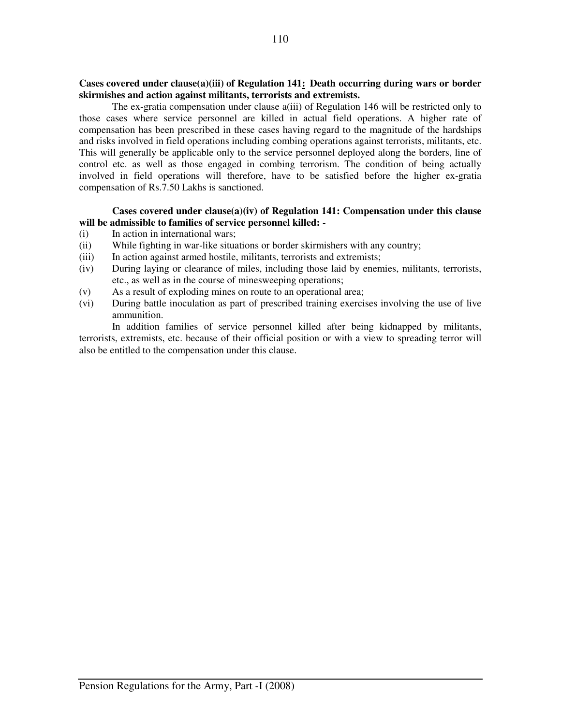#### **Cases covered under clause(a)(iii) of Regulation 141: Death occurring during wars or border skirmishes and action against militants, terrorists and extremists.**

 The ex-gratia compensation under clause a(iii) of Regulation 146 will be restricted only to those cases where service personnel are killed in actual field operations. A higher rate of compensation has been prescribed in these cases having regard to the magnitude of the hardships and risks involved in field operations including combing operations against terrorists, militants, etc. This will generally be applicable only to the service personnel deployed along the borders, line of control etc. as well as those engaged in combing terrorism. The condition of being actually involved in field operations will therefore, have to be satisfied before the higher ex-gratia compensation of Rs.7.50 Lakhs is sanctioned.

#### **Cases covered under clause(a)(iv) of Regulation 141: Compensation under this clause will be admissible to families of service personnel killed: -**

- (i) In action in international wars;
- (ii) While fighting in war-like situations or border skirmishers with any country;
- (iii) In action against armed hostile, militants, terrorists and extremists;
- (iv) During laying or clearance of miles, including those laid by enemies, militants, terrorists, etc., as well as in the course of minesweeping operations;
- (v) As a result of exploding mines on route to an operational area;
- (vi) During battle inoculation as part of prescribed training exercises involving the use of live ammunition.

 In addition families of service personnel killed after being kidnapped by militants, terrorists, extremists, etc. because of their official position or with a view to spreading terror will also be entitled to the compensation under this clause.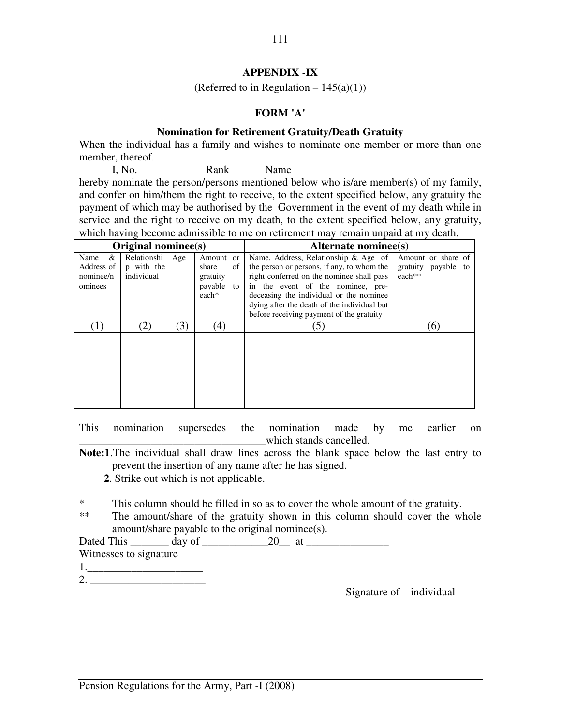### **APPENDIX -IX**

(Referred to in Regulation  $-145(a)(1)$ )

# **FORM 'A'**

#### **Nomination for Retirement Gratuity/Death Gratuity**

When the individual has a family and wishes to nominate one member or more than one member, thereof.

I, No. Rank Name hereby nominate the person/persons mentioned below who is/are member(s) of my family, and confer on him/them the right to receive, to the extent specified below, any gratuity the payment of which may be authorised by the Government in the event of my death while in service and the right to receive on my death, to the extent specified below, any gratuity, which having become admissible to me on retirement may remain unpaid at my death.

|                                      | Original nominee(s)                     |     |                                      | <b>Alternate nominee(s)</b>                                                                                                                                             |                                                       |
|--------------------------------------|-----------------------------------------|-----|--------------------------------------|-------------------------------------------------------------------------------------------------------------------------------------------------------------------------|-------------------------------------------------------|
| &<br>Name<br>Address of<br>nominee/n | Relationshi<br>p with the<br>individual | Age | Amount or<br>share<br>of<br>gratuity | Name, Address, Relationship & Age of<br>the person or persons, if any, to whom the<br>right conferred on the nominee shall pass                                         | Amount or share of<br>gratuity payable to<br>$each**$ |
| ominees                              |                                         |     | payable to<br>each*                  | in the event of the nominee, pre-<br>deceasing the individual or the nominee<br>dying after the death of the individual but<br>before receiving payment of the gratuity |                                                       |
|                                      | $\left( 2\right)$                       | (3) | (4)                                  | $\mathfrak{Z}$                                                                                                                                                          | (6)                                                   |
|                                      |                                         |     |                                      |                                                                                                                                                                         |                                                       |

This nomination supersedes the nomination made by me earlier on \_\_\_\_\_\_\_\_\_\_\_\_\_\_\_\_\_\_\_\_\_\_\_\_\_\_\_\_\_\_\_\_\_\_which stands cancelled.

**Note:1**.The individual shall draw lines across the blank space below the last entry to prevent the insertion of any name after he has signed.

**2**. Strike out which is not applicable.

<sup>\*</sup> This column should be filled in so as to cover the whole amount of the gratuity.<br>
<sup>\*\*</sup> The amount/share of the gratuity shown in this column should cover the w

The amount/share of the gratuity shown in this column should cover the whole amount/share payable to the original nominee(s).

Dated This day of 20 at

Witnesses to signature  $1.$ 

2. \_\_\_\_\_\_\_\_\_\_\_\_\_\_\_\_\_\_\_\_\_

Signature of individual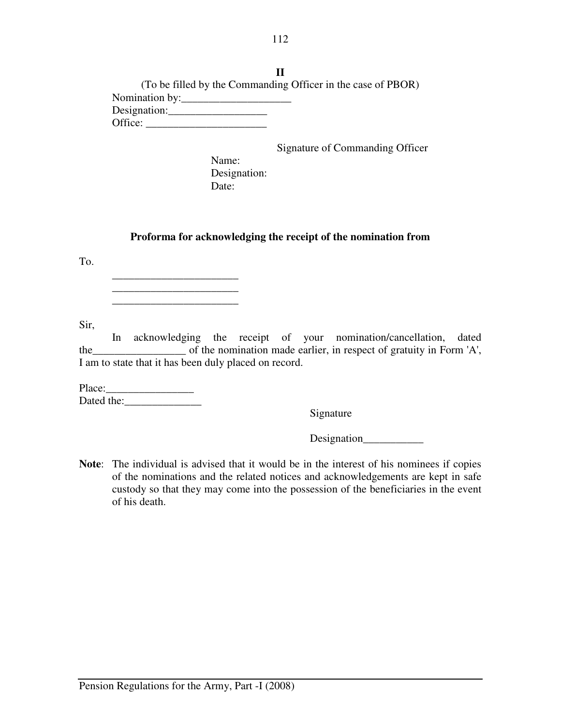**II**  (To be filled by the Commanding Officer in the case of PBOR) Nomination by:\_\_\_\_\_\_\_\_\_\_\_\_\_\_\_\_\_\_\_\_ Designation:\_\_\_\_\_\_\_\_\_\_\_\_\_\_\_\_\_\_ Office: \_\_\_\_\_\_\_\_\_\_\_\_\_\_\_\_\_\_\_\_\_\_

Signature of Commanding Officer

 Name: Designation: Date:

### **Proforma for acknowledging the receipt of the nomination from**

To.

 $\frac{1}{\sqrt{2}}$  ,  $\frac{1}{\sqrt{2}}$  ,  $\frac{1}{\sqrt{2}}$  ,  $\frac{1}{\sqrt{2}}$  ,  $\frac{1}{\sqrt{2}}$  ,  $\frac{1}{\sqrt{2}}$  ,  $\frac{1}{\sqrt{2}}$  ,  $\frac{1}{\sqrt{2}}$  ,  $\frac{1}{\sqrt{2}}$  ,  $\frac{1}{\sqrt{2}}$  ,  $\frac{1}{\sqrt{2}}$  ,  $\frac{1}{\sqrt{2}}$  ,  $\frac{1}{\sqrt{2}}$  ,  $\frac{1}{\sqrt{2}}$  ,  $\frac{1}{\sqrt{2}}$ 

Sir,

 In acknowledging the receipt of your nomination/cancellation, dated the\_\_\_\_\_\_\_\_\_\_\_\_\_\_\_\_\_ of the nomination made earlier, in respect of gratuity in Form 'A', I am to state that it has been duly placed on record.

Place:\_\_\_\_\_\_\_\_\_\_\_\_\_\_\_\_ Dated the:\_\_\_\_\_\_\_\_\_\_\_\_\_\_

Signature

Designation

Note: The individual is advised that it would be in the interest of his nominees if copies of the nominations and the related notices and acknowledgements are kept in safe custody so that they may come into the possession of the beneficiaries in the event of his death.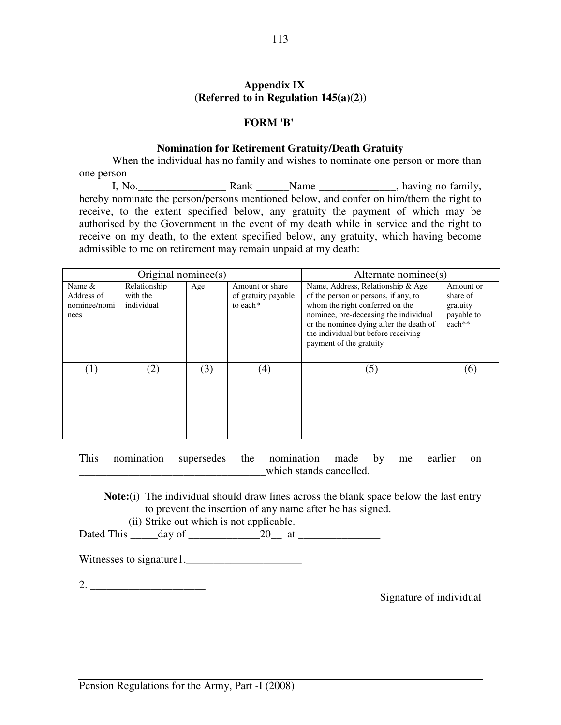## **Appendix IX (Referred to in Regulation 145(a)(2))**

#### **FORM 'B'**

#### **Nomination for Retirement Gratuity/Death Gratuity**

When the individual has no family and wishes to nominate one person or more than one person

 I, No.\_\_\_\_\_\_\_\_\_\_\_\_\_\_\_\_ Rank \_\_\_\_\_\_Name \_\_\_\_\_\_\_\_\_\_\_\_\_\_, having no family, hereby nominate the person/persons mentioned below, and confer on him/them the right to receive, to the extent specified below, any gratuity the payment of which may be authorised by the Government in the event of my death while in service and the right to receive on my death, to the extent specified below, any gratuity, which having become admissible to me on retirement may remain unpaid at my death:

|                                                 | Original nominee $(s)$                 |     | Alternate nominee(s)                               |                                                                                                                                                                                                                                                                    |                                                           |
|-------------------------------------------------|----------------------------------------|-----|----------------------------------------------------|--------------------------------------------------------------------------------------------------------------------------------------------------------------------------------------------------------------------------------------------------------------------|-----------------------------------------------------------|
| Name $\&$<br>Address of<br>nominee/nomi<br>nees | Relationship<br>with the<br>individual | Age | Amount or share<br>of gratuity payable<br>to each* | Name, Address, Relationship & Age<br>of the person or persons, if any, to<br>whom the right conferred on the<br>nominee, pre-deceasing the individual<br>or the nominee dying after the death of<br>the individual but before receiving<br>payment of the gratuity | Amount or<br>share of<br>gratuity<br>payable to<br>each** |
| (1)                                             | $\mathbf{2)}$                          | (3) | (4)                                                | (5)                                                                                                                                                                                                                                                                | (6)                                                       |

This nomination supersedes the nomination made by me earlier on which stands cancelled.

**Note:**(i) The individual should draw lines across the blank space below the last entry to prevent the insertion of any name after he has signed.

(ii) Strike out which is not applicable.

Dated This \_\_\_\_\_day of \_\_\_\_\_\_\_\_\_\_\_\_\_20\_\_ at \_\_\_\_\_\_\_\_\_\_\_\_\_\_\_

Witnesses to signature1.\_\_\_\_\_\_\_\_\_\_\_\_\_\_\_\_\_\_\_\_\_

2. \_\_\_\_\_\_\_\_\_\_\_\_\_\_\_\_\_\_\_\_\_

Signature of individual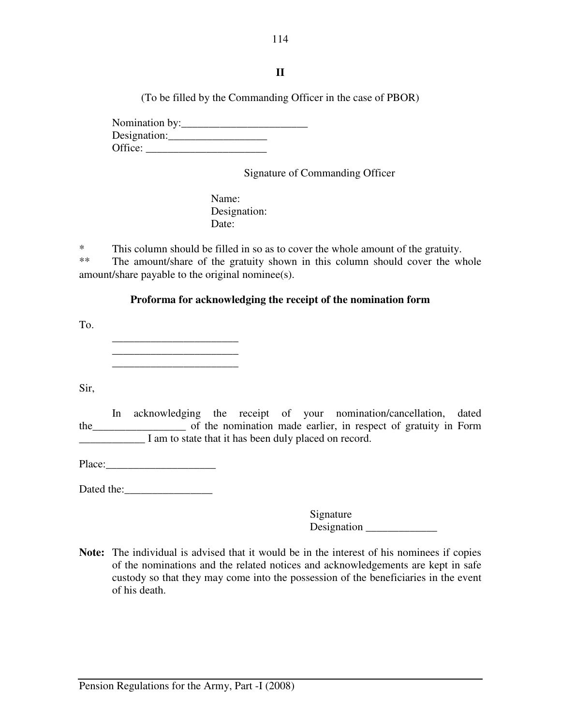114

# **II**

(To be filled by the Commanding Officer in the case of PBOR)

 Nomination by:\_\_\_\_\_\_\_\_\_\_\_\_\_\_\_\_\_\_\_\_\_\_\_ Designation:\_\_\_\_\_\_\_\_\_\_\_\_\_\_\_\_\_\_ Office: \_\_\_\_\_\_\_\_\_\_\_\_\_\_\_\_\_\_\_\_\_\_

Signature of Commanding Officer

 Name: Designation: Date:

\* This column should be filled in so as to cover the whole amount of the gratuity.

\*\* The amount/share of the gratuity shown in this column should cover the whole amount/share payable to the original nominee(s).

# **Proforma for acknowledging the receipt of the nomination form**

To.

 \_\_\_\_\_\_\_\_\_\_\_\_\_\_\_\_\_\_\_\_\_\_\_  $\frac{1}{\sqrt{2}}$  ,  $\frac{1}{\sqrt{2}}$  ,  $\frac{1}{\sqrt{2}}$  ,  $\frac{1}{\sqrt{2}}$  ,  $\frac{1}{\sqrt{2}}$  ,  $\frac{1}{\sqrt{2}}$  ,  $\frac{1}{\sqrt{2}}$  ,  $\frac{1}{\sqrt{2}}$  ,  $\frac{1}{\sqrt{2}}$  ,  $\frac{1}{\sqrt{2}}$  ,  $\frac{1}{\sqrt{2}}$  ,  $\frac{1}{\sqrt{2}}$  ,  $\frac{1}{\sqrt{2}}$  ,  $\frac{1}{\sqrt{2}}$  ,  $\frac{1}{\sqrt{2}}$ 

Sir,

 In acknowledging the receipt of your nomination/cancellation, dated the\_\_\_\_\_\_\_\_\_\_\_\_\_\_\_\_\_ of the nomination made earlier, in respect of gratuity in Form I am to state that it has been duly placed on record.

Place:

Dated the:

Signature Designation \_\_\_\_\_\_\_\_\_\_\_\_\_

Note: The individual is advised that it would be in the interest of his nominees if copies of the nominations and the related notices and acknowledgements are kept in safe custody so that they may come into the possession of the beneficiaries in the event of his death.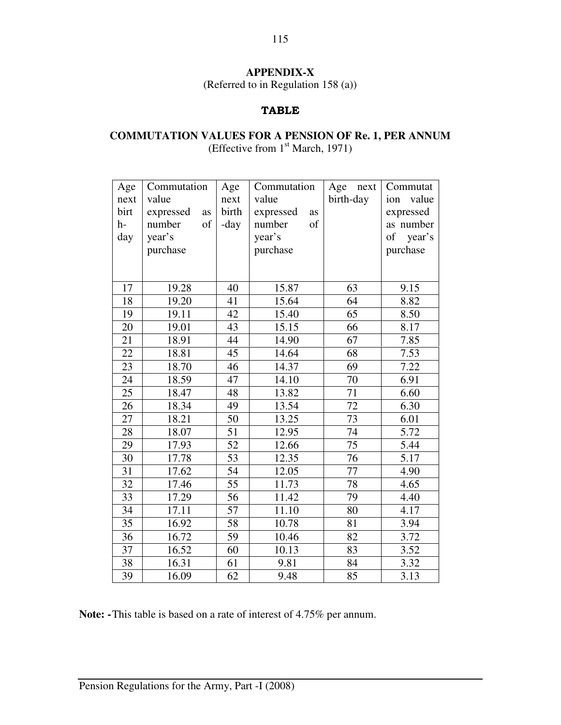# **APPENDIX-X**

(Referred to in Regulation 158 (a))

## TABLE

# **COMMUTATION VALUES FOR A PENSION OF Re. 1, PER ANNUM**  (Effective from 1st March, 1971)

| Age<br>next<br>birt<br>h-<br>day | Commutation<br>value<br>expressed<br>as<br>number<br>of<br>year's<br>purchase | Age<br>next<br>birth<br>-day | Commutation<br>value<br>expressed<br>as<br>number<br>of<br>year's<br>purchase | Age<br>next<br>birth-day | Commutat<br>value<br>ion<br>expressed<br>as number<br>of<br>year's<br>purchase |
|----------------------------------|-------------------------------------------------------------------------------|------------------------------|-------------------------------------------------------------------------------|--------------------------|--------------------------------------------------------------------------------|
| 17                               | 19.28                                                                         | 40                           | 15.87                                                                         | 63                       | 9.15                                                                           |
| 18                               | 19.20                                                                         | 41                           | 15.64                                                                         | 64                       | 8.82                                                                           |
| 19                               | 19.11                                                                         | 42                           | 15.40                                                                         | 65                       | 8.50                                                                           |
| 20                               | 19.01                                                                         | 43                           | 15.15                                                                         | 66                       | 8.17                                                                           |
| 21                               | 18.91                                                                         | 44                           | 14.90                                                                         | 67                       | 7.85                                                                           |
| 22                               | 18.81                                                                         | 45                           | 14.64                                                                         | 68                       | 7.53                                                                           |
| 23                               | 18.70                                                                         | 46                           | 14.37                                                                         | 69                       | 7.22                                                                           |
| 24                               | 18.59                                                                         | 47                           | 14.10                                                                         | 70                       | 6.91                                                                           |
| 25                               | 18.47                                                                         | 48                           | 13.82                                                                         | 71                       | 6.60                                                                           |
| 26                               | 18.34                                                                         | 49                           | 13.54                                                                         | 72                       | 6.30                                                                           |
| 27                               | 18.21                                                                         | 50                           | 13.25                                                                         | 73                       | 6.01                                                                           |
| 28                               | 18.07                                                                         | 51                           | 12.95                                                                         | 74                       | 5.72                                                                           |
| 29                               | 17.93                                                                         | 52                           | 12.66                                                                         | 75                       | 5.44                                                                           |
| 30                               | 17.78                                                                         | 53                           | 12.35                                                                         | 76                       | 5.17                                                                           |
| 31                               | 17.62                                                                         | 54                           | 12.05                                                                         | 77                       | 4.90                                                                           |
| 32                               | 17.46                                                                         | 55                           | 11.73                                                                         | 78                       | 4.65                                                                           |
| 33                               | 17.29                                                                         | 56                           | 11.42                                                                         | 79                       | 4.40                                                                           |
| 34                               | 17.11                                                                         | 57                           | 11.10                                                                         | 80                       | 4.17                                                                           |
| 35                               | 16.92                                                                         | 58                           | 10.78                                                                         | 81                       | 3.94                                                                           |
| 36                               | 16.72                                                                         | 59                           | 10.46                                                                         | 82                       | 3.72                                                                           |
| 37                               | 16.52                                                                         | 60                           | 10.13                                                                         | 83                       | 3.52                                                                           |
| 38                               | 16.31                                                                         | 61                           | 9.81                                                                          | 84                       | 3.32                                                                           |
| 39                               | 16.09                                                                         | 62                           | 9.48                                                                          | 85                       | 3.13                                                                           |

**Note: -** This table is based on a rate of interest of 4.75% per annum.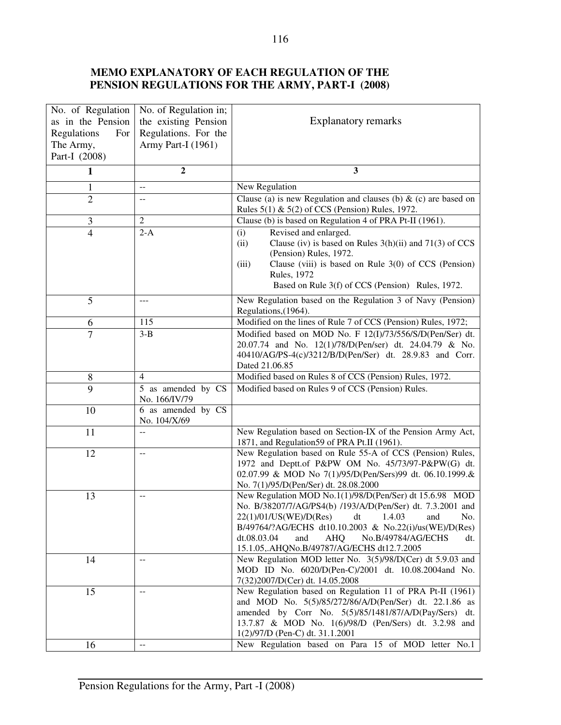# **MEMO EXPLANATORY OF EACH REGULATION OF THE PENSION REGULATIONS FOR THE ARMY, PART-I (2008)**

| No. of Regulation  | No. of Regulation in;               |                                                                                                          |
|--------------------|-------------------------------------|----------------------------------------------------------------------------------------------------------|
| as in the Pension  | the existing Pension                | <b>Explanatory remarks</b>                                                                               |
| Regulations<br>For | Regulations. For the                |                                                                                                          |
| The Army,          | Army Part-I (1961)                  |                                                                                                          |
| Part-I (2008)      |                                     |                                                                                                          |
| 1                  | $\boldsymbol{2}$                    | 3                                                                                                        |
| 1                  | $-$                                 | New Regulation                                                                                           |
| $\overline{2}$     | --                                  | Clause (a) is new Regulation and clauses (b) $\&$ (c) are based on                                       |
|                    |                                     | Rules $5(1)$ & $5(2)$ of CCS (Pension) Rules, 1972.                                                      |
| 3                  | $\sqrt{2}$                          | Clause (b) is based on Regulation 4 of PRA Pt-II (1961).                                                 |
| $\overline{4}$     | $2-A$                               | Revised and enlarged.<br>(i)                                                                             |
|                    |                                     | Clause (iv) is based on Rules 3(h)(ii) and 71(3) of CCS<br>(ii)                                          |
|                    |                                     | (Pension) Rules, 1972.                                                                                   |
|                    |                                     | Clause (viii) is based on Rule $3(0)$ of CCS (Pension)<br>(iii)                                          |
|                    |                                     | <b>Rules</b> , 1972                                                                                      |
|                    |                                     | Based on Rule 3(f) of CCS (Pension) Rules, 1972.                                                         |
| 5                  |                                     | New Regulation based on the Regulation 3 of Navy (Pension)                                               |
|                    |                                     | Regulations, (1964).                                                                                     |
| 6                  | 115                                 | Modified on the lines of Rule 7 of CCS (Pension) Rules, 1972;                                            |
| $\overline{7}$     | $3-B$                               | Modified based on MOD No. F 12(I)/73/556/S/D(Pen/Ser) dt.                                                |
|                    |                                     | 20.07.74 and No. 12(1)/78/D(Pen/ser) dt. 24.04.79 & No.                                                  |
|                    |                                     | 40410/AG/PS-4(c)/3212/B/D(Pen/Ser) dt. 28.9.83 and Corr.                                                 |
|                    |                                     | Dated 21.06.85                                                                                           |
| 8                  | $\overline{4}$                      | Modified based on Rules 8 of CCS (Pension) Rules, 1972.                                                  |
| 9                  | 5 as amended by CS<br>No. 166/IV/79 | Modified based on Rules 9 of CCS (Pension) Rules.                                                        |
| 10                 | 6 as amended by CS<br>No. 104/X/69  |                                                                                                          |
| 11                 | $-$                                 | New Regulation based on Section-IX of the Pension Army Act,                                              |
|                    |                                     | 1871, and Regulation 59 of PRA Pt.II (1961).                                                             |
| 12                 | $-$                                 | New Regulation based on Rule 55-A of CCS (Pension) Rules,                                                |
|                    |                                     | 1972 and Deptt.of P&PW OM No. 45/73/97-P&PW(G) dt.                                                       |
|                    |                                     | 02.07.99 & MOD No 7(1)/95/D(Pen/Sers)99 dt. 06.10.1999.&                                                 |
|                    |                                     | No. 7(1)/95/D(Pen/Ser) dt. 28.08.2000                                                                    |
| 13                 | $-$                                 | New Regulation MOD No.1(1)/98/D(Pen/Ser) dt 15.6.98 MOD                                                  |
|                    |                                     | No. B/38207/7/AG/PS4(b) /193/A/D(Pen/Ser) dt. 7.3.2001 and                                               |
|                    |                                     | 22(1)/01/US(WE)/D(Res)<br>dt $1.4.03$<br>and<br>NO.                                                      |
|                    |                                     | B/49764/?AG/ECHS dt10.10.2003 & No.22(i)/us(WE)/D(Res)                                                   |
|                    |                                     | and<br>AHQ<br>No.B/49784/AG/ECHS<br>dt.08.03.04<br>dt.                                                   |
|                    |                                     | 15.1.05,.AHQNo.B/49787/AG/ECHS dt12.7.2005<br>New Regulation MOD letter No. 3(5)/98/D(Cer) dt 5.9.03 and |
| 14                 |                                     | MOD ID No. 6020/D(Pen-C)/2001 dt. 10.08.2004and No.                                                      |
|                    |                                     | 7(32)2007/D(Cer) dt. 14.05.2008                                                                          |
| 15                 | $-$                                 | New Regulation based on Regulation 11 of PRA Pt-II (1961)                                                |
|                    |                                     | and MOD No. 5(5)/85/272/86/A/D(Pen/Ser) dt. 22.1.86 as                                                   |
|                    |                                     | amended by Corr No. 5(5)/85/1481/87/A/D(Pay/Sers) dt.                                                    |
|                    |                                     | 13.7.87 & MOD No. 1(6)/98/D (Pen/Sers) dt. 3.2.98 and                                                    |
|                    |                                     | 1(2)/97/D (Pen-C) dt. 31.1.2001                                                                          |
| 16                 | --                                  | New Regulation based on Para 15 of MOD letter No.1                                                       |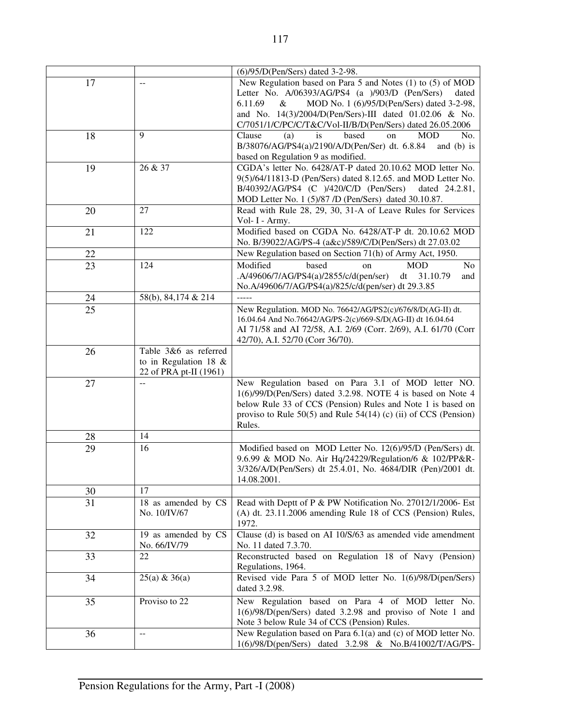|    |                                               | (6)/95/D(Pen/Sers) dated 3-2-98.                                                                                          |
|----|-----------------------------------------------|---------------------------------------------------------------------------------------------------------------------------|
| 17 |                                               | New Regulation based on Para 5 and Notes (1) to (5) of MOD                                                                |
|    |                                               | Letter No. A/06393/AG/PS4 (a )/903/D (Pen/Sers)<br>dated                                                                  |
|    |                                               | 6.11.69<br>$\&$<br>MOD No. 1 (6)/95/D(Pen/Sers) dated 3-2-98,                                                             |
|    |                                               | and No. 14(3)/2004/D(Pen/Sers)-III dated 01.02.06 & No.                                                                   |
|    |                                               | C/7051/1/C/PC/C/T&C/Vol-II/B/D(Pen/Sers) dated 26.05.2006                                                                 |
| 18 | 9                                             | is<br>based<br>Clause<br>(a)<br><b>MOD</b><br>on<br>No.                                                                   |
|    |                                               | B/38076/AG/PS4(a)/2190/A/D(Pen/Ser) dt. 6.8.84<br>and $(b)$ is                                                            |
|    |                                               | based on Regulation 9 as modified.                                                                                        |
| 19 | 26 & 37                                       | CGDA's letter No. 6428/AT-P dated 20.10.62 MOD letter No.<br>9(5)/64/11813-D (Pen/Sers) dated 8.12.65. and MOD Letter No. |
|    |                                               | $B/40392/AG/PS4$ (C )/420/C/D (Pen/Sers)<br>dated 24.2.81,                                                                |
|    |                                               | MOD Letter No. 1 (5)/87 /D (Pen/Sers) dated 30.10.87.                                                                     |
| 20 | 27                                            | Read with Rule 28, 29, 30, 31-A of Leave Rules for Services                                                               |
|    |                                               | Vol- I - Army.                                                                                                            |
| 21 | 122                                           | Modified based on CGDA No. 6428/AT-P dt. 20.10.62 MOD                                                                     |
|    |                                               | No. B/39022/AG/PS-4 (a&c)/589/C/D(Pen/Sers) dt 27.03.02                                                                   |
| 22 |                                               | New Regulation based on Section 71(h) of Army Act, 1950.                                                                  |
| 23 | 124                                           | <b>MOD</b><br>Modified<br>based<br>No<br>on                                                                               |
|    |                                               | A/49606/7/AG/PS4(a)/2855/c/d(pen/ser)<br>dt<br>31.10.79<br>and                                                            |
|    |                                               | No.A/49606/7/AG/PS4(a)/825/c/d(pen/ser) dt 29.3.85                                                                        |
| 24 | 58(b), 84, 174 & 214                          | $\frac{1}{2}$                                                                                                             |
| 25 |                                               | New Regulation. MOD No. 76642/AG/PS2(c)/676/8/D(AG-II) dt.                                                                |
|    |                                               | 16.04.64 And No.76642/AG/PS-2(c)/669-S/D(AG-II) dt 16.04.64                                                               |
|    |                                               | AI 71/58 and AI 72/58, A.I. 2/69 (Corr. 2/69), A.I. 61/70 (Corr                                                           |
|    |                                               | 42/70), A.I. 52/70 (Corr 36/70).                                                                                          |
| 26 | Table 3&6 as referred                         |                                                                                                                           |
|    | to in Regulation 18 $&$                       |                                                                                                                           |
| 27 | 22 of PRA pt-II (1961)<br>$-$                 | New Regulation based on Para 3.1 of MOD letter NO.                                                                        |
|    |                                               | $1(6)/99/D$ (Pen/Sers) dated 3.2.98. NOTE 4 is based on Note 4                                                            |
|    |                                               | below Rule 33 of CCS (Pension) Rules and Note 1 is based on                                                               |
|    |                                               | proviso to Rule $50(5)$ and Rule $54(14)$ (c) (ii) of CCS (Pension)                                                       |
|    |                                               | Rules.                                                                                                                    |
| 28 | 14                                            |                                                                                                                           |
| 29 | 16                                            | Modified based on MOD Letter No. 12(6)/95/D (Pen/Sers) dt.                                                                |
|    |                                               | 9.6.99 & MOD No. Air Hq/24229/Regulation/6 & 102/PP&R-                                                                    |
|    |                                               | 3/326/A/D(Pen/Sers) dt 25.4.01, No. 4684/DIR (Pen)/2001 dt.                                                               |
|    |                                               | 14.08.2001.                                                                                                               |
| 30 | 17                                            |                                                                                                                           |
| 31 | 18 as amended by CS                           | Read with Deptt of P & PW Notification No. 27012/1/2006- Est                                                              |
|    | No. 10/IV/67                                  | (A) dt. 23.11.2006 amending Rule 18 of CCS (Pension) Rules,                                                               |
|    |                                               | 1972.<br>Clause $(d)$ is based on AI 10/S/63 as amended vide amendment                                                    |
| 32 | 19 as amended by CS<br>No. 66/IV/79           | No. 11 dated 7.3.70.                                                                                                      |
| 33 | 22                                            | Reconstructed based on Regulation 18 of Navy (Pension)                                                                    |
|    |                                               | Regulations, 1964.                                                                                                        |
| 34 | $25(a) \& 36(a)$                              | Revised vide Para 5 of MOD letter No. 1(6)/98/D(pen/Sers)                                                                 |
|    |                                               | dated 3.2.98.                                                                                                             |
| 35 | Proviso to 22                                 | New Regulation based on Para 4 of MOD letter No.                                                                          |
|    |                                               | $1(6)/98/D(pen/Sers)$ dated 3.2.98 and proviso of Note 1 and                                                              |
|    |                                               | Note 3 below Rule 34 of CCS (Pension) Rules.                                                                              |
| 36 | $\mathord{\hspace{1pt}\text{--}\hspace{1pt}}$ | New Regulation based on Para 6.1(a) and (c) of MOD letter No.                                                             |
|    |                                               | 1(6)/98/D(pen/Sers) dated 3.2.98 & No.B/41002/T/AG/PS-                                                                    |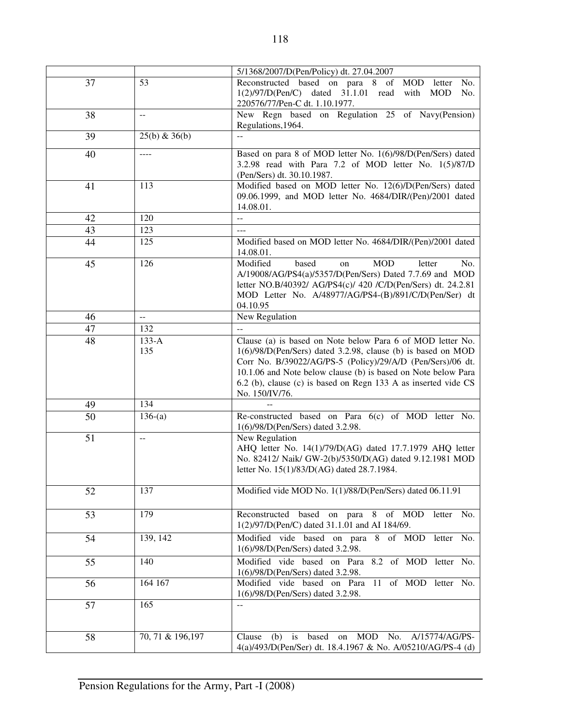|                 |                   | 5/1368/2007/D(Pen/Policy) dt. 27.04.2007                             |
|-----------------|-------------------|----------------------------------------------------------------------|
| 37              | 53                | Reconstructed based on para 8<br>of<br><b>MOD</b><br>No.<br>letter   |
|                 |                   | $1(2)/97/D(Pen/C)$ dated $31.1.01$ read<br>with<br><b>MOD</b><br>No. |
|                 |                   | 220576/77/Pen-C dt. 1.10.1977.                                       |
| 38              | $\mathbf{u}$      | New Regn based on Regulation 25 of Navy(Pension)                     |
|                 |                   | Regulations, 1964.                                                   |
|                 |                   |                                                                      |
| 39              | $25(b)$ & 36(b)   | $\overline{a}$                                                       |
| 40              | $\cdots$          | Based on para 8 of MOD letter No. 1(6)/98/D(Pen/Sers) dated          |
|                 |                   | 3.2.98 read with Para 7.2 of MOD letter No. 1(5)/87/D                |
|                 |                   | (Pen/Sers) dt. 30.10.1987.                                           |
|                 | 113               | Modified based on MOD letter No. 12(6)/D(Pen/Sers) dated             |
| 41              |                   |                                                                      |
|                 |                   | 09.06.1999, and MOD letter No. 4684/DIR/(Pen)/2001 dated             |
|                 |                   | 14.08.01.                                                            |
| 42              | 120               | $- -$                                                                |
| 43              | 123               | $---$                                                                |
| 44              | 125               | Modified based on MOD letter No. 4684/DIR/(Pen)/2001 dated           |
|                 |                   | 14.08.01.                                                            |
| 45              | 126               | Modified<br><b>MOD</b><br>based<br>letter<br>No.<br>on               |
|                 |                   | A/19008/AG/PS4(a)/5357/D(Pen/Sers) Dated 7.7.69 and MOD              |
|                 |                   | letter NO.B/40392/ AG/PS4(c)/ 420 /C/D(Pen/Sers) dt. 24.2.81         |
|                 |                   | MOD Letter No. A/48977/AG/PS4-(B)/891/C/D(Pen/Ser) dt                |
|                 |                   | 04.10.95                                                             |
| 46              | $\overline{a}$    | New Regulation                                                       |
|                 |                   |                                                                      |
| 47              | 132               | $-$                                                                  |
| 48              | $133-A$           | Clause (a) is based on Note below Para 6 of MOD letter No.           |
|                 | 135               | 1(6)/98/D(Pen/Sers) dated 3.2.98, clause (b) is based on MOD         |
|                 |                   | Corr No. B/39022/AG/PS-5 (Policy)/29/A/D (Pen/Sers)/06 dt.           |
|                 |                   | 10.1.06 and Note below clause (b) is based on Note below Para        |
|                 |                   | 6.2 (b), clause (c) is based on Regn 133 A as inserted vide CS       |
|                 |                   | No. 150/IV/76.                                                       |
| 49              | 134               |                                                                      |
| $\overline{50}$ | $136-(a)$         | Re-constructed based on Para 6(c) of MOD letter No.                  |
|                 |                   | 1(6)/98/D(Pen/Sers) dated 3.2.98.                                    |
|                 |                   |                                                                      |
| 51              | $-$               | New Regulation                                                       |
|                 |                   | AHQ letter No. 14(1)/79/D(AG) dated 17.7.1979 AHQ letter             |
|                 |                   | No. 82412/ Naik/ GW-2(b)/5350/D(AG) dated 9.12.1981 MOD              |
|                 |                   | letter No. 15(1)/83/D(AG) dated 28.7.1984.                           |
|                 |                   |                                                                      |
| 52              | 137               | Modified vide MOD No. 1(1)/88/D(Pen/Sers) dated 06.11.91             |
|                 |                   |                                                                      |
| 53              | 179               | Reconstructed based on para 8 of MOD<br>letter<br>No.                |
|                 |                   | 1(2)/97/D(Pen/C) dated 31.1.01 and AI 184/69.                        |
|                 |                   |                                                                      |
| 54              | 139, 142          | Modified vide based on para 8<br>of MOD<br>No.<br>letter             |
|                 |                   | 1(6)/98/D(Pen/Sers) dated 3.2.98.                                    |
| 55              | 140               | Modified vide based on Para 8.2 of MOD letter No.                    |
|                 |                   | 1(6)/98/D(Pen/Sers) dated 3.2.98.                                    |
| 56              | 164 167           | Modified vide based on Para 11 of MOD letter No.                     |
|                 |                   | 1(6)/98/D(Pen/Sers) dated 3.2.98.                                    |
| 57              | 165               | $-$                                                                  |
|                 |                   |                                                                      |
|                 |                   |                                                                      |
|                 |                   | <b>MOD</b>                                                           |
| 58              | 70, 71 & 196, 197 | based<br>No.<br>A/15774/AG/PS-<br>Clause<br>(b)<br>on<br>is          |
|                 |                   | 4(a)/493/D(Pen/Ser) dt. 18.4.1967 & No. A/05210/AG/PS-4 (d)          |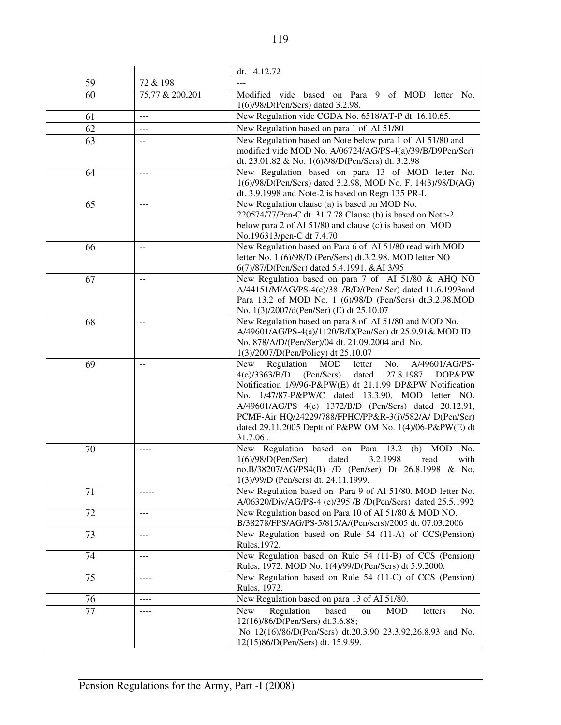|    |                          | dt. 14.12.72                                                                                                                                                                                                                                                                                                                                                                                                                                   |
|----|--------------------------|------------------------------------------------------------------------------------------------------------------------------------------------------------------------------------------------------------------------------------------------------------------------------------------------------------------------------------------------------------------------------------------------------------------------------------------------|
| 59 | 72 & 198                 |                                                                                                                                                                                                                                                                                                                                                                                                                                                |
| 60 | 75,77 & 200,201          | Modified vide based on Para 9 of MOD letter No.<br>1(6)/98/D(Pen/Sers) dated 3.2.98.                                                                                                                                                                                                                                                                                                                                                           |
| 61 | $---$                    | New Regulation vide CGDA No. 6518/AT-P dt. 16.10.65.                                                                                                                                                                                                                                                                                                                                                                                           |
| 62 | ---                      | New Regulation based on para 1 of AI 51/80                                                                                                                                                                                                                                                                                                                                                                                                     |
| 63 | --                       | New Regulation based on Note below para 1 of AI 51/80 and<br>modified vide MOD No. A/06724/AG/PS-4(a)/39/B/D9Pen/Ser)<br>dt. 23.01.82 & No. 1(6)/98/D(Pen/Sers) dt. 3.2.98                                                                                                                                                                                                                                                                     |
| 64 |                          | New Regulation based on para 13 of MOD letter No.<br>1(6)/98/D(Pen/Sers) dated 3.2.98, MOD No. F. 14(3)/98/D(AG)<br>dt. 3.9.1998 and Note-2 is based on Regn 135 PR-I.                                                                                                                                                                                                                                                                         |
| 65 | $ -$                     | New Regulation clause (a) is based on MOD No.<br>220574/77/Pen-C dt. 31.7.78 Clause (b) is based on Note-2<br>below para 2 of AI 51/80 and clause (c) is based on MOD<br>No.196313/pen-C dt 7.4.70                                                                                                                                                                                                                                             |
| 66 | $\overline{\phantom{a}}$ | New Regulation based on Para 6 of AI 51/80 read with MOD<br>letter No. 1 (6)/98/D (Pen/Sers) dt.3.2.98. MOD letter NO<br>6(7)/87/D(Pen/Ser) dated 5.4.1991. &AI 3/95                                                                                                                                                                                                                                                                           |
| 67 |                          | New Regulation based on para 7 of AI 51/80 & AHQ NO<br>A/44151/M/AG/PS-4(e)/381/B/D/(Pen/ Ser) dated 11.6.1993and<br>Para 13.2 of MOD No. 1 (6)/98/D (Pen/Sers) dt.3.2.98.MOD<br>No. 1(3)/2007/d(Pen/Ser) (E) dt 25.10.07                                                                                                                                                                                                                      |
| 68 |                          | New Regulation based on para 8 of AI 51/80 and MOD No.<br>A/49601/AG/PS-4(a)/1120/B/D(Pen/Ser) dt 25.9.91& MOD ID<br>No. 878/A/D/(Pen/Ser)/04 dt. 21.09.2004 and No.<br>1(3)/2007/D(Pen/Policy) dt 25.10.07                                                                                                                                                                                                                                    |
| 69 | $-$                      | Regulation<br><b>MOD</b><br>No.<br>A/49601/AG/PS-<br>letter<br>New<br>4(e)/3363/B/D<br>(Pen/Sers)<br>27.8.1987<br>DOP&PW<br>dated<br>Notification 1/9/96-P&PW(E) dt 21.1.99 DP&PW Notification<br>No. 1/47/87-P&PW/C dated 13.3.90, MOD letter NO.<br>A/49601/AG/PS 4(e) 1372/B/D (Pen/Sers) dated 20.12.91,<br>PCMF-Air HQ/24229/788/FPHC/PP&R-3(i)/582/A/ D(Pen/Ser)<br>dated 29.11.2005 Deptt of P&PW OM No. 1(4)/06-P&PW(E) dt<br>31.7.06. |
| 70 | ----                     | New Regulation based on Para 13.2 (b) MOD<br>No.<br>1(6)/98/D(Pen/Ser)<br>3.2.1998<br>dated<br>with<br>read<br>no.B/38207/AG/PS4(B) /D (Pen/ser) Dt 26.8.1998 & No.<br>1(3)/99/D (Pen/sers) dt. 24.11.1999.                                                                                                                                                                                                                                    |
| 71 | -----                    | New Regulation based on Para 9 of AI 51/80. MOD letter No.<br>A/06320/Div/AG/PS-4 (e)/395 /B /D(Pen/Sers) dated 25.5.1992                                                                                                                                                                                                                                                                                                                      |
| 72 | ---                      | New Regulation based on Para 10 of AI 51/80 & MOD NO.<br>B/38278/FPS/AG/PS-5/815/A/(Pen/sers)/2005 dt. 07.03.2006                                                                                                                                                                                                                                                                                                                              |
| 73 | ---                      | New Regulation based on Rule 54 (11-A) of CCS(Pension)<br>Rules, 1972.                                                                                                                                                                                                                                                                                                                                                                         |
| 74 | ---                      | New Regulation based on Rule 54 (11-B) of CCS (Pension)<br>Rules, 1972. MOD No. 1(4)/99/D(Pen/Sers) dt 5.9.2000.                                                                                                                                                                                                                                                                                                                               |
| 75 | $- - - -$                | New Regulation based on Rule 54 (11-C) of CCS (Pension)<br>Rules, 1972.                                                                                                                                                                                                                                                                                                                                                                        |
| 76 | ----                     | New Regulation based on para 13 of AI 51/80.                                                                                                                                                                                                                                                                                                                                                                                                   |
| 77 | ----                     | Regulation<br>based<br><b>MOD</b><br><b>New</b><br>No.<br>on<br>letters<br>12(16)/86/D(Pen/Sers) dt.3.6.88;<br>No 12(16)/86/D(Pen/Sers) dt.20.3.90 23.3.92,26.8.93 and No.<br>12(15)86/D(Pen/Sers) dt. 15.9.99.                                                                                                                                                                                                                                |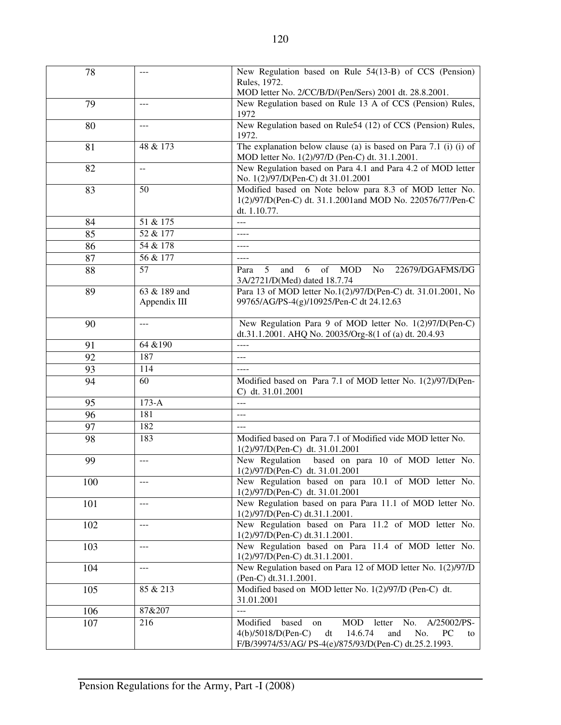| 78  | $---$                        | New Regulation based on Rule 54(13-B) of CCS (Pension)                                                                                                                                           |
|-----|------------------------------|--------------------------------------------------------------------------------------------------------------------------------------------------------------------------------------------------|
|     |                              | Rules, 1972.                                                                                                                                                                                     |
|     |                              | MOD letter No. 2/CC/B/D/(Pen/Sers) 2001 dt. 28.8.2001.<br>New Regulation based on Rule 13 A of CCS (Pension) Rules,                                                                              |
| 79  | $---$                        | 1972                                                                                                                                                                                             |
| 80  | ---                          | New Regulation based on Rule54 (12) of CCS (Pension) Rules,<br>1972.                                                                                                                             |
| 81  | 48 & 173                     | The explanation below clause (a) is based on Para 7.1 (i) (i) of<br>MOD letter No. 1(2)/97/D (Pen-C) dt. 31.1.2001.                                                                              |
| 82  | $-$                          | New Regulation based on Para 4.1 and Para 4.2 of MOD letter<br>No. 1(2)/97/D(Pen-C) dt 31.01.2001                                                                                                |
| 83  | 50                           | Modified based on Note below para 8.3 of MOD letter No.<br>1(2)/97/D(Pen-C) dt. 31.1.2001and MOD No. 220576/77/Pen-C<br>dt. 1.10.77.                                                             |
| 84  | 51 & 175                     |                                                                                                                                                                                                  |
| 85  | $\sqrt{52 \& 177}$           | $- - - -$                                                                                                                                                                                        |
| 86  | 54 & 178                     | $---$                                                                                                                                                                                            |
| 87  | 56 & 177                     | $---$                                                                                                                                                                                            |
| 88  | 57                           | of<br><b>MOD</b><br>5<br>6<br>N <sub>0</sub><br>22679/DGAFMS/DG<br>and<br>Para<br>3A/2721/D(Med) dated 18.7.74                                                                                   |
| 89  | 63 & 189 and<br>Appendix III | Para 13 of MOD letter No.1(2)/97/D(Pen-C) dt. 31.01.2001, No<br>99765/AG/PS-4(g)/10925/Pen-C dt 24.12.63                                                                                         |
| 90  | ---                          | New Regulation Para 9 of MOD letter No. 1(2)97/D(Pen-C)<br>dt.31.1.2001. AHQ No. 20035/Org-8(1 of (a) dt. 20.4.93                                                                                |
| 91  | 64 & 190                     | $- - - -$                                                                                                                                                                                        |
| 92  | 187                          | ---                                                                                                                                                                                              |
| 93  | 114                          |                                                                                                                                                                                                  |
| 94  | 60                           | Modified based on Para 7.1 of MOD letter No. 1(2)/97/D(Pen-<br>C) dt. 31.01.2001                                                                                                                 |
| 95  | $173-A$                      | $\overline{a}$                                                                                                                                                                                   |
| 96  | 181                          | $---$                                                                                                                                                                                            |
| 97  | 182                          | $ -$                                                                                                                                                                                             |
| 98  | 183                          | Modified based on Para 7.1 of Modified vide MOD letter No.<br>1(2)/97/D(Pen-C) dt. 31.01.2001                                                                                                    |
| 99  | ---                          | New Regulation based on para 10 of MOD letter No.<br>1(2)/97/D(Pen-C) dt. 31.01.2001                                                                                                             |
| 100 | ---                          | New Regulation based on para 10.1 of MOD letter No.<br>1(2)/97/D(Pen-C) dt. 31.01.2001                                                                                                           |
| 101 | $---$                        | New Regulation based on para Para 11.1 of MOD letter No.<br>1(2)/97/D(Pen-C) dt.31.1.2001.                                                                                                       |
| 102 | $---$                        | New Regulation based on Para 11.2 of MOD letter No.<br>1(2)/97/D(Pen-C) dt.31.1.2001.                                                                                                            |
| 103 | ---                          | New Regulation based on Para 11.4 of MOD letter No.<br>1(2)/97/D(Pen-C) dt.31.1.2001.                                                                                                            |
| 104 | $---$                        | New Regulation based on Para 12 of MOD letter No. 1(2)/97/D<br>(Pen-C) dt.31.1.2001.                                                                                                             |
| 105 | 85 & 213                     | Modified based on MOD letter No. 1(2)/97/D (Pen-C) dt.<br>31.01.2001                                                                                                                             |
| 106 | 87&207                       |                                                                                                                                                                                                  |
| 107 | 216                          | Modified<br>A/25002/PS-<br>based<br><b>MOD</b><br>No.<br>letter<br>on<br>4(b)/5018/D(Pen-C)<br>dt<br>14.6.74<br>and<br>No.<br>PC<br>to<br>F/B/39974/53/AG/ PS-4(e)/875/93/D(Pen-C) dt.25.2.1993. |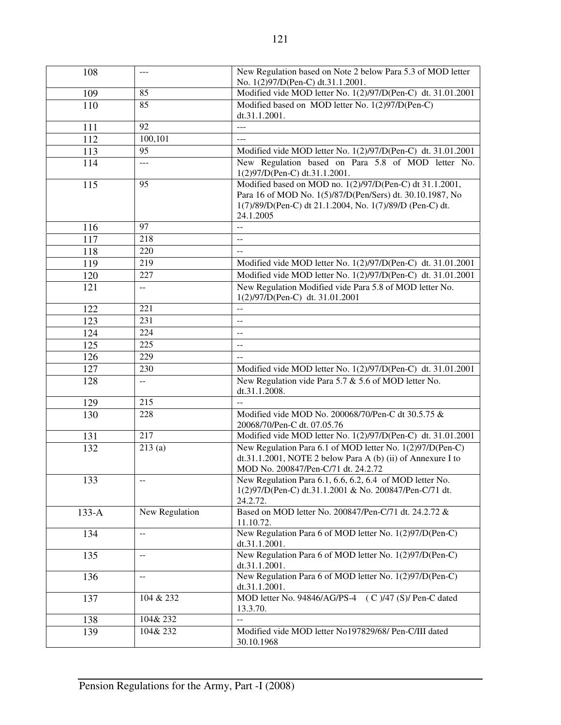| 108     | $---$                                         | New Regulation based on Note 2 below Para 5.3 of MOD letter<br>No. 1(2)97/D(Pen-C) dt.31.1.2001.                                                                                                  |
|---------|-----------------------------------------------|---------------------------------------------------------------------------------------------------------------------------------------------------------------------------------------------------|
| 109     | 85                                            | Modified vide MOD letter No. 1(2)/97/D(Pen-C) dt. 31.01.2001                                                                                                                                      |
| 110     | 85                                            | Modified based on MOD letter No. 1(2)97/D(Pen-C)<br>dt.31.1.2001.                                                                                                                                 |
| 111     | 92                                            | $---$                                                                                                                                                                                             |
| 112     | 100,101                                       | $---$                                                                                                                                                                                             |
| 113     | 95                                            | Modified vide MOD letter No. 1(2)/97/D(Pen-C) dt. 31.01.2001                                                                                                                                      |
| 114     | $\sim$ $\sim$ $\sim$                          | New Regulation based on Para 5.8 of MOD letter No.<br>1(2)97/D(Pen-C) dt.31.1.2001.                                                                                                               |
| 115     | 95                                            | Modified based on MOD no. $1(2)/97/D$ (Pen-C) dt 31.1.2001,<br>Para 16 of MOD No. 1(5)/87/D(Pen/Sers) dt. 30.10.1987, No<br>1(7)/89/D(Pen-C) dt 21.1.2004, No. 1(7)/89/D (Pen-C) dt.<br>24.1.2005 |
| 116     | 97                                            | $\overline{a}$                                                                                                                                                                                    |
| 117     | 218                                           | --                                                                                                                                                                                                |
| 118     | 220                                           | $\sim$                                                                                                                                                                                            |
| 119     | 219                                           | Modified vide MOD letter No. 1(2)/97/D(Pen-C) dt. 31.01.2001                                                                                                                                      |
| 120     | 227                                           | Modified vide MOD letter No. 1(2)/97/D(Pen-C) dt. 31.01.2001                                                                                                                                      |
| 121     | $\overline{a}$                                | New Regulation Modified vide Para 5.8 of MOD letter No.<br>1(2)/97/D(Pen-C) dt. 31.01.2001                                                                                                        |
| 122     | 221                                           | $\overline{\phantom{a}}$                                                                                                                                                                          |
| 123     | 231                                           | $-$                                                                                                                                                                                               |
| 124     | 224                                           | --                                                                                                                                                                                                |
| 125     | 225                                           | $-$                                                                                                                                                                                               |
| 126     | 229                                           | $-$                                                                                                                                                                                               |
| 127     | 230                                           | Modified vide MOD letter No. 1(2)/97/D(Pen-C) dt. 31.01.2001                                                                                                                                      |
| 128     | $\overline{a}$                                | New Regulation vide Para 5.7 & 5.6 of MOD letter No.<br>dt.31.1.2008.                                                                                                                             |
| 129     | 215                                           | $\frac{1}{2}$                                                                                                                                                                                     |
| 130     | 228                                           | Modified vide MOD No. 200068/70/Pen-C dt 30.5.75 &<br>20068/70/Pen-C dt. 07.05.76                                                                                                                 |
| 131     | 217                                           | Modified vide MOD letter No. 1(2)/97/D(Pen-C) dt. 31.01.2001                                                                                                                                      |
| 132     | 213(a)                                        | New Regulation Para 6.1 of MOD letter No. 1(2)97/D(Pen-C)<br>dt.31.1.2001, NOTE 2 below Para A (b) (ii) of Annexure I to<br>MOD No. 200847/Pen-C/71 dt. 24.2.72                                   |
| 133     | --                                            | New Regulation Para 6.1, 6.6, 6.2, 6.4 of MOD letter No.<br>1(2)97/D(Pen-C) dt.31.1.2001 & No. 200847/Pen-C/71 dt.<br>24.2.72.                                                                    |
| $133-A$ | New Regulation                                | Based on MOD letter No. 200847/Pen-C/71 dt. 24.2.72 &<br>11.10.72.                                                                                                                                |
| 134     | $\mathord{\hspace{1pt}\text{--}\hspace{1pt}}$ | New Regulation Para 6 of MOD letter No. 1(2)97/D(Pen-C)<br>dt.31.1.2001.                                                                                                                          |
| 135     | $\sim$ $-$                                    | New Regulation Para 6 of MOD letter No. 1(2)97/D(Pen-C)<br>dt.31.1.2001.                                                                                                                          |
| 136     | $\mathord{\hspace{1pt}\text{--}\hspace{1pt}}$ | New Regulation Para 6 of MOD letter No. 1(2)97/D(Pen-C)<br>dt.31.1.2001.                                                                                                                          |
| 137     | 104 & 232                                     | MOD letter No. 94846/AG/PS-4 (C)/47 (S)/ Pen-C dated<br>13.3.70.                                                                                                                                  |
| 138     | 104& 232                                      |                                                                                                                                                                                                   |
| 139     | 104& 232                                      | Modified vide MOD letter No197829/68/ Pen-C/III dated<br>30.10.1968                                                                                                                               |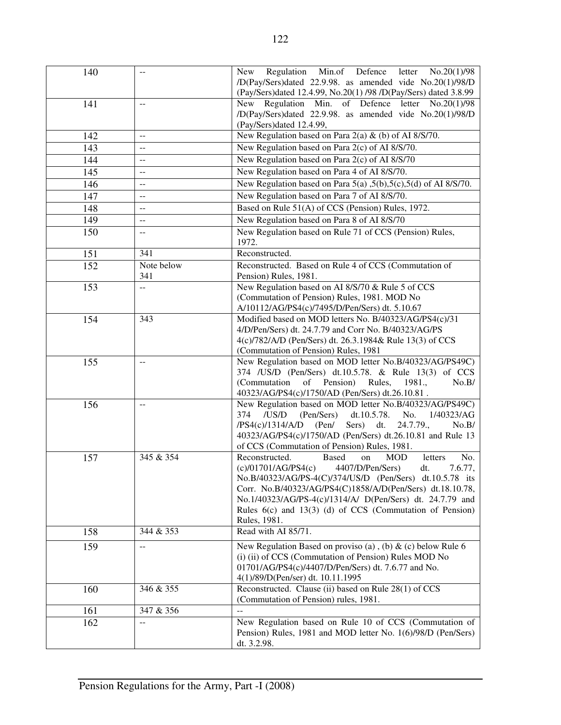| 140 | $-$               | New Regulation Min.of Defence letter No.20(1)/98<br>/D(Pay/Sers)dated 22.9.98. as amended vide No.20(1)/98/D<br>(Pay/Sers)dated 12.4.99, No.20(1) /98 /D(Pay/Sers) dated 3.8.99                                                                                                                                                                                                                         |
|-----|-------------------|---------------------------------------------------------------------------------------------------------------------------------------------------------------------------------------------------------------------------------------------------------------------------------------------------------------------------------------------------------------------------------------------------------|
| 141 | --                | New Regulation Min. of Defence letter No.20(1)/98<br>/D(Pay/Sers)dated 22.9.98. as amended vide No.20(1)/98/D<br>(Pay/Sers)dated 12.4.99,                                                                                                                                                                                                                                                               |
| 142 | $\overline{a}$    | New Regulation based on Para 2(a) & (b) of AI 8/S/70.                                                                                                                                                                                                                                                                                                                                                   |
| 143 | --                | New Regulation based on Para 2(c) of AI 8/S/70.                                                                                                                                                                                                                                                                                                                                                         |
| 144 | --                | New Regulation based on Para 2(c) of AI 8/S/70                                                                                                                                                                                                                                                                                                                                                          |
| 145 | $-$               | New Regulation based on Para 4 of AI 8/S/70.                                                                                                                                                                                                                                                                                                                                                            |
| 146 | --                | New Regulation based on Para 5(a) ,5(b),5(c),5(d) of AI 8/S/70.                                                                                                                                                                                                                                                                                                                                         |
| 147 | --                | New Regulation based on Para 7 of AI 8/S/70.                                                                                                                                                                                                                                                                                                                                                            |
| 148 | --                | Based on Rule 51(A) of CCS (Pension) Rules, 1972.                                                                                                                                                                                                                                                                                                                                                       |
| 149 | $- -$             | New Regulation based on Para 8 of AI 8/S/70                                                                                                                                                                                                                                                                                                                                                             |
| 150 | --                | New Regulation based on Rule 71 of CCS (Pension) Rules,<br>1972.                                                                                                                                                                                                                                                                                                                                        |
| 151 | 341               | Reconstructed.                                                                                                                                                                                                                                                                                                                                                                                          |
| 152 | Note below<br>341 | Reconstructed. Based on Rule 4 of CCS (Commutation of<br>Pension) Rules, 1981.                                                                                                                                                                                                                                                                                                                          |
| 153 | --                | New Regulation based on AI 8/S/70 & Rule 5 of CCS<br>(Commutation of Pension) Rules, 1981. MOD No<br>A/10112/AG/PS4(c)/7495/D/Pen/Sers) dt. 5.10.67                                                                                                                                                                                                                                                     |
| 154 | 343               | Modified based on MOD letters No. B/40323/AG/PS4(c)/31<br>4/D/Pen/Sers) dt. 24.7.79 and Corr No. B/40323/AG/PS<br>4(c)/782/A/D (Pen/Sers) dt. 26.3.1984& Rule 13(3) of CCS<br>(Commutation of Pension) Rules, 1981                                                                                                                                                                                      |
| 155 | $\sim$            | New Regulation based on MOD letter No.B/40323/AG/PS49C)<br>374 / US/D (Pen/Sers) dt.10.5.78. & Rule 13(3) of CCS<br>(Commutation of Pension) Rules, 1981.,<br>No.B/<br>40323/AG/PS4(c)/1750/AD (Pen/Sers) dt.26.10.81.                                                                                                                                                                                  |
| 156 | $\overline{a}$    | New Regulation based on MOD letter No.B/40323/AG/PS49C)<br>374<br>dt.10.5.78.<br>No.<br>/US/D<br>(Pen/Sers)<br>1/40323/AG<br>Sers) dt.<br>24.7.79.,<br>$/PS4(c)/1314/AD$ (Pen/<br>No.B/<br>40323/AG/PS4(c)/1750/AD (Pen/Sers) dt.26.10.81 and Rule 13<br>of CCS (Commutation of Pension) Rules, 1981.                                                                                                   |
| 157 | 345 & 354         | <b>Based</b><br>Reconstructed.<br><b>MOD</b><br>No.<br>on<br>letters<br>(c)/01701/AG/PS4(c)<br>4407/D/Pen/Sers)<br>7.6.77,<br>dt.<br>No.B/40323/AG/PS-4(C)/374/US/D (Pen/Sers) dt.10.5.78 its<br>Corr. No.B/40323/AG/PS4(C)1858/A/D(Pen/Sers) dt.18.10.78,<br>No.1/40323/AG/PS-4(c)/1314/A/ D(Pen/Sers) dt. 24.7.79 and<br>Rules $6(c)$ and $13(3)$ (d) of CCS (Commutation of Pension)<br>Rules, 1981. |
| 158 | 344 & 353         | Read with AI 85/71.                                                                                                                                                                                                                                                                                                                                                                                     |
| 159 | --                | New Regulation Based on proviso (a), (b) $\&$ (c) below Rule 6<br>(i) (ii) of CCS (Commutation of Pension) Rules MOD No<br>01701/AG/PS4(c)/4407/D/Pen/Sers) dt. 7.6.77 and No.<br>4(1)/89/D(Pen/ser) dt. 10.11.1995                                                                                                                                                                                     |
| 160 | 346 & 355         | Reconstructed. Clause (ii) based on Rule 28(1) of CCS<br>(Commutation of Pension) rules, 1981.                                                                                                                                                                                                                                                                                                          |
| 161 | 347 & 356         | $\overline{a}$                                                                                                                                                                                                                                                                                                                                                                                          |
| 162 | --                | New Regulation based on Rule 10 of CCS (Commutation of                                                                                                                                                                                                                                                                                                                                                  |
|     |                   | Pension) Rules, 1981 and MOD letter No. 1(6)/98/D (Pen/Sers)<br>dt. 3.2.98.                                                                                                                                                                                                                                                                                                                             |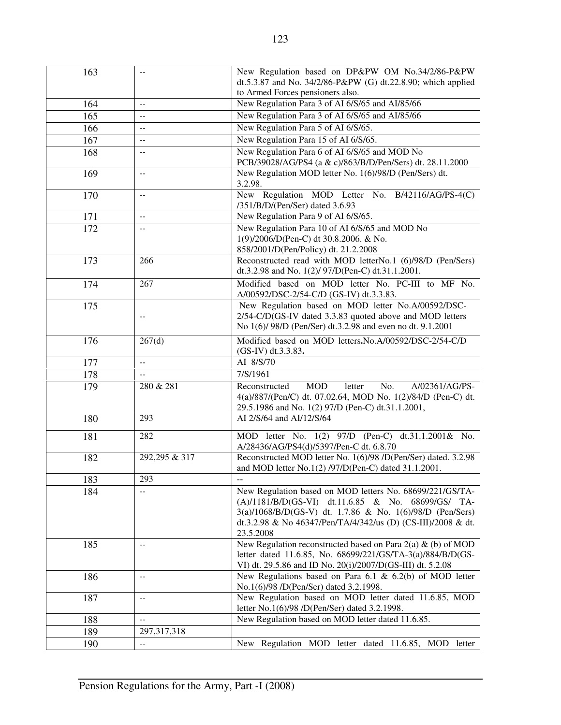| 163 |                  | New Regulation based on DP&PW OM No.34/2/86-P&PW                                                                |
|-----|------------------|-----------------------------------------------------------------------------------------------------------------|
|     |                  | dt.5.3.87 and No. 34/2/86-P&PW (G) dt.22.8.90; which applied                                                    |
|     |                  | to Armed Forces pensioners also.                                                                                |
| 164 | $\sim$           | New Regulation Para 3 of AI 6/S/65 and AI/85/66                                                                 |
| 165 | $-$              | New Regulation Para 3 of AI 6/S/65 and AI/85/66                                                                 |
| 166 | --               | New Regulation Para 5 of AI 6/S/65.                                                                             |
| 167 | --               | New Regulation Para 15 of AI 6/S/65.                                                                            |
| 168 | $\overline{a}$   | New Regulation Para 6 of AI 6/S/65 and MOD No                                                                   |
|     |                  | PCB/39028/AG/PS4 (a & c)/863/B/D/Pen/Sers) dt. 28.11.2000                                                       |
| 169 | $\overline{a}$   | New Regulation MOD letter No. 1(6)/98/D (Pen/Sers) dt.<br>3.2.98.                                               |
| 170 | $\overline{a}$   | New Regulation MOD Letter No. B/42116/AG/PS-4(C)<br>/351/B/D/(Pen/Ser) dated 3.6.93                             |
| 171 | $\overline{a}$   | New Regulation Para 9 of AI 6/S/65.                                                                             |
| 172 | $\overline{a}$   | New Regulation Para 10 of AI 6/S/65 and MOD No                                                                  |
|     |                  | 1(9)/2006/D(Pen-C) dt 30.8.2006. & No.                                                                          |
|     |                  | 858/2001/D(Pen/Policy) dt. 21.2.2008                                                                            |
| 173 | 266              | Reconstructed read with MOD letterNo.1 (6)/98/D (Pen/Sers)                                                      |
|     |                  | dt.3.2.98 and No. 1(2)/ 97/D(Pen-C) dt.31.1.2001.                                                               |
| 174 | $\overline{267}$ | Modified based on MOD letter No. PC-III to MF No.                                                               |
|     |                  | A/00592/DSC-2/54-C/D (GS-IV) dt.3.3.83.                                                                         |
| 175 |                  | New Regulation based on MOD letter No.A/00592/DSC-                                                              |
|     | --               | 2/54-C/D(GS-IV dated 3.3.83 quoted above and MOD letters                                                        |
|     |                  | No 1(6)/98/D (Pen/Ser) dt.3.2.98 and even no dt. 9.1.2001                                                       |
| 176 | 267(d)           | Modified based on MOD letters. No. A/00592/DSC-2/54-C/D<br>(GS-IV) dt.3.3.83.                                   |
| 177 | $\overline{a}$   | AI 8/S/70                                                                                                       |
| 178 | $\overline{a}$   | 7/S/1961                                                                                                        |
| 179 | 280 & 281        | <b>MOD</b><br>letter<br>No.<br>A/02361/AG/PS-<br>Reconstructed                                                  |
|     |                  | 4(a)/887/(Pen/C) dt. 07.02.64, MOD No. 1(2)/84/D (Pen-C) dt.                                                    |
|     |                  | 29.5.1986 and No. 1(2) 97/D (Pen-C) dt.31.1.2001,                                                               |
| 180 | 293              | AI 2/S/64 and AI/12/S/64                                                                                        |
| 181 | 282              | MOD letter No. 1(2) 97/D (Pen-C) dt.31.1.2001& No.                                                              |
|     |                  | A/28436/AG/PS4(d)/5397/Pen-C dt. 6.8.70                                                                         |
| 182 | 292,295 & 317    | Reconstructed MOD letter No. 1(6)/98 /D(Pen/Ser) dated. 3.2.98                                                  |
|     |                  | and MOD letter No.1(2) /97/D(Pen-C) dated 31.1.2001.                                                            |
| 183 | 293              |                                                                                                                 |
| 184 | $-$              | New Regulation based on MOD letters No. 68699/221/GS/TA-                                                        |
|     |                  | (A)/1181/B/D(GS-VI) dt.11.6.85 & No. 68699/GS/ TA-<br>3(a)/1068/B/D(GS-V) dt. 1.7.86 & No. 1(6)/98/D (Pen/Sers) |
|     |                  | dt.3.2.98 & No 46347/Pen/TA/4/342/us (D) (CS-III)/2008 & dt.                                                    |
|     |                  | 23.5.2008                                                                                                       |
| 185 | $-$              | New Regulation reconstructed based on Para $2(a)$ & (b) of MOD                                                  |
|     |                  | letter dated 11.6.85, No. 68699/221/GS/TA-3(a)/884/B/D(GS-                                                      |
|     |                  | VI) dt. 29.5.86 and ID No. 20(i)/2007/D(GS-III) dt. 5.2.08                                                      |
| 186 | $-$              | New Regulations based on Para 6.1 & 6.2(b) of MOD letter                                                        |
|     |                  | No.1(6)/98 /D(Pen/Ser) dated 3.2.1998.                                                                          |
| 187 | --               | New Regulation based on MOD letter dated 11.6.85, MOD                                                           |
|     |                  | letter No.1(6)/98 /D(Pen/Ser) dated 3.2.1998.                                                                   |
| 188 | $-$              | New Regulation based on MOD letter dated 11.6.85.                                                               |
| 189 | 297, 317, 318    |                                                                                                                 |
| 190 | 44               | New Regulation MOD letter dated 11.6.85,<br>MOD<br>letter                                                       |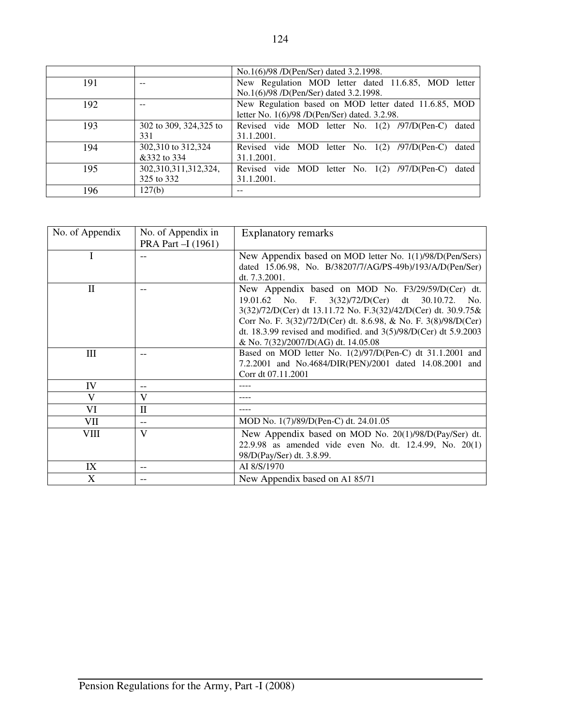|     |                        | No.1(6)/98 /D(Pen/Ser) dated 3.2.1998.                   |
|-----|------------------------|----------------------------------------------------------|
| 191 |                        | New Regulation MOD letter dated 11.6.85, MOD letter      |
|     |                        | No.1(6)/98 /D(Pen/Ser) dated 3.2.1998.                   |
| 192 |                        | New Regulation based on MOD letter dated 11.6.85, MOD    |
|     |                        | letter No. 1(6)/98 /D(Pen/Ser) dated. 3.2.98.            |
| 193 | 302 to 309, 324,325 to | Revised vide MOD letter No. 1(2) /97/D(Pen-C)<br>dated   |
|     | 331                    | 31.1.2001.                                               |
| 194 | 302,310 to 312,324     | Revised vide MOD letter No. $1(2)$ /97/D(Pen-C)<br>dated |
|     | &332 to 334            | 31.1.2001.                                               |
| 195 | 302,310,311,312,324,   | Revised vide MOD letter No. $1(2)$ /97/D(Pen-C)<br>dated |
|     | 325 to 332             | 31.1.2001.                                               |
| 196 | 127(b)                 |                                                          |
|     |                        |                                                          |

| No. of Appendix | No. of Appendix in<br>PRA Part - I (1961) | <b>Explanatory remarks</b>                                                                                                                                                                                                                                                                                                                                |
|-----------------|-------------------------------------------|-----------------------------------------------------------------------------------------------------------------------------------------------------------------------------------------------------------------------------------------------------------------------------------------------------------------------------------------------------------|
| I               |                                           | New Appendix based on MOD letter No. 1(1)/98/D(Pen/Sers)<br>dated 15.06.98, No. B/38207/7/AG/PS-49b)/193/A/D(Pen/Ser)<br>dt. 7.3.2001.                                                                                                                                                                                                                    |
| $\mathbf{I}$    |                                           | New Appendix based on MOD No. F3/29/59/D(Cer) dt.<br>19.01.62 No. F. 3(32)/72/D(Cer) dt 30.10.72. No.<br>3(32)/72/D(Cer) dt 13.11.72 No. F.3(32)/42/D(Cer) dt. 30.9.75&<br>Corr No. F. 3(32)/72/D(Cer) dt. 8.6.98, & No. F. 3(8)/98/D(Cer)<br>dt. 18.3.99 revised and modified. and $3(5)/98/D(Cer)$ dt $5.9.2003$<br>& No. 7(32)/2007/D(AG) dt. 14.05.08 |
| Ш               | --                                        | Based on MOD letter No. 1(2)/97/D(Pen-C) dt 31.1.2001 and<br>7.2.2001 and No.4684/DIR(PEN)/2001 dated 14.08.2001 and<br>Corr dt 07.11.2001                                                                                                                                                                                                                |
| IV              | --                                        |                                                                                                                                                                                                                                                                                                                                                           |
| V               | V                                         |                                                                                                                                                                                                                                                                                                                                                           |
| VI              | $\rm II$                                  |                                                                                                                                                                                                                                                                                                                                                           |
| VШ              | --                                        | MOD No. 1(7)/89/D(Pen-C) dt. 24.01.05                                                                                                                                                                                                                                                                                                                     |
| VIII            | $\mathbf{V}$                              | New Appendix based on MOD No. 20(1)/98/D(Pay/Ser) dt.<br>22.9.98 as amended vide even No. dt. 12.4.99, No. 20(1)<br>98/D(Pay/Ser) dt. 3.8.99.                                                                                                                                                                                                             |
| IX              | --                                        | AI 8/S/1970                                                                                                                                                                                                                                                                                                                                               |
| X               | --                                        | New Appendix based on A1 85/71                                                                                                                                                                                                                                                                                                                            |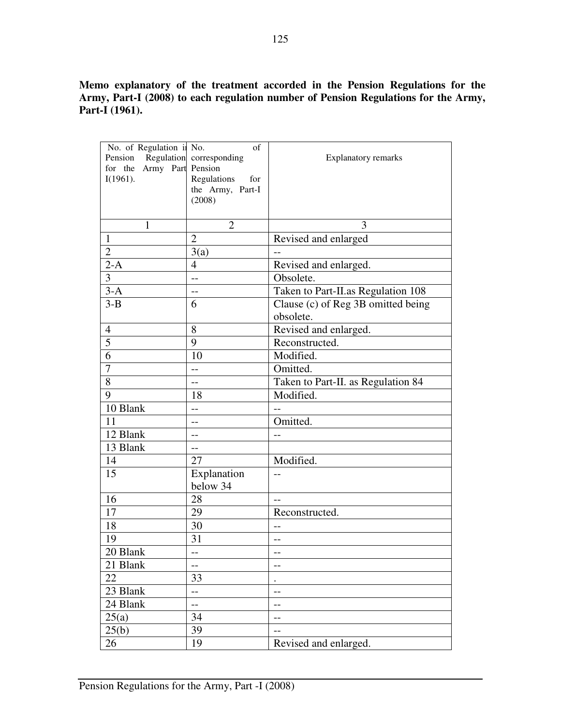**Memo explanatory of the treatment accorded in the Pension Regulations for the Army, Part-I (2008) to each regulation number of Pension Regulations for the Army, Part-I (1961).** 

| No. of Regulation ii No.  | of                         |                                    |
|---------------------------|----------------------------|------------------------------------|
| Pension                   | Regulation corresponding   | <b>Explanatory remarks</b>         |
| for the Army Part Pension |                            |                                    |
| $I(1961)$ .               | Regulations<br>for         |                                    |
|                           | the Army, Part-I<br>(2008) |                                    |
|                           |                            |                                    |
|                           |                            | 3                                  |
| 1                         | $\overline{2}$             |                                    |
| $\mathbf{1}$              | $\overline{2}$             | Revised and enlarged               |
| $\overline{2}$            | 3(a)                       |                                    |
| $2-A$                     | 4                          | Revised and enlarged.              |
| 3                         | $\overline{a}$             | Obsolete.                          |
| $3-A$                     | $-$                        | Taken to Part-II.as Regulation 108 |
| $3-B$                     | 6                          | Clause (c) of Reg 3B omitted being |
|                           |                            | obsolete.                          |
| $\overline{4}$            | 8                          | Revised and enlarged.              |
| 5                         | 9                          | Reconstructed.                     |
| $\overline{6}$            | 10                         | Modified.                          |
| $\overline{7}$            | $-$                        | Omitted.                           |
| 8                         | $-$                        | Taken to Part-II. as Regulation 84 |
| 9                         | 18                         | Modified.                          |
| 10 Blank                  | --                         |                                    |
| 11                        | $-$                        | Omitted.                           |
| 12 Blank                  | $-$                        | --                                 |
| 13 Blank                  | $-$                        |                                    |
| 14                        | 27                         | Modified.                          |
| 15                        | Explanation                |                                    |
|                           | below 34                   |                                    |
| 16                        | 28                         | $-$                                |
| 17                        | 29                         | Reconstructed.                     |
| 18                        | 30                         | $-$                                |
| 19                        | 31                         | $-$                                |
| 20 Blank                  |                            |                                    |
| 21 Blank                  | $-$                        |                                    |
| 22                        | 33                         |                                    |
| 23 Blank                  | $-$                        |                                    |
| 24 Blank                  | --                         | $-$                                |
| 25(a)                     | 34                         | $-$                                |
| 25(b)                     | 39                         | --                                 |
| 26                        | 19                         | Revised and enlarged.              |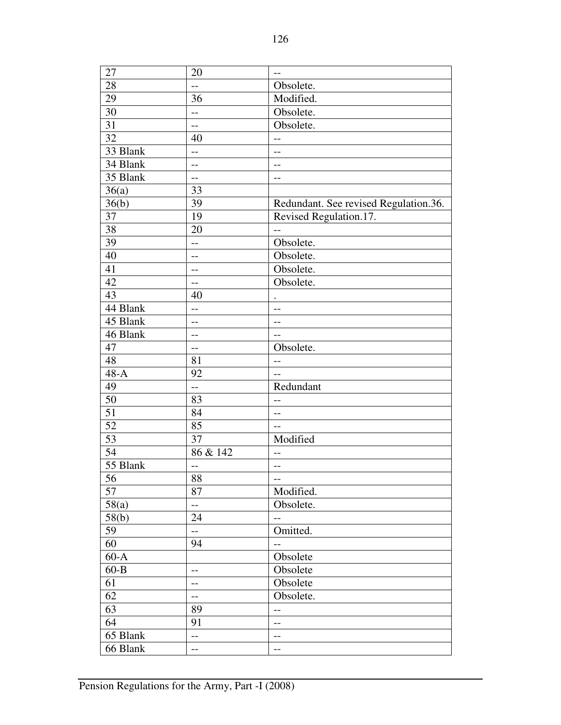| 27              | 20                       | $-$                                   |
|-----------------|--------------------------|---------------------------------------|
| 28              | $\overline{a}$           | Obsolete.                             |
| 29              | 36                       | Modified.                             |
| 30              | $-$                      | Obsolete.                             |
| 31              | --                       | Obsolete.                             |
| 32              | 40                       | $-$                                   |
| 33 Blank        | $-$                      | $-$                                   |
| 34 Blank        | --                       | $-$                                   |
| 35 Blank        | --                       | $-$                                   |
| 36(a)           | 33                       |                                       |
| 36(b)           | 39                       | Redundant. See revised Regulation.36. |
| 37              | 19                       | Revised Regulation.17.                |
| 38              | 20                       | $-$                                   |
| 39              | $-$                      | Obsolete.                             |
| 40              | $-$                      | Obsolete.                             |
| 41              | $-$                      | Obsolete.                             |
| 42              | $-$                      | Obsolete.                             |
| 43              | 40                       |                                       |
| 44 Blank        | --                       | $-$                                   |
| 45 Blank        | --                       | $-$                                   |
| 46 Blank        | --                       |                                       |
| 47              | $-$                      | Obsolete.                             |
| 48              | 81                       | $-$                                   |
| $48-A$          | 92                       | $-$                                   |
| 49              | $-$                      | Redundant                             |
| $\overline{50}$ | 83                       |                                       |
| 51              | 84                       | $-$                                   |
| $\overline{52}$ | 85                       | $-$                                   |
| $\overline{53}$ | 37                       | Modified                              |
| 54              | 86 & 142                 | $-$                                   |
| 55 Blank        | --                       | --                                    |
| $\overline{56}$ | 88                       | $\qquad \qquad -$                     |
| 57              | 87                       | Modified.                             |
| 58(a)           | $-$                      | Obsolete.                             |
| 58(b)           | 24                       | $\qquad \qquad -$                     |
| 59              | $\overline{\phantom{a}}$ | Omitted.                              |
| 60              | 94                       | $-$                                   |
| $60-A$          |                          | Obsolete                              |
| $60 - B$        | $-$                      | Obsolete                              |
| 61              | --                       | Obsolete                              |
| 62              | $-$                      | Obsolete.                             |
| 63              | 89                       | $-$                                   |
| 64              | 91                       | $\qquad \qquad -$                     |
| 65 Blank        | $-$                      | --                                    |
| 66 Blank        | $-$                      | $-$                                   |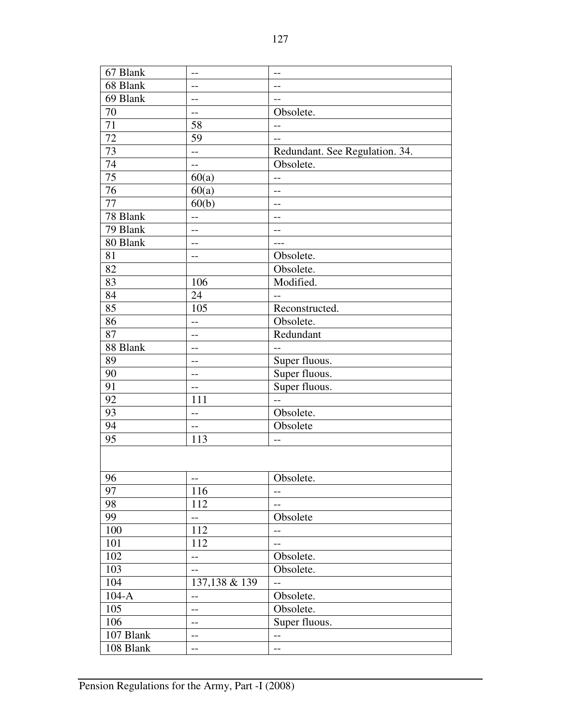| 67 Blank        | $-$                      | $-$                                           |
|-----------------|--------------------------|-----------------------------------------------|
| 68 Blank        | $-$                      | $-$                                           |
| 69 Blank        | $-$                      | $-$                                           |
| 70              | $-$                      | Obsolete.                                     |
| 71              | 58                       | $-$                                           |
| 72              | 59                       | $-$                                           |
| 73              | $\overline{\phantom{a}}$ | Redundant. See Regulation. 34.                |
| 74              | $\overline{a}$           | Obsolete.                                     |
| $\overline{75}$ | 60(a)                    | $-$                                           |
| 76              | 60(a)                    | $-$                                           |
| 77              | 60(b)                    | $-$                                           |
| 78 Blank        | $\qquad \qquad -$        | $-$                                           |
| 79 Blank        | $-$                      | $-$                                           |
| 80 Blank        | $-$                      |                                               |
| 81              | $-$                      | Obsolete.                                     |
| 82              |                          | Obsolete.                                     |
| 83              | 106                      | Modified.                                     |
| 84              | 24                       | $-$                                           |
| 85              | 105                      | Reconstructed.                                |
| 86              | $-$                      | Obsolete.                                     |
| 87              | $-$                      | Redundant                                     |
| 88 Blank        | $-$                      | $-$                                           |
| 89              | --                       | Super fluous.                                 |
| 90              | $-$                      | Super fluous.                                 |
| 91              | $-$                      | Super fluous.                                 |
| 92              | 111                      | $\overline{a}$                                |
| 93              | --                       | Obsolete.                                     |
| 94              | $-$                      | Obsolete                                      |
| 95              | 113                      | $-$                                           |
|                 |                          |                                               |
|                 |                          |                                               |
| 96              | --                       | Obsolete.                                     |
| 97              | 116                      | $-$                                           |
| 98              | 112                      | $-$                                           |
| 99              | $\overline{a}$           | Obsolete                                      |
| 100             | 112                      | $-$                                           |
| 101             | 112                      | $-$                                           |
| 102             | $-$                      | Obsolete.                                     |
| 103             | $-$                      | Obsolete.                                     |
| 104             | 137,138 & 139            | $-$                                           |
| $104-A$         |                          | Obsolete.                                     |
| 105             | $\qquad \qquad -$<br>$-$ | Obsolete.                                     |
| 106             | $-$                      | Super fluous.                                 |
| 107 Blank       |                          |                                               |
|                 | $\qquad \qquad -$        | $\mathord{\hspace{1pt}\text{--}\hspace{1pt}}$ |
| 108 Blank       | --                       | $-$                                           |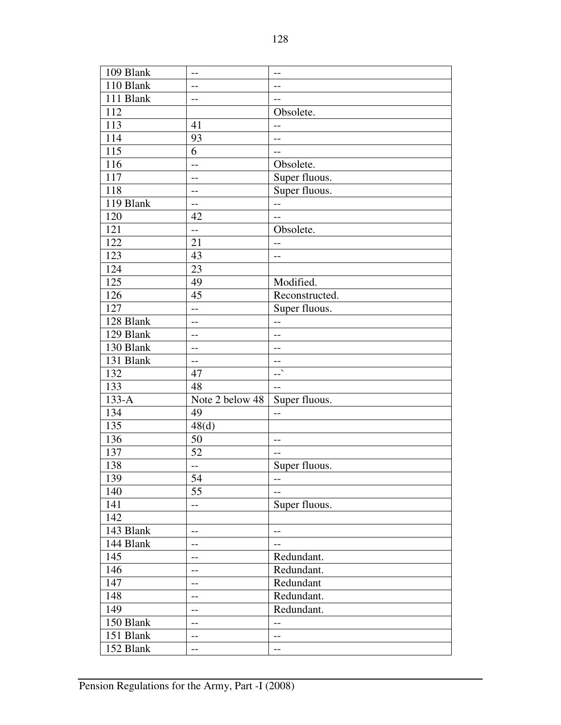| 109 Blank | --                | $-$            |  |  |
|-----------|-------------------|----------------|--|--|
| 110 Blank | --                | $-$            |  |  |
| 111 Blank | --                | $-$            |  |  |
| 112       |                   | Obsolete.      |  |  |
| 113       | 41                | $-$            |  |  |
| 114       | 93                | $-$            |  |  |
| 115       | 6                 | $-$            |  |  |
| 116       | $-$               | Obsolete.      |  |  |
| 117       | $-$               | Super fluous.  |  |  |
| 118       | $-$               | Super fluous.  |  |  |
| 119 Blank | $-$               | $-$            |  |  |
| 120       | 42                | $-$            |  |  |
| 121       | $-$               | Obsolete.      |  |  |
| 122       | 21                | $-$            |  |  |
| 123       | 43                | $-$            |  |  |
| 124       | 23                |                |  |  |
| 125       | 49                | Modified.      |  |  |
| 126       | 45                | Reconstructed. |  |  |
| 127       | $\overline{a}$    | Super fluous.  |  |  |
| 128 Blank | $-$               | $-$            |  |  |
| 129 Blank | --                | --             |  |  |
| 130 Blank | --                | --             |  |  |
| 131 Blank | $-$               | $- -$          |  |  |
| 132       | 47                | $\mathbf{L}$   |  |  |
| 133       | 48                | $-$            |  |  |
| $133-A$   | Note 2 below 48   | Super fluous.  |  |  |
| 134       | 49                | $-$            |  |  |
| 135       | 48 <sub>(d)</sub> |                |  |  |
| 136       | 50                | $-$            |  |  |
| 137       | 52                | $-$            |  |  |
| 138       | $-$               | Super fluous.  |  |  |
| 139       | 54                | --             |  |  |
| 140       | 55                | $-$            |  |  |
| 141       | <u></u>           | Super fluous.  |  |  |
| 142       |                   |                |  |  |
| 143 Blank | $-$               | $-$            |  |  |
| 144 Blank | --                | $-$            |  |  |
| 145       | $--$              | Redundant.     |  |  |
| 146       | $-$               | Redundant.     |  |  |
| 147       |                   | Redundant      |  |  |
| 148       | --                | Redundant.     |  |  |
| 149       | --                | Redundant.     |  |  |
|           | --                |                |  |  |
| 150 Blank | $-$               | $-$            |  |  |
| 151 Blank | --                | $-$            |  |  |
| 152 Blank | --                | --             |  |  |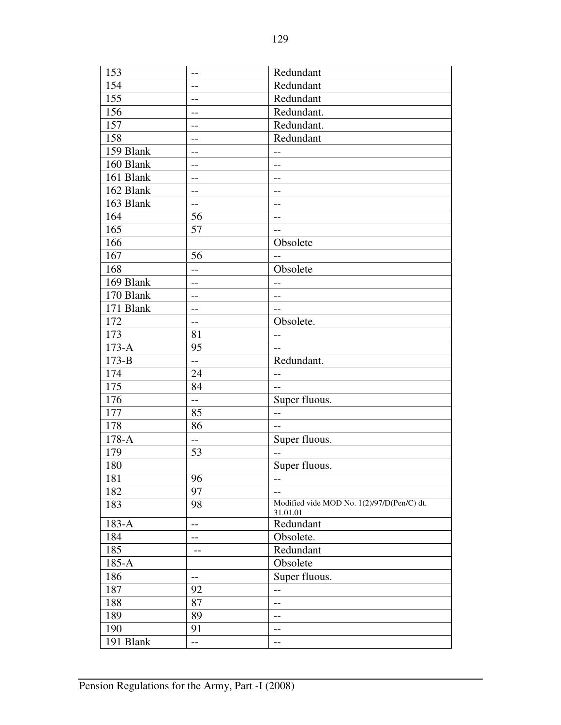| 153       | $-$                      | Redundant                                              |  |  |
|-----------|--------------------------|--------------------------------------------------------|--|--|
| 154       | $-$                      | Redundant                                              |  |  |
| 155       | $-$                      | Redundant                                              |  |  |
| 156       | $-$                      | Redundant.                                             |  |  |
| 157       | $-$                      | Redundant.                                             |  |  |
| 158       | $-$                      | Redundant                                              |  |  |
| 159 Blank | $-$                      | $-$                                                    |  |  |
| 160 Blank | $-$                      | $-$                                                    |  |  |
| 161 Blank | $-$                      | $-$                                                    |  |  |
| 162 Blank | $-$                      | $-$                                                    |  |  |
| 163 Blank | $- -$                    | $-$                                                    |  |  |
| 164       | 56                       | $--$                                                   |  |  |
| 165       | 57                       | $\overline{a}$                                         |  |  |
| 166       |                          | Obsolete                                               |  |  |
| 167       | 56                       | $-$                                                    |  |  |
| 168       | $-$                      | Obsolete                                               |  |  |
| 169 Blank | $-$                      | $-$                                                    |  |  |
| 170 Blank | $-$                      | $-$                                                    |  |  |
| 171 Blank | $-$                      | $-$                                                    |  |  |
| 172       | $-$                      | Obsolete.                                              |  |  |
| 173       | 81                       | $-$                                                    |  |  |
| $173-A$   | 95                       | $-$                                                    |  |  |
| $173 - B$ | $-$                      | Redundant.                                             |  |  |
| 174       | 24                       | $-$                                                    |  |  |
| 175       | 84                       | $-$                                                    |  |  |
| 176       | $\overline{\phantom{a}}$ | Super fluous.                                          |  |  |
| 177       | 85                       | $-$                                                    |  |  |
| 178       | 86                       | $-$                                                    |  |  |
| $178-A$   | $\overline{a}$           | Super fluous.                                          |  |  |
| 179       | 53                       | $-$                                                    |  |  |
| 180       |                          | Super fluous.                                          |  |  |
| 181       | 96                       | $\qquad \qquad -$                                      |  |  |
| 182       | 97                       | $-$                                                    |  |  |
| 183       | 98                       | Modified vide MOD No. 1(2)/97/D(Pen/C) dt.<br>31.01.01 |  |  |
| $183-A$   | $-$                      | Redundant                                              |  |  |
| 184       | --                       | Obsolete.                                              |  |  |
| 185       | --                       | Redundant                                              |  |  |
| $185-A$   |                          | Obsolete                                               |  |  |
| 186       | --                       | Super fluous.                                          |  |  |
| 187       | 92                       | $-$                                                    |  |  |
| 188       | 87                       | $\overline{a}$                                         |  |  |
| 189       | 89                       | $-$                                                    |  |  |
| 190       | 91                       | $\qquad \qquad -$                                      |  |  |
| 191 Blank | $-$                      | $-$                                                    |  |  |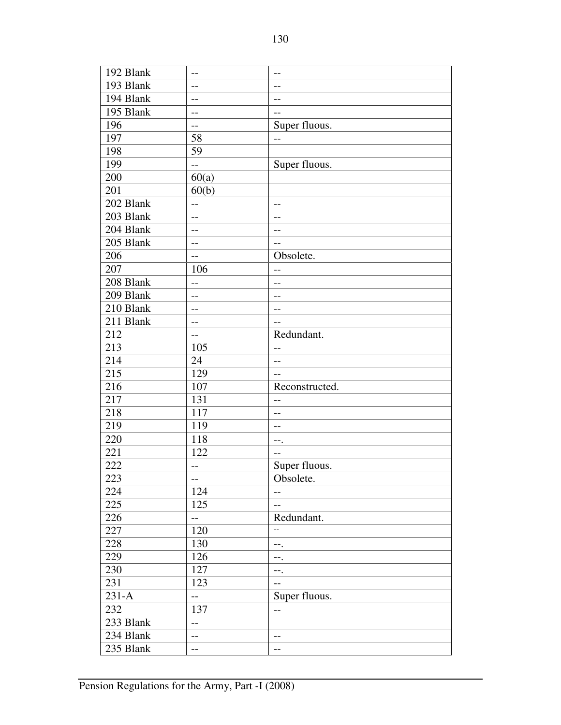| 192 Blank | $-$                      | $- -$                    |
|-----------|--------------------------|--------------------------|
| 193 Blank | --                       | $-$                      |
| 194 Blank | --                       | $-$                      |
| 195 Blank | $-$                      | $-$                      |
| 196       | $\overline{a}$           | Super fluous.            |
| 197       | 58                       | $-$                      |
| 198       | 59                       |                          |
| 199       | $\overline{a}$           | Super fluous.            |
| 200       | 60(a)                    |                          |
| 201       | 60(b)                    |                          |
| 202 Blank | $-$                      | $-$                      |
| 203 Blank | $\overline{\phantom{m}}$ | $\qquad \qquad -$        |
| 204 Blank | $-$                      | $-$                      |
| 205 Blank | $-$                      | $-$                      |
| 206       | $-$                      | Obsolete.                |
| 207       | 106                      | $-$                      |
| 208 Blank | $-$                      | $-$                      |
| 209 Blank | $-$                      | $-$                      |
| 210 Blank | --                       | $-$                      |
| 211 Blank | $-$                      | $-$                      |
| 212       | $-$                      | Redundant.               |
| 213       | 105                      | $\overline{\phantom{m}}$ |
| 214       | 24                       | $-$                      |
| 215       | 129                      | $\overline{a}$           |
| 216       | 107                      | Reconstructed.           |
| 217       | 131                      | $-$                      |
| 218       | 117                      | $-$                      |
| 219       | 119                      | $-$                      |
| 220       | 118                      | --.                      |
| 221       | 122                      | $-$                      |
| 222       | $-$                      | Super fluous.            |
| 223       | $--$                     | Obsolete.                |
| 224       | 124                      | $-\,-$                   |
| 225       | 125                      | $-$                      |
| 226       | $\overline{\phantom{a}}$ | Redundant.               |
| 227       | 120                      | $\overline{\phantom{a}}$ |
| 228       | 130                      | --.                      |
| 229       | 126                      | --.                      |
| 230       | 127                      | ÷÷.                      |
| 231       | 123                      | $-$                      |
| $231-A$   | $\overline{a}$           | Super fluous.            |
| 232       | 137                      | $-$                      |
| 233 Blank | $\overline{\phantom{a}}$ |                          |
| 234 Blank | $-$                      | $-$                      |
| 235 Blank | $-$                      | $--$                     |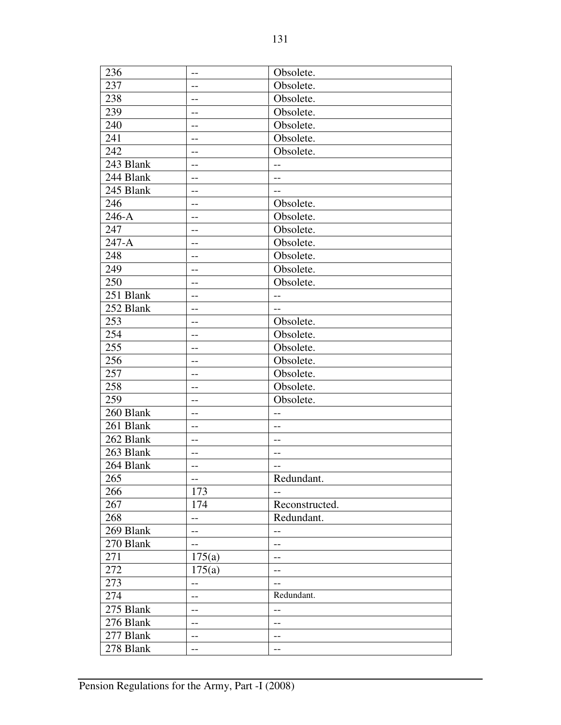| 236       | --                       | Obsolete.         |
|-----------|--------------------------|-------------------|
| 237       | --                       | Obsolete.         |
| 238       | $-1$                     | Obsolete.         |
| 239       | --                       | Obsolete.         |
| 240       |                          | Obsolete.         |
| 241       | --                       | Obsolete.         |
| 242       | $-1$                     | Obsolete.         |
| 243 Blank | $-$                      | $-$               |
| 244 Blank | --                       | $-$               |
| 245 Blank | $-1$                     | $-$               |
| 246       | --                       | Obsolete.         |
| $246-A$   | $-$                      | Obsolete.         |
| 247       | --                       | Obsolete.         |
| $247-A$   | --                       | Obsolete.         |
| 248       | $-1$                     | Obsolete.         |
| 249       | $-$                      | Obsolete.         |
| 250       | $-$                      | Obsolete.         |
| 251 Blank | $-1$                     | $-$               |
| 252 Blank | --                       | $-$               |
| 253       |                          | Obsolete.         |
| 254       | $-$                      | Obsolete.         |
| 255       | --                       | Obsolete.         |
| 256       | --                       | Obsolete.         |
| 257       |                          | Obsolete.         |
| 258       | --                       | Obsolete.         |
| 259       |                          | Obsolete.         |
| 260 Blank | $-1$                     | $-$               |
| 261 Blank | --                       | $-$               |
| 262 Blank | $-$                      | $-$               |
| 263 Blank | $-$                      | $- -$             |
| 264 Blank | --                       | $-$               |
| 265       | $\overline{\phantom{a}}$ | Redundant.        |
| 266       | 173                      | $-$               |
| 267       | 174                      | Reconstructed.    |
| 268       | $-$                      | Redundant.        |
| 269 Blank | $-$                      | $-$               |
| 270 Blank | $-$                      | $-$               |
| 271       | 175(a)                   | $\qquad \qquad -$ |
| 272       | 175(a)                   | $-$               |
| 273       | $-$                      | $-$               |
| 274       | --                       | Redundant.        |
| 275 Blank | --                       | $-$               |
| 276 Blank |                          |                   |
| 277 Blank | $\qquad \qquad -$        | $\qquad \qquad -$ |
|           | --                       | $-$               |
| 278 Blank | --                       | $-$               |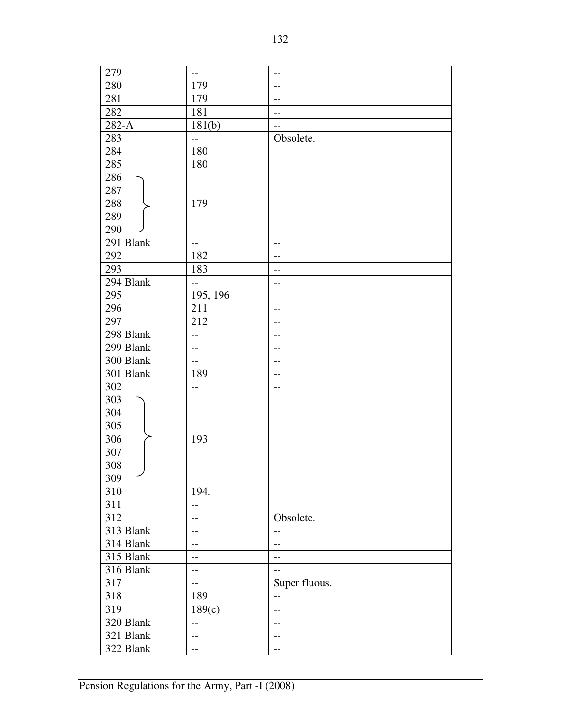| 279                    | $-$               | $-$           |
|------------------------|-------------------|---------------|
| 280                    | 179               | --            |
| 281                    | 179               | $-$           |
| 282                    | 181               | --            |
| $282-A$                | 181(b)            | --            |
| 283                    | --                | Obsolete.     |
| 284                    | 180               |               |
| 285                    | 180               |               |
| 286                    |                   |               |
| 287                    |                   |               |
| 288                    | 179               |               |
| 289                    |                   |               |
| 290                    |                   |               |
| 291 Blank              | $-$               | $-$           |
| 292                    | 182               | --            |
| 293                    | 183               | --            |
| 294 Blank              | $-$               | $-$           |
| 295                    | 195, 196          |               |
| 296                    | 211               | $-$           |
| 297                    | 212               | $- -$         |
| 298 Blank              | --                | --            |
| 299 Blank              | $-$               | --            |
| 300 Blank              | $-$               | --            |
| $\overline{30}1$ Blank | 189               | --            |
| 302                    | --                | $-$           |
| 303                    |                   |               |
| 304                    |                   |               |
| 305                    |                   |               |
| 306                    | 193               |               |
| 307                    |                   |               |
| 308                    |                   |               |
| ╱<br>309               |                   |               |
| 310                    | 194.              |               |
| $\overline{3}11$       | $-$               |               |
| 312                    | $-$               | Obsolete.     |
| 313 Blank              | --                | --            |
| 314 Blank              | --                | $-$           |
| 315 Blank              | $\qquad \qquad -$ | $-$           |
| 316 Blank              | $-$               | $-$           |
| 317                    | $-$               | Super fluous. |
| 318                    | 189               | $-$           |
| 319                    | 189(c)            |               |
| 320 Blank              |                   | $-$           |
| 321 Blank              | $-$               | $-$           |
|                        | $-$               | --            |
| 322 Blank              | --                | $-$           |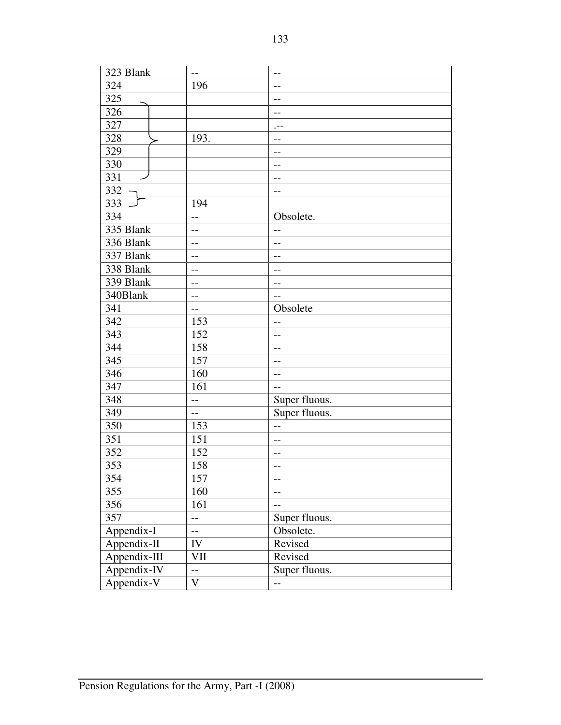| 323 Blank    | $-$                      | $-$                      |
|--------------|--------------------------|--------------------------|
| 324          | 196                      | --                       |
| 325          |                          | $-$                      |
| 326          |                          | --                       |
| 327          |                          | $, --$                   |
| 328          | 193.                     |                          |
| 329          |                          | $-$                      |
| 330          |                          | $-$                      |
| 331          |                          | $-$                      |
| 332          |                          | --                       |
| 333          | 194                      |                          |
| 334          | $-$                      | Obsolete.                |
| 335 Blank    | $-$                      | --                       |
| 336 Blank    | $-$                      | --                       |
| 337 Blank    | $-$                      | $-$                      |
| 338 Blank    | $-$                      | $-1$                     |
| 339 Blank    | --                       | --                       |
| 340Blank     | $-$                      | $-$                      |
| 341          | $-$                      | Obsolete                 |
| 342          | 153                      | $-$                      |
| 343          | 152                      |                          |
| 344          | 158                      | $-$                      |
| 345          | 157                      | --                       |
| 346          | 160                      | $-$                      |
| 347          | 161                      | $-$                      |
| 348          | $-$                      | Super fluous.            |
| 349          | $-$                      | Super fluous.            |
| 350          | 153                      | $-$                      |
| 351          | 151                      | $-$                      |
| 352          | 152                      | $-$                      |
| 353          | 158                      | $-$                      |
| 354          | 157                      | $- -$                    |
| 355          | 160                      | $\overline{\phantom{m}}$ |
| 356          | 161                      | $-$                      |
| 357          | $\overline{\phantom{a}}$ | Super fluous.            |
| Appendix-I   | $-$                      | Obsolete.                |
| Appendix-II  | IV                       | Revised                  |
| Appendix-III | VII                      | Revised                  |
| Appendix-IV  | $\overline{a}$           | Super fluous.            |
| Appendix-V   | $\mathbf V$              | $-$                      |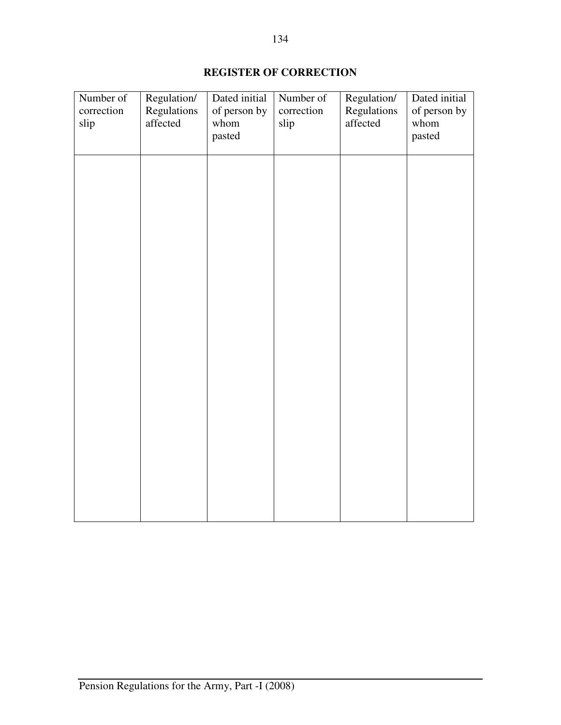# **REGISTER OF CORRECTION**

| Number of<br>correction<br>slip | Regulation/<br>Regulations<br>affected | Dated initial<br>of person by<br>whom<br>pasted | Number of<br>correction<br>slip | Regulation/<br>Regulations<br>affected | Dated initial<br>of person by<br>whom<br>pasted |
|---------------------------------|----------------------------------------|-------------------------------------------------|---------------------------------|----------------------------------------|-------------------------------------------------|
|                                 |                                        |                                                 |                                 |                                        |                                                 |
|                                 |                                        |                                                 |                                 |                                        |                                                 |
|                                 |                                        |                                                 |                                 |                                        |                                                 |
|                                 |                                        |                                                 |                                 |                                        |                                                 |
|                                 |                                        |                                                 |                                 |                                        |                                                 |
|                                 |                                        |                                                 |                                 |                                        |                                                 |